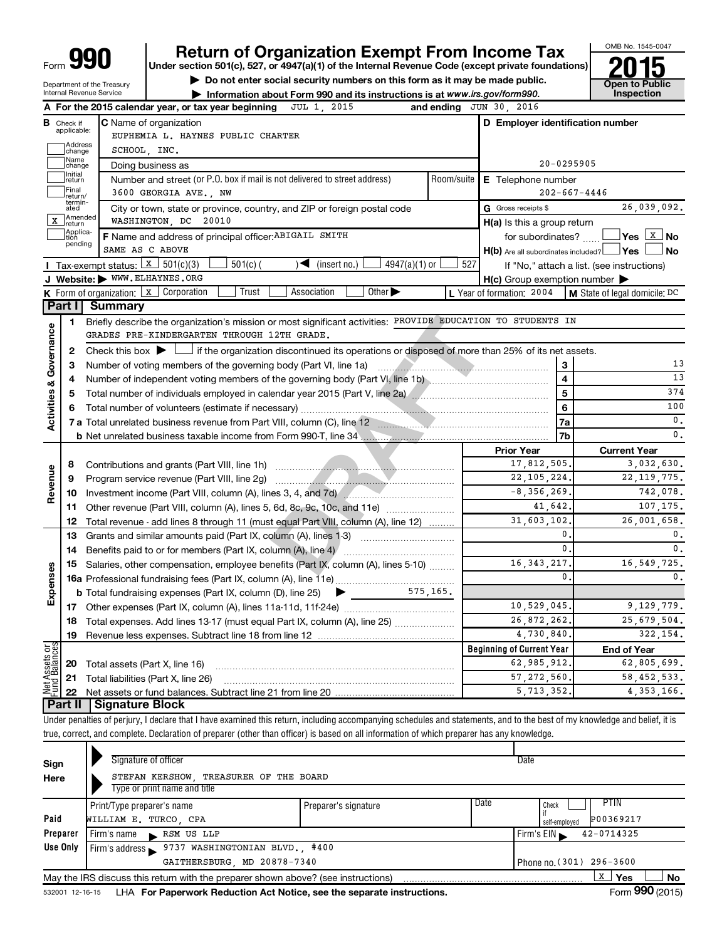| <b>ar</b><br>Form |
|-------------------|
|-------------------|

# **990 Return of Organization Exempt From Income Tax 1990 2015**<br>
Under section 501(c), 527, or 4947(a)(1) of the Internal Revenue Code (except private foundations) **2015**

**Under section 501(c), 527, or 4947(a)(1) of the Internal Revenue Code (except private foundations)**

**and Struction 501(c), 527, or 4947(a)(1) of the internal Revenue Code (except private foundations)<br>
■ Do not enter social security numbers on this form as it may be made public.<br>
■ Information about Form 990 and its inst** 



Department of the Treasury Internal Revenue Service

|               |                               | A For the 2015 calendar year, or tax year beginning JUL 1, 2015                                                                                                            |               | and ending JUN 30, 2016                             |                |                                            |
|---------------|-------------------------------|----------------------------------------------------------------------------------------------------------------------------------------------------------------------------|---------------|-----------------------------------------------------|----------------|--------------------------------------------|
|               | <b>B</b> Check if applicable: | <b>C</b> Name of organization                                                                                                                                              |               | D Employer identification number                    |                |                                            |
|               |                               | EUPHEMIA L. HAYNES PUBLIC CHARTER                                                                                                                                          |               |                                                     |                |                                            |
|               | Address<br>change             | SCHOOL, INC.                                                                                                                                                               |               |                                                     |                |                                            |
|               | Name<br>change                | Doing business as                                                                                                                                                          |               | 20-0295905                                          |                |                                            |
|               | Initial<br>return             | Number and street (or P.O. box if mail is not delivered to street address)                                                                                                 |               | Room/suite   E Telephone number                     |                |                                            |
|               | Final<br> return/             | 3600 GEORGIA AVE., NW                                                                                                                                                      |               |                                                     |                | $202 - 667 - 4446$                         |
|               | termin-<br>ated               | City or town, state or province, country, and ZIP or foreign postal code                                                                                                   |               | G Gross receipts \$                                 |                | 26,039,092.                                |
| X             | Amended<br>Ireturn            | WASHINGTON, DC 20010                                                                                                                                                       |               | H(a) Is this a group return                         |                |                                            |
|               | Applica-<br>tion<br>pending   | F Name and address of principal officer: ABIGAIL SMITH                                                                                                                     |               | for subordinates?                                   |                |                                            |
|               |                               | SAME AS C ABOVE                                                                                                                                                            |               | $H(b)$ Are all subordinates included? $\Box$ Yes    |                | l No                                       |
|               |                               | Tax-exempt status: $x \mid 301(c)(3)$<br>$4947(a)(1)$ or<br>$501(c)$ (<br>$\sqrt{\frac{1}{1}}$ (insert no.)                                                                | 527           |                                                     |                | If "No," attach a list. (see instructions) |
|               |                               | J Website: WWW.ELHAYNES.ORG                                                                                                                                                |               | $H(c)$ Group exemption number $\blacktriangleright$ |                |                                            |
|               |                               | Other $\blacktriangleright$<br>K Form of organization: X Corporation<br>Trust<br>Association                                                                               |               | L Year of formation: 2004                           |                | M State of legal domicile: DC              |
|               | Part I                        | <b>Summary</b>                                                                                                                                                             |               |                                                     |                |                                            |
|               | 1                             | Briefly describe the organization's mission or most significant activities: PROVIDE EDUCATION TO STUDENTS IN                                                               |               |                                                     |                |                                            |
| Governance    |                               | GRADES PRE-KINDERGARTEN THROUGH 12TH GRADE.                                                                                                                                |               |                                                     |                |                                            |
|               | 2                             | Check this box $\blacktriangleright \Box$ if the organization discontinued its operations or disposed of more than 25% of its net assets.                                  |               |                                                     |                |                                            |
|               | З                             |                                                                                                                                                                            |               |                                                     | 3              | 13                                         |
| ઌ             | 4                             |                                                                                                                                                                            |               |                                                     | $\overline{4}$ | 13                                         |
|               | 5                             |                                                                                                                                                                            |               | 5                                                   | 374            |                                            |
| Activities    | 6                             |                                                                                                                                                                            |               |                                                     | 6              | 100                                        |
|               |                               | 7 a Total unrelated business revenue from Part VIII, column (C), line 12 <b>manual contract of the CO</b>                                                                  |               |                                                     | 7a             | $\mathbf{0}$ .                             |
|               |                               |                                                                                                                                                                            |               |                                                     | 7b             | $\mathbf{0}$ .                             |
|               |                               |                                                                                                                                                                            |               | <b>Prior Year</b><br>17,812,505.                    |                | <b>Current Year</b>                        |
|               | 8                             |                                                                                                                                                                            | 3,032,630.    |                                                     |                |                                            |
| Revenue       | 9                             | Program service revenue (Part VIII, line 2g)                                                                                                                               |               | 22, 105, 224.                                       |                | 22, 119, 775.                              |
|               | 10                            | Investment income (Part VIII, column (A), lines 3, 4, and 7d)                                                                                                              |               | $-8, 356, 269.$                                     |                | 742,078.                                   |
|               | 11                            | Other revenue (Part VIII, column (A), lines 5, 6d, 8c, 9c, 10c, and 11e)                                                                                                   |               | 41,642.                                             |                | 107,175.<br>26,001,658.                    |
|               | 12                            | Total revenue - add lines 8 through 11 (must equal Part VIII, column (A), line 12)                                                                                         |               | 31,603,102                                          | 0.             |                                            |
|               | 13                            | Grants and similar amounts paid (Part IX, column (A), lines 1-3)                                                                                                           |               |                                                     | 0.             | 0.<br>$\mathbf{0}$ .                       |
|               | 14                            |                                                                                                                                                                            |               | 16, 343, 217                                        |                |                                            |
| Expenses      | 15                            | Salaries, other compensation, employee benefits (Part IX, column (A), lines 5-10)                                                                                          |               |                                                     | 0              | 16, 549, 725.<br>0.                        |
|               |                               |                                                                                                                                                                            |               |                                                     |                |                                            |
|               |                               |                                                                                                                                                                            |               |                                                     |                |                                            |
|               |                               |                                                                                                                                                                            |               | 10,529,045.<br>26,872,262.                          |                | 9,129,779.<br>25,679,504.                  |
|               |                               | 18 Total expenses. Add lines 13-17 (must equal Part IX, column (A), line 25)                                                                                               |               | 4,730,840.                                          |                | 322,154.                                   |
|               | 19                            | Revenue less expenses. Subtract line 18 from line 12                                                                                                                       |               |                                                     |                |                                            |
| Net Assets or |                               |                                                                                                                                                                            |               | <b>Beginning of Current Year</b><br>62,985,912      |                | <b>End of Year</b><br>62,805,699.          |
|               | 20                            | Total assets (Part X, line 16)                                                                                                                                             | 57, 272, 560. |                                                     | 58, 452, 533.  |                                            |
|               | 21                            | Total liabilities (Part X, line 26)                                                                                                                                        |               | 5,713,352.                                          |                | 4, 353, 166.                               |
|               | 22<br>Part II                 | <b>Signature Block</b>                                                                                                                                                     |               |                                                     |                |                                            |
|               |                               | Under penalties of perjury, I declare that I have examined this return, including accompanying schedules and statements, and to the best of my knowledge and belief, it is |               |                                                     |                |                                            |
|               |                               | true, correct, and complete. Declaration of preparer (other than officer) is based on all information of which preparer has any knowledge.                                 |               |                                                     |                |                                            |
|               |                               |                                                                                                                                                                            |               |                                                     |                |                                            |

| Sign     |                                                                        | Signature of officer       |                                                                                   |                      |                          |      | Date          |            |           |  |
|----------|------------------------------------------------------------------------|----------------------------|-----------------------------------------------------------------------------------|----------------------|--------------------------|------|---------------|------------|-----------|--|
| Here     | STEFAN KERSHOW, TREASURER OF THE BOARD<br>Type or print name and title |                            |                                                                                   |                      |                          |      |               |            |           |  |
|          |                                                                        | Print/Type preparer's name |                                                                                   | Preparer's signature |                          | Date | Check         | PTIN       |           |  |
| Paid     |                                                                        | WILLIAM E. TURCO, CPA      |                                                                                   |                      |                          |      | self-employed | P00369217  |           |  |
| Preparer |                                                                        |                            | $Firm's name$ RSM US LLP                                                          |                      |                          |      | Firm's $EIN$  | 42-0714325 |           |  |
| Use Only |                                                                        |                            | Firm's address 9737 WASHINGTONIAN BLVD., #400                                     |                      |                          |      |               |            |           |  |
|          |                                                                        |                            | GAITHERSBURG, MD 20878-7340                                                       |                      | Phone no. (301) 296-3600 |      |               |            |           |  |
|          |                                                                        |                            | May the IRS discuss this return with the preparer shown above? (see instructions) |                      |                          |      |               | х<br>Yes   | <b>No</b> |  |

532001 12-16-15 **For Paperwork Reduction Act Notice, see the separate instructions.** LHA Form (2015)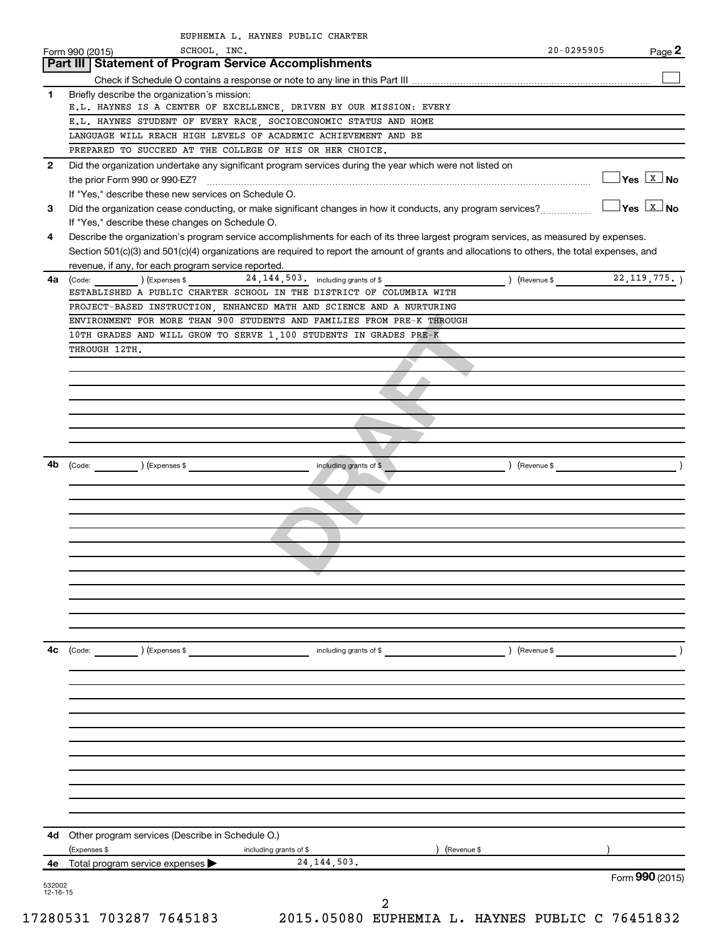|              | SCHOOL, INC.<br>Form 990 (2015)                                                                                                                                                                                                                                                                                                             |                                      |                               | 20-0295905 | Page 2                                |
|--------------|---------------------------------------------------------------------------------------------------------------------------------------------------------------------------------------------------------------------------------------------------------------------------------------------------------------------------------------------|--------------------------------------|-------------------------------|------------|---------------------------------------|
|              | Part III   Statement of Program Service Accomplishments                                                                                                                                                                                                                                                                                     |                                      |                               |            |                                       |
|              |                                                                                                                                                                                                                                                                                                                                             |                                      |                               |            |                                       |
| 1            | Briefly describe the organization's mission:                                                                                                                                                                                                                                                                                                |                                      |                               |            |                                       |
|              | E.L. HAYNES IS A CENTER OF EXCELLENCE, DRIVEN BY OUR MISSION: EVERY                                                                                                                                                                                                                                                                         |                                      |                               |            |                                       |
|              | E.L. HAYNES STUDENT OF EVERY RACE, SOCIOECONOMIC STATUS AND HOME                                                                                                                                                                                                                                                                            |                                      |                               |            |                                       |
|              | LANGUAGE WILL REACH HIGH LEVELS OF ACADEMIC ACHIEVEMENT AND BE                                                                                                                                                                                                                                                                              |                                      |                               |            |                                       |
|              | PREPARED TO SUCCEED AT THE COLLEGE OF HIS OR HER CHOICE.                                                                                                                                                                                                                                                                                    |                                      |                               |            |                                       |
| $\mathbf{2}$ | Did the organization undertake any significant program services during the year which were not listed on                                                                                                                                                                                                                                    |                                      |                               |            | $\sqrt{}$ Yes $\sqrt{X}$ No           |
| 3            | If "Yes," describe these new services on Schedule O.<br>Did the organization cease conducting, or make significant changes in how it conducts, any program services?                                                                                                                                                                        |                                      |                               |            | $\exists$ Yes $\boxed{\texttt{x}}$ No |
|              | If "Yes," describe these changes on Schedule O.                                                                                                                                                                                                                                                                                             |                                      |                               |            |                                       |
| 4            | Describe the organization's program service accomplishments for each of its three largest program services, as measured by expenses.<br>Section 501(c)(3) and 501(c)(4) organizations are required to report the amount of grants and allocations to others, the total expenses, and<br>revenue, if any, for each program service reported. |                                      |                               |            |                                       |
| 4a           | $\left(\text{Code:}\right)$ $\left(\text{Expenses $}\right)$                                                                                                                                                                                                                                                                                | 24, 144, 503. including grants of \$ | $($ Revenue \$ 22, 119, 775.) |            |                                       |
|              | ESTABLISHED A PUBLIC CHARTER SCHOOL IN THE DISTRICT OF COLUMBIA WITH                                                                                                                                                                                                                                                                        |                                      |                               |            |                                       |
|              | PROJECT-BASED INSTRUCTION ENHANCED MATH AND SCIENCE AND A NURTURING                                                                                                                                                                                                                                                                         |                                      |                               |            |                                       |
|              | ENVIRONMENT FOR MORE THAN 900 STUDENTS AND FAMILIES FROM PRE-K THROUGH                                                                                                                                                                                                                                                                      |                                      |                               |            |                                       |
|              | 10TH GRADES AND WILL GROW TO SERVE 1,100 STUDENTS IN GRADES PRE-K                                                                                                                                                                                                                                                                           |                                      |                               |            |                                       |
|              | THROUGH 12TH.                                                                                                                                                                                                                                                                                                                               |                                      |                               |            |                                       |
|              |                                                                                                                                                                                                                                                                                                                                             |                                      |                               |            |                                       |
|              |                                                                                                                                                                                                                                                                                                                                             |                                      |                               |            |                                       |
|              |                                                                                                                                                                                                                                                                                                                                             |                                      |                               |            |                                       |
|              |                                                                                                                                                                                                                                                                                                                                             |                                      |                               |            |                                       |
|              |                                                                                                                                                                                                                                                                                                                                             |                                      |                               |            |                                       |
|              |                                                                                                                                                                                                                                                                                                                                             |                                      |                               |            |                                       |
|              |                                                                                                                                                                                                                                                                                                                                             |                                      |                               |            |                                       |
| 4b           | (Code: ) (Expenses \$                                                                                                                                                                                                                                                                                                                       | including grants of \$               |                               |            |                                       |
|              |                                                                                                                                                                                                                                                                                                                                             |                                      |                               |            |                                       |
|              |                                                                                                                                                                                                                                                                                                                                             |                                      |                               |            |                                       |
|              |                                                                                                                                                                                                                                                                                                                                             |                                      |                               |            |                                       |
|              |                                                                                                                                                                                                                                                                                                                                             |                                      |                               |            |                                       |
|              |                                                                                                                                                                                                                                                                                                                                             |                                      |                               |            |                                       |
|              |                                                                                                                                                                                                                                                                                                                                             |                                      |                               |            |                                       |
|              |                                                                                                                                                                                                                                                                                                                                             |                                      |                               |            |                                       |
|              |                                                                                                                                                                                                                                                                                                                                             |                                      |                               |            |                                       |
|              |                                                                                                                                                                                                                                                                                                                                             |                                      |                               |            |                                       |
|              |                                                                                                                                                                                                                                                                                                                                             |                                      |                               |            |                                       |
|              |                                                                                                                                                                                                                                                                                                                                             |                                      |                               |            |                                       |
|              |                                                                                                                                                                                                                                                                                                                                             |                                      |                               |            |                                       |
|              |                                                                                                                                                                                                                                                                                                                                             |                                      |                               |            |                                       |
| 4c           | ) (Expenses \$                                                                                                                                                                                                                                                                                                                              | including grants of \$               |                               |            |                                       |
|              |                                                                                                                                                                                                                                                                                                                                             |                                      | ) (Revenue \$                 |            |                                       |
|              |                                                                                                                                                                                                                                                                                                                                             |                                      |                               |            |                                       |
|              |                                                                                                                                                                                                                                                                                                                                             |                                      |                               |            |                                       |
|              |                                                                                                                                                                                                                                                                                                                                             |                                      |                               |            |                                       |
|              |                                                                                                                                                                                                                                                                                                                                             |                                      |                               |            |                                       |
|              |                                                                                                                                                                                                                                                                                                                                             |                                      |                               |            |                                       |
|              |                                                                                                                                                                                                                                                                                                                                             |                                      |                               |            |                                       |
|              |                                                                                                                                                                                                                                                                                                                                             |                                      |                               |            |                                       |
|              |                                                                                                                                                                                                                                                                                                                                             |                                      |                               |            |                                       |
|              |                                                                                                                                                                                                                                                                                                                                             |                                      |                               |            |                                       |
|              |                                                                                                                                                                                                                                                                                                                                             |                                      |                               |            |                                       |
|              |                                                                                                                                                                                                                                                                                                                                             |                                      |                               |            |                                       |
|              | 4d Other program services (Describe in Schedule O.)                                                                                                                                                                                                                                                                                         |                                      |                               |            |                                       |
|              | (Expenses \$                                                                                                                                                                                                                                                                                                                                |                                      | Revenue \$                    |            |                                       |
|              | including grants of \$                                                                                                                                                                                                                                                                                                                      | 24, 144, 503.                        |                               |            |                                       |
|              | 4e Total program service expenses >                                                                                                                                                                                                                                                                                                         |                                      |                               |            | Form 990 (2015)                       |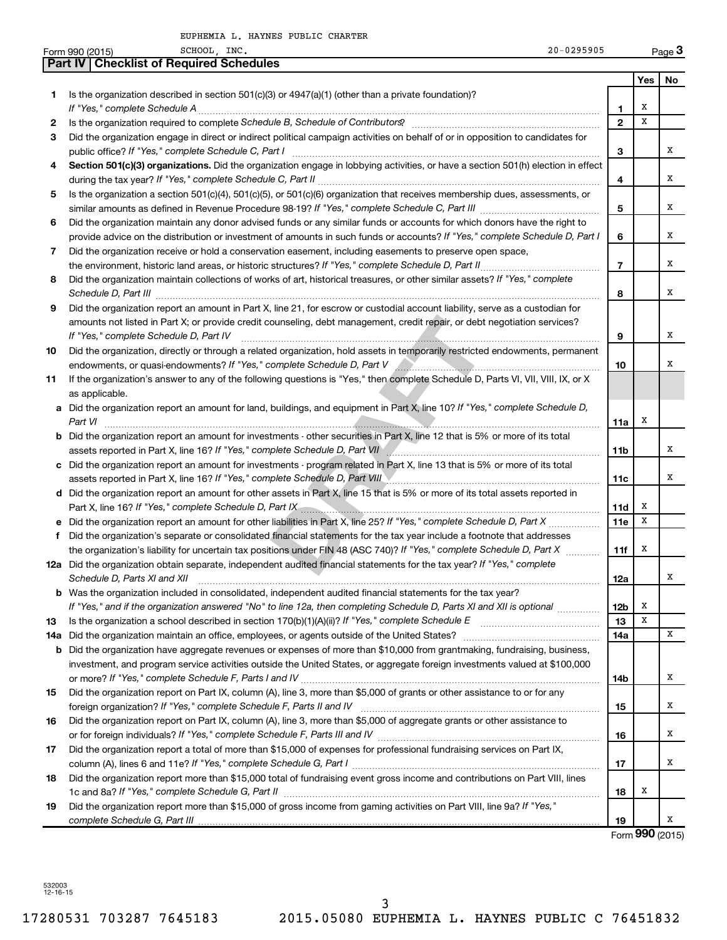| <b>Part IV   Checklist of Required Schedules</b><br>Yes<br>No<br>Is the organization described in section 501(c)(3) or 4947(a)(1) (other than a private foundation)?<br>1<br>х<br>1<br>Is the organization required to complete Schedule B, Schedule of Contributors? [11] The organization required to complete Schedule B, Schedule of Contributors?<br>x<br>$\mathbf{2}$<br>2<br>Did the organization engage in direct or indirect political campaign activities on behalf of or in opposition to candidates for<br>З<br>x<br>3<br>Section 501(c)(3) organizations. Did the organization engage in lobbying activities, or have a section 501(h) election in effect<br>4<br>x<br>4<br>Is the organization a section 501(c)(4), 501(c)(5), or 501(c)(6) organization that receives membership dues, assessments, or<br>5<br>5<br>х<br>Did the organization maintain any donor advised funds or any similar funds or accounts for which donors have the right to<br>6<br>provide advice on the distribution or investment of amounts in such funds or accounts? If "Yes," complete Schedule D, Part I<br>х<br>6<br>Did the organization receive or hold a conservation easement, including easements to preserve open space,<br>7<br>$\overline{7}$<br>x<br>Did the organization maintain collections of works of art, historical treasures, or other similar assets? If "Yes," complete<br>8<br>x<br>Schedule D, Part III <b>Process Construction Construction Construction</b> Construction Construction Construction Construction Construction Construction Construction Construction Construction Construction Construction Construct<br>8<br>Did the organization report an amount in Part X, line 21, for escrow or custodial account liability, serve as a custodian for<br>9<br>amounts not listed in Part X; or provide credit counseling, debt management, credit repair, or debt negotiation services?<br>x<br>If "Yes," complete Schedule D, Part IV<br>9<br>Did the organization, directly or through a related organization, hold assets in temporarily restricted endowments, permanent<br>10<br>x<br>10<br>If the organization's answer to any of the following questions is "Yes," then complete Schedule D, Parts VI, VII, VIII, IX, or X<br>11<br>as applicable.<br>a Did the organization report an amount for land, buildings, and equipment in Part X, line 10? If "Yes," complete Schedule D,<br>х<br>Part VI<br>11a<br><b>b</b> Did the organization report an amount for investments - other securities in Part X, line 12 that is 5% or more of its total<br>x<br>assets reported in Part X, line 16? If "Yes," complete Schedule D, Part VII [[[[[[[[[[[[[[[[[[[[[[[[[[[[[[[[[<br>11b<br>c Did the organization report an amount for investments - program related in Part X, line 13 that is 5% or more of its total<br>x<br>assets reported in Part X, line 16? If "Yes," complete Schedule D, Part VIII Manual Communication contracts an<br>11c<br>d Did the organization report an amount for other assets in Part X, line 15 that is 5% or more of its total assets reported in<br>Part X, line 16? If "Yes," complete Schedule D, Part IX [19] D. The Manuscritt Communication of the Schedule D, Part IX [19] D. The Manuscritt Communication of the Schedule D, Part IX [19] D. The Manuscritt Communication o<br>x<br>11d<br>x<br>11e<br>f Did the organization's separate or consolidated financial statements for the tax year include a footnote that addresses<br>the organization's liability for uncertain tax positions under FIN 48 (ASC 740)? If "Yes," complete Schedule D, Part X<br>х<br>11f<br>12a Did the organization obtain separate, independent audited financial statements for the tax year? If "Yes," complete<br>X<br>Schedule D, Parts XI and XII<br>12a<br><b>b</b> Was the organization included in consolidated, independent audited financial statements for the tax year?<br>If "Yes," and if the organization answered "No" to line 12a, then completing Schedule D, Parts XI and XII is optional <i></i><br>х<br>12b<br>X<br>13<br>13<br>x<br>14a<br><b>b</b> Did the organization have aggregate revenues or expenses of more than \$10,000 from grantmaking, fundraising, business,<br>investment, and program service activities outside the United States, or aggregate foreign investments valued at \$100,000<br>X<br>14b<br>Did the organization report on Part IX, column (A), line 3, more than \$5,000 of grants or other assistance to or for any<br>15<br>X<br>15<br>Did the organization report on Part IX, column (A), line 3, more than \$5,000 of aggregate grants or other assistance to<br>16<br>X<br>16<br>Did the organization report a total of more than \$15,000 of expenses for professional fundraising services on Part IX,<br>17<br>x<br>17<br>Did the organization report more than \$15,000 total of fundraising event gross income and contributions on Part VIII, lines<br>18<br>х<br>18<br>Did the organization report more than \$15,000 of gross income from gaming activities on Part VIII, line 9a? If "Yes,"<br>19<br>х<br>19<br>Form 990 (2015) | 20-0295905<br>SCHOOL INC.<br>Form 990 (2015) |  | Page 3 |
|-----------------------------------------------------------------------------------------------------------------------------------------------------------------------------------------------------------------------------------------------------------------------------------------------------------------------------------------------------------------------------------------------------------------------------------------------------------------------------------------------------------------------------------------------------------------------------------------------------------------------------------------------------------------------------------------------------------------------------------------------------------------------------------------------------------------------------------------------------------------------------------------------------------------------------------------------------------------------------------------------------------------------------------------------------------------------------------------------------------------------------------------------------------------------------------------------------------------------------------------------------------------------------------------------------------------------------------------------------------------------------------------------------------------------------------------------------------------------------------------------------------------------------------------------------------------------------------------------------------------------------------------------------------------------------------------------------------------------------------------------------------------------------------------------------------------------------------------------------------------------------------------------------------------------------------------------------------------------------------------------------------------------------------------------------------------------------------------------------------------------------------------------------------------------------------------------------------------------------------------------------------------------------------------------------------------------------------------------------------------------------------------------------------------------------------------------------------------------------------------------------------------------------------------------------------------------------------------------------------------------------------------------------------------------------------------------------------------------------------------------------------------------------------------------------------------------------------------------------------------------------------------------------------------------------------------------------------------------------------------------------------------------------------------------------------------------------------------------------------------------------------------------------------------------------------------------------------------------------------------------------------------------------------------------------------------------------------------------------------------------------------------------------------------------------------------------------------------------------------------------------------------------------------------------------------------------------------------------------------------------------------------------------------------------------------------------------------------------------------------------------------------------------------------------------------------------------------------------------------------------------------------------------------------------------------------------------------------------------------------------------------------------------------------------------------------------------------------------------------------------------------------------------------------------------------------------------------------------------------------------------------------------------------------------------------------------------------------------------------------------------------------------------------------------------------------------------------------------------------------------------------------------------------------------------------------------------------------------------------------------------------------------------------------------------------------------------------------------------------------------------------------------------------------------------------------------------------------------------------------------------------------------------------------------------------------------------------------------------------------------------------------------------------------------------------------------------------------------------------------------------------------------------------|----------------------------------------------|--|--------|
|                                                                                                                                                                                                                                                                                                                                                                                                                                                                                                                                                                                                                                                                                                                                                                                                                                                                                                                                                                                                                                                                                                                                                                                                                                                                                                                                                                                                                                                                                                                                                                                                                                                                                                                                                                                                                                                                                                                                                                                                                                                                                                                                                                                                                                                                                                                                                                                                                                                                                                                                                                                                                                                                                                                                                                                                                                                                                                                                                                                                                                                                                                                                                                                                                                                                                                                                                                                                                                                                                                                                                                                                                                                                                                                                                                                                                                                                                                                                                                                                                                                                                                                                                                                                                                                                                                                                                                                                                                                                                                                                                                                                                                                                                                                                                                                                                                                                                                                                                                                                                                                                                                                                                           |                                              |  |        |
|                                                                                                                                                                                                                                                                                                                                                                                                                                                                                                                                                                                                                                                                                                                                                                                                                                                                                                                                                                                                                                                                                                                                                                                                                                                                                                                                                                                                                                                                                                                                                                                                                                                                                                                                                                                                                                                                                                                                                                                                                                                                                                                                                                                                                                                                                                                                                                                                                                                                                                                                                                                                                                                                                                                                                                                                                                                                                                                                                                                                                                                                                                                                                                                                                                                                                                                                                                                                                                                                                                                                                                                                                                                                                                                                                                                                                                                                                                                                                                                                                                                                                                                                                                                                                                                                                                                                                                                                                                                                                                                                                                                                                                                                                                                                                                                                                                                                                                                                                                                                                                                                                                                                                           |                                              |  |        |
|                                                                                                                                                                                                                                                                                                                                                                                                                                                                                                                                                                                                                                                                                                                                                                                                                                                                                                                                                                                                                                                                                                                                                                                                                                                                                                                                                                                                                                                                                                                                                                                                                                                                                                                                                                                                                                                                                                                                                                                                                                                                                                                                                                                                                                                                                                                                                                                                                                                                                                                                                                                                                                                                                                                                                                                                                                                                                                                                                                                                                                                                                                                                                                                                                                                                                                                                                                                                                                                                                                                                                                                                                                                                                                                                                                                                                                                                                                                                                                                                                                                                                                                                                                                                                                                                                                                                                                                                                                                                                                                                                                                                                                                                                                                                                                                                                                                                                                                                                                                                                                                                                                                                                           |                                              |  |        |
|                                                                                                                                                                                                                                                                                                                                                                                                                                                                                                                                                                                                                                                                                                                                                                                                                                                                                                                                                                                                                                                                                                                                                                                                                                                                                                                                                                                                                                                                                                                                                                                                                                                                                                                                                                                                                                                                                                                                                                                                                                                                                                                                                                                                                                                                                                                                                                                                                                                                                                                                                                                                                                                                                                                                                                                                                                                                                                                                                                                                                                                                                                                                                                                                                                                                                                                                                                                                                                                                                                                                                                                                                                                                                                                                                                                                                                                                                                                                                                                                                                                                                                                                                                                                                                                                                                                                                                                                                                                                                                                                                                                                                                                                                                                                                                                                                                                                                                                                                                                                                                                                                                                                                           |                                              |  |        |
|                                                                                                                                                                                                                                                                                                                                                                                                                                                                                                                                                                                                                                                                                                                                                                                                                                                                                                                                                                                                                                                                                                                                                                                                                                                                                                                                                                                                                                                                                                                                                                                                                                                                                                                                                                                                                                                                                                                                                                                                                                                                                                                                                                                                                                                                                                                                                                                                                                                                                                                                                                                                                                                                                                                                                                                                                                                                                                                                                                                                                                                                                                                                                                                                                                                                                                                                                                                                                                                                                                                                                                                                                                                                                                                                                                                                                                                                                                                                                                                                                                                                                                                                                                                                                                                                                                                                                                                                                                                                                                                                                                                                                                                                                                                                                                                                                                                                                                                                                                                                                                                                                                                                                           |                                              |  |        |
|                                                                                                                                                                                                                                                                                                                                                                                                                                                                                                                                                                                                                                                                                                                                                                                                                                                                                                                                                                                                                                                                                                                                                                                                                                                                                                                                                                                                                                                                                                                                                                                                                                                                                                                                                                                                                                                                                                                                                                                                                                                                                                                                                                                                                                                                                                                                                                                                                                                                                                                                                                                                                                                                                                                                                                                                                                                                                                                                                                                                                                                                                                                                                                                                                                                                                                                                                                                                                                                                                                                                                                                                                                                                                                                                                                                                                                                                                                                                                                                                                                                                                                                                                                                                                                                                                                                                                                                                                                                                                                                                                                                                                                                                                                                                                                                                                                                                                                                                                                                                                                                                                                                                                           |                                              |  |        |
|                                                                                                                                                                                                                                                                                                                                                                                                                                                                                                                                                                                                                                                                                                                                                                                                                                                                                                                                                                                                                                                                                                                                                                                                                                                                                                                                                                                                                                                                                                                                                                                                                                                                                                                                                                                                                                                                                                                                                                                                                                                                                                                                                                                                                                                                                                                                                                                                                                                                                                                                                                                                                                                                                                                                                                                                                                                                                                                                                                                                                                                                                                                                                                                                                                                                                                                                                                                                                                                                                                                                                                                                                                                                                                                                                                                                                                                                                                                                                                                                                                                                                                                                                                                                                                                                                                                                                                                                                                                                                                                                                                                                                                                                                                                                                                                                                                                                                                                                                                                                                                                                                                                                                           |                                              |  |        |
|                                                                                                                                                                                                                                                                                                                                                                                                                                                                                                                                                                                                                                                                                                                                                                                                                                                                                                                                                                                                                                                                                                                                                                                                                                                                                                                                                                                                                                                                                                                                                                                                                                                                                                                                                                                                                                                                                                                                                                                                                                                                                                                                                                                                                                                                                                                                                                                                                                                                                                                                                                                                                                                                                                                                                                                                                                                                                                                                                                                                                                                                                                                                                                                                                                                                                                                                                                                                                                                                                                                                                                                                                                                                                                                                                                                                                                                                                                                                                                                                                                                                                                                                                                                                                                                                                                                                                                                                                                                                                                                                                                                                                                                                                                                                                                                                                                                                                                                                                                                                                                                                                                                                                           |                                              |  |        |
|                                                                                                                                                                                                                                                                                                                                                                                                                                                                                                                                                                                                                                                                                                                                                                                                                                                                                                                                                                                                                                                                                                                                                                                                                                                                                                                                                                                                                                                                                                                                                                                                                                                                                                                                                                                                                                                                                                                                                                                                                                                                                                                                                                                                                                                                                                                                                                                                                                                                                                                                                                                                                                                                                                                                                                                                                                                                                                                                                                                                                                                                                                                                                                                                                                                                                                                                                                                                                                                                                                                                                                                                                                                                                                                                                                                                                                                                                                                                                                                                                                                                                                                                                                                                                                                                                                                                                                                                                                                                                                                                                                                                                                                                                                                                                                                                                                                                                                                                                                                                                                                                                                                                                           |                                              |  |        |
|                                                                                                                                                                                                                                                                                                                                                                                                                                                                                                                                                                                                                                                                                                                                                                                                                                                                                                                                                                                                                                                                                                                                                                                                                                                                                                                                                                                                                                                                                                                                                                                                                                                                                                                                                                                                                                                                                                                                                                                                                                                                                                                                                                                                                                                                                                                                                                                                                                                                                                                                                                                                                                                                                                                                                                                                                                                                                                                                                                                                                                                                                                                                                                                                                                                                                                                                                                                                                                                                                                                                                                                                                                                                                                                                                                                                                                                                                                                                                                                                                                                                                                                                                                                                                                                                                                                                                                                                                                                                                                                                                                                                                                                                                                                                                                                                                                                                                                                                                                                                                                                                                                                                                           |                                              |  |        |
|                                                                                                                                                                                                                                                                                                                                                                                                                                                                                                                                                                                                                                                                                                                                                                                                                                                                                                                                                                                                                                                                                                                                                                                                                                                                                                                                                                                                                                                                                                                                                                                                                                                                                                                                                                                                                                                                                                                                                                                                                                                                                                                                                                                                                                                                                                                                                                                                                                                                                                                                                                                                                                                                                                                                                                                                                                                                                                                                                                                                                                                                                                                                                                                                                                                                                                                                                                                                                                                                                                                                                                                                                                                                                                                                                                                                                                                                                                                                                                                                                                                                                                                                                                                                                                                                                                                                                                                                                                                                                                                                                                                                                                                                                                                                                                                                                                                                                                                                                                                                                                                                                                                                                           |                                              |  |        |
|                                                                                                                                                                                                                                                                                                                                                                                                                                                                                                                                                                                                                                                                                                                                                                                                                                                                                                                                                                                                                                                                                                                                                                                                                                                                                                                                                                                                                                                                                                                                                                                                                                                                                                                                                                                                                                                                                                                                                                                                                                                                                                                                                                                                                                                                                                                                                                                                                                                                                                                                                                                                                                                                                                                                                                                                                                                                                                                                                                                                                                                                                                                                                                                                                                                                                                                                                                                                                                                                                                                                                                                                                                                                                                                                                                                                                                                                                                                                                                                                                                                                                                                                                                                                                                                                                                                                                                                                                                                                                                                                                                                                                                                                                                                                                                                                                                                                                                                                                                                                                                                                                                                                                           |                                              |  |        |
|                                                                                                                                                                                                                                                                                                                                                                                                                                                                                                                                                                                                                                                                                                                                                                                                                                                                                                                                                                                                                                                                                                                                                                                                                                                                                                                                                                                                                                                                                                                                                                                                                                                                                                                                                                                                                                                                                                                                                                                                                                                                                                                                                                                                                                                                                                                                                                                                                                                                                                                                                                                                                                                                                                                                                                                                                                                                                                                                                                                                                                                                                                                                                                                                                                                                                                                                                                                                                                                                                                                                                                                                                                                                                                                                                                                                                                                                                                                                                                                                                                                                                                                                                                                                                                                                                                                                                                                                                                                                                                                                                                                                                                                                                                                                                                                                                                                                                                                                                                                                                                                                                                                                                           |                                              |  |        |
|                                                                                                                                                                                                                                                                                                                                                                                                                                                                                                                                                                                                                                                                                                                                                                                                                                                                                                                                                                                                                                                                                                                                                                                                                                                                                                                                                                                                                                                                                                                                                                                                                                                                                                                                                                                                                                                                                                                                                                                                                                                                                                                                                                                                                                                                                                                                                                                                                                                                                                                                                                                                                                                                                                                                                                                                                                                                                                                                                                                                                                                                                                                                                                                                                                                                                                                                                                                                                                                                                                                                                                                                                                                                                                                                                                                                                                                                                                                                                                                                                                                                                                                                                                                                                                                                                                                                                                                                                                                                                                                                                                                                                                                                                                                                                                                                                                                                                                                                                                                                                                                                                                                                                           |                                              |  |        |
|                                                                                                                                                                                                                                                                                                                                                                                                                                                                                                                                                                                                                                                                                                                                                                                                                                                                                                                                                                                                                                                                                                                                                                                                                                                                                                                                                                                                                                                                                                                                                                                                                                                                                                                                                                                                                                                                                                                                                                                                                                                                                                                                                                                                                                                                                                                                                                                                                                                                                                                                                                                                                                                                                                                                                                                                                                                                                                                                                                                                                                                                                                                                                                                                                                                                                                                                                                                                                                                                                                                                                                                                                                                                                                                                                                                                                                                                                                                                                                                                                                                                                                                                                                                                                                                                                                                                                                                                                                                                                                                                                                                                                                                                                                                                                                                                                                                                                                                                                                                                                                                                                                                                                           |                                              |  |        |
|                                                                                                                                                                                                                                                                                                                                                                                                                                                                                                                                                                                                                                                                                                                                                                                                                                                                                                                                                                                                                                                                                                                                                                                                                                                                                                                                                                                                                                                                                                                                                                                                                                                                                                                                                                                                                                                                                                                                                                                                                                                                                                                                                                                                                                                                                                                                                                                                                                                                                                                                                                                                                                                                                                                                                                                                                                                                                                                                                                                                                                                                                                                                                                                                                                                                                                                                                                                                                                                                                                                                                                                                                                                                                                                                                                                                                                                                                                                                                                                                                                                                                                                                                                                                                                                                                                                                                                                                                                                                                                                                                                                                                                                                                                                                                                                                                                                                                                                                                                                                                                                                                                                                                           |                                              |  |        |
|                                                                                                                                                                                                                                                                                                                                                                                                                                                                                                                                                                                                                                                                                                                                                                                                                                                                                                                                                                                                                                                                                                                                                                                                                                                                                                                                                                                                                                                                                                                                                                                                                                                                                                                                                                                                                                                                                                                                                                                                                                                                                                                                                                                                                                                                                                                                                                                                                                                                                                                                                                                                                                                                                                                                                                                                                                                                                                                                                                                                                                                                                                                                                                                                                                                                                                                                                                                                                                                                                                                                                                                                                                                                                                                                                                                                                                                                                                                                                                                                                                                                                                                                                                                                                                                                                                                                                                                                                                                                                                                                                                                                                                                                                                                                                                                                                                                                                                                                                                                                                                                                                                                                                           |                                              |  |        |
|                                                                                                                                                                                                                                                                                                                                                                                                                                                                                                                                                                                                                                                                                                                                                                                                                                                                                                                                                                                                                                                                                                                                                                                                                                                                                                                                                                                                                                                                                                                                                                                                                                                                                                                                                                                                                                                                                                                                                                                                                                                                                                                                                                                                                                                                                                                                                                                                                                                                                                                                                                                                                                                                                                                                                                                                                                                                                                                                                                                                                                                                                                                                                                                                                                                                                                                                                                                                                                                                                                                                                                                                                                                                                                                                                                                                                                                                                                                                                                                                                                                                                                                                                                                                                                                                                                                                                                                                                                                                                                                                                                                                                                                                                                                                                                                                                                                                                                                                                                                                                                                                                                                                                           |                                              |  |        |
|                                                                                                                                                                                                                                                                                                                                                                                                                                                                                                                                                                                                                                                                                                                                                                                                                                                                                                                                                                                                                                                                                                                                                                                                                                                                                                                                                                                                                                                                                                                                                                                                                                                                                                                                                                                                                                                                                                                                                                                                                                                                                                                                                                                                                                                                                                                                                                                                                                                                                                                                                                                                                                                                                                                                                                                                                                                                                                                                                                                                                                                                                                                                                                                                                                                                                                                                                                                                                                                                                                                                                                                                                                                                                                                                                                                                                                                                                                                                                                                                                                                                                                                                                                                                                                                                                                                                                                                                                                                                                                                                                                                                                                                                                                                                                                                                                                                                                                                                                                                                                                                                                                                                                           |                                              |  |        |
|                                                                                                                                                                                                                                                                                                                                                                                                                                                                                                                                                                                                                                                                                                                                                                                                                                                                                                                                                                                                                                                                                                                                                                                                                                                                                                                                                                                                                                                                                                                                                                                                                                                                                                                                                                                                                                                                                                                                                                                                                                                                                                                                                                                                                                                                                                                                                                                                                                                                                                                                                                                                                                                                                                                                                                                                                                                                                                                                                                                                                                                                                                                                                                                                                                                                                                                                                                                                                                                                                                                                                                                                                                                                                                                                                                                                                                                                                                                                                                                                                                                                                                                                                                                                                                                                                                                                                                                                                                                                                                                                                                                                                                                                                                                                                                                                                                                                                                                                                                                                                                                                                                                                                           |                                              |  |        |
|                                                                                                                                                                                                                                                                                                                                                                                                                                                                                                                                                                                                                                                                                                                                                                                                                                                                                                                                                                                                                                                                                                                                                                                                                                                                                                                                                                                                                                                                                                                                                                                                                                                                                                                                                                                                                                                                                                                                                                                                                                                                                                                                                                                                                                                                                                                                                                                                                                                                                                                                                                                                                                                                                                                                                                                                                                                                                                                                                                                                                                                                                                                                                                                                                                                                                                                                                                                                                                                                                                                                                                                                                                                                                                                                                                                                                                                                                                                                                                                                                                                                                                                                                                                                                                                                                                                                                                                                                                                                                                                                                                                                                                                                                                                                                                                                                                                                                                                                                                                                                                                                                                                                                           |                                              |  |        |
|                                                                                                                                                                                                                                                                                                                                                                                                                                                                                                                                                                                                                                                                                                                                                                                                                                                                                                                                                                                                                                                                                                                                                                                                                                                                                                                                                                                                                                                                                                                                                                                                                                                                                                                                                                                                                                                                                                                                                                                                                                                                                                                                                                                                                                                                                                                                                                                                                                                                                                                                                                                                                                                                                                                                                                                                                                                                                                                                                                                                                                                                                                                                                                                                                                                                                                                                                                                                                                                                                                                                                                                                                                                                                                                                                                                                                                                                                                                                                                                                                                                                                                                                                                                                                                                                                                                                                                                                                                                                                                                                                                                                                                                                                                                                                                                                                                                                                                                                                                                                                                                                                                                                                           |                                              |  |        |
|                                                                                                                                                                                                                                                                                                                                                                                                                                                                                                                                                                                                                                                                                                                                                                                                                                                                                                                                                                                                                                                                                                                                                                                                                                                                                                                                                                                                                                                                                                                                                                                                                                                                                                                                                                                                                                                                                                                                                                                                                                                                                                                                                                                                                                                                                                                                                                                                                                                                                                                                                                                                                                                                                                                                                                                                                                                                                                                                                                                                                                                                                                                                                                                                                                                                                                                                                                                                                                                                                                                                                                                                                                                                                                                                                                                                                                                                                                                                                                                                                                                                                                                                                                                                                                                                                                                                                                                                                                                                                                                                                                                                                                                                                                                                                                                                                                                                                                                                                                                                                                                                                                                                                           |                                              |  |        |
|                                                                                                                                                                                                                                                                                                                                                                                                                                                                                                                                                                                                                                                                                                                                                                                                                                                                                                                                                                                                                                                                                                                                                                                                                                                                                                                                                                                                                                                                                                                                                                                                                                                                                                                                                                                                                                                                                                                                                                                                                                                                                                                                                                                                                                                                                                                                                                                                                                                                                                                                                                                                                                                                                                                                                                                                                                                                                                                                                                                                                                                                                                                                                                                                                                                                                                                                                                                                                                                                                                                                                                                                                                                                                                                                                                                                                                                                                                                                                                                                                                                                                                                                                                                                                                                                                                                                                                                                                                                                                                                                                                                                                                                                                                                                                                                                                                                                                                                                                                                                                                                                                                                                                           |                                              |  |        |
|                                                                                                                                                                                                                                                                                                                                                                                                                                                                                                                                                                                                                                                                                                                                                                                                                                                                                                                                                                                                                                                                                                                                                                                                                                                                                                                                                                                                                                                                                                                                                                                                                                                                                                                                                                                                                                                                                                                                                                                                                                                                                                                                                                                                                                                                                                                                                                                                                                                                                                                                                                                                                                                                                                                                                                                                                                                                                                                                                                                                                                                                                                                                                                                                                                                                                                                                                                                                                                                                                                                                                                                                                                                                                                                                                                                                                                                                                                                                                                                                                                                                                                                                                                                                                                                                                                                                                                                                                                                                                                                                                                                                                                                                                                                                                                                                                                                                                                                                                                                                                                                                                                                                                           |                                              |  |        |
|                                                                                                                                                                                                                                                                                                                                                                                                                                                                                                                                                                                                                                                                                                                                                                                                                                                                                                                                                                                                                                                                                                                                                                                                                                                                                                                                                                                                                                                                                                                                                                                                                                                                                                                                                                                                                                                                                                                                                                                                                                                                                                                                                                                                                                                                                                                                                                                                                                                                                                                                                                                                                                                                                                                                                                                                                                                                                                                                                                                                                                                                                                                                                                                                                                                                                                                                                                                                                                                                                                                                                                                                                                                                                                                                                                                                                                                                                                                                                                                                                                                                                                                                                                                                                                                                                                                                                                                                                                                                                                                                                                                                                                                                                                                                                                                                                                                                                                                                                                                                                                                                                                                                                           |                                              |  |        |
|                                                                                                                                                                                                                                                                                                                                                                                                                                                                                                                                                                                                                                                                                                                                                                                                                                                                                                                                                                                                                                                                                                                                                                                                                                                                                                                                                                                                                                                                                                                                                                                                                                                                                                                                                                                                                                                                                                                                                                                                                                                                                                                                                                                                                                                                                                                                                                                                                                                                                                                                                                                                                                                                                                                                                                                                                                                                                                                                                                                                                                                                                                                                                                                                                                                                                                                                                                                                                                                                                                                                                                                                                                                                                                                                                                                                                                                                                                                                                                                                                                                                                                                                                                                                                                                                                                                                                                                                                                                                                                                                                                                                                                                                                                                                                                                                                                                                                                                                                                                                                                                                                                                                                           |                                              |  |        |
|                                                                                                                                                                                                                                                                                                                                                                                                                                                                                                                                                                                                                                                                                                                                                                                                                                                                                                                                                                                                                                                                                                                                                                                                                                                                                                                                                                                                                                                                                                                                                                                                                                                                                                                                                                                                                                                                                                                                                                                                                                                                                                                                                                                                                                                                                                                                                                                                                                                                                                                                                                                                                                                                                                                                                                                                                                                                                                                                                                                                                                                                                                                                                                                                                                                                                                                                                                                                                                                                                                                                                                                                                                                                                                                                                                                                                                                                                                                                                                                                                                                                                                                                                                                                                                                                                                                                                                                                                                                                                                                                                                                                                                                                                                                                                                                                                                                                                                                                                                                                                                                                                                                                                           |                                              |  |        |
|                                                                                                                                                                                                                                                                                                                                                                                                                                                                                                                                                                                                                                                                                                                                                                                                                                                                                                                                                                                                                                                                                                                                                                                                                                                                                                                                                                                                                                                                                                                                                                                                                                                                                                                                                                                                                                                                                                                                                                                                                                                                                                                                                                                                                                                                                                                                                                                                                                                                                                                                                                                                                                                                                                                                                                                                                                                                                                                                                                                                                                                                                                                                                                                                                                                                                                                                                                                                                                                                                                                                                                                                                                                                                                                                                                                                                                                                                                                                                                                                                                                                                                                                                                                                                                                                                                                                                                                                                                                                                                                                                                                                                                                                                                                                                                                                                                                                                                                                                                                                                                                                                                                                                           |                                              |  |        |
|                                                                                                                                                                                                                                                                                                                                                                                                                                                                                                                                                                                                                                                                                                                                                                                                                                                                                                                                                                                                                                                                                                                                                                                                                                                                                                                                                                                                                                                                                                                                                                                                                                                                                                                                                                                                                                                                                                                                                                                                                                                                                                                                                                                                                                                                                                                                                                                                                                                                                                                                                                                                                                                                                                                                                                                                                                                                                                                                                                                                                                                                                                                                                                                                                                                                                                                                                                                                                                                                                                                                                                                                                                                                                                                                                                                                                                                                                                                                                                                                                                                                                                                                                                                                                                                                                                                                                                                                                                                                                                                                                                                                                                                                                                                                                                                                                                                                                                                                                                                                                                                                                                                                                           |                                              |  |        |
|                                                                                                                                                                                                                                                                                                                                                                                                                                                                                                                                                                                                                                                                                                                                                                                                                                                                                                                                                                                                                                                                                                                                                                                                                                                                                                                                                                                                                                                                                                                                                                                                                                                                                                                                                                                                                                                                                                                                                                                                                                                                                                                                                                                                                                                                                                                                                                                                                                                                                                                                                                                                                                                                                                                                                                                                                                                                                                                                                                                                                                                                                                                                                                                                                                                                                                                                                                                                                                                                                                                                                                                                                                                                                                                                                                                                                                                                                                                                                                                                                                                                                                                                                                                                                                                                                                                                                                                                                                                                                                                                                                                                                                                                                                                                                                                                                                                                                                                                                                                                                                                                                                                                                           |                                              |  |        |
|                                                                                                                                                                                                                                                                                                                                                                                                                                                                                                                                                                                                                                                                                                                                                                                                                                                                                                                                                                                                                                                                                                                                                                                                                                                                                                                                                                                                                                                                                                                                                                                                                                                                                                                                                                                                                                                                                                                                                                                                                                                                                                                                                                                                                                                                                                                                                                                                                                                                                                                                                                                                                                                                                                                                                                                                                                                                                                                                                                                                                                                                                                                                                                                                                                                                                                                                                                                                                                                                                                                                                                                                                                                                                                                                                                                                                                                                                                                                                                                                                                                                                                                                                                                                                                                                                                                                                                                                                                                                                                                                                                                                                                                                                                                                                                                                                                                                                                                                                                                                                                                                                                                                                           |                                              |  |        |
|                                                                                                                                                                                                                                                                                                                                                                                                                                                                                                                                                                                                                                                                                                                                                                                                                                                                                                                                                                                                                                                                                                                                                                                                                                                                                                                                                                                                                                                                                                                                                                                                                                                                                                                                                                                                                                                                                                                                                                                                                                                                                                                                                                                                                                                                                                                                                                                                                                                                                                                                                                                                                                                                                                                                                                                                                                                                                                                                                                                                                                                                                                                                                                                                                                                                                                                                                                                                                                                                                                                                                                                                                                                                                                                                                                                                                                                                                                                                                                                                                                                                                                                                                                                                                                                                                                                                                                                                                                                                                                                                                                                                                                                                                                                                                                                                                                                                                                                                                                                                                                                                                                                                                           |                                              |  |        |
|                                                                                                                                                                                                                                                                                                                                                                                                                                                                                                                                                                                                                                                                                                                                                                                                                                                                                                                                                                                                                                                                                                                                                                                                                                                                                                                                                                                                                                                                                                                                                                                                                                                                                                                                                                                                                                                                                                                                                                                                                                                                                                                                                                                                                                                                                                                                                                                                                                                                                                                                                                                                                                                                                                                                                                                                                                                                                                                                                                                                                                                                                                                                                                                                                                                                                                                                                                                                                                                                                                                                                                                                                                                                                                                                                                                                                                                                                                                                                                                                                                                                                                                                                                                                                                                                                                                                                                                                                                                                                                                                                                                                                                                                                                                                                                                                                                                                                                                                                                                                                                                                                                                                                           |                                              |  |        |
|                                                                                                                                                                                                                                                                                                                                                                                                                                                                                                                                                                                                                                                                                                                                                                                                                                                                                                                                                                                                                                                                                                                                                                                                                                                                                                                                                                                                                                                                                                                                                                                                                                                                                                                                                                                                                                                                                                                                                                                                                                                                                                                                                                                                                                                                                                                                                                                                                                                                                                                                                                                                                                                                                                                                                                                                                                                                                                                                                                                                                                                                                                                                                                                                                                                                                                                                                                                                                                                                                                                                                                                                                                                                                                                                                                                                                                                                                                                                                                                                                                                                                                                                                                                                                                                                                                                                                                                                                                                                                                                                                                                                                                                                                                                                                                                                                                                                                                                                                                                                                                                                                                                                                           |                                              |  |        |
|                                                                                                                                                                                                                                                                                                                                                                                                                                                                                                                                                                                                                                                                                                                                                                                                                                                                                                                                                                                                                                                                                                                                                                                                                                                                                                                                                                                                                                                                                                                                                                                                                                                                                                                                                                                                                                                                                                                                                                                                                                                                                                                                                                                                                                                                                                                                                                                                                                                                                                                                                                                                                                                                                                                                                                                                                                                                                                                                                                                                                                                                                                                                                                                                                                                                                                                                                                                                                                                                                                                                                                                                                                                                                                                                                                                                                                                                                                                                                                                                                                                                                                                                                                                                                                                                                                                                                                                                                                                                                                                                                                                                                                                                                                                                                                                                                                                                                                                                                                                                                                                                                                                                                           |                                              |  |        |
|                                                                                                                                                                                                                                                                                                                                                                                                                                                                                                                                                                                                                                                                                                                                                                                                                                                                                                                                                                                                                                                                                                                                                                                                                                                                                                                                                                                                                                                                                                                                                                                                                                                                                                                                                                                                                                                                                                                                                                                                                                                                                                                                                                                                                                                                                                                                                                                                                                                                                                                                                                                                                                                                                                                                                                                                                                                                                                                                                                                                                                                                                                                                                                                                                                                                                                                                                                                                                                                                                                                                                                                                                                                                                                                                                                                                                                                                                                                                                                                                                                                                                                                                                                                                                                                                                                                                                                                                                                                                                                                                                                                                                                                                                                                                                                                                                                                                                                                                                                                                                                                                                                                                                           |                                              |  |        |
|                                                                                                                                                                                                                                                                                                                                                                                                                                                                                                                                                                                                                                                                                                                                                                                                                                                                                                                                                                                                                                                                                                                                                                                                                                                                                                                                                                                                                                                                                                                                                                                                                                                                                                                                                                                                                                                                                                                                                                                                                                                                                                                                                                                                                                                                                                                                                                                                                                                                                                                                                                                                                                                                                                                                                                                                                                                                                                                                                                                                                                                                                                                                                                                                                                                                                                                                                                                                                                                                                                                                                                                                                                                                                                                                                                                                                                                                                                                                                                                                                                                                                                                                                                                                                                                                                                                                                                                                                                                                                                                                                                                                                                                                                                                                                                                                                                                                                                                                                                                                                                                                                                                                                           |                                              |  |        |
|                                                                                                                                                                                                                                                                                                                                                                                                                                                                                                                                                                                                                                                                                                                                                                                                                                                                                                                                                                                                                                                                                                                                                                                                                                                                                                                                                                                                                                                                                                                                                                                                                                                                                                                                                                                                                                                                                                                                                                                                                                                                                                                                                                                                                                                                                                                                                                                                                                                                                                                                                                                                                                                                                                                                                                                                                                                                                                                                                                                                                                                                                                                                                                                                                                                                                                                                                                                                                                                                                                                                                                                                                                                                                                                                                                                                                                                                                                                                                                                                                                                                                                                                                                                                                                                                                                                                                                                                                                                                                                                                                                                                                                                                                                                                                                                                                                                                                                                                                                                                                                                                                                                                                           |                                              |  |        |
|                                                                                                                                                                                                                                                                                                                                                                                                                                                                                                                                                                                                                                                                                                                                                                                                                                                                                                                                                                                                                                                                                                                                                                                                                                                                                                                                                                                                                                                                                                                                                                                                                                                                                                                                                                                                                                                                                                                                                                                                                                                                                                                                                                                                                                                                                                                                                                                                                                                                                                                                                                                                                                                                                                                                                                                                                                                                                                                                                                                                                                                                                                                                                                                                                                                                                                                                                                                                                                                                                                                                                                                                                                                                                                                                                                                                                                                                                                                                                                                                                                                                                                                                                                                                                                                                                                                                                                                                                                                                                                                                                                                                                                                                                                                                                                                                                                                                                                                                                                                                                                                                                                                                                           |                                              |  |        |
|                                                                                                                                                                                                                                                                                                                                                                                                                                                                                                                                                                                                                                                                                                                                                                                                                                                                                                                                                                                                                                                                                                                                                                                                                                                                                                                                                                                                                                                                                                                                                                                                                                                                                                                                                                                                                                                                                                                                                                                                                                                                                                                                                                                                                                                                                                                                                                                                                                                                                                                                                                                                                                                                                                                                                                                                                                                                                                                                                                                                                                                                                                                                                                                                                                                                                                                                                                                                                                                                                                                                                                                                                                                                                                                                                                                                                                                                                                                                                                                                                                                                                                                                                                                                                                                                                                                                                                                                                                                                                                                                                                                                                                                                                                                                                                                                                                                                                                                                                                                                                                                                                                                                                           |                                              |  |        |
|                                                                                                                                                                                                                                                                                                                                                                                                                                                                                                                                                                                                                                                                                                                                                                                                                                                                                                                                                                                                                                                                                                                                                                                                                                                                                                                                                                                                                                                                                                                                                                                                                                                                                                                                                                                                                                                                                                                                                                                                                                                                                                                                                                                                                                                                                                                                                                                                                                                                                                                                                                                                                                                                                                                                                                                                                                                                                                                                                                                                                                                                                                                                                                                                                                                                                                                                                                                                                                                                                                                                                                                                                                                                                                                                                                                                                                                                                                                                                                                                                                                                                                                                                                                                                                                                                                                                                                                                                                                                                                                                                                                                                                                                                                                                                                                                                                                                                                                                                                                                                                                                                                                                                           |                                              |  |        |
|                                                                                                                                                                                                                                                                                                                                                                                                                                                                                                                                                                                                                                                                                                                                                                                                                                                                                                                                                                                                                                                                                                                                                                                                                                                                                                                                                                                                                                                                                                                                                                                                                                                                                                                                                                                                                                                                                                                                                                                                                                                                                                                                                                                                                                                                                                                                                                                                                                                                                                                                                                                                                                                                                                                                                                                                                                                                                                                                                                                                                                                                                                                                                                                                                                                                                                                                                                                                                                                                                                                                                                                                                                                                                                                                                                                                                                                                                                                                                                                                                                                                                                                                                                                                                                                                                                                                                                                                                                                                                                                                                                                                                                                                                                                                                                                                                                                                                                                                                                                                                                                                                                                                                           |                                              |  |        |
|                                                                                                                                                                                                                                                                                                                                                                                                                                                                                                                                                                                                                                                                                                                                                                                                                                                                                                                                                                                                                                                                                                                                                                                                                                                                                                                                                                                                                                                                                                                                                                                                                                                                                                                                                                                                                                                                                                                                                                                                                                                                                                                                                                                                                                                                                                                                                                                                                                                                                                                                                                                                                                                                                                                                                                                                                                                                                                                                                                                                                                                                                                                                                                                                                                                                                                                                                                                                                                                                                                                                                                                                                                                                                                                                                                                                                                                                                                                                                                                                                                                                                                                                                                                                                                                                                                                                                                                                                                                                                                                                                                                                                                                                                                                                                                                                                                                                                                                                                                                                                                                                                                                                                           |                                              |  |        |
|                                                                                                                                                                                                                                                                                                                                                                                                                                                                                                                                                                                                                                                                                                                                                                                                                                                                                                                                                                                                                                                                                                                                                                                                                                                                                                                                                                                                                                                                                                                                                                                                                                                                                                                                                                                                                                                                                                                                                                                                                                                                                                                                                                                                                                                                                                                                                                                                                                                                                                                                                                                                                                                                                                                                                                                                                                                                                                                                                                                                                                                                                                                                                                                                                                                                                                                                                                                                                                                                                                                                                                                                                                                                                                                                                                                                                                                                                                                                                                                                                                                                                                                                                                                                                                                                                                                                                                                                                                                                                                                                                                                                                                                                                                                                                                                                                                                                                                                                                                                                                                                                                                                                                           |                                              |  |        |
|                                                                                                                                                                                                                                                                                                                                                                                                                                                                                                                                                                                                                                                                                                                                                                                                                                                                                                                                                                                                                                                                                                                                                                                                                                                                                                                                                                                                                                                                                                                                                                                                                                                                                                                                                                                                                                                                                                                                                                                                                                                                                                                                                                                                                                                                                                                                                                                                                                                                                                                                                                                                                                                                                                                                                                                                                                                                                                                                                                                                                                                                                                                                                                                                                                                                                                                                                                                                                                                                                                                                                                                                                                                                                                                                                                                                                                                                                                                                                                                                                                                                                                                                                                                                                                                                                                                                                                                                                                                                                                                                                                                                                                                                                                                                                                                                                                                                                                                                                                                                                                                                                                                                                           |                                              |  |        |
|                                                                                                                                                                                                                                                                                                                                                                                                                                                                                                                                                                                                                                                                                                                                                                                                                                                                                                                                                                                                                                                                                                                                                                                                                                                                                                                                                                                                                                                                                                                                                                                                                                                                                                                                                                                                                                                                                                                                                                                                                                                                                                                                                                                                                                                                                                                                                                                                                                                                                                                                                                                                                                                                                                                                                                                                                                                                                                                                                                                                                                                                                                                                                                                                                                                                                                                                                                                                                                                                                                                                                                                                                                                                                                                                                                                                                                                                                                                                                                                                                                                                                                                                                                                                                                                                                                                                                                                                                                                                                                                                                                                                                                                                                                                                                                                                                                                                                                                                                                                                                                                                                                                                                           |                                              |  |        |
|                                                                                                                                                                                                                                                                                                                                                                                                                                                                                                                                                                                                                                                                                                                                                                                                                                                                                                                                                                                                                                                                                                                                                                                                                                                                                                                                                                                                                                                                                                                                                                                                                                                                                                                                                                                                                                                                                                                                                                                                                                                                                                                                                                                                                                                                                                                                                                                                                                                                                                                                                                                                                                                                                                                                                                                                                                                                                                                                                                                                                                                                                                                                                                                                                                                                                                                                                                                                                                                                                                                                                                                                                                                                                                                                                                                                                                                                                                                                                                                                                                                                                                                                                                                                                                                                                                                                                                                                                                                                                                                                                                                                                                                                                                                                                                                                                                                                                                                                                                                                                                                                                                                                                           |                                              |  |        |
|                                                                                                                                                                                                                                                                                                                                                                                                                                                                                                                                                                                                                                                                                                                                                                                                                                                                                                                                                                                                                                                                                                                                                                                                                                                                                                                                                                                                                                                                                                                                                                                                                                                                                                                                                                                                                                                                                                                                                                                                                                                                                                                                                                                                                                                                                                                                                                                                                                                                                                                                                                                                                                                                                                                                                                                                                                                                                                                                                                                                                                                                                                                                                                                                                                                                                                                                                                                                                                                                                                                                                                                                                                                                                                                                                                                                                                                                                                                                                                                                                                                                                                                                                                                                                                                                                                                                                                                                                                                                                                                                                                                                                                                                                                                                                                                                                                                                                                                                                                                                                                                                                                                                                           |                                              |  |        |
|                                                                                                                                                                                                                                                                                                                                                                                                                                                                                                                                                                                                                                                                                                                                                                                                                                                                                                                                                                                                                                                                                                                                                                                                                                                                                                                                                                                                                                                                                                                                                                                                                                                                                                                                                                                                                                                                                                                                                                                                                                                                                                                                                                                                                                                                                                                                                                                                                                                                                                                                                                                                                                                                                                                                                                                                                                                                                                                                                                                                                                                                                                                                                                                                                                                                                                                                                                                                                                                                                                                                                                                                                                                                                                                                                                                                                                                                                                                                                                                                                                                                                                                                                                                                                                                                                                                                                                                                                                                                                                                                                                                                                                                                                                                                                                                                                                                                                                                                                                                                                                                                                                                                                           |                                              |  |        |
|                                                                                                                                                                                                                                                                                                                                                                                                                                                                                                                                                                                                                                                                                                                                                                                                                                                                                                                                                                                                                                                                                                                                                                                                                                                                                                                                                                                                                                                                                                                                                                                                                                                                                                                                                                                                                                                                                                                                                                                                                                                                                                                                                                                                                                                                                                                                                                                                                                                                                                                                                                                                                                                                                                                                                                                                                                                                                                                                                                                                                                                                                                                                                                                                                                                                                                                                                                                                                                                                                                                                                                                                                                                                                                                                                                                                                                                                                                                                                                                                                                                                                                                                                                                                                                                                                                                                                                                                                                                                                                                                                                                                                                                                                                                                                                                                                                                                                                                                                                                                                                                                                                                                                           |                                              |  |        |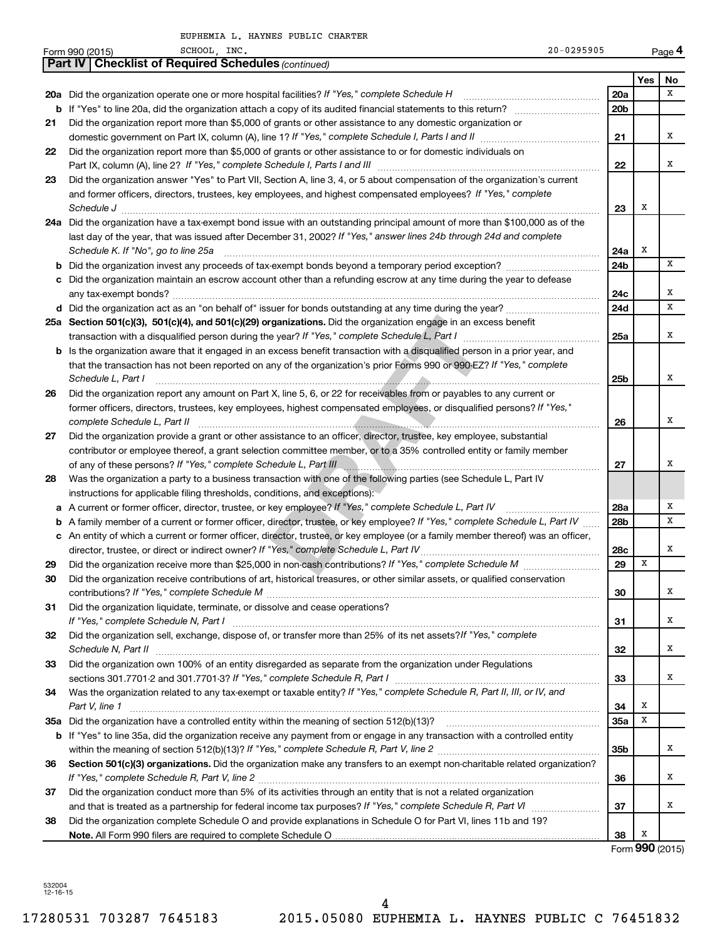HAYNES PUBLIC CHARTER

|     | EUPHEMIA D. NAINES PUDLIC CNAKIEK                                                                                                   |                 |                                 |        |
|-----|-------------------------------------------------------------------------------------------------------------------------------------|-----------------|---------------------------------|--------|
|     | SCHOOL, INC.<br>$20 - 0295905$<br>Form 990 (2015)                                                                                   |                 |                                 | Page 4 |
|     | <b>Checklist of Required Schedules (continued)</b><br><b>Part IV</b>                                                                |                 |                                 |        |
|     |                                                                                                                                     |                 | Yes                             | No     |
|     | 20a Did the organization operate one or more hospital facilities? If "Yes," complete Schedule H                                     | 20a             |                                 | X      |
|     |                                                                                                                                     | 20 <sub>b</sub> |                                 |        |
| 21  | Did the organization report more than \$5,000 of grants or other assistance to any domestic organization or                         |                 |                                 |        |
|     |                                                                                                                                     | 21              |                                 | х      |
| 22  | Did the organization report more than \$5,000 of grants or other assistance to or for domestic individuals on                       |                 |                                 |        |
|     |                                                                                                                                     | 22              |                                 | х      |
| 23  | Did the organization answer "Yes" to Part VII, Section A, line 3, 4, or 5 about compensation of the organization's current          |                 |                                 |        |
|     | and former officers, directors, trustees, key employees, and highest compensated employees? If "Yes," complete                      |                 |                                 |        |
|     | Schedule J                                                                                                                          | 23              | х                               |        |
|     | 24a Did the organization have a tax-exempt bond issue with an outstanding principal amount of more than \$100,000 as of the         |                 |                                 |        |
|     | last day of the year, that was issued after December 31, 2002? If "Yes," answer lines 24b through 24d and complete                  |                 |                                 |        |
|     | Schedule K. If "No", go to line 25a                                                                                                 | 24a             | х                               |        |
| b   |                                                                                                                                     | 24b             |                                 | x      |
|     | c Did the organization maintain an escrow account other than a refunding escrow at any time during the year to defease              |                 |                                 |        |
|     |                                                                                                                                     | 24c             |                                 | х      |
|     |                                                                                                                                     | 24d             |                                 | X      |
|     |                                                                                                                                     |                 |                                 |        |
|     | 25a Section 501(c)(3), 501(c)(4), and 501(c)(29) organizations. Did the organization engage in an excess benefit                    |                 |                                 | х      |
|     | transaction with a disqualified person during the year? If "Yes," complete Schedule L, Part I                                       | 25a             |                                 |        |
|     | <b>b</b> Is the organization aware that it engaged in an excess benefit transaction with a disqualified person in a prior year, and |                 |                                 |        |
|     | that the transaction has not been reported on any of the organization's prior Forms 990 or 990-EZ? If "Yes," complete               |                 |                                 |        |
|     | Schedule L, Part I                                                                                                                  | 25b             |                                 | х      |
| 26  | Did the organization report any amount on Part X, line 5, 6, or 22 for receivables from or payables to any current or               |                 |                                 |        |
|     | former officers, directors, trustees, key employees, highest compensated employees, or disqualified persons? If "Yes,"              |                 |                                 |        |
|     | complete Schedule L, Part II                                                                                                        | 26              |                                 | х      |
| 27  | Did the organization provide a grant or other assistance to an officer, director, trustee, key employee, substantial                |                 |                                 |        |
|     | contributor or employee thereof, a grant selection committee member, or to a 35% controlled entity or family member                 |                 |                                 |        |
|     | of any of these persons? If "Yes," complete Schedule L, Part III                                                                    | 27              |                                 | X      |
| 28  | Was the organization a party to a business transaction with one of the following parties (see Schedule L, Part IV                   |                 |                                 |        |
|     | instructions for applicable filing thresholds, conditions, and exceptions):                                                         |                 |                                 |        |
|     | a A current or former officer, director, trustee, or key employee? If "Yes," complete Schedule L, Part IV                           | 28a             |                                 | х      |
|     | <b>b</b> A family member of a current or former officer, director, trustee, or key employee? If "Yes," complete Schedule L, Part IV | 28b             |                                 | X      |
|     | c An entity of which a current or former officer, director, trustee, or key employee (or a family member thereof) was an officer,   |                 |                                 |        |
|     | director, trustee, or direct or indirect owner? If "Yes," complete Schedule L, Part IV                                              | 28c             |                                 | Χ      |
| 29  | Did the organization receive more than \$25,000 in non-cash contributions? If "Yes," complete Schedule M                            | 29              | Х                               |        |
| 30  | Did the organization receive contributions of art, historical treasures, or other similar assets, or qualified conservation         |                 |                                 |        |
|     |                                                                                                                                     | 30              |                                 | х      |
| 31  | Did the organization liquidate, terminate, or dissolve and cease operations?                                                        |                 |                                 |        |
|     |                                                                                                                                     | 31              |                                 | х      |
| 32  | Did the organization sell, exchange, dispose of, or transfer more than 25% of its net assets? If "Yes," complete                    |                 |                                 |        |
|     | Schedule N, Part II                                                                                                                 | 32              |                                 | х      |
| 33  | Did the organization own 100% of an entity disregarded as separate from the organization under Regulations                          |                 |                                 |        |
|     |                                                                                                                                     | 33              |                                 | х      |
| 34  | Was the organization related to any tax-exempt or taxable entity? If "Yes," complete Schedule R, Part II, III, or IV, and           |                 |                                 |        |
|     | Part V, line 1                                                                                                                      | 34              | Х                               |        |
| 35a |                                                                                                                                     | <b>35a</b>      | х                               |        |
|     |                                                                                                                                     |                 |                                 |        |
|     | <b>b</b> If "Yes" to line 35a, did the organization receive any payment from or engage in any transaction with a controlled entity  |                 |                                 | х      |
|     |                                                                                                                                     | 35b             |                                 |        |
| 36  | Section 501(c)(3) organizations. Did the organization make any transfers to an exempt non-charitable related organization?          |                 |                                 |        |
|     |                                                                                                                                     | 36              |                                 | х      |
| 37  | Did the organization conduct more than 5% of its activities through an entity that is not a related organization                    |                 |                                 |        |
|     |                                                                                                                                     | 37              |                                 | х      |
| 38  | Did the organization complete Schedule O and provide explanations in Schedule O for Part VI, lines 11b and 19?                      |                 |                                 |        |
|     |                                                                                                                                     | 38              | Х<br>$T_{\rm atm}$ 000 $(2015)$ |        |
|     |                                                                                                                                     |                 |                                 |        |

Form **990** (2015)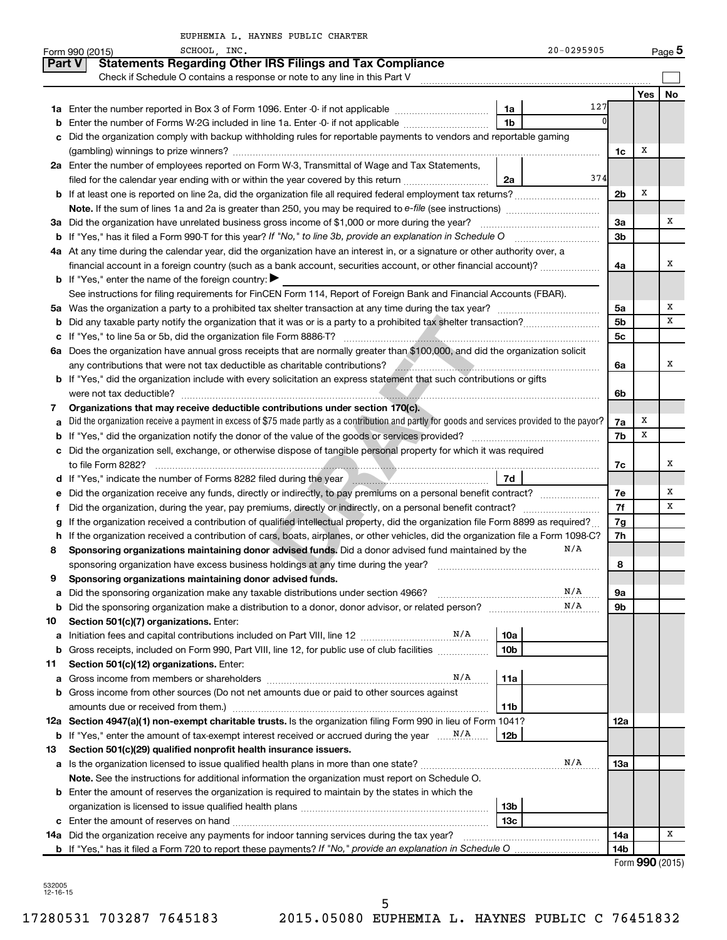|    | EUPHEMIA L. HAYNES PUBLIC CHARTER                                                                                                                                                            |                 |     |                 |
|----|----------------------------------------------------------------------------------------------------------------------------------------------------------------------------------------------|-----------------|-----|-----------------|
|    | 20-0295905<br>SCHOOL, INC.<br>Form 990 (2015)                                                                                                                                                |                 |     | Page 5          |
|    | <b>Statements Regarding Other IRS Filings and Tax Compliance</b><br><b>Part V</b>                                                                                                            |                 |     |                 |
|    |                                                                                                                                                                                              |                 |     |                 |
|    |                                                                                                                                                                                              |                 | Yes | No              |
|    | 127<br>1a                                                                                                                                                                                    |                 |     |                 |
| b  | $\Omega$<br>1 <sub>b</sub><br>Enter the number of Forms W-2G included in line 1a. Enter -0- if not applicable                                                                                |                 |     |                 |
| c  | Did the organization comply with backup withholding rules for reportable payments to vendors and reportable gaming                                                                           |                 |     |                 |
|    |                                                                                                                                                                                              | 1c              | х   |                 |
|    | 2a Enter the number of employees reported on Form W-3, Transmittal of Wage and Tax Statements,                                                                                               |                 |     |                 |
|    | 374<br>filed for the calendar year ending with or within the year covered by this return<br>2a                                                                                               |                 |     |                 |
|    | <b>b</b> If at least one is reported on line 2a, did the organization file all required federal employment tax returns?                                                                      | 2 <sub>b</sub>  | х   |                 |
|    |                                                                                                                                                                                              |                 |     |                 |
|    |                                                                                                                                                                                              |                 |     | х               |
|    |                                                                                                                                                                                              | За              |     |                 |
|    |                                                                                                                                                                                              | 3 <sub>b</sub>  |     |                 |
|    | 4a At any time during the calendar year, did the organization have an interest in, or a signature or other authority over, a                                                                 |                 |     |                 |
|    | financial account in a foreign country (such as a bank account, securities account, or other financial account)?                                                                             | 4a              |     | х               |
|    | <b>b</b> If "Yes," enter the name of the foreign country: $\blacktriangleright$                                                                                                              |                 |     |                 |
|    | See instructions for filing requirements for FinCEN Form 114, Report of Foreign Bank and Financial Accounts (FBAR).                                                                          |                 |     |                 |
|    |                                                                                                                                                                                              | 5a              |     | х               |
| b  |                                                                                                                                                                                              | 5 <sub>b</sub>  |     | х               |
|    |                                                                                                                                                                                              | 5c              |     |                 |
|    | 6a Does the organization have annual gross receipts that are normally greater than \$100,000, and did the organization solicit                                                               |                 |     |                 |
|    | any contributions that were not tax deductible as charitable contributions?<br>2020 - 2020 - 2020 - 2020 - 2020 - 2020 - 2021 - 2021 - 2021 - 2021 - 2021 - 2021 - 2021 - 2021 - 2021 - 2021 | 6a              |     | х               |
|    | <b>b</b> If "Yes," did the organization include with every solicitation an express statement that such contributions or gifts                                                                |                 |     |                 |
|    |                                                                                                                                                                                              | 6b              |     |                 |
| 7  | Organizations that may receive deductible contributions under section 170(c).                                                                                                                |                 |     |                 |
| a  | Did the organization receive a payment in excess of \$75 made partly as a contribution and partly for goods and services provided to the payor?                                              | 7a              | х   |                 |
|    |                                                                                                                                                                                              | 7b              | х   |                 |
|    | c Did the organization sell, exchange, or otherwise dispose of tangible personal property for which it was required                                                                          |                 |     |                 |
|    |                                                                                                                                                                                              | 7с              |     | х               |
|    | 7d                                                                                                                                                                                           |                 |     |                 |
|    | e Did the organization receive any funds, directly or indirectly, to pay premiums on a personal benefit contract?                                                                            | 7e              |     | х               |
| f. |                                                                                                                                                                                              | 7f              |     | х               |
|    | If the organization received a contribution of qualified intellectual property, did the organization file Form 8899 as required?                                                             | 7g              |     |                 |
|    | h If the organization received a contribution of cars, boats, airplanes, or other vehicles, did the organization file a Form 1098-C?                                                         | 7h              |     |                 |
| 8  | N/A<br>Sponsoring organizations maintaining donor advised funds. Did a donor advised fund maintained by the                                                                                  |                 |     |                 |
|    |                                                                                                                                                                                              | 8               |     |                 |
| 9  | Sponsoring organizations maintaining donor advised funds.                                                                                                                                    |                 |     |                 |
| а  | N/A<br>Did the sponsoring organization make any taxable distributions under section 4966?                                                                                                    | 9а              |     |                 |
| b  | N/A                                                                                                                                                                                          | 9b              |     |                 |
| 10 | Section 501(c)(7) organizations. Enter:                                                                                                                                                      |                 |     |                 |
| a  | 10a                                                                                                                                                                                          |                 |     |                 |
| b  | 10 <sub>b</sub><br>Gross receipts, included on Form 990, Part VIII, line 12, for public use of club facilities <i>manager</i>                                                                |                 |     |                 |
| 11 | Section 501(c)(12) organizations. Enter:                                                                                                                                                     |                 |     |                 |
| а  | N/A<br>11a                                                                                                                                                                                   |                 |     |                 |
| b  | Gross income from other sources (Do not net amounts due or paid to other sources against                                                                                                     |                 |     |                 |
|    | amounts due or received from them.)<br>11b                                                                                                                                                   |                 |     |                 |
|    | 12a Section 4947(a)(1) non-exempt charitable trusts. Is the organization filing Form 990 in lieu of Form 1041?                                                                               | 12a             |     |                 |
|    | 12b                                                                                                                                                                                          |                 |     |                 |
| 13 | Section 501(c)(29) qualified nonprofit health insurance issuers.                                                                                                                             |                 |     |                 |
|    | N/A                                                                                                                                                                                          | 13a             |     |                 |
|    | Note. See the instructions for additional information the organization must report on Schedule O.                                                                                            |                 |     |                 |
|    | <b>b</b> Enter the amount of reserves the organization is required to maintain by the states in which the                                                                                    |                 |     |                 |
|    | 13b                                                                                                                                                                                          |                 |     |                 |
|    | 13c                                                                                                                                                                                          |                 |     |                 |
|    | 14a Did the organization receive any payments for indoor tanning services during the tax year?                                                                                               | 14a             |     | х               |
|    |                                                                                                                                                                                              | 14 <sub>b</sub> |     |                 |
|    |                                                                                                                                                                                              |                 |     | Form 990 (2015) |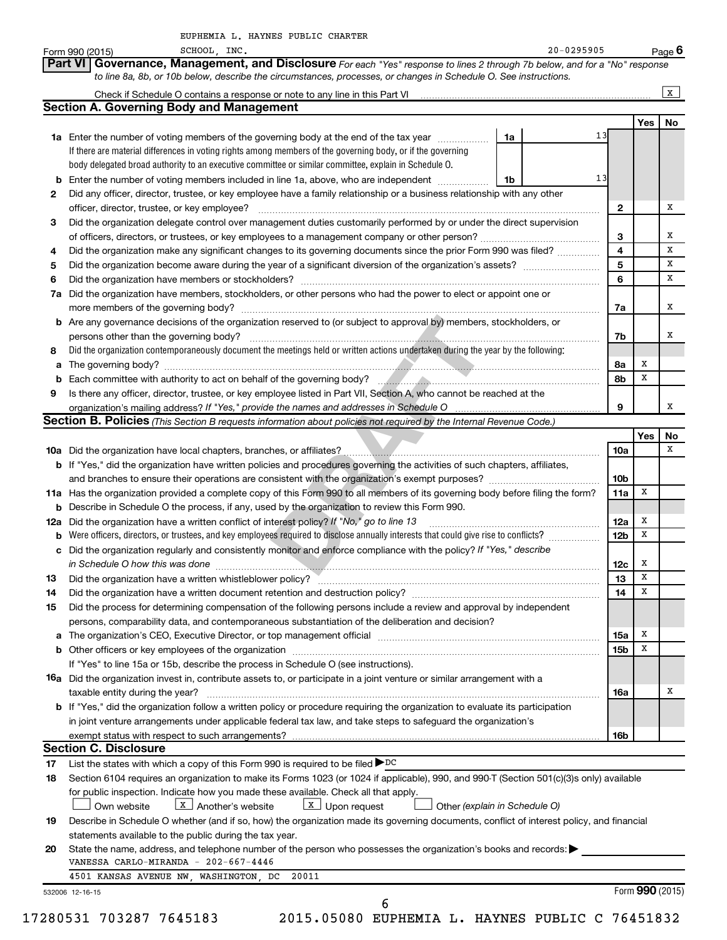|                      | SCHOOL, INC.<br>20-0295905<br>Form 990 (2015)                                                                                                                                                                                 |                         |                 | $Page$ 6     |
|----------------------|-------------------------------------------------------------------------------------------------------------------------------------------------------------------------------------------------------------------------------|-------------------------|-----------------|--------------|
|                      | Governance, Management, and Disclosure For each "Yes" response to lines 2 through 7b below, and for a "No" response<br><b>Part VI</b>                                                                                         |                         |                 |              |
|                      | to line 8a, 8b, or 10b below, describe the circumstances, processes, or changes in Schedule O. See instructions.                                                                                                              |                         |                 |              |
|                      | Check if Schedule O contains a response or note to any line in this Part VI [11] [12] [2] [2] [2] Check if Schedule O contains a response or note to any line in this Part VI                                                 |                         |                 | $\mathbf{x}$ |
|                      | <b>Section A. Governing Body and Management</b>                                                                                                                                                                               |                         |                 |              |
|                      |                                                                                                                                                                                                                               |                         | Yes             | No           |
|                      | 13<br>1a Enter the number of voting members of the governing body at the end of the tax year<br>1a                                                                                                                            |                         |                 |              |
|                      | If there are material differences in voting rights among members of the governing body, or if the governing                                                                                                                   |                         |                 |              |
|                      | body delegated broad authority to an executive committee or similar committee, explain in Schedule O.                                                                                                                         |                         |                 |              |
|                      | 13<br><b>b</b> Enter the number of voting members included in line 1a, above, who are independent <i>manumum</i><br>1b                                                                                                        |                         |                 |              |
| 2                    | Did any officer, director, trustee, or key employee have a family relationship or a business relationship with any other                                                                                                      |                         |                 |              |
|                      |                                                                                                                                                                                                                               | 2                       |                 |              |
| 3                    | Did the organization delegate control over management duties customarily performed by or under the direct supervision                                                                                                         |                         |                 |              |
|                      | of officers, directors, or trustees, or key employees to a management company or other person?                                                                                                                                | 3                       |                 |              |
| 4                    | Did the organization make any significant changes to its governing documents since the prior Form 990 was filed?                                                                                                              | $\overline{\mathbf{4}}$ |                 |              |
| 5                    |                                                                                                                                                                                                                               | 5                       |                 |              |
| 6                    |                                                                                                                                                                                                                               | 6                       |                 |              |
| 7a                   | Did the organization have members, stockholders, or other persons who had the power to elect or appoint one or                                                                                                                |                         |                 |              |
|                      |                                                                                                                                                                                                                               | 7a                      |                 |              |
|                      | <b>b</b> Are any governance decisions of the organization reserved to (or subject to approval by) members, stockholders, or                                                                                                   |                         |                 |              |
|                      |                                                                                                                                                                                                                               | 7b                      |                 |              |
| 8                    | Did the organization contemporaneously document the meetings held or written actions undertaken during the year by the following:                                                                                             |                         |                 |              |
| а                    |                                                                                                                                                                                                                               | 8а                      | х               |              |
| b                    | Each committee with authority to act on behalf of the governing body?<br>Fach committee with authority to act on behalf of the governing body?                                                                                | 8b                      | X               |              |
| 9                    | Is there any officer, director, trustee, or key employee listed in Part VII, Section A, who cannot be reached at the                                                                                                          |                         |                 |              |
|                      | organization's mailing address? If "Yes," provide the names and addresses in Schedule O                                                                                                                                       | 9                       |                 |              |
|                      | Section B. Policies (This Section B requests information about policies not required by the Internal Revenue Code.)                                                                                                           |                         |                 |              |
|                      |                                                                                                                                                                                                                               |                         | Yes             |              |
|                      |                                                                                                                                                                                                                               | 10a                     |                 | No           |
|                      | b If "Yes," did the organization have written policies and procedures governing the activities of such chapters, affiliates,                                                                                                  |                         |                 |              |
|                      |                                                                                                                                                                                                                               | 10 <sub>b</sub>         |                 |              |
|                      | 11a Has the organization provided a complete copy of this Form 990 to all members of its governing body before filing the form?                                                                                               | 11a                     | х               |              |
|                      | <b>b</b> Describe in Schedule O the process, if any, used by the organization to review this Form 990.                                                                                                                        |                         |                 |              |
| 12a                  | Did the organization have a written conflict of interest policy? If "No," go to line 13                                                                                                                                       | 12a                     | x               |              |
|                      | Were officers, directors, or trustees, and key employees required to disclose annually interests that could give rise to conflicts?                                                                                           | 12 <sub>b</sub>         | х               |              |
|                      | c Did the organization regularly and consistently monitor and enforce compliance with the policy? If "Yes," describe                                                                                                          |                         |                 |              |
|                      | in Schedule O how this was done                                                                                                                                                                                               |                         | X               |              |
|                      |                                                                                                                                                                                                                               | 12c<br>13               | X               |              |
| 13                   | Did the organization have a written whistleblower policy? Manufaction and the content of the organization have a written whistleblower policy?                                                                                | 14                      | х               |              |
| 14                   | Did the organization have a written document retention and destruction policy? [11] manufaction in the organization have a written document retention and destruction policy?                                                 |                         |                 |              |
| 15                   | Did the process for determining compensation of the following persons include a review and approval by independent                                                                                                            |                         |                 |              |
|                      | persons, comparability data, and contemporaneous substantiation of the deliberation and decision?                                                                                                                             |                         |                 |              |
| а                    | The organization's CEO, Executive Director, or top management official manufactured content content of the organization's CEO, Executive Director, or top management official manufactured content of the organization's CEO, | 15a                     | х               |              |
|                      |                                                                                                                                                                                                                               | <b>15b</b>              | х               |              |
|                      | If "Yes" to line 15a or 15b, describe the process in Schedule O (see instructions).                                                                                                                                           |                         |                 |              |
|                      | 16a Did the organization invest in, contribute assets to, or participate in a joint venture or similar arrangement with a                                                                                                     |                         |                 |              |
|                      | taxable entity during the year?                                                                                                                                                                                               | 16a                     |                 |              |
|                      |                                                                                                                                                                                                                               |                         |                 |              |
|                      | b If "Yes," did the organization follow a written policy or procedure requiring the organization to evaluate its participation                                                                                                |                         |                 |              |
|                      | in joint venture arrangements under applicable federal tax law, and take steps to safeguard the organization's                                                                                                                |                         |                 |              |
|                      |                                                                                                                                                                                                                               | 16b                     |                 |              |
|                      | <b>Section C. Disclosure</b>                                                                                                                                                                                                  |                         |                 |              |
|                      | List the states with which a copy of this Form 990 is required to be filed DDC                                                                                                                                                |                         |                 |              |
|                      | Section 6104 requires an organization to make its Forms 1023 (or 1024 if applicable), 990, and 990-T (Section 501(c)(3)s only) available                                                                                      |                         |                 |              |
|                      | for public inspection. Indicate how you made these available. Check all that apply.                                                                                                                                           |                         |                 |              |
|                      | $\boxed{\mathbf{X}}$ Another's website<br>$\boxed{\text{X}}$ Upon request<br>Own website<br>Other (explain in Schedule O)                                                                                                     |                         |                 |              |
|                      | Describe in Schedule O whether (and if so, how) the organization made its governing documents, conflict of interest policy, and financial                                                                                     |                         |                 |              |
|                      | statements available to the public during the tax year.                                                                                                                                                                       |                         |                 |              |
| 17<br>18<br>19<br>20 | State the name, address, and telephone number of the person who possesses the organization's books and records:                                                                                                               |                         |                 |              |
|                      | VANESSA CARLO-MIRANDA - 202-667-4446                                                                                                                                                                                          |                         |                 |              |
|                      | 4501 KANSAS AVENUE NW, WASHINGTON, DC<br>20011                                                                                                                                                                                |                         |                 |              |
|                      | 532006 12-16-15                                                                                                                                                                                                               |                         | Form 990 (2015) |              |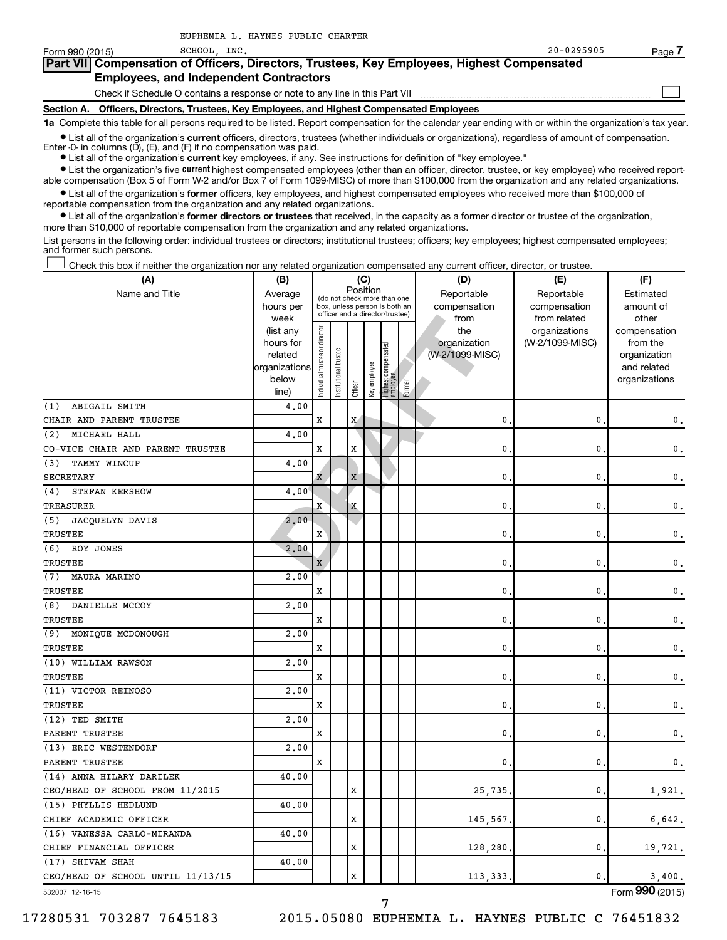| Form 990 (2015) | SCHOOL INC.                                                                                | $20 - 0295905$ | Page |
|-----------------|--------------------------------------------------------------------------------------------|----------------|------|
|                 | Part VII Compensation of Officers, Directors, Trustees, Key Employees, Highest Compensated |                |      |
|                 | <b>Employees, and Independent Contractors</b>                                              |                |      |
|                 | Check if Schedule O contains a response or note to any line in this Part VII               |                |      |
| Section A.      | Officers, Directors, Trustees, Key Employees, and Highest Compensated Employees            |                |      |

**1a**  Complete this table for all persons required to be listed. Report compensation for the calendar year ending with or within the organization's tax year.

**•** List all of the organization's current officers, directors, trustees (whether individuals or organizations), regardless of amount of compensation. Enter -0- in columns  $(D)$ ,  $(E)$ , and  $(F)$  if no compensation was paid.

**•** List all of the organization's **current** key employees, if any. See instructions for definition of "key employee."

EUPHEMIA L. HAYNES PUBLIC CHARTER

**•** List the organization's five current highest compensated employees (other than an officer, director, trustee, or key employee) who received reportable compensation (Box 5 of Form W-2 and/or Box 7 of Form 1099-MISC) of more than \$100,000 from the organization and any related organizations.

**•** List all of the organization's former officers, key employees, and highest compensated employees who received more than \$100,000 of reportable compensation from the organization and any related organizations.

**•** List all of the organization's former directors or trustees that received, in the capacity as a former director or trustee of the organization, more than \$10,000 of reportable compensation from the organization and any related organizations.

List persons in the following order: individual trustees or directors; institutional trustees; officers; key employees; highest compensated employees; and former such persons.

|  |  |  | Check this box if neither the organization nor any related organization compensated any current officer, director, or trustee. |  |  |
|--|--|--|--------------------------------------------------------------------------------------------------------------------------------|--|--|
|  |  |  |                                                                                                                                |  |  |

| Position<br>Name and Title<br>Reportable<br>Reportable<br>Estimated<br>Average<br>(do not check more than one<br>hours per<br>compensation<br>compensation<br>amount of<br>box, unless person is both an<br>officer and a director/trustee)<br>other<br>week<br>from<br>from related<br>Individual trustee or director<br>(list any<br>the<br>organizations<br>compensation<br>organization<br>(W-2/1099-MISC)<br>from the<br>hours for<br>Highest compensated<br>employee<br>trustee<br>(W-2/1099-MISC)<br>related<br>organization<br>Key employee<br>organizations<br>and related<br>Institutional t<br>below<br>organizations<br>Former<br>Officer<br>line)<br>ABIGAIL SMITH<br>4.00<br>(1)<br>CHAIR AND PARENT TRUSTEE<br>X<br>X<br>0.<br>0<br>0.<br>MICHAEL HALL<br>(2)<br>4.00<br>$\mathbf x$<br>CO-VICE CHAIR AND PARENT TRUSTEE<br>х<br>0<br>0<br>$\mathbf{0}$ .<br>TAMMY WINCUP<br>4.00<br>(3)<br><b>SECRETARY</b><br>$\mathbf X$<br>$\mathbf{0}$<br>0<br>$\mathbf{0}$ .<br>X<br>4.00<br>(4)<br>STEFAN KERSHOW<br>$\mathbf x$<br>$\mathbf{0}$<br>0<br>$\mathbf{0}$ .<br>TREASURER<br>X<br>JACQUELYN DAVIS<br>2.00<br>(5)<br>$\mathbf{x}$<br>TRUSTEE<br>$\mathbf{0}$<br>0<br>$\mathsf{0}\,.$<br>2.00<br>(6)<br>ROY JONES<br>TRUSTEE<br>0<br>0<br>$\mathbf{0}$ .<br>X<br>MAURA MARINO<br>2,00<br>(7)<br>TRUSTEE<br>0<br>0<br>$\mathsf{0}\,.$<br>X<br>DANIELLE MCCOY<br>2,00<br>(8)<br><b>TRUSTEE</b><br>X<br>0<br>0<br>$\mathbf{0}$ .<br>2.00<br>(9)<br>MONIQUE MCDONOUGH<br>TRUSTEE<br>X<br>0.<br>0<br>0.<br>(10) WILLIAM RAWSON<br>2,00<br>TRUSTEE<br>X<br>0<br>0<br>$\mathsf{0}\,.$<br>(11) VICTOR REINOSO<br>2,00<br>TRUSTEE<br>X<br>0<br>0<br>$\mathbf{0}$ .<br>(12) TED SMITH<br>2,00<br>X<br>0<br>0<br>$\mathbf{0}$ .<br>PARENT TRUSTEE<br>(13) ERIC WESTENDORF<br>2,00<br>PARENT TRUSTEE<br>X<br>0<br>0<br>$\mathbf{0}$ .<br>(14) ANNA HILARY DARILEK<br>40.00<br>CEO/HEAD OF SCHOOL FROM 11/2015<br>X<br>0<br>1,921.<br>25,735<br>(15) PHYLLIS HEDLUND<br>40.00<br>CHIEF ACADEMIC OFFICER<br>х<br>0<br>6,642.<br>145,567<br>(16) VANESSA CARLO-MIRANDA<br>40.00<br>CHIEF FINANCIAL OFFICER<br>х<br>128,280<br>0<br>19,721.<br>(17) SHIVAM SHAH<br>40.00<br>CEO/HEAD OF SCHOOL UNTIL 11/13/15<br>X<br>113,333<br>$\mathbf{0}$<br>3,400. | (A) | (B) |  |  | (C) |  |  |  | (D) | (E) | (F) |
|--------------------------------------------------------------------------------------------------------------------------------------------------------------------------------------------------------------------------------------------------------------------------------------------------------------------------------------------------------------------------------------------------------------------------------------------------------------------------------------------------------------------------------------------------------------------------------------------------------------------------------------------------------------------------------------------------------------------------------------------------------------------------------------------------------------------------------------------------------------------------------------------------------------------------------------------------------------------------------------------------------------------------------------------------------------------------------------------------------------------------------------------------------------------------------------------------------------------------------------------------------------------------------------------------------------------------------------------------------------------------------------------------------------------------------------------------------------------------------------------------------------------------------------------------------------------------------------------------------------------------------------------------------------------------------------------------------------------------------------------------------------------------------------------------------------------------------------------------------------------------------------------------------------------------------------------------------------------------------------------------------------------------------------------------------------------------------------------------------------------------------------------------------------------------------------------------------------------------------------------------------|-----|-----|--|--|-----|--|--|--|-----|-----|-----|
|                                                                                                                                                                                                                                                                                                                                                                                                                                                                                                                                                                                                                                                                                                                                                                                                                                                                                                                                                                                                                                                                                                                                                                                                                                                                                                                                                                                                                                                                                                                                                                                                                                                                                                                                                                                                                                                                                                                                                                                                                                                                                                                                                                                                                                                        |     |     |  |  |     |  |  |  |     |     |     |
|                                                                                                                                                                                                                                                                                                                                                                                                                                                                                                                                                                                                                                                                                                                                                                                                                                                                                                                                                                                                                                                                                                                                                                                                                                                                                                                                                                                                                                                                                                                                                                                                                                                                                                                                                                                                                                                                                                                                                                                                                                                                                                                                                                                                                                                        |     |     |  |  |     |  |  |  |     |     |     |
|                                                                                                                                                                                                                                                                                                                                                                                                                                                                                                                                                                                                                                                                                                                                                                                                                                                                                                                                                                                                                                                                                                                                                                                                                                                                                                                                                                                                                                                                                                                                                                                                                                                                                                                                                                                                                                                                                                                                                                                                                                                                                                                                                                                                                                                        |     |     |  |  |     |  |  |  |     |     |     |
|                                                                                                                                                                                                                                                                                                                                                                                                                                                                                                                                                                                                                                                                                                                                                                                                                                                                                                                                                                                                                                                                                                                                                                                                                                                                                                                                                                                                                                                                                                                                                                                                                                                                                                                                                                                                                                                                                                                                                                                                                                                                                                                                                                                                                                                        |     |     |  |  |     |  |  |  |     |     |     |
|                                                                                                                                                                                                                                                                                                                                                                                                                                                                                                                                                                                                                                                                                                                                                                                                                                                                                                                                                                                                                                                                                                                                                                                                                                                                                                                                                                                                                                                                                                                                                                                                                                                                                                                                                                                                                                                                                                                                                                                                                                                                                                                                                                                                                                                        |     |     |  |  |     |  |  |  |     |     |     |
|                                                                                                                                                                                                                                                                                                                                                                                                                                                                                                                                                                                                                                                                                                                                                                                                                                                                                                                                                                                                                                                                                                                                                                                                                                                                                                                                                                                                                                                                                                                                                                                                                                                                                                                                                                                                                                                                                                                                                                                                                                                                                                                                                                                                                                                        |     |     |  |  |     |  |  |  |     |     |     |
|                                                                                                                                                                                                                                                                                                                                                                                                                                                                                                                                                                                                                                                                                                                                                                                                                                                                                                                                                                                                                                                                                                                                                                                                                                                                                                                                                                                                                                                                                                                                                                                                                                                                                                                                                                                                                                                                                                                                                                                                                                                                                                                                                                                                                                                        |     |     |  |  |     |  |  |  |     |     |     |
|                                                                                                                                                                                                                                                                                                                                                                                                                                                                                                                                                                                                                                                                                                                                                                                                                                                                                                                                                                                                                                                                                                                                                                                                                                                                                                                                                                                                                                                                                                                                                                                                                                                                                                                                                                                                                                                                                                                                                                                                                                                                                                                                                                                                                                                        |     |     |  |  |     |  |  |  |     |     |     |
|                                                                                                                                                                                                                                                                                                                                                                                                                                                                                                                                                                                                                                                                                                                                                                                                                                                                                                                                                                                                                                                                                                                                                                                                                                                                                                                                                                                                                                                                                                                                                                                                                                                                                                                                                                                                                                                                                                                                                                                                                                                                                                                                                                                                                                                        |     |     |  |  |     |  |  |  |     |     |     |
|                                                                                                                                                                                                                                                                                                                                                                                                                                                                                                                                                                                                                                                                                                                                                                                                                                                                                                                                                                                                                                                                                                                                                                                                                                                                                                                                                                                                                                                                                                                                                                                                                                                                                                                                                                                                                                                                                                                                                                                                                                                                                                                                                                                                                                                        |     |     |  |  |     |  |  |  |     |     |     |
|                                                                                                                                                                                                                                                                                                                                                                                                                                                                                                                                                                                                                                                                                                                                                                                                                                                                                                                                                                                                                                                                                                                                                                                                                                                                                                                                                                                                                                                                                                                                                                                                                                                                                                                                                                                                                                                                                                                                                                                                                                                                                                                                                                                                                                                        |     |     |  |  |     |  |  |  |     |     |     |
|                                                                                                                                                                                                                                                                                                                                                                                                                                                                                                                                                                                                                                                                                                                                                                                                                                                                                                                                                                                                                                                                                                                                                                                                                                                                                                                                                                                                                                                                                                                                                                                                                                                                                                                                                                                                                                                                                                                                                                                                                                                                                                                                                                                                                                                        |     |     |  |  |     |  |  |  |     |     |     |
|                                                                                                                                                                                                                                                                                                                                                                                                                                                                                                                                                                                                                                                                                                                                                                                                                                                                                                                                                                                                                                                                                                                                                                                                                                                                                                                                                                                                                                                                                                                                                                                                                                                                                                                                                                                                                                                                                                                                                                                                                                                                                                                                                                                                                                                        |     |     |  |  |     |  |  |  |     |     |     |
|                                                                                                                                                                                                                                                                                                                                                                                                                                                                                                                                                                                                                                                                                                                                                                                                                                                                                                                                                                                                                                                                                                                                                                                                                                                                                                                                                                                                                                                                                                                                                                                                                                                                                                                                                                                                                                                                                                                                                                                                                                                                                                                                                                                                                                                        |     |     |  |  |     |  |  |  |     |     |     |
|                                                                                                                                                                                                                                                                                                                                                                                                                                                                                                                                                                                                                                                                                                                                                                                                                                                                                                                                                                                                                                                                                                                                                                                                                                                                                                                                                                                                                                                                                                                                                                                                                                                                                                                                                                                                                                                                                                                                                                                                                                                                                                                                                                                                                                                        |     |     |  |  |     |  |  |  |     |     |     |
|                                                                                                                                                                                                                                                                                                                                                                                                                                                                                                                                                                                                                                                                                                                                                                                                                                                                                                                                                                                                                                                                                                                                                                                                                                                                                                                                                                                                                                                                                                                                                                                                                                                                                                                                                                                                                                                                                                                                                                                                                                                                                                                                                                                                                                                        |     |     |  |  |     |  |  |  |     |     |     |
|                                                                                                                                                                                                                                                                                                                                                                                                                                                                                                                                                                                                                                                                                                                                                                                                                                                                                                                                                                                                                                                                                                                                                                                                                                                                                                                                                                                                                                                                                                                                                                                                                                                                                                                                                                                                                                                                                                                                                                                                                                                                                                                                                                                                                                                        |     |     |  |  |     |  |  |  |     |     |     |
|                                                                                                                                                                                                                                                                                                                                                                                                                                                                                                                                                                                                                                                                                                                                                                                                                                                                                                                                                                                                                                                                                                                                                                                                                                                                                                                                                                                                                                                                                                                                                                                                                                                                                                                                                                                                                                                                                                                                                                                                                                                                                                                                                                                                                                                        |     |     |  |  |     |  |  |  |     |     |     |
|                                                                                                                                                                                                                                                                                                                                                                                                                                                                                                                                                                                                                                                                                                                                                                                                                                                                                                                                                                                                                                                                                                                                                                                                                                                                                                                                                                                                                                                                                                                                                                                                                                                                                                                                                                                                                                                                                                                                                                                                                                                                                                                                                                                                                                                        |     |     |  |  |     |  |  |  |     |     |     |
|                                                                                                                                                                                                                                                                                                                                                                                                                                                                                                                                                                                                                                                                                                                                                                                                                                                                                                                                                                                                                                                                                                                                                                                                                                                                                                                                                                                                                                                                                                                                                                                                                                                                                                                                                                                                                                                                                                                                                                                                                                                                                                                                                                                                                                                        |     |     |  |  |     |  |  |  |     |     |     |
|                                                                                                                                                                                                                                                                                                                                                                                                                                                                                                                                                                                                                                                                                                                                                                                                                                                                                                                                                                                                                                                                                                                                                                                                                                                                                                                                                                                                                                                                                                                                                                                                                                                                                                                                                                                                                                                                                                                                                                                                                                                                                                                                                                                                                                                        |     |     |  |  |     |  |  |  |     |     |     |
|                                                                                                                                                                                                                                                                                                                                                                                                                                                                                                                                                                                                                                                                                                                                                                                                                                                                                                                                                                                                                                                                                                                                                                                                                                                                                                                                                                                                                                                                                                                                                                                                                                                                                                                                                                                                                                                                                                                                                                                                                                                                                                                                                                                                                                                        |     |     |  |  |     |  |  |  |     |     |     |
|                                                                                                                                                                                                                                                                                                                                                                                                                                                                                                                                                                                                                                                                                                                                                                                                                                                                                                                                                                                                                                                                                                                                                                                                                                                                                                                                                                                                                                                                                                                                                                                                                                                                                                                                                                                                                                                                                                                                                                                                                                                                                                                                                                                                                                                        |     |     |  |  |     |  |  |  |     |     |     |
|                                                                                                                                                                                                                                                                                                                                                                                                                                                                                                                                                                                                                                                                                                                                                                                                                                                                                                                                                                                                                                                                                                                                                                                                                                                                                                                                                                                                                                                                                                                                                                                                                                                                                                                                                                                                                                                                                                                                                                                                                                                                                                                                                                                                                                                        |     |     |  |  |     |  |  |  |     |     |     |
|                                                                                                                                                                                                                                                                                                                                                                                                                                                                                                                                                                                                                                                                                                                                                                                                                                                                                                                                                                                                                                                                                                                                                                                                                                                                                                                                                                                                                                                                                                                                                                                                                                                                                                                                                                                                                                                                                                                                                                                                                                                                                                                                                                                                                                                        |     |     |  |  |     |  |  |  |     |     |     |
|                                                                                                                                                                                                                                                                                                                                                                                                                                                                                                                                                                                                                                                                                                                                                                                                                                                                                                                                                                                                                                                                                                                                                                                                                                                                                                                                                                                                                                                                                                                                                                                                                                                                                                                                                                                                                                                                                                                                                                                                                                                                                                                                                                                                                                                        |     |     |  |  |     |  |  |  |     |     |     |
|                                                                                                                                                                                                                                                                                                                                                                                                                                                                                                                                                                                                                                                                                                                                                                                                                                                                                                                                                                                                                                                                                                                                                                                                                                                                                                                                                                                                                                                                                                                                                                                                                                                                                                                                                                                                                                                                                                                                                                                                                                                                                                                                                                                                                                                        |     |     |  |  |     |  |  |  |     |     |     |
|                                                                                                                                                                                                                                                                                                                                                                                                                                                                                                                                                                                                                                                                                                                                                                                                                                                                                                                                                                                                                                                                                                                                                                                                                                                                                                                                                                                                                                                                                                                                                                                                                                                                                                                                                                                                                                                                                                                                                                                                                                                                                                                                                                                                                                                        |     |     |  |  |     |  |  |  |     |     |     |
|                                                                                                                                                                                                                                                                                                                                                                                                                                                                                                                                                                                                                                                                                                                                                                                                                                                                                                                                                                                                                                                                                                                                                                                                                                                                                                                                                                                                                                                                                                                                                                                                                                                                                                                                                                                                                                                                                                                                                                                                                                                                                                                                                                                                                                                        |     |     |  |  |     |  |  |  |     |     |     |
|                                                                                                                                                                                                                                                                                                                                                                                                                                                                                                                                                                                                                                                                                                                                                                                                                                                                                                                                                                                                                                                                                                                                                                                                                                                                                                                                                                                                                                                                                                                                                                                                                                                                                                                                                                                                                                                                                                                                                                                                                                                                                                                                                                                                                                                        |     |     |  |  |     |  |  |  |     |     |     |
|                                                                                                                                                                                                                                                                                                                                                                                                                                                                                                                                                                                                                                                                                                                                                                                                                                                                                                                                                                                                                                                                                                                                                                                                                                                                                                                                                                                                                                                                                                                                                                                                                                                                                                                                                                                                                                                                                                                                                                                                                                                                                                                                                                                                                                                        |     |     |  |  |     |  |  |  |     |     |     |
|                                                                                                                                                                                                                                                                                                                                                                                                                                                                                                                                                                                                                                                                                                                                                                                                                                                                                                                                                                                                                                                                                                                                                                                                                                                                                                                                                                                                                                                                                                                                                                                                                                                                                                                                                                                                                                                                                                                                                                                                                                                                                                                                                                                                                                                        |     |     |  |  |     |  |  |  |     |     |     |
|                                                                                                                                                                                                                                                                                                                                                                                                                                                                                                                                                                                                                                                                                                                                                                                                                                                                                                                                                                                                                                                                                                                                                                                                                                                                                                                                                                                                                                                                                                                                                                                                                                                                                                                                                                                                                                                                                                                                                                                                                                                                                                                                                                                                                                                        |     |     |  |  |     |  |  |  |     |     |     |
|                                                                                                                                                                                                                                                                                                                                                                                                                                                                                                                                                                                                                                                                                                                                                                                                                                                                                                                                                                                                                                                                                                                                                                                                                                                                                                                                                                                                                                                                                                                                                                                                                                                                                                                                                                                                                                                                                                                                                                                                                                                                                                                                                                                                                                                        |     |     |  |  |     |  |  |  |     |     |     |
|                                                                                                                                                                                                                                                                                                                                                                                                                                                                                                                                                                                                                                                                                                                                                                                                                                                                                                                                                                                                                                                                                                                                                                                                                                                                                                                                                                                                                                                                                                                                                                                                                                                                                                                                                                                                                                                                                                                                                                                                                                                                                                                                                                                                                                                        |     |     |  |  |     |  |  |  |     |     |     |
|                                                                                                                                                                                                                                                                                                                                                                                                                                                                                                                                                                                                                                                                                                                                                                                                                                                                                                                                                                                                                                                                                                                                                                                                                                                                                                                                                                                                                                                                                                                                                                                                                                                                                                                                                                                                                                                                                                                                                                                                                                                                                                                                                                                                                                                        |     |     |  |  |     |  |  |  |     |     |     |
|                                                                                                                                                                                                                                                                                                                                                                                                                                                                                                                                                                                                                                                                                                                                                                                                                                                                                                                                                                                                                                                                                                                                                                                                                                                                                                                                                                                                                                                                                                                                                                                                                                                                                                                                                                                                                                                                                                                                                                                                                                                                                                                                                                                                                                                        |     |     |  |  |     |  |  |  |     |     |     |
|                                                                                                                                                                                                                                                                                                                                                                                                                                                                                                                                                                                                                                                                                                                                                                                                                                                                                                                                                                                                                                                                                                                                                                                                                                                                                                                                                                                                                                                                                                                                                                                                                                                                                                                                                                                                                                                                                                                                                                                                                                                                                                                                                                                                                                                        |     |     |  |  |     |  |  |  |     |     |     |
|                                                                                                                                                                                                                                                                                                                                                                                                                                                                                                                                                                                                                                                                                                                                                                                                                                                                                                                                                                                                                                                                                                                                                                                                                                                                                                                                                                                                                                                                                                                                                                                                                                                                                                                                                                                                                                                                                                                                                                                                                                                                                                                                                                                                                                                        |     |     |  |  |     |  |  |  |     |     |     |
|                                                                                                                                                                                                                                                                                                                                                                                                                                                                                                                                                                                                                                                                                                                                                                                                                                                                                                                                                                                                                                                                                                                                                                                                                                                                                                                                                                                                                                                                                                                                                                                                                                                                                                                                                                                                                                                                                                                                                                                                                                                                                                                                                                                                                                                        |     |     |  |  |     |  |  |  |     |     |     |
|                                                                                                                                                                                                                                                                                                                                                                                                                                                                                                                                                                                                                                                                                                                                                                                                                                                                                                                                                                                                                                                                                                                                                                                                                                                                                                                                                                                                                                                                                                                                                                                                                                                                                                                                                                                                                                                                                                                                                                                                                                                                                                                                                                                                                                                        |     |     |  |  |     |  |  |  |     |     |     |
|                                                                                                                                                                                                                                                                                                                                                                                                                                                                                                                                                                                                                                                                                                                                                                                                                                                                                                                                                                                                                                                                                                                                                                                                                                                                                                                                                                                                                                                                                                                                                                                                                                                                                                                                                                                                                                                                                                                                                                                                                                                                                                                                                                                                                                                        |     |     |  |  |     |  |  |  |     |     |     |

532007 12-16-15

17280531 703287 7645183 2015.05080 EUPHEMIA L. HAYNES PUBLIC C 76451832

7

Form (2015) **990**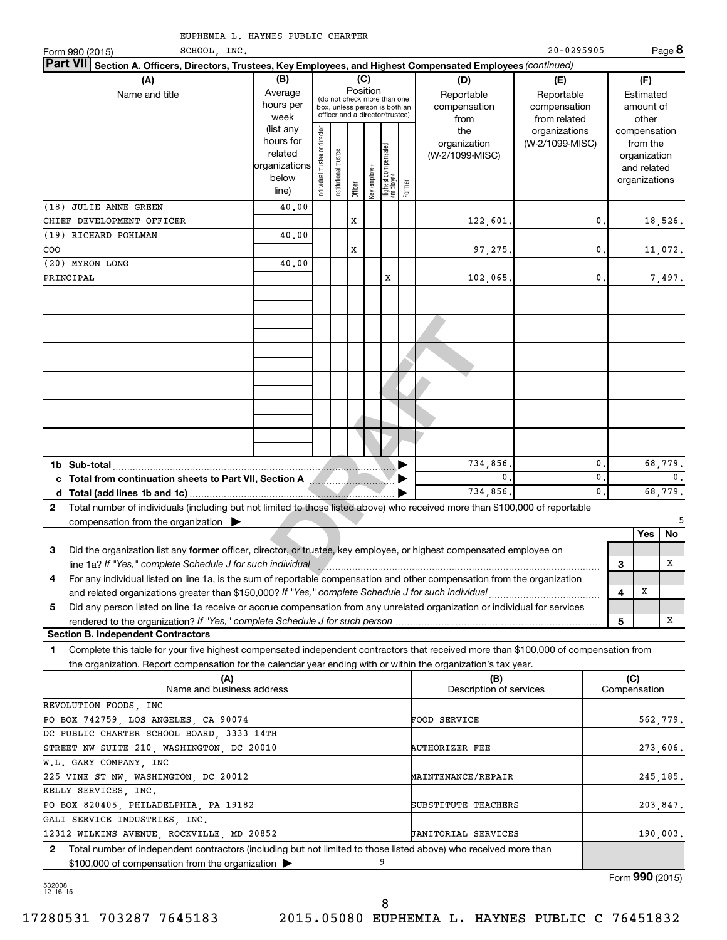|     | EUPHEMIA L. HAYNES PUBLIC CHARTER                                                                                                                                                                                                                      |                                                                                                                                                                                                                                      |                               |                       |         |              |                                   |        |                                        |                                                  |             |     |                                                                          |                |
|-----|--------------------------------------------------------------------------------------------------------------------------------------------------------------------------------------------------------------------------------------------------------|--------------------------------------------------------------------------------------------------------------------------------------------------------------------------------------------------------------------------------------|-------------------------------|-----------------------|---------|--------------|-----------------------------------|--------|----------------------------------------|--------------------------------------------------|-------------|-----|--------------------------------------------------------------------------|----------------|
|     | SCHOOL, INC.<br>Form 990 (2015)                                                                                                                                                                                                                        |                                                                                                                                                                                                                                      |                               |                       |         |              |                                   |        |                                        | 20-0295905                                       |             |     |                                                                          | Page 8         |
|     | <b>Part VII</b><br>Section A. Officers, Directors, Trustees, Key Employees, and Highest Compensated Employees (continued)                                                                                                                              |                                                                                                                                                                                                                                      |                               |                       |         |              |                                   |        |                                        |                                                  |             |     |                                                                          |                |
|     | (A)<br>Name and title                                                                                                                                                                                                                                  | (B)<br>(C)<br>(D)<br>Position<br>Average<br>Reportable<br>Reportable<br>(do not check more than one<br>hours per<br>compensation<br>compensation<br>box, unless person is both an<br>officer and a director/trustee)<br>week<br>from |                               |                       |         |              |                                   |        |                                        |                                                  |             |     | (F)<br>Estimated<br>amount of<br>other                                   |                |
|     |                                                                                                                                                                                                                                                        | (list any<br>hours for<br>related<br>organizations<br>below<br>line)                                                                                                                                                                 | ndividual trustee or director | Institutional trustee | Officer | Key employee | Highest compensated<br>  employee | Former | the<br>organization<br>(W-2/1099-MISC) | from related<br>organizations<br>(W-2/1099-MISC) |             |     | compensation<br>from the<br>organization<br>and related<br>organizations |                |
|     | (18) JULIE ANNE GREEN                                                                                                                                                                                                                                  | 40.00                                                                                                                                                                                                                                |                               |                       |         |              |                                   |        |                                        |                                                  |             |     |                                                                          |                |
|     | CHIEF DEVELOPMENT OFFICER                                                                                                                                                                                                                              |                                                                                                                                                                                                                                      |                               |                       | x       |              |                                   |        | 122,601.                               |                                                  | 0           |     |                                                                          | 18,526.        |
|     | (19) RICHARD POHLMAN                                                                                                                                                                                                                                   | 40.00                                                                                                                                                                                                                                |                               |                       |         |              |                                   |        |                                        |                                                  |             |     |                                                                          |                |
| COO |                                                                                                                                                                                                                                                        |                                                                                                                                                                                                                                      |                               |                       | x       |              |                                   |        | 97,275.                                |                                                  | 0           |     |                                                                          | 11,072.        |
|     | (20) MYRON LONG                                                                                                                                                                                                                                        | 40.00                                                                                                                                                                                                                                |                               |                       |         |              |                                   |        |                                        |                                                  |             |     |                                                                          |                |
|     | PRINCIPAL                                                                                                                                                                                                                                              |                                                                                                                                                                                                                                      |                               |                       |         |              | x                                 |        | 102,065.                               |                                                  | $\mathbf 0$ |     |                                                                          | 7,497.         |
|     |                                                                                                                                                                                                                                                        |                                                                                                                                                                                                                                      |                               |                       |         |              |                                   |        |                                        |                                                  |             |     |                                                                          |                |
|     |                                                                                                                                                                                                                                                        |                                                                                                                                                                                                                                      |                               |                       |         |              |                                   |        |                                        |                                                  |             |     |                                                                          |                |
|     |                                                                                                                                                                                                                                                        |                                                                                                                                                                                                                                      |                               |                       |         |              |                                   |        |                                        |                                                  |             |     |                                                                          |                |
|     |                                                                                                                                                                                                                                                        |                                                                                                                                                                                                                                      |                               |                       |         |              |                                   |        |                                        |                                                  |             |     |                                                                          |                |
|     |                                                                                                                                                                                                                                                        |                                                                                                                                                                                                                                      |                               |                       |         |              |                                   |        |                                        |                                                  |             |     |                                                                          |                |
|     |                                                                                                                                                                                                                                                        |                                                                                                                                                                                                                                      |                               |                       |         |              |                                   |        | 734,856.                               |                                                  | 0           |     |                                                                          | 68,779.        |
|     | c Total from continuation sheets to Part VII, Section A Martin Martin 1                                                                                                                                                                                |                                                                                                                                                                                                                                      |                               |                       |         |              |                                   |        | 0.                                     |                                                  | 0           |     |                                                                          | $\mathbf{0}$ . |
|     |                                                                                                                                                                                                                                                        |                                                                                                                                                                                                                                      |                               |                       |         |              |                                   |        | 734,856.                               |                                                  | 0           |     |                                                                          | 68,779.        |
| 2   | Total number of individuals (including but not limited to those listed above) who received more than \$100,000 of reportable                                                                                                                           |                                                                                                                                                                                                                                      |                               |                       |         |              |                                   |        |                                        |                                                  |             |     |                                                                          |                |
|     | compensation from the organization $\blacktriangleright$                                                                                                                                                                                               |                                                                                                                                                                                                                                      |                               |                       |         |              |                                   |        |                                        |                                                  |             |     |                                                                          | 5              |
|     |                                                                                                                                                                                                                                                        |                                                                                                                                                                                                                                      |                               |                       |         |              |                                   |        |                                        |                                                  |             |     | Yes                                                                      | No             |
| 3   | Did the organization list any former officer, director, or trustee, key employee, or highest compensated employee on                                                                                                                                   |                                                                                                                                                                                                                                      |                               |                       |         |              |                                   |        |                                        |                                                  |             |     |                                                                          |                |
|     | line 1a? If "Yes," complete Schedule J for such individual                                                                                                                                                                                             |                                                                                                                                                                                                                                      |                               |                       |         |              |                                   |        |                                        |                                                  |             | 3   |                                                                          | $\mathbf X$    |
| 4   | For any individual listed on line 1a, is the sum of reportable compensation and other compensation from the organization                                                                                                                               |                                                                                                                                                                                                                                      |                               |                       |         |              |                                   |        |                                        |                                                  |             |     |                                                                          |                |
|     | and related organizations greater than \$150,000? If "Yes," complete Schedule J for such individual                                                                                                                                                    |                                                                                                                                                                                                                                      |                               |                       |         |              |                                   |        |                                        |                                                  |             | 4   | х                                                                        |                |
| 5   | Did any person listed on line 1a receive or accrue compensation from any unrelated organization or individual for services                                                                                                                             |                                                                                                                                                                                                                                      |                               |                       |         |              |                                   |        |                                        |                                                  |             |     |                                                                          |                |
|     |                                                                                                                                                                                                                                                        |                                                                                                                                                                                                                                      |                               |                       |         |              |                                   |        |                                        |                                                  |             | 5   |                                                                          | X              |
|     | <b>Section B. Independent Contractors</b>                                                                                                                                                                                                              |                                                                                                                                                                                                                                      |                               |                       |         |              |                                   |        |                                        |                                                  |             |     |                                                                          |                |
| 1   | Complete this table for your five highest compensated independent contractors that received more than \$100,000 of compensation from<br>the organization. Report compensation for the calendar year ending with or within the organization's tax year. |                                                                                                                                                                                                                                      |                               |                       |         |              |                                   |        |                                        |                                                  |             |     |                                                                          |                |
|     | (A)<br>Name and business address                                                                                                                                                                                                                       |                                                                                                                                                                                                                                      |                               |                       |         |              |                                   |        | (B)<br>Description of services         |                                                  |             | (C) | Compensation                                                             |                |
|     | REVOLUTION FOODS, INC                                                                                                                                                                                                                                  |                                                                                                                                                                                                                                      |                               |                       |         |              |                                   |        |                                        |                                                  |             |     |                                                                          |                |
|     | PO BOX 742759, LOS ANGELES, CA 90074                                                                                                                                                                                                                   |                                                                                                                                                                                                                                      |                               |                       |         |              |                                   |        | FOOD SERVICE                           |                                                  |             |     |                                                                          | 562,779.       |
|     | DC PUBLIC CHARTER SCHOOL BOARD, 3333 14TH                                                                                                                                                                                                              |                                                                                                                                                                                                                                      |                               |                       |         |              |                                   |        |                                        |                                                  |             |     |                                                                          |                |
|     | STREET NW SUITE 210, WASHINGTON, DC 20010                                                                                                                                                                                                              |                                                                                                                                                                                                                                      |                               |                       |         |              |                                   |        | <b>AUTHORIZER FEE</b>                  |                                                  |             |     |                                                                          | 273,606.       |

532008 12-16-15

**2**

GALI SERVICE INDUSTRIES, INC.

W.L. GARY COMPANY, INC

KELLY SERVICES, INC.

\$100,000 of compensation from the organization

8

9

225 VINE ST NW, WASHINGTON, DC 20012 MAINTENANCE/REPAIR 245, 185.

PO BOX 820405, PHILADELPHIA, PA 19182 SUBSTITUTE TEACHERS 203,847.

12312 WILKINS AVENUE, ROCKVILLE, MD 20852 JANITORIAL SERVICES 190,003.

Total number of independent contractors (including but not limited to those listed above) who received more than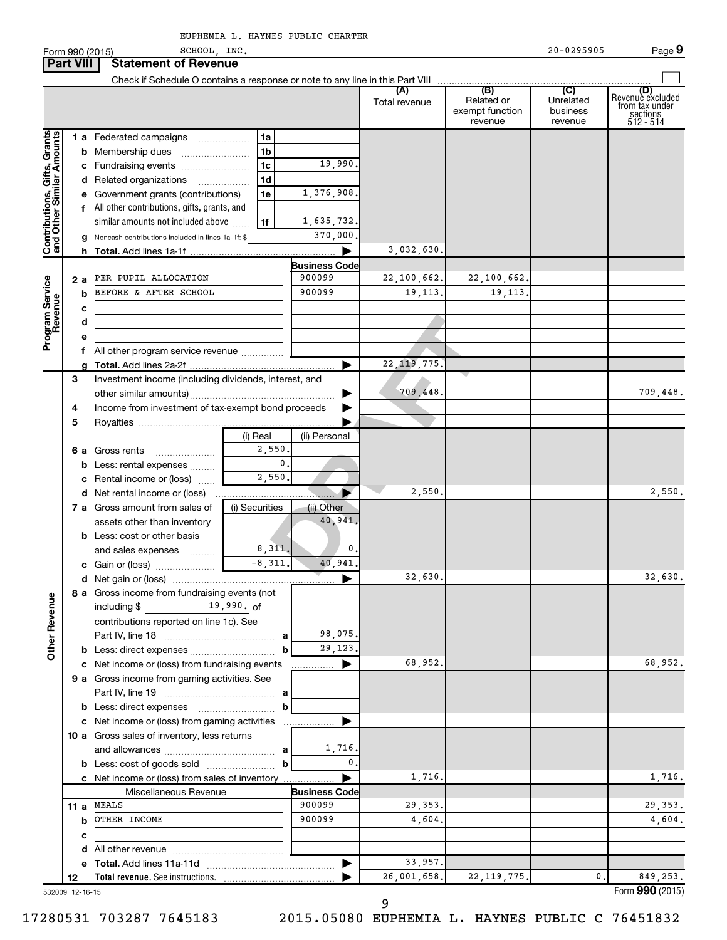$\blacksquare$  Form 990 (2015)  $\blacksquare$   $\blacksquare$   $\blacksquare$   $\blacksquare$   $\blacksquare$   $\blacksquare$   $\blacksquare$   $\blacksquare$   $\blacksquare$   $\blacksquare$   $\blacksquare$   $\blacksquare$   $\blacksquare$   $\blacksquare$   $\blacksquare$   $\blacksquare$   $\blacksquare$   $\blacksquare$   $\blacksquare$   $\blacksquare$   $\blacksquare$   $\blacksquare$   $\blacksquare$   $\blacksquare$   $\blacksquare$   $\blacksquare$   $\blacksquare$   $\blacksquare$   $\$ 

SCHOOL, INC. 20 295905

|                                                           | <b>Part VIII</b> | <b>Statement of Revenue</b>                                                                                                                 |                                   |                                |               |                                          |                                  |                                                                    |
|-----------------------------------------------------------|------------------|---------------------------------------------------------------------------------------------------------------------------------------------|-----------------------------------|--------------------------------|---------------|------------------------------------------|----------------------------------|--------------------------------------------------------------------|
|                                                           |                  |                                                                                                                                             |                                   |                                |               |                                          |                                  |                                                                    |
|                                                           |                  |                                                                                                                                             |                                   |                                | Total revenue | Related or<br>exempt function<br>revenue | Unrelated<br>business<br>revenue | (D)<br>Revenue excluded<br>from tax under<br>sections<br>512 - 514 |
| Contributions, Gifts, Grants<br>and Other Similar Amounts |                  | 1 a Federated campaigns<br>c Fundraising events                                                                                             | 1a<br>1b<br>1 <sub>c</sub>        | 19,990.                        |               |                                          |                                  |                                                                    |
|                                                           |                  | d Related organizations<br>$\overline{\phantom{a}}$<br>e Government grants (contributions)<br>f All other contributions, gifts, grants, and | 1d<br>1e                          | 1,376,908.                     |               |                                          |                                  |                                                                    |
|                                                           |                  | similar amounts not included above<br>g Noncash contributions included in lines 1a-1f: \$                                                   | 1f                                | 1,635,732.<br>370,000.<br>▶    | 3,032,630.    |                                          |                                  |                                                                    |
|                                                           | 2а               | PER PUPIL ALLOCATION                                                                                                                        |                                   | <b>Business Code</b><br>900099 | 22,100,662.   | 22,100,662.                              |                                  |                                                                    |
| Program Service<br>Revenue                                |                  | BEFORE & AFTER SCHOOL<br>b<br>c<br>d                                                                                                        |                                   | 900099                         | 19, 113.      | 19, 113.                                 |                                  |                                                                    |
|                                                           |                  | е<br>f All other program service revenue                                                                                                    |                                   | ►                              | 22, 119, 775. |                                          |                                  |                                                                    |
|                                                           | 3<br>4           | Investment income (including dividends, interest, and<br>Income from investment of tax-exempt bond proceeds                                 |                                   | ▶                              | 709,448.      |                                          |                                  | 709,448.                                                           |
|                                                           | 5                | 6 a Gross rents<br><b>b</b> Less: rental expenses                                                                                           | (i) Real<br>2,550<br>$\mathbf{0}$ | (ii) Personal                  |               |                                          |                                  |                                                                    |
|                                                           |                  | c Rental income or (loss)<br>d Net rental income or (loss)                                                                                  | 2,550.                            |                                | 2,550.        |                                          |                                  | 2,550.                                                             |
|                                                           |                  | 7 a Gross amount from sales of<br>assets other than inventory<br><b>b</b> Less: cost or other basis<br>and sales expenses                   | (i) Securities<br>8,311.          | (ii) Other<br>40,941.<br>0.    |               |                                          |                                  |                                                                    |
|                                                           |                  |                                                                                                                                             | $-8,311.$                         | 40,941.<br>▶                   | 32,630.       |                                          |                                  | 32,630.                                                            |
| <b>Other Revenue</b>                                      |                  | 8 a Gross income from fundraising events (not<br>$19,990.$ of<br>including $$$<br>contributions reported on line 1c). See                   | b                                 | 98,075.<br>29,123.             |               |                                          |                                  |                                                                    |
|                                                           |                  | c Net income or (loss) from fundraising events<br>9 a Gross income from gaming activities. See                                              |                                   | ▶                              | 68,952.       |                                          |                                  | 68,952.                                                            |
|                                                           |                  | c Net income or (loss) from gaming activities<br>10 a Gross sales of inventory, less returns                                                | b                                 | ▶                              |               |                                          |                                  |                                                                    |
|                                                           |                  | c Net income or (loss) from sales of inventory                                                                                              | b                                 | 1,716.<br>0.<br>▶              | 1,716.        |                                          |                                  | 1,716.                                                             |
|                                                           |                  | Miscellaneous Revenue                                                                                                                       |                                   | <b>Business Code</b>           |               |                                          |                                  |                                                                    |
|                                                           |                  | 11 a MEALS                                                                                                                                  |                                   | 900099                         | 29,353.       |                                          |                                  | 29, 353.                                                           |
|                                                           |                  | <b>b</b> OTHER INCOME                                                                                                                       |                                   | 900099                         | 4,604.        |                                          |                                  | 4,604.                                                             |
|                                                           |                  | c                                                                                                                                           |                                   |                                |               |                                          |                                  |                                                                    |
|                                                           |                  |                                                                                                                                             |                                   |                                |               |                                          |                                  |                                                                    |
|                                                           |                  |                                                                                                                                             |                                   | ▶                              | 33,957.       |                                          |                                  |                                                                    |
|                                                           | 12               |                                                                                                                                             |                                   |                                | 26,001,658.   | 22, 119, 775.                            | $0$ .                            | 849,253.                                                           |

532009 12-16-15

9

Form (2015) **990**

**9**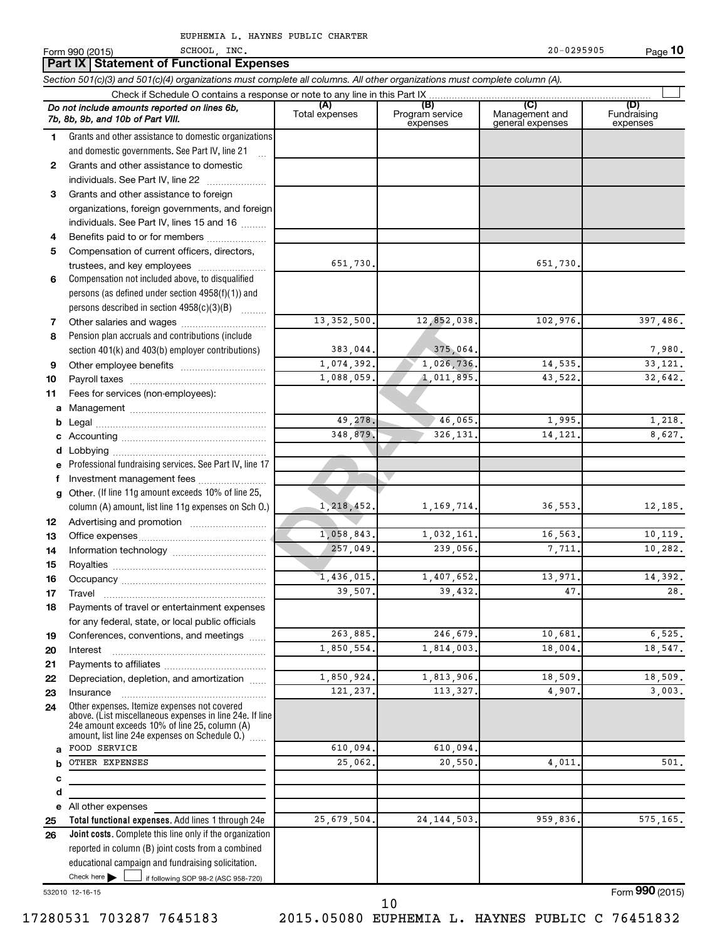13, 352, 500.<br>
12, 852, 038.<br>
383, 044.<br>
1, 074, 392.<br>
1, 026, 736.<br>
1, 088, 059.<br>
49, 278.<br>
49, 278.<br>
348, 879.<br>
326, 131.<br>
1, 058, 843.<br>
1, 058, 843.<br>
1, 032, 161.<br>
257, 049.<br>
239, 056.<br>
336, 131.<br>
257, 049.<br>
239, 056.<br> **Total functional expenses.**  Add lines 1 through 24e **(A) (B) (C) (D)** Management and general expenses **1 2 3 4 5 6 7 8 9 10 11 a b c d e f g 12 13 14 15 16 17 18 19 20 21 22 23 24 a b c d e 25** *Section 501(c)(3) and 501(c)(4) organizations must complete all columns. All other organizations must complete column (A).* Grants and other assistance to domestic organizations and domestic governments. See Part IV, line 21 Compensation not included above, to disqualified persons (as defined under section 4958(f)(1)) and persons described in section  $4958(c)(3)(B)$   $\ldots$ Pension plan accruals and contributions (include section 401(k) and 403(b) employer contributions) Professional fundraising services. See Part IV, line 17 Other. (If line 11g amount exceeds 10% of line 25, column (A) amount, list line 11g expenses on Sch O.) Other expenses. Itemize expenses not covered above. (List miscellaneous expenses in line 24e. If line 24e amount exceeds 10% of line 25, column (A) amount, list line 24e expenses on Schedule O.)  $\, \, \ldots \,$ Form 990 (2015) SCHOOL , INC. 20-0295905 Page Check if Schedule O contains a response or note to any line in this Part IX Total expenses Program service expenses (D)<br>Fundraising expenses .<br>... Grants and other assistance to domestic  $individuals. See Part IV, line 22$  .......... Grants and other assistance to foreign organizations, foreign governments, and foreign individuals. See Part IV, lines 15 and 16  $\ldots$ Benefits paid to or for members .................... Compensation of current officers, directors, trustees, and key employees ........................ Other salaries and wages ~~~~~~~~~~ Other employee benefits ~~~~~~~~~~ Payroll taxes ~~~~~~~~~~~~~~~~ Fees for services (non-employees): Management ~~~~~~~~~~~~~~~~ Legal ~~~~~~~~~~~~~~~~~~~~ Accounting ~~~~~~~~~~~~~~~~~ Lobbying ~~~~~~~~~~~~~~~~~~ Investment management fees ....................... Advertising and promotion ........................... Office expenses ~~~~~~~~~~~~~~~ Information technology ~~~~~~~~~~~ Royalties ~~~~~~~~~~~~~~~~~~ Occupancy ~~~~~~~~~~~~~~~~~ Travel …………………………………………………… Payments of travel or entertainment expenses for any federal, state, or local public officials Conferences, conventions, and meetings Interest ~~~~~~~~~~~~~~~~~~ Payments to affiliates ~~~~~~~~~~~~ Depreciation, depletion, and amortization ...... Insurance ~~~~~~~~~~~~~~~~~ All other expenses *Do not include amounts reported on lines 6b, 7b, 8b, 9b, and 10b of Part VIII.* **10 Part IX Statement of Functional Expenses**  $\Box$ SCHOOL, INC. 20-0295905 651,730. 651,730. 13,352,500. 12,852,038. 102,976. 397,486. 383,044. 375,064. 7,980. 1,074,392. 1,026,736. 14,535. 33,121. 1,088,059. 1,011,895. 43,522. 32,642. **49, 278.** 46, 065. 1,995. 1,218. 348,879. 326,131. 14,121. 8,627. 1,218,452. 1,169,714. 36,553. 12,185. 1,058,843. 1,032,161. 16,563. 10,119. 257,049. 239,056. 7,711. 10,282. 1,436,015. 1,407,652. 13,971. 14,392.  $39,507.$   $39,432.$   $47.$   $28.$ 263,885. 246,679. 10,681. 6,525. 1,850,554. 1,814,003. 18,004. 18,547. 1,850,924. 1,813,906. 18,509. 18,509. 121,237. 113,327. 4,907. 3,003. FOOD SERVICE 610,094. 610,094. OTHER EXPENSES 61. 25,062. 20,550. 20,550. 20,000 4,011. 25,679,504. 24,144,503. 959,836. 575,165.

17280531 703287 7645183 2015.05080 EUPHEMIA L. HAYNES PUBLIC C 76451832

532010 12-16-15

Check here  $\blacktriangleright$  |

**26**

Check here  $\begin{array}{c} \begin{array}{|c} \hline \end{array} \end{array}$  if following SOP 98-2 (ASC 958-720)

reported in column (B) joint costs from a combined educational campaign and fundraising solicitation.

**Joint costs.** Complete this line only if the organization

10

Form (2015) **990**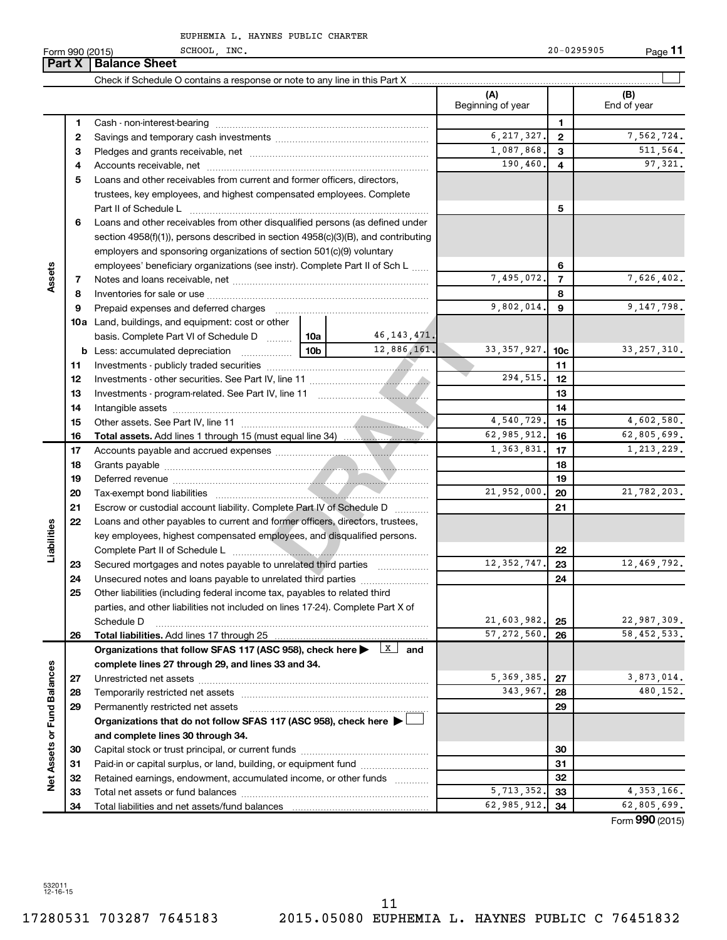SCHOOL, INC. 20-0295905

 $\blacksquare$  Form 990 (2015)  $\blacksquare$   $\blacksquare$   $\blacksquare$   $\blacksquare$   $\blacksquare$   $\blacksquare$   $\blacksquare$   $\blacksquare$   $\blacksquare$   $\blacksquare$   $\blacksquare$   $\blacksquare$   $\blacksquare$   $\blacksquare$   $\blacksquare$   $\blacksquare$   $\blacksquare$   $\blacksquare$   $\blacksquare$   $\blacksquare$   $\blacksquare$   $\blacksquare$   $\blacksquare$   $\blacksquare$   $\blacksquare$   $\blacksquare$   $\blacksquare$   $\blacksquare$   $\$ 

**11**

|                             | Part X | <b>Balance Sheet</b>                                                              |                 |                         |                          |                 |                    |
|-----------------------------|--------|-----------------------------------------------------------------------------------|-----------------|-------------------------|--------------------------|-----------------|--------------------|
|                             |        |                                                                                   |                 |                         |                          |                 |                    |
|                             |        |                                                                                   |                 |                         | (A)<br>Beginning of year |                 | (B)<br>End of year |
|                             | 1      |                                                                                   |                 | 1                       |                          |                 |                    |
|                             | 2      |                                                                                   |                 |                         | 6, 217, 327.             | $\mathbf{2}$    | 7,562,724.         |
|                             | З      |                                                                                   |                 |                         | 1,087,868.               | 3               | 511,564.           |
|                             | 4      |                                                                                   |                 |                         | 190, 460.                | 4               | 97,321.            |
|                             | 5      | Loans and other receivables from current and former officers, directors,          |                 |                         |                          |                 |                    |
|                             |        | trustees, key employees, and highest compensated employees. Complete              |                 |                         |                          |                 |                    |
|                             |        | Part II of Schedule L                                                             |                 |                         |                          | 5               |                    |
|                             | 6      | Loans and other receivables from other disqualified persons (as defined under     |                 |                         |                          |                 |                    |
|                             |        | section 4958(f)(1)), persons described in section 4958(c)(3)(B), and contributing |                 |                         |                          |                 |                    |
|                             |        | employers and sponsoring organizations of section 501(c)(9) voluntary             |                 |                         |                          |                 |                    |
|                             |        | employees' beneficiary organizations (see instr). Complete Part II of Sch L       |                 |                         |                          | 6               |                    |
| Assets                      | 7      |                                                                                   |                 |                         | 7,495,072.               | 7               | 7,626,402.         |
|                             | 8      |                                                                                   |                 |                         |                          | 8               |                    |
|                             | 9      | Prepaid expenses and deferred charges                                             |                 |                         | 9,802,014.               | 9               | 9,147,798.         |
|                             |        | <b>10a</b> Land, buildings, and equipment: cost or other                          |                 |                         |                          |                 |                    |
|                             |        | basis. Complete Part VI of Schedule D                                             | 10a             | 46,143,471.             |                          |                 |                    |
|                             |        | <b>b</b> Less: accumulated depreciation<br>$\ldots \ldots \ldots \ldots$          | 10 <sub>b</sub> | 12,886,161.             | 33, 357, 927.            | 10 <sub>c</sub> | 33, 257, 310.      |
|                             | 11     |                                                                                   |                 |                         |                          | 11              |                    |
|                             | 12     |                                                                                   |                 |                         | 294,515.                 | 12              |                    |
|                             | 13     |                                                                                   |                 | 13                      |                          |                 |                    |
|                             | 14     |                                                                                   |                 | 14                      |                          |                 |                    |
|                             | 15     |                                                                                   | 4,540,729.      | 15                      | 4,602,580.               |                 |                    |
|                             | 16     |                                                                                   | 62,985,912.     | 16                      | 62,805,699.              |                 |                    |
|                             | 17     |                                                                                   |                 | 1,363,831.              | 17                       | 1, 213, 229.    |                    |
|                             | 18     |                                                                                   |                 |                         | 18                       |                 |                    |
|                             | 19     |                                                                                   |                 |                         |                          | 19              |                    |
|                             | 20     |                                                                                   |                 |                         | 21,952,000.              | 20              | 21,782,203.        |
|                             | 21     | Escrow or custodial account liability. Complete Part IV of Schedule D             |                 |                         |                          | 21              |                    |
|                             | 22     | Loans and other payables to current and former officers, directors, trustees,     |                 |                         |                          |                 |                    |
|                             |        | key employees, highest compensated employees, and disqualified persons.           |                 |                         |                          |                 |                    |
| Liabilities                 |        |                                                                                   |                 |                         |                          | 22              |                    |
|                             | 23     | Secured mortgages and notes payable to unrelated third parties                    |                 |                         | 12, 352, 747.            | 23              | 12,469,792.        |
|                             | 24     | Unsecured notes and loans payable to unrelated third parties                      |                 |                         |                          | 24              |                    |
|                             | 25     | Other liabilities (including federal income tax, payables to related third        |                 |                         |                          |                 |                    |
|                             |        | parties, and other liabilities not included on lines 17-24). Complete Part X of   |                 |                         |                          |                 |                    |
|                             |        | Schedule D                                                                        |                 |                         | 21,603,982.              | 25              | 22,987,309.        |
|                             | 26     | Total liabilities. Add lines 17 through 25                                        |                 |                         | 57, 272, 560.            | 26              | 58,452,533.        |
|                             |        | Organizations that follow SFAS 117 (ASC 958), check here                          |                 | $\lfloor x \rfloor$ and |                          |                 |                    |
|                             |        | complete lines 27 through 29, and lines 33 and 34.                                |                 |                         |                          |                 |                    |
|                             | 27     |                                                                                   |                 |                         | 5, 369, 385.             | 27              | 3,873,014.         |
|                             | 28     |                                                                                   |                 |                         | 343,967.                 | 28              | 480,152.           |
|                             | 29     | Permanently restricted net assets                                                 |                 |                         |                          | 29              |                    |
|                             |        | Organizations that do not follow SFAS 117 (ASC 958), check here ▶ U               |                 |                         |                          |                 |                    |
| Net Assets or Fund Balances |        | and complete lines 30 through 34.                                                 |                 |                         |                          |                 |                    |
|                             | 30     |                                                                                   |                 |                         |                          | 30              |                    |
|                             | 31     | Paid-in or capital surplus, or land, building, or equipment fund                  |                 |                         |                          | 31              |                    |
|                             | 32     | Retained earnings, endowment, accumulated income, or other funds                  |                 |                         |                          | 32              |                    |
|                             | 33     |                                                                                   |                 |                         | 5, 713, 352.             | 33              | 4, 353, 166.       |
|                             | 34     |                                                                                   |                 |                         | 62,985,912.              | 34              | 62,805,699.        |

Form (2015) **990**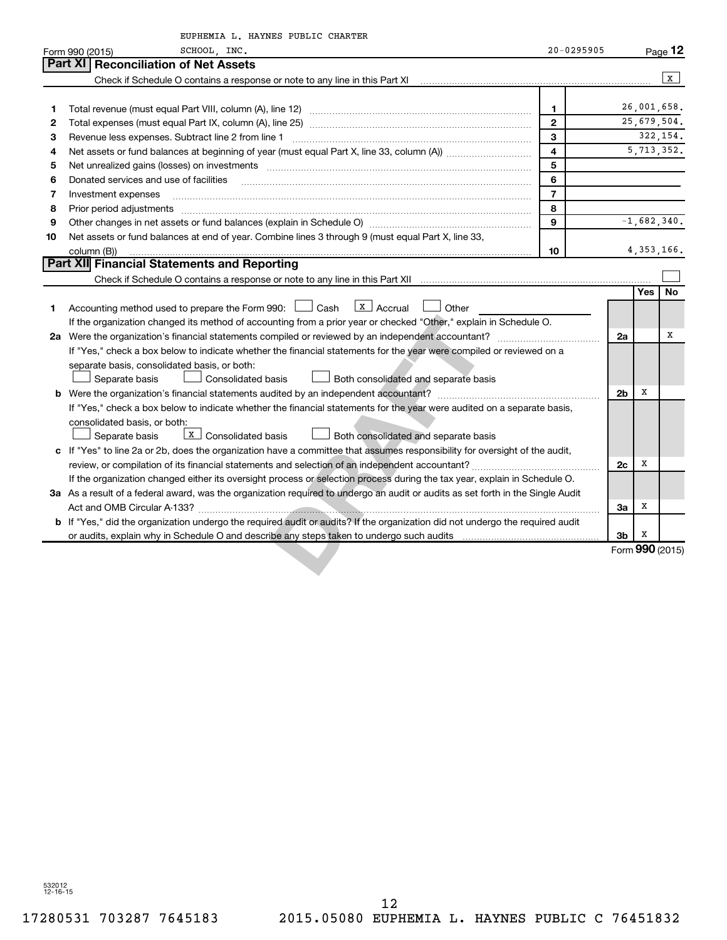|    | EUPHEMIA L. HAYNES PUBLIC CHARTER                                                                                               |                         |                |            |                 |
|----|---------------------------------------------------------------------------------------------------------------------------------|-------------------------|----------------|------------|-----------------|
|    | SCHOOL INC.<br>Form 990 (2015)                                                                                                  | $20 - 0295905$          |                |            | Page 12         |
|    | Part XI   Reconciliation of Net Assets                                                                                          |                         |                |            | $\mathbf{x}$    |
|    |                                                                                                                                 |                         |                |            |                 |
| 1  | Total revenue (must equal Part VIII, column (A), line 12)                                                                       | $\mathbf{1}$            |                |            | 26,001,658.     |
| 2  |                                                                                                                                 | $\mathbf{2}$            |                |            | 25,679,504.     |
| 3  | Revenue less expenses. Subtract line 2 from line 1                                                                              | 3                       |                |            | 322,154.        |
| 4  |                                                                                                                                 | $\overline{\mathbf{4}}$ |                |            | 5,713,352.      |
| 5  |                                                                                                                                 | 5                       |                |            |                 |
| 6  | Donated services and use of facilities                                                                                          | 6                       |                |            |                 |
| 7  | Investment expenses                                                                                                             | $\overline{7}$          |                |            |                 |
| 8  |                                                                                                                                 | 8                       |                |            |                 |
| 9  |                                                                                                                                 | 9                       |                |            | $-1,682,340.$   |
| 10 | Net assets or fund balances at end of year. Combine lines 3 through 9 (must equal Part X, line 33,                              |                         |                |            |                 |
|    | column (B))                                                                                                                     | 10                      |                |            | 4, 353, 166.    |
|    | Part XII Financial Statements and Reporting                                                                                     |                         |                |            |                 |
|    |                                                                                                                                 |                         |                |            |                 |
| 1  | $\lfloor x \rfloor$ Accrual<br>Accounting method used to prepare the Form 990: [130] Cash<br>Other                              |                         |                | <b>Yes</b> | No              |
|    | If the organization changed its method of accounting from a prior year or checked "Other," explain in Schedule O.               |                         |                |            |                 |
|    |                                                                                                                                 |                         | 2a             |            | X               |
|    | If "Yes," check a box below to indicate whether the financial statements for the year were compiled or reviewed on a            |                         |                |            |                 |
|    | separate basis, consolidated basis, or both:                                                                                    |                         |                |            |                 |
|    | Separate basis<br>Consolidated basis<br>Both consolidated and separate basis                                                    |                         |                |            |                 |
|    |                                                                                                                                 |                         | 2 <sub>b</sub> | X          |                 |
|    | If "Yes," check a box below to indicate whether the financial statements for the year were audited on a separate basis,         |                         |                |            |                 |
|    | consolidated basis, or both:                                                                                                    |                         |                |            |                 |
|    | $\boxed{\textbf{X}}$ Consolidated basis<br>Separate basis<br>Both consolidated and separate basis                               |                         |                |            |                 |
|    | c If "Yes" to line 2a or 2b, does the organization have a committee that assumes responsibility for oversight of the audit,     |                         |                |            |                 |
|    |                                                                                                                                 |                         | 2c             | х          |                 |
|    | If the organization changed either its oversight process or selection process during the tax year, explain in Schedule O.       |                         |                |            |                 |
|    | 3a As a result of a federal award, was the organization required to undergo an audit or audits as set forth in the Single Audit |                         |                |            |                 |
|    |                                                                                                                                 |                         | За             | х          |                 |
|    | b If "Yes," did the organization undergo the required audit or audits? If the organization did not undergo the required audit   |                         |                |            |                 |
|    |                                                                                                                                 |                         | 3b             | х          |                 |
|    |                                                                                                                                 |                         |                |            | Form 990 (2015) |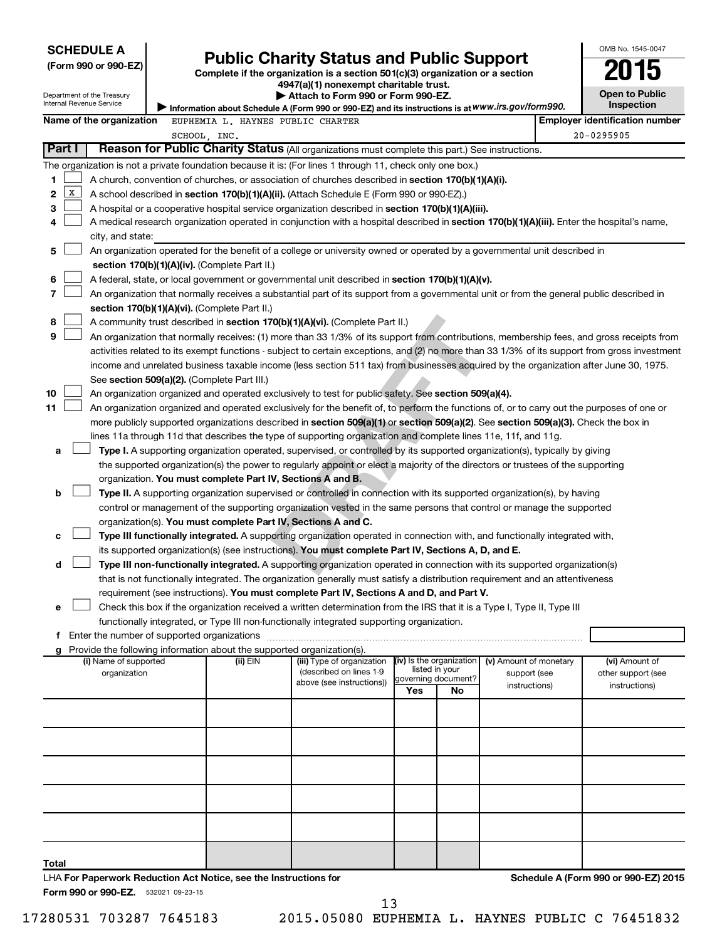| <b>SCHEDULE A</b>                                                                                                                                                                                  |  |                                                               |                                                                                                                                                                                                                                                                                        |                          |                     |                                        |  | OMB No. 1545-0047                     |
|----------------------------------------------------------------------------------------------------------------------------------------------------------------------------------------------------|--|---------------------------------------------------------------|----------------------------------------------------------------------------------------------------------------------------------------------------------------------------------------------------------------------------------------------------------------------------------------|--------------------------|---------------------|----------------------------------------|--|---------------------------------------|
| <b>Public Charity Status and Public Support</b><br>(Form 990 or 990-EZ)<br>Complete if the organization is a section 501(c)(3) organization or a section<br>4947(a)(1) nonexempt charitable trust. |  |                                                               |                                                                                                                                                                                                                                                                                        |                          |                     |                                        |  |                                       |
|                                                                                                                                                                                                    |  |                                                               |                                                                                                                                                                                                                                                                                        |                          |                     |                                        |  |                                       |
| Department of the Treasury                                                                                                                                                                         |  |                                                               | Attach to Form 990 or Form 990-EZ.                                                                                                                                                                                                                                                     |                          |                     |                                        |  | <b>Open to Public</b>                 |
| Internal Revenue Service                                                                                                                                                                           |  |                                                               | Information about Schedule A (Form 990 or 990-EZ) and its instructions is at WWW.irs.gov/form990.                                                                                                                                                                                      |                          |                     |                                        |  | Inspection                            |
| Name of the organization                                                                                                                                                                           |  | EUPHEMIA L. HAYNES PUBLIC CHARTER                             |                                                                                                                                                                                                                                                                                        |                          |                     |                                        |  | <b>Employer identification number</b> |
|                                                                                                                                                                                                    |  | SCHOOL, INC.                                                  |                                                                                                                                                                                                                                                                                        |                          |                     |                                        |  | 20-0295905                            |
| Part I                                                                                                                                                                                             |  |                                                               | Reason for Public Charity Status (All organizations must complete this part.) See instructions.                                                                                                                                                                                        |                          |                     |                                        |  |                                       |
| The organization is not a private foundation because it is: (For lines 1 through 11, check only one box.)                                                                                          |  |                                                               |                                                                                                                                                                                                                                                                                        |                          |                     |                                        |  |                                       |
| 1                                                                                                                                                                                                  |  |                                                               | A church, convention of churches, or association of churches described in <b>section 170(b)(1)(A)(i).</b>                                                                                                                                                                              |                          |                     |                                        |  |                                       |
| x<br>2                                                                                                                                                                                             |  |                                                               | A school described in section 170(b)(1)(A)(ii). (Attach Schedule E (Form 990 or 990-EZ).)                                                                                                                                                                                              |                          |                     |                                        |  |                                       |
| 3                                                                                                                                                                                                  |  |                                                               | A hospital or a cooperative hospital service organization described in section 170(b)(1)(A)(iii).                                                                                                                                                                                      |                          |                     |                                        |  |                                       |
| 4                                                                                                                                                                                                  |  |                                                               | A medical research organization operated in conjunction with a hospital described in section 170(b)(1)(A)(iii). Enter the hospital's name,                                                                                                                                             |                          |                     |                                        |  |                                       |
| city, and state:                                                                                                                                                                                   |  |                                                               |                                                                                                                                                                                                                                                                                        |                          |                     |                                        |  |                                       |
| 5                                                                                                                                                                                                  |  |                                                               | An organization operated for the benefit of a college or university owned or operated by a governmental unit described in                                                                                                                                                              |                          |                     |                                        |  |                                       |
|                                                                                                                                                                                                    |  | section 170(b)(1)(A)(iv). (Complete Part II.)                 |                                                                                                                                                                                                                                                                                        |                          |                     |                                        |  |                                       |
| 6                                                                                                                                                                                                  |  |                                                               | A federal, state, or local government or governmental unit described in section 170(b)(1)(A)(v).                                                                                                                                                                                       |                          |                     |                                        |  |                                       |
| 7                                                                                                                                                                                                  |  |                                                               | An organization that normally receives a substantial part of its support from a governmental unit or from the general public described in                                                                                                                                              |                          |                     |                                        |  |                                       |
| 8                                                                                                                                                                                                  |  | section 170(b)(1)(A)(vi). (Complete Part II.)                 | A community trust described in section 170(b)(1)(A)(vi). (Complete Part II.)                                                                                                                                                                                                           |                          |                     |                                        |  |                                       |
| 9                                                                                                                                                                                                  |  |                                                               |                                                                                                                                                                                                                                                                                        |                          |                     |                                        |  |                                       |
|                                                                                                                                                                                                    |  |                                                               | An organization that normally receives: (1) more than 33 1/3% of its support from contributions, membership fees, and gross receipts from                                                                                                                                              |                          |                     |                                        |  |                                       |
|                                                                                                                                                                                                    |  |                                                               | activities related to its exempt functions - subject to certain exceptions, and (2) no more than 33 1/3% of its support from gross investment<br>income and unrelated business taxable income (less section 511 tax) from businesses acquired by the organization after June 30, 1975. |                          |                     |                                        |  |                                       |
|                                                                                                                                                                                                    |  | See section 509(a)(2). (Complete Part III.)                   |                                                                                                                                                                                                                                                                                        |                          |                     |                                        |  |                                       |
| 10                                                                                                                                                                                                 |  |                                                               | An organization organized and operated exclusively to test for public safety. See section 509(a)(4).                                                                                                                                                                                   |                          |                     |                                        |  |                                       |
| 11                                                                                                                                                                                                 |  |                                                               | An organization organized and operated exclusively for the benefit of, to perform the functions of, or to carry out the purposes of one or                                                                                                                                             |                          |                     |                                        |  |                                       |
|                                                                                                                                                                                                    |  |                                                               | more publicly supported organizations described in section 509(a)(1) or section 509(a)(2). See section 509(a)(3). Check the box in                                                                                                                                                     |                          |                     |                                        |  |                                       |
|                                                                                                                                                                                                    |  |                                                               | lines 11a through 11d that describes the type of supporting organization and complete lines 11e, 11f, and 11g.                                                                                                                                                                         |                          |                     |                                        |  |                                       |
| а                                                                                                                                                                                                  |  |                                                               | Type I. A supporting organization operated, supervised, or controlled by its supported organization(s), typically by giving                                                                                                                                                            |                          |                     |                                        |  |                                       |
|                                                                                                                                                                                                    |  |                                                               | the supported organization(s) the power to regularly appoint or elect a majority of the directors or trustees of the supporting                                                                                                                                                        |                          |                     |                                        |  |                                       |
|                                                                                                                                                                                                    |  | organization. You must complete Part IV, Sections A and B.    |                                                                                                                                                                                                                                                                                        |                          |                     |                                        |  |                                       |
| b                                                                                                                                                                                                  |  |                                                               | Type II. A supporting organization supervised or controlled in connection with its supported organization(s), by having                                                                                                                                                                |                          |                     |                                        |  |                                       |
|                                                                                                                                                                                                    |  |                                                               | control or management of the supporting organization vested in the same persons that control or manage the supported                                                                                                                                                                   |                          |                     |                                        |  |                                       |
|                                                                                                                                                                                                    |  | organization(s). You must complete Part IV, Sections A and C. |                                                                                                                                                                                                                                                                                        |                          |                     |                                        |  |                                       |
| с                                                                                                                                                                                                  |  |                                                               | Type III functionally integrated. A supporting organization operated in connection with, and functionally integrated with,                                                                                                                                                             |                          |                     |                                        |  |                                       |
|                                                                                                                                                                                                    |  |                                                               | its supported organization(s) (see instructions). You must complete Part IV, Sections A, D, and E.                                                                                                                                                                                     |                          |                     |                                        |  |                                       |
| d                                                                                                                                                                                                  |  |                                                               | Type III non-functionally integrated. A supporting organization operated in connection with its supported organization(s)                                                                                                                                                              |                          |                     |                                        |  |                                       |
|                                                                                                                                                                                                    |  |                                                               | that is not functionally integrated. The organization generally must satisfy a distribution requirement and an attentiveness                                                                                                                                                           |                          |                     |                                        |  |                                       |
|                                                                                                                                                                                                    |  |                                                               | requirement (see instructions). You must complete Part IV, Sections A and D, and Part V.                                                                                                                                                                                               |                          |                     |                                        |  |                                       |
| е                                                                                                                                                                                                  |  |                                                               | Check this box if the organization received a written determination from the IRS that it is a Type I, Type II, Type III                                                                                                                                                                |                          |                     |                                        |  |                                       |
|                                                                                                                                                                                                    |  |                                                               | functionally integrated, or Type III non-functionally integrated supporting organization.                                                                                                                                                                                              |                          |                     |                                        |  |                                       |
|                                                                                                                                                                                                    |  |                                                               |                                                                                                                                                                                                                                                                                        |                          |                     |                                        |  |                                       |
| g Provide the following information about the supported organization(s).                                                                                                                           |  |                                                               |                                                                                                                                                                                                                                                                                        | (iv) Is the organization |                     |                                        |  |                                       |
| (i) Name of supported<br>organization                                                                                                                                                              |  | (ii) EIN                                                      | (iii) Type of organization<br>(described on lines 1-9                                                                                                                                                                                                                                  |                          | listed in your      | (v) Amount of monetary<br>support (see |  | (vi) Amount of<br>other support (see  |
|                                                                                                                                                                                                    |  |                                                               | above (see instructions))                                                                                                                                                                                                                                                              |                          | governing document? | instructions)                          |  | instructions)                         |
|                                                                                                                                                                                                    |  |                                                               |                                                                                                                                                                                                                                                                                        | Yes                      | No                  |                                        |  |                                       |
|                                                                                                                                                                                                    |  |                                                               |                                                                                                                                                                                                                                                                                        |                          |                     |                                        |  |                                       |
|                                                                                                                                                                                                    |  |                                                               |                                                                                                                                                                                                                                                                                        |                          |                     |                                        |  |                                       |
|                                                                                                                                                                                                    |  |                                                               |                                                                                                                                                                                                                                                                                        |                          |                     |                                        |  |                                       |
|                                                                                                                                                                                                    |  |                                                               |                                                                                                                                                                                                                                                                                        |                          |                     |                                        |  |                                       |
|                                                                                                                                                                                                    |  |                                                               |                                                                                                                                                                                                                                                                                        |                          |                     |                                        |  |                                       |
|                                                                                                                                                                                                    |  |                                                               |                                                                                                                                                                                                                                                                                        |                          |                     |                                        |  |                                       |
|                                                                                                                                                                                                    |  |                                                               |                                                                                                                                                                                                                                                                                        |                          |                     |                                        |  |                                       |
|                                                                                                                                                                                                    |  |                                                               |                                                                                                                                                                                                                                                                                        |                          |                     |                                        |  |                                       |
|                                                                                                                                                                                                    |  |                                                               |                                                                                                                                                                                                                                                                                        |                          |                     |                                        |  |                                       |
|                                                                                                                                                                                                    |  |                                                               |                                                                                                                                                                                                                                                                                        |                          |                     |                                        |  |                                       |
| Total                                                                                                                                                                                              |  |                                                               |                                                                                                                                                                                                                                                                                        |                          |                     |                                        |  |                                       |

Form 990 or 990-EZ. 532021 09-23-15 LHA **For Paperwork Reduction Act Notice, see the Instructions for** 

17280531 703287 7645183 2015.05080 EUPHEMIA L. HAYNES PUBLIC C 76451832

13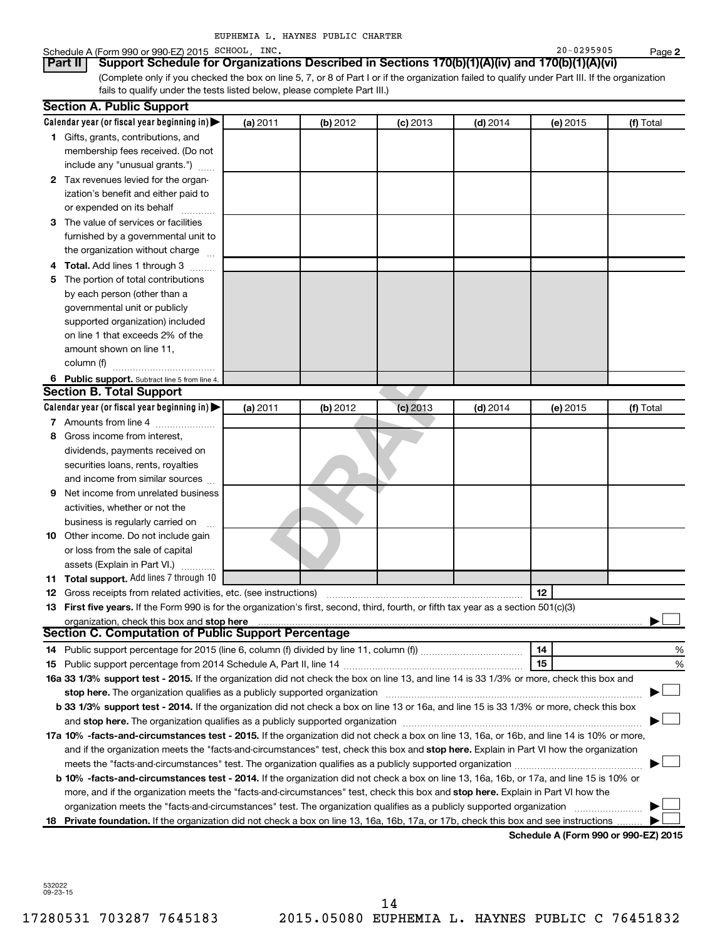| EUPHEMIA L. HAYNES PUBLIC CHARTER |  |  |
|-----------------------------------|--|--|
|                                   |  |  |

### Schedule A (Form 990 or 990-EZ) 2015 SCHOOL, INC. 20 = 20 = 20 = 20 = 20 = 20 = 0295905

**2** (Complete only if you checked the box on line 5, 7, or 8 of Part I or if the organization failed to qualify under Part III. If the organization fails to qualify under the tests listed below, please complete Part III.) **Part II Support Schedule for Organizations Described in Sections 170(b)(1)(A)(iv) and 170(b)(1)(A)(vi)**

|   | <b>Section A. Public Support</b>                                                                                                               |          |          |            |            |          |           |
|---|------------------------------------------------------------------------------------------------------------------------------------------------|----------|----------|------------|------------|----------|-----------|
|   | Calendar year (or fiscal year beginning in)                                                                                                    | (a) 2011 | (b) 2012 | $(c)$ 2013 | $(d)$ 2014 | (e) 2015 | (f) Total |
|   | 1 Gifts, grants, contributions, and                                                                                                            |          |          |            |            |          |           |
|   | membership fees received. (Do not                                                                                                              |          |          |            |            |          |           |
|   | include any "unusual grants.")                                                                                                                 |          |          |            |            |          |           |
|   | 2 Tax revenues levied for the organ-                                                                                                           |          |          |            |            |          |           |
|   | ization's benefit and either paid to                                                                                                           |          |          |            |            |          |           |
|   | or expended on its behalf                                                                                                                      |          |          |            |            |          |           |
|   | 3 The value of services or facilities                                                                                                          |          |          |            |            |          |           |
|   | furnished by a governmental unit to                                                                                                            |          |          |            |            |          |           |
|   | the organization without charge                                                                                                                |          |          |            |            |          |           |
| 4 | <b>Total.</b> Add lines 1 through 3                                                                                                            |          |          |            |            |          |           |
| 5 | The portion of total contributions                                                                                                             |          |          |            |            |          |           |
|   | by each person (other than a                                                                                                                   |          |          |            |            |          |           |
|   | governmental unit or publicly                                                                                                                  |          |          |            |            |          |           |
|   | supported organization) included                                                                                                               |          |          |            |            |          |           |
|   | on line 1 that exceeds 2% of the                                                                                                               |          |          |            |            |          |           |
|   | amount shown on line 11,                                                                                                                       |          |          |            |            |          |           |
|   | column (f)                                                                                                                                     |          |          |            |            |          |           |
|   | 6 Public support. Subtract line 5 from line 4.                                                                                                 |          |          |            |            |          |           |
|   | <b>Section B. Total Support</b>                                                                                                                |          |          |            |            |          |           |
|   | Calendar year (or fiscal year beginning in)                                                                                                    | (a) 2011 | (b) 2012 | $(c)$ 2013 | $(d)$ 2014 | (e) 2015 | (f) Total |
|   | 7 Amounts from line 4                                                                                                                          |          |          |            |            |          |           |
| 8 | Gross income from interest,                                                                                                                    |          |          |            |            |          |           |
|   | dividends, payments received on                                                                                                                |          |          |            |            |          |           |
|   | securities loans, rents, royalties                                                                                                             |          |          |            |            |          |           |
|   | and income from similar sources                                                                                                                |          |          |            |            |          |           |
| 9 | Net income from unrelated business                                                                                                             |          |          |            |            |          |           |
|   | activities, whether or not the                                                                                                                 |          |          |            |            |          |           |
|   | business is regularly carried on                                                                                                               |          |          |            |            |          |           |
|   | 10 Other income. Do not include gain                                                                                                           |          |          |            |            |          |           |
|   | or loss from the sale of capital                                                                                                               |          |          |            |            |          |           |
|   | assets (Explain in Part VI.)                                                                                                                   |          |          |            |            |          |           |
|   | <b>11 Total support.</b> Add lines 7 through 10                                                                                                |          |          |            |            |          |           |
|   | <b>12</b> Gross receipts from related activities, etc. (see instructions)                                                                      |          |          |            |            | 12       |           |
|   | 13 First five years. If the Form 990 is for the organization's first, second, third, fourth, or fifth tax year as a section 501(c)(3)          |          |          |            |            |          |           |
|   | organization, check this box and stop here                                                                                                     |          |          |            |            |          |           |
|   | <b>Section C. Computation of Public Support Percentage</b>                                                                                     |          |          |            |            |          |           |
|   |                                                                                                                                                |          |          |            |            | 14       | %         |
|   |                                                                                                                                                |          |          |            |            | 15       | %         |
|   | 16a 33 1/3% support test - 2015. If the organization did not check the box on line 13, and line 14 is 33 1/3% or more, check this box and      |          |          |            |            |          |           |
|   |                                                                                                                                                |          |          |            |            |          |           |
|   | b 33 1/3% support test - 2014. If the organization did not check a box on line 13 or 16a, and line 15 is 33 1/3% or more, check this box       |          |          |            |            |          |           |
|   |                                                                                                                                                |          |          |            |            |          |           |
|   | 17a 10% -facts-and-circumstances test - 2015. If the organization did not check a box on line 13, 16a, or 16b, and line 14 is 10% or more,     |          |          |            |            |          |           |
|   | and if the organization meets the "facts-and-circumstances" test, check this box and stop here. Explain in Part VI how the organization        |          |          |            |            |          |           |
|   |                                                                                                                                                |          |          |            |            |          |           |
|   | <b>b 10%</b> -facts-and-circumstances test - 2014. If the organization did not check a box on line 13, 16a, 16b, or 17a, and line 15 is 10% or |          |          |            |            |          |           |
|   | more, and if the organization meets the "facts-and-circumstances" test, check this box and stop here. Explain in Part VI how the               |          |          |            |            |          |           |
|   | organization meets the "facts-and-circumstances" test. The organization qualifies as a publicly supported organization                         |          |          |            |            |          |           |
|   | 18 Private foundation. If the organization did not check a box on line 13, 16a, 16b, 17a, or 17b, check this box and see instructions.         |          |          |            |            |          |           |

**Schedule A (Form 990 or 990-EZ) 2015**

532022 09-23-15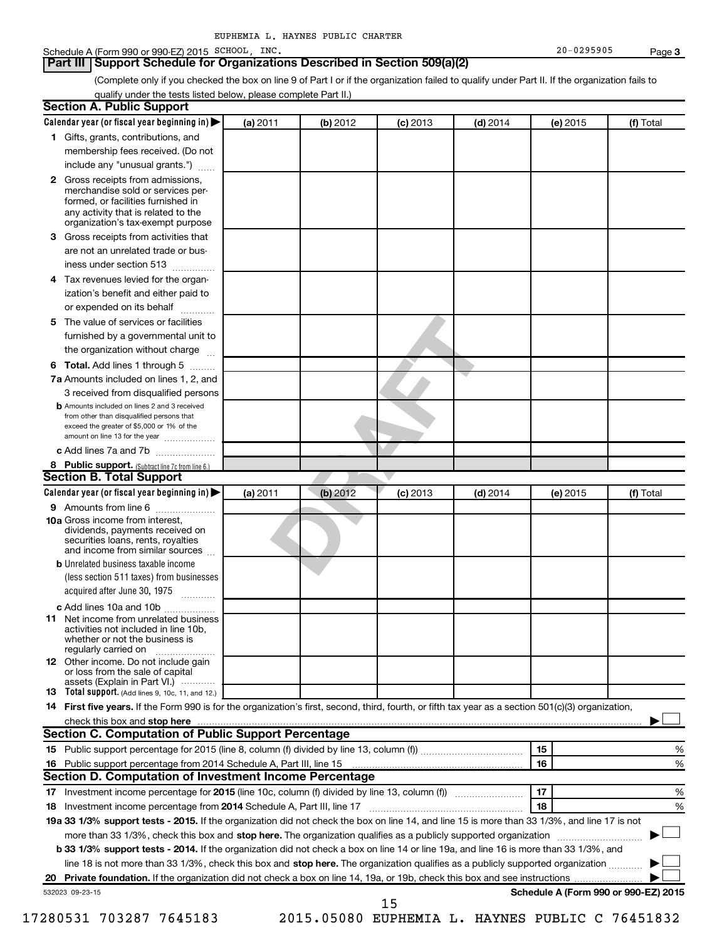### Schedule A (Form 990 or 990-EZ) 2015 SCHOOL, INC. 20 = 20 = 20 = 20 = 20 = 20 = 0295905

### **Part III Support Schedule for Organizations Described in Section 509(a)(2)**

(Complete only if you checked the box on line 9 of Part I or if the organization failed to qualify under Part II. If the organization fails to qualify under the tests listed below, please complete Part II.)

|     | <b>Section A. Public Support</b>                                                                                                                                                                                                    |          |          |            |            |          |                                      |
|-----|-------------------------------------------------------------------------------------------------------------------------------------------------------------------------------------------------------------------------------------|----------|----------|------------|------------|----------|--------------------------------------|
|     | Calendar year (or fiscal year beginning in)                                                                                                                                                                                         | (a) 2011 | (b) 2012 | $(c)$ 2013 | $(d)$ 2014 | (e) 2015 | (f) Total                            |
|     | 1 Gifts, grants, contributions, and                                                                                                                                                                                                 |          |          |            |            |          |                                      |
|     | membership fees received. (Do not                                                                                                                                                                                                   |          |          |            |            |          |                                      |
|     | include any "unusual grants.")                                                                                                                                                                                                      |          |          |            |            |          |                                      |
|     | 2 Gross receipts from admissions,<br>merchandise sold or services per-<br>formed, or facilities furnished in<br>any activity that is related to the                                                                                 |          |          |            |            |          |                                      |
|     | organization's tax-exempt purpose                                                                                                                                                                                                   |          |          |            |            |          |                                      |
|     | <b>3</b> Gross receipts from activities that                                                                                                                                                                                        |          |          |            |            |          |                                      |
|     | are not an unrelated trade or bus-                                                                                                                                                                                                  |          |          |            |            |          |                                      |
|     | iness under section 513                                                                                                                                                                                                             |          |          |            |            |          |                                      |
|     | 4 Tax revenues levied for the organ-                                                                                                                                                                                                |          |          |            |            |          |                                      |
|     | ization's benefit and either paid to<br>or expended on its behalf                                                                                                                                                                   |          |          |            |            |          |                                      |
|     | 5 The value of services or facilities                                                                                                                                                                                               |          |          |            |            |          |                                      |
|     | furnished by a governmental unit to                                                                                                                                                                                                 |          |          |            |            |          |                                      |
|     | the organization without charge                                                                                                                                                                                                     |          |          |            |            |          |                                      |
|     | <b>6 Total.</b> Add lines 1 through 5                                                                                                                                                                                               |          |          |            |            |          |                                      |
|     | 7a Amounts included on lines 1, 2, and                                                                                                                                                                                              |          |          |            |            |          |                                      |
|     | 3 received from disqualified persons                                                                                                                                                                                                |          |          |            |            |          |                                      |
|     | <b>b</b> Amounts included on lines 2 and 3 received<br>from other than disqualified persons that<br>exceed the greater of \$5,000 or 1% of the<br>amount on line 13 for the year                                                    |          |          |            |            |          |                                      |
|     | c Add lines 7a and 7b                                                                                                                                                                                                               |          |          |            |            |          |                                      |
|     | 8 Public support. (Subtract line 7c from line 6.)                                                                                                                                                                                   |          |          |            |            |          |                                      |
|     | <b>Section B. Total Support</b>                                                                                                                                                                                                     |          |          |            |            |          |                                      |
|     | Calendar year (or fiscal year beginning in)                                                                                                                                                                                         | (a) 2011 | (b) 2012 | $(c)$ 2013 | $(d)$ 2014 | (e) 2015 | (f) Total                            |
|     | <b>9</b> Amounts from line 6                                                                                                                                                                                                        |          |          |            |            |          |                                      |
|     | <b>10a</b> Gross income from interest,<br>dividends, payments received on<br>securities loans, rents, royalties<br>and income from similar sources                                                                                  |          |          |            |            |          |                                      |
|     | <b>b</b> Unrelated business taxable income                                                                                                                                                                                          |          |          |            |            |          |                                      |
|     | (less section 511 taxes) from businesses                                                                                                                                                                                            |          |          |            |            |          |                                      |
|     | acquired after June 30, 1975<br>$\mathcal{L}$ . The contract of $\mathcal{L}$                                                                                                                                                       |          |          |            |            |          |                                      |
|     | c Add lines 10a and 10b                                                                                                                                                                                                             |          |          |            |            |          |                                      |
| 11. | Net income from unrelated business<br>activities not included in line 10b.<br>whether or not the business is<br>regularly carried on                                                                                                |          |          |            |            |          |                                      |
|     | <b>12</b> Other income. Do not include gain<br>or loss from the sale of capital<br>assets (Explain in Part VI.)                                                                                                                     |          |          |            |            |          |                                      |
|     | <b>13</b> Total support. (Add lines 9, 10c, 11, and 12.)                                                                                                                                                                            |          |          |            |            |          |                                      |
|     | 14 First five years. If the Form 990 is for the organization's first, second, third, fourth, or fifth tax year as a section 501(c)(3) organization,                                                                                 |          |          |            |            |          |                                      |
|     | check this box and stop here <i>manufacture and content to the state of the state and stop here</i> and stop here and stop here and stop the state of the state of the state of the state of the state of the state of the state of |          |          |            |            |          |                                      |
|     | Section C. Computation of Public Support Percentage                                                                                                                                                                                 |          |          |            |            |          |                                      |
|     |                                                                                                                                                                                                                                     |          |          |            |            | 15       | ℅                                    |
|     | 16 Public support percentage from 2014 Schedule A, Part III, line 15                                                                                                                                                                |          |          |            |            | 16       | %                                    |
|     | Section D. Computation of Investment Income Percentage                                                                                                                                                                              |          |          |            |            |          |                                      |
|     |                                                                                                                                                                                                                                     |          |          |            |            | 17       | %                                    |
|     | 18 Investment income percentage from 2014 Schedule A, Part III, line 17                                                                                                                                                             |          |          |            |            | 18       | %                                    |
|     | 19a 33 1/3% support tests - 2015. If the organization did not check the box on line 14, and line 15 is more than 33 1/3%, and line 17 is not                                                                                        |          |          |            |            |          |                                      |
|     | more than 33 1/3%, check this box and stop here. The organization qualifies as a publicly supported organization                                                                                                                    |          |          |            |            |          |                                      |
|     | b 33 1/3% support tests - 2014. If the organization did not check a box on line 14 or line 19a, and line 16 is more than 33 1/3%, and                                                                                               |          |          |            |            |          |                                      |
|     | line 18 is not more than 33 1/3%, check this box and stop here. The organization qualifies as a publicly supported organization                                                                                                     |          |          |            |            |          |                                      |
|     |                                                                                                                                                                                                                                     |          |          |            |            |          |                                      |
|     | 532023 09-23-15                                                                                                                                                                                                                     |          |          |            |            |          | Schedule A (Form 990 or 990-EZ) 2015 |
|     |                                                                                                                                                                                                                                     |          |          | 15         |            |          |                                      |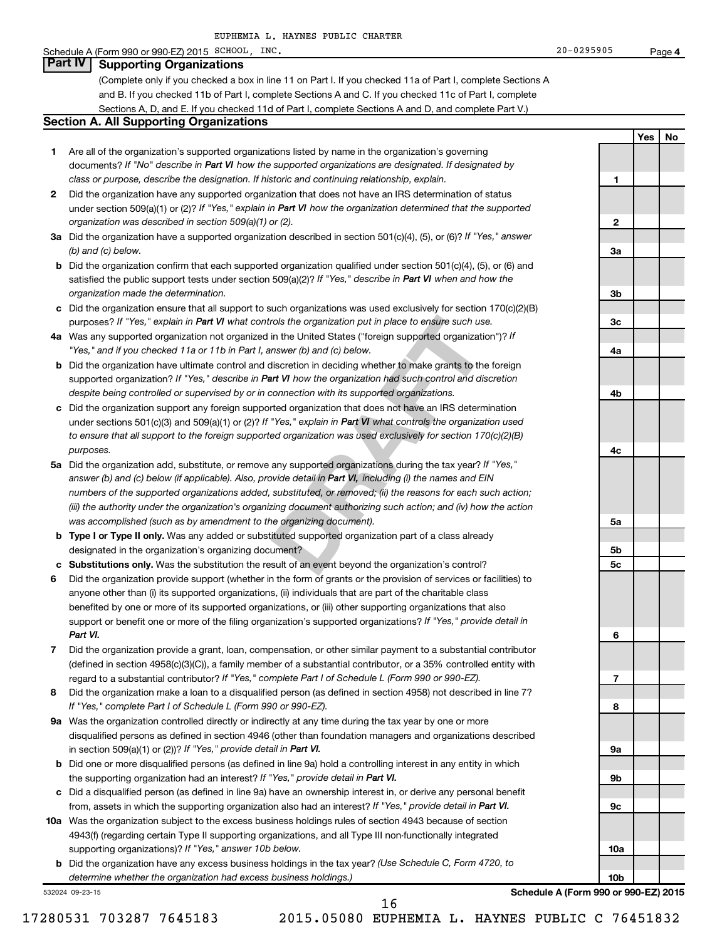### Schedule A (Form 990 or 990-EZ) 2015 SCHOOL, INC. 20 = 20 = 20 = 20 = 20 = 20 = 0295905

### **Part IV Supporting Organizations**

(Complete only if you checked a box in line 11 on Part I. If you checked 11a of Part I, complete Sections A and B. If you checked 11b of Part I, complete Sections A and C. If you checked 11c of Part I, complete Sections A, D, and E. If you checked 11d of Part I, complete Sections A and D, and complete Part V.)

### **Section A. All Supporting Organizations**

- **1** Are all of the organization's supported organizations listed by name in the organization's governing documents? If "No" describe in Part VI how the supported organizations are designated. If designated by *class or purpose, describe the designation. If historic and continuing relationship, explain.*
- **2** Did the organization have any supported organization that does not have an IRS determination of status under section 509(a)(1) or (2)? If "Yes," explain in Part VI how the organization determined that the supported *organization was described in section 509(a)(1) or (2).*
- **3a** Did the organization have a supported organization described in section 501(c)(4), (5), or (6)? If "Yes," answer *(b) and (c) below.*
- **b** Did the organization confirm that each supported organization qualified under section 501(c)(4), (5), or (6) and satisfied the public support tests under section 509(a)(2)? If "Yes," describe in Part VI when and how the *organization made the determination.*
- **c** Did the organization ensure that all support to such organizations was used exclusively for section 170(c)(2)(B) purposes? If "Yes," explain in Part VI what controls the organization put in place to ensure such use.
- **4 a** *If* Was any supported organization not organized in the United States ("foreign supported organization")? *"Yes," and if you checked 11a or 11b in Part I, answer (b) and (c) below.*
- **b** Did the organization have ultimate control and discretion in deciding whether to make grants to the foreign supported organization? If "Yes," describe in Part VI how the organization had such control and discretion *despite being controlled or supervised by or in connection with its supported organizations.*
- **c** Did the organization support any foreign supported organization that does not have an IRS determination under sections 501(c)(3) and 509(a)(1) or (2)? If "Yes," explain in Part VI what controls the organization used *to ensure that all support to the foreign supported organization was used exclusively for section 170(c)(2)(B) purposes.*
- rols the organization put in place to ensure such use.<br>
in the United States ("foreign supported organization")? If<br>
mswer (b) and (c) below.<br>
discretion in deciding whether to make grants to the foreign<br>
and **VI** how the **5a** Did the organization add, substitute, or remove any supported organizations during the tax year? If "Yes," answer (b) and (c) below (if applicable). Also, provide detail in Part VI, including (i) the names and EIN *numbers of the supported organizations added, substituted, or removed; (ii) the reasons for each such action; (iii) the authority under the organization's organizing document authorizing such action; and (iv) how the action was accomplished (such as by amendment to the organizing document).*
- **b** Type I or Type II only. Was any added or substituted supported organization part of a class already designated in the organization's organizing document?
- **c Substitutions only.**  Was the substitution the result of an event beyond the organization's control?
- **6** Did the organization provide support (whether in the form of grants or the provision of services or facilities) to support or benefit one or more of the filing organization's supported organizations? If "Yes," provide detail in anyone other than (i) its supported organizations, (ii) individuals that are part of the charitable class benefited by one or more of its supported organizations, or (iii) other supporting organizations that also *Part VI.*
- **7** Did the organization provide a grant, loan, compensation, or other similar payment to a substantial contributor regard to a substantial contributor? If "Yes," complete Part I of Schedule L (Form 990 or 990-EZ). (defined in section 4958(c)(3)(C)), a family member of a substantial contributor, or a 35% controlled entity with
- **8** Did the organization make a loan to a disqualified person (as defined in section 4958) not described in line 7? *If "Yes," complete Part I of Schedule L (Form 990 or 990-EZ).*
- **9 a** Was the organization controlled directly or indirectly at any time during the tax year by one or more in section 509(a)(1) or (2))? If "Yes," provide detail in Part VI. disqualified persons as defined in section 4946 (other than foundation managers and organizations described
- **b** Did one or more disqualified persons (as defined in line 9a) hold a controlling interest in any entity in which the supporting organization had an interest? If "Yes," provide detail in Part VI.
- **c** Did a disqualified person (as defined in line 9a) have an ownership interest in, or derive any personal benefit from, assets in which the supporting organization also had an interest? If "Yes," provide detail in Part VI.
- **10 a** Was the organization subject to the excess business holdings rules of section 4943 because of section supporting organizations)? If "Yes," answer 10b below. 4943(f) (regarding certain Type II supporting organizations, and all Type III non-functionally integrated
	- **b** Did the organization have any excess business holdings in the tax year? (Use Schedule C, Form 4720, to *determine whether the organization had excess business holdings.)*

532024 09-23-15

**6 7 8 9a 9b 9c 10a 10b**

**Schedule A (Form 990 or 990-EZ) 2015**

17280531 703287 7645183 2015.05080 EUPHEMIA L. HAYNES PUBLIC C 76451832

16

**1**

**2**

**3a**

**3b**

**3c**

**4a**

**4b**

**4c**

**5a**

**5b 5c** **4**

**Yes No**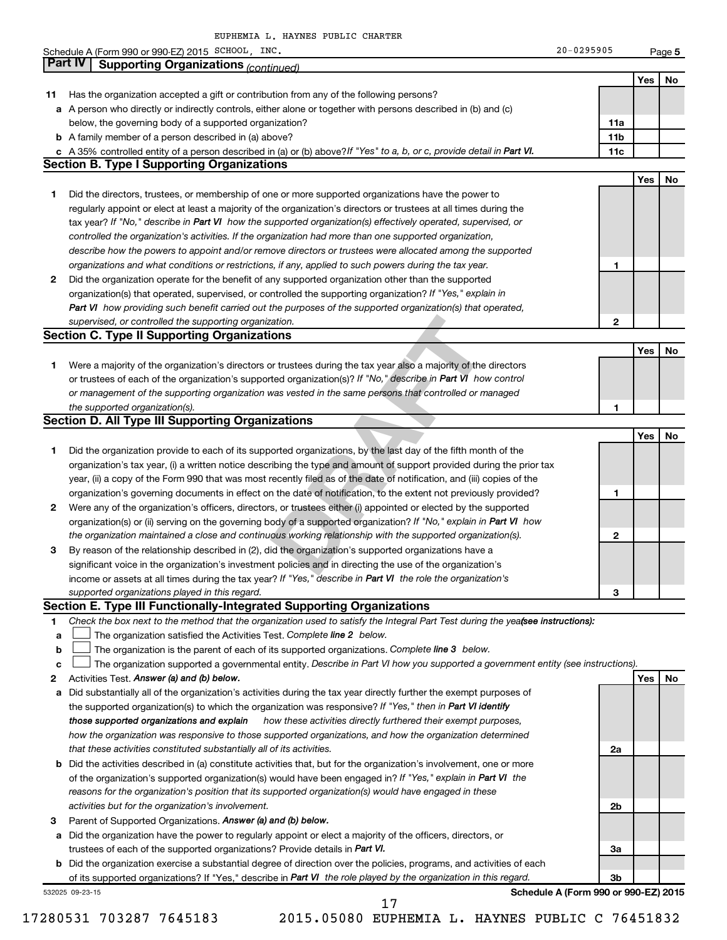|                | Schedule A (Form 990 or 990-EZ) 2015 SCHOOL, INC.                                                                               | 20-0295905                           |     |        |
|----------------|---------------------------------------------------------------------------------------------------------------------------------|--------------------------------------|-----|--------|
| <b>Part IV</b> |                                                                                                                                 |                                      |     | Page 5 |
|                | <b>Supporting Organizations (continued)</b>                                                                                     |                                      |     |        |
|                |                                                                                                                                 |                                      | Yes | No     |
| 11             | Has the organization accepted a gift or contribution from any of the following persons?                                         |                                      |     |        |
|                | a A person who directly or indirectly controls, either alone or together with persons described in (b) and (c)                  |                                      |     |        |
|                | below, the governing body of a supported organization?                                                                          | 11a                                  |     |        |
|                | <b>b</b> A family member of a person described in (a) above?                                                                    | 11 <sub>b</sub>                      |     |        |
|                | c A 35% controlled entity of a person described in (a) or (b) above? If "Yes" to a, b, or c, provide detail in Part VI.         | 11c                                  |     |        |
|                | <b>Section B. Type I Supporting Organizations</b>                                                                               |                                      |     |        |
|                |                                                                                                                                 |                                      | Yes | No     |
| 1              | Did the directors, trustees, or membership of one or more supported organizations have the power to                             |                                      |     |        |
|                | regularly appoint or elect at least a majority of the organization's directors or trustees at all times during the              |                                      |     |        |
|                | tax year? If "No," describe in Part VI how the supported organization(s) effectively operated, supervised, or                   |                                      |     |        |
|                | controlled the organization's activities. If the organization had more than one supported organization,                         |                                      |     |        |
|                | describe how the powers to appoint and/or remove directors or trustees were allocated among the supported                       |                                      |     |        |
|                | organizations and what conditions or restrictions, if any, applied to such powers during the tax year.                          | 1                                    |     |        |
| 2              | Did the organization operate for the benefit of any supported organization other than the supported                             |                                      |     |        |
|                | organization(s) that operated, supervised, or controlled the supporting organization? If "Yes," explain in                      |                                      |     |        |
|                | Part VI how providing such benefit carried out the purposes of the supported organization(s) that operated,                     |                                      |     |        |
|                | supervised, or controlled the supporting organization.                                                                          | 2                                    |     |        |
|                | <b>Section C. Type II Supporting Organizations</b>                                                                              |                                      |     |        |
|                |                                                                                                                                 |                                      | Yes | No     |
| 1.             | Were a majority of the organization's directors or trustees during the tax year also a majority of the directors                |                                      |     |        |
|                | or trustees of each of the organization's supported organization(s)? If "No," describe in Part VI how control                   |                                      |     |        |
|                | or management of the supporting organization was vested in the same persons that controlled or managed                          |                                      |     |        |
|                | the supported organization(s).                                                                                                  | 1                                    |     |        |
|                | <b>Section D. All Type III Supporting Organizations</b>                                                                         |                                      |     |        |
|                |                                                                                                                                 |                                      | Yes | No     |
| 1              | Did the organization provide to each of its supported organizations, by the last day of the fifth month of the                  |                                      |     |        |
|                | organization's tax year, (i) a written notice describing the type and amount of support provided during the prior tax           |                                      |     |        |
|                | year, (ii) a copy of the Form 990 that was most recently filed as of the date of notification, and (iii) copies of the          |                                      |     |        |
|                |                                                                                                                                 | 1                                    |     |        |
|                | organization's governing documents in effect on the date of notification, to the extent not previously provided?                |                                      |     |        |
| 2              | Were any of the organization's officers, directors, or trustees either (i) appointed or elected by the supported                |                                      |     |        |
|                | organization(s) or (ii) serving on the governing body of a supported organization? If "No," explain in Part VI how              |                                      |     |        |
|                | the organization maintained a close and continuous working relationship with the supported organization(s).                     | 2                                    |     |        |
| з              | By reason of the relationship described in (2), did the organization's supported organizations have a                           |                                      |     |        |
|                | significant voice in the organization's investment policies and in directing the use of the organization's                      |                                      |     |        |
|                | income or assets at all times during the tax year? If "Yes," describe in Part VI the role the organization's                    |                                      |     |        |
|                | supported organizations played in this regard.                                                                                  | 3                                    |     |        |
|                | Section E. Type III Functionally-Integrated Supporting Organizations                                                            |                                      |     |        |
| 1              | Check the box next to the method that the organization used to satisfy the Integral Part Test during the yeafsee instructions): |                                      |     |        |
| a              | The organization satisfied the Activities Test. Complete line 2 below.                                                          |                                      |     |        |
| b              | The organization is the parent of each of its supported organizations. Complete line 3 below.                                   |                                      |     |        |
| c              | The organization supported a governmental entity. Describe in Part VI how you supported a government entity (see instructions). |                                      |     |        |
| 2              | Activities Test. Answer (a) and (b) below.                                                                                      |                                      | Yes | No     |
| а              | Did substantially all of the organization's activities during the tax year directly further the exempt purposes of              |                                      |     |        |
|                | the supported organization(s) to which the organization was responsive? If "Yes," then in Part VI identify                      |                                      |     |        |
|                | those supported organizations and explain<br>how these activities directly furthered their exempt purposes,                     |                                      |     |        |
|                | how the organization was responsive to those supported organizations, and how the organization determined                       |                                      |     |        |
|                | that these activities constituted substantially all of its activities.                                                          | 2a                                   |     |        |
|                | <b>b</b> Did the activities described in (a) constitute activities that, but for the organization's involvement, one or more    |                                      |     |        |
|                | of the organization's supported organization(s) would have been engaged in? If "Yes," explain in Part VI the                    |                                      |     |        |
|                | reasons for the organization's position that its supported organization(s) would have engaged in these                          |                                      |     |        |
|                | activities but for the organization's involvement.                                                                              | 2b                                   |     |        |
| з              | Parent of Supported Organizations. Answer (a) and (b) below.                                                                    |                                      |     |        |
|                | a Did the organization have the power to regularly appoint or elect a majority of the officers, directors, or                   |                                      |     |        |
|                | trustees of each of the supported organizations? Provide details in Part VI.                                                    | За                                   |     |        |
|                | <b>b</b> Did the organization exercise a substantial degree of direction over the policies, programs, and activities of each    |                                      |     |        |
|                | of its supported organizations? If "Yes," describe in Part VI the role played by the organization in this regard.               | 3b                                   |     |        |
|                |                                                                                                                                 |                                      |     |        |
|                | 532025 09-23-15                                                                                                                 | Schedule A (Form 990 or 990-EZ) 2015 |     |        |

17280531 703287 7645183 2015.05080 EUPHEMIA L. HAYNES PUBLIC C 76451832

17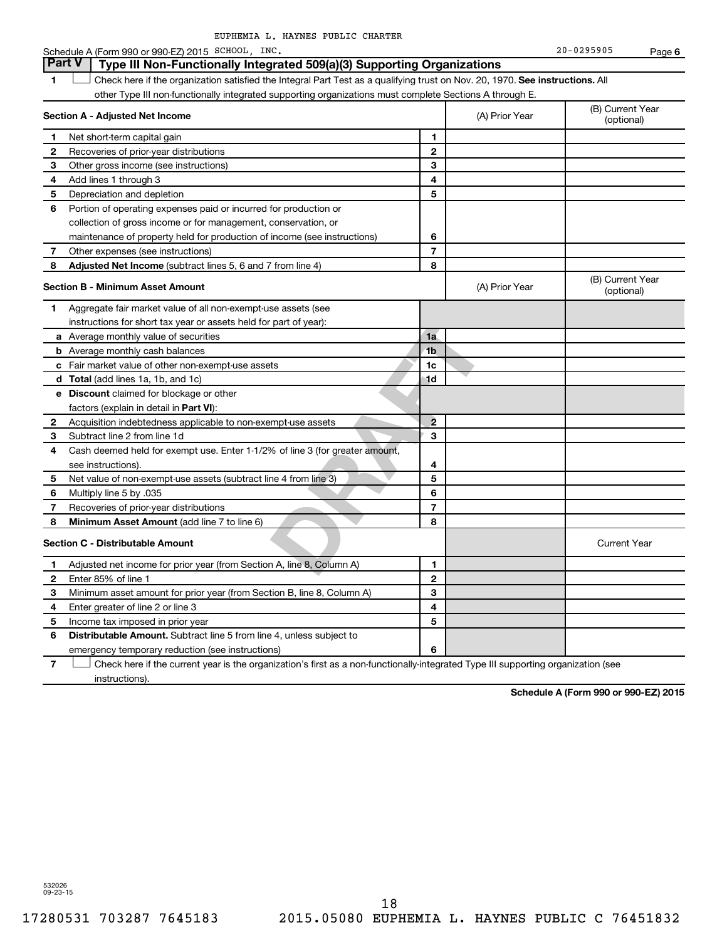|              | Schedule A (Form 990 or 990-EZ) 2015 SCHOOL, INC.                                                                             |                         |                | $20 - 0295905$                 | Page 6 |
|--------------|-------------------------------------------------------------------------------------------------------------------------------|-------------------------|----------------|--------------------------------|--------|
|              | <b>Part V</b><br>Type III Non-Functionally Integrated 509(a)(3) Supporting Organizations                                      |                         |                |                                |        |
| 1            | Check here if the organization satisfied the Integral Part Test as a qualifying trust on Nov. 20, 1970. See instructions. All |                         |                |                                |        |
|              | other Type III non-functionally integrated supporting organizations must complete Sections A through E.                       |                         |                |                                |        |
|              | Section A - Adjusted Net Income                                                                                               |                         | (A) Prior Year | (B) Current Year<br>(optional) |        |
| 1            | Net short-term capital gain                                                                                                   | 1                       |                |                                |        |
| $\mathbf{2}$ | Recoveries of prior-year distributions                                                                                        | $\mathbf{2}$            |                |                                |        |
| 3            | Other gross income (see instructions)                                                                                         | 3                       |                |                                |        |
| 4            | Add lines 1 through 3                                                                                                         | 4                       |                |                                |        |
| 5            | Depreciation and depletion                                                                                                    | 5                       |                |                                |        |
| 6            | Portion of operating expenses paid or incurred for production or                                                              |                         |                |                                |        |
|              | collection of gross income or for management, conservation, or                                                                |                         |                |                                |        |
|              | maintenance of property held for production of income (see instructions)                                                      | 6                       |                |                                |        |
| 7            | Other expenses (see instructions)                                                                                             | 7                       |                |                                |        |
| 8            | Adjusted Net Income (subtract lines 5, 6 and 7 from line 4)                                                                   | 8                       |                |                                |        |
|              | <b>Section B - Minimum Asset Amount</b>                                                                                       |                         | (A) Prior Year | (B) Current Year<br>(optional) |        |
| 1.           | Aggregate fair market value of all non-exempt-use assets (see                                                                 |                         |                |                                |        |
|              | instructions for short tax year or assets held for part of year):                                                             |                         |                |                                |        |
|              | a Average monthly value of securities                                                                                         | 1a                      |                |                                |        |
|              | <b>b</b> Average monthly cash balances                                                                                        | 1 <sub>b</sub>          |                |                                |        |
|              | c Fair market value of other non-exempt-use assets                                                                            | 1c                      |                |                                |        |
|              | d Total (add lines 1a, 1b, and 1c)                                                                                            | 1d                      |                |                                |        |
|              | <b>e</b> Discount claimed for blockage or other                                                                               |                         |                |                                |        |
|              | factors (explain in detail in Part VI):                                                                                       |                         |                |                                |        |
| 2            | Acquisition indebtedness applicable to non-exempt-use assets                                                                  | $\overline{2}$          |                |                                |        |
| З            | Subtract line 2 from line 1d                                                                                                  | 3                       |                |                                |        |
| 4            | Cash deemed held for exempt use. Enter 1-1/2% of line 3 (for greater amount,                                                  |                         |                |                                |        |
|              | see instructions).                                                                                                            | 4                       |                |                                |        |
| 5            | Net value of non-exempt-use assets (subtract line 4 from line 3)                                                              | 5                       |                |                                |        |
| 6            | Multiply line 5 by .035                                                                                                       | 6                       |                |                                |        |
| 7            | Recoveries of prior-year distributions                                                                                        | $\overline{\mathbf{r}}$ |                |                                |        |
| 8            | Minimum Asset Amount (add line 7 to line 6)                                                                                   | 8                       |                |                                |        |
|              | <b>Section C - Distributable Amount</b>                                                                                       |                         |                | <b>Current Year</b>            |        |
| 1            | Adjusted net income for prior year (from Section A, line 8, Column A)                                                         | 1                       |                |                                |        |
| $\mathbf 2$  | Enter 85% of line 1                                                                                                           | $\mathbf{2}$            |                |                                |        |
| 3            | Minimum asset amount for prior year (from Section B, line 8, Column A)                                                        | 3                       |                |                                |        |
| 4            | Enter greater of line 2 or line 3                                                                                             | 4                       |                |                                |        |
| 5            | Income tax imposed in prior year                                                                                              | 5                       |                |                                |        |
| 6            | <b>Distributable Amount.</b> Subtract line 5 from line 4, unless subject to                                                   |                         |                |                                |        |
|              | emergency temporary reduction (see instructions)                                                                              | 6                       |                |                                |        |

**7** Check here if the current year is the organization's first as a non-functionally-integrated Type III supporting organization (see † instructions).

**Schedule A (Form 990 or 990-EZ) 2015**

532026 09-23-15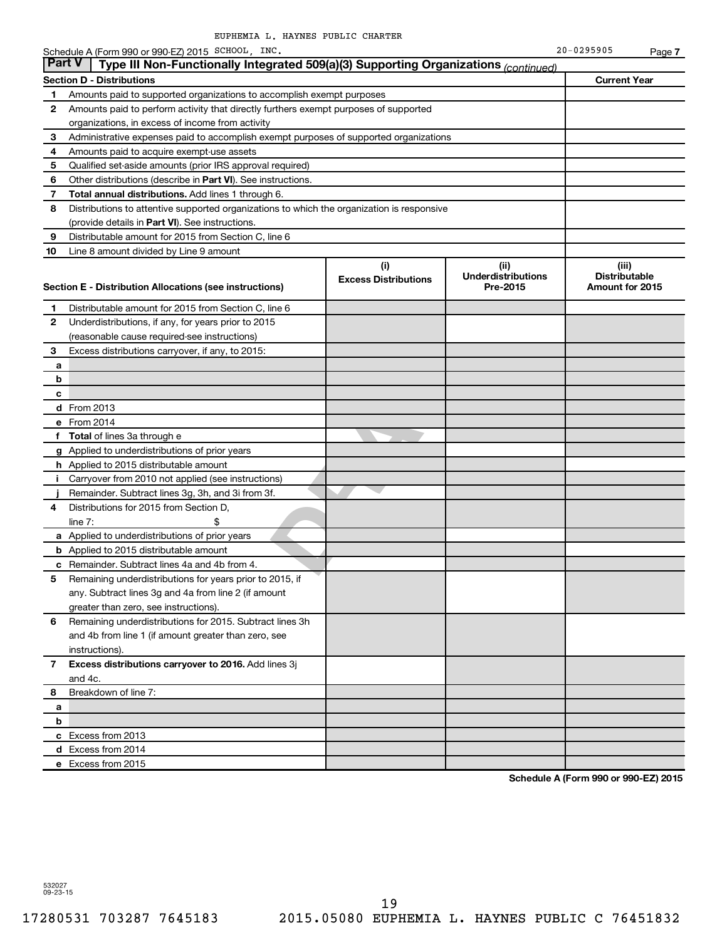|               | Schedule A (Form 990 or 990-EZ) 2015 SCHOOL, INC.                                        | 20-0295905          |  |
|---------------|------------------------------------------------------------------------------------------|---------------------|--|
| <b>Part V</b> | Type III Non-Functionally Integrated 509(a)(3) Supporting Organizations $_{(continued)}$ |                     |  |
|               | <b>Section D - Distributions</b>                                                         | <b>Current Year</b> |  |
|               | Amounts paid to supported organizations to accomplish exempt purposes                    |                     |  |
|               |                                                                                          |                     |  |

| 1              | Amounts paid to supported organizations to accomplish exempt purposes                      |                                    |                                               |                                                  |
|----------------|--------------------------------------------------------------------------------------------|------------------------------------|-----------------------------------------------|--------------------------------------------------|
| 2              | Amounts paid to perform activity that directly furthers exempt purposes of supported       |                                    |                                               |                                                  |
|                | organizations, in excess of income from activity                                           |                                    |                                               |                                                  |
| 3              | Administrative expenses paid to accomplish exempt purposes of supported organizations      |                                    |                                               |                                                  |
| 4              | Amounts paid to acquire exempt-use assets                                                  |                                    |                                               |                                                  |
| 5              | Qualified set-aside amounts (prior IRS approval required)                                  |                                    |                                               |                                                  |
| 6              | Other distributions (describe in Part VI). See instructions.                               |                                    |                                               |                                                  |
| 7              | Total annual distributions. Add lines 1 through 6.                                         |                                    |                                               |                                                  |
| 8              | Distributions to attentive supported organizations to which the organization is responsive |                                    |                                               |                                                  |
|                | (provide details in Part VI). See instructions.                                            |                                    |                                               |                                                  |
| 9              | Distributable amount for 2015 from Section C, line 6                                       |                                    |                                               |                                                  |
| 10             | Line 8 amount divided by Line 9 amount                                                     |                                    |                                               |                                                  |
|                | Section E - Distribution Allocations (see instructions)                                    | (i)<br><b>Excess Distributions</b> | (ii)<br><b>Underdistributions</b><br>Pre-2015 | (iii)<br><b>Distributable</b><br>Amount for 2015 |
| 1              | Distributable amount for 2015 from Section C, line 6                                       |                                    |                                               |                                                  |
| 2              | Underdistributions, if any, for years prior to 2015                                        |                                    |                                               |                                                  |
|                | (reasonable cause required-see instructions)                                               |                                    |                                               |                                                  |
| 3              | Excess distributions carryover, if any, to 2015:                                           |                                    |                                               |                                                  |
| a              |                                                                                            |                                    |                                               |                                                  |
| b              |                                                                                            |                                    |                                               |                                                  |
| c              |                                                                                            |                                    |                                               |                                                  |
|                | <b>d</b> From 2013                                                                         |                                    |                                               |                                                  |
|                | e From 2014                                                                                |                                    |                                               |                                                  |
|                | f Total of lines 3a through e                                                              |                                    |                                               |                                                  |
|                | g Applied to underdistributions of prior years                                             |                                    |                                               |                                                  |
|                | <b>h</b> Applied to 2015 distributable amount                                              |                                    |                                               |                                                  |
| j.             | Carryover from 2010 not applied (see instructions)                                         |                                    |                                               |                                                  |
|                | Remainder. Subtract lines 3g, 3h, and 3i from 3f.                                          |                                    |                                               |                                                  |
| 4              | Distributions for 2015 from Section D,                                                     |                                    |                                               |                                                  |
|                | line $7:$<br>\$                                                                            |                                    |                                               |                                                  |
|                | a Applied to underdistributions of prior years                                             |                                    |                                               |                                                  |
|                | <b>b</b> Applied to 2015 distributable amount                                              |                                    |                                               |                                                  |
|                | c Remainder. Subtract lines 4a and 4b from 4.                                              |                                    |                                               |                                                  |
| 5              | Remaining underdistributions for years prior to 2015, if                                   |                                    |                                               |                                                  |
|                | any. Subtract lines 3g and 4a from line 2 (if amount                                       |                                    |                                               |                                                  |
|                | greater than zero, see instructions).                                                      |                                    |                                               |                                                  |
| 6              | Remaining underdistributions for 2015. Subtract lines 3h                                   |                                    |                                               |                                                  |
|                | and 4b from line 1 (if amount greater than zero, see                                       |                                    |                                               |                                                  |
|                | instructions).                                                                             |                                    |                                               |                                                  |
| $\overline{7}$ | Excess distributions carryover to 2016. Add lines 3j                                       |                                    |                                               |                                                  |
|                | and 4c.                                                                                    |                                    |                                               |                                                  |
| 8              | Breakdown of line 7:                                                                       |                                    |                                               |                                                  |
| a              |                                                                                            |                                    |                                               |                                                  |
| b              |                                                                                            |                                    |                                               |                                                  |
|                | c Excess from 2013                                                                         |                                    |                                               |                                                  |
|                | d Excess from 2014                                                                         |                                    |                                               |                                                  |
|                | e Excess from 2015                                                                         |                                    |                                               |                                                  |

**Schedule A (Form 990 or 990-EZ) 2015**

**7**

532027 09-23-15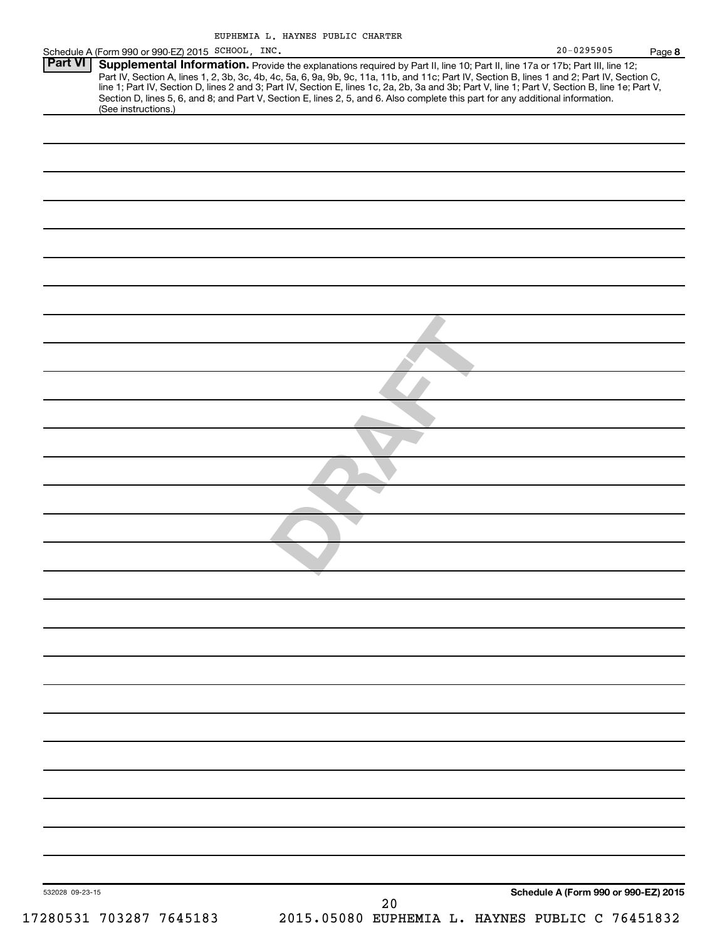| EUPHEMIA L. HAYNES PUBLIC CHARTER |  |  |
|-----------------------------------|--|--|
|                                   |  |  |

| $20 - 0295905$                                                           | Page 8                                                                                                                                                                                                                                                                                                                                                                                                                                                                                             |
|--------------------------------------------------------------------------|----------------------------------------------------------------------------------------------------------------------------------------------------------------------------------------------------------------------------------------------------------------------------------------------------------------------------------------------------------------------------------------------------------------------------------------------------------------------------------------------------|
|                                                                          |                                                                                                                                                                                                                                                                                                                                                                                                                                                                                                    |
|                                                                          |                                                                                                                                                                                                                                                                                                                                                                                                                                                                                                    |
|                                                                          |                                                                                                                                                                                                                                                                                                                                                                                                                                                                                                    |
|                                                                          |                                                                                                                                                                                                                                                                                                                                                                                                                                                                                                    |
|                                                                          |                                                                                                                                                                                                                                                                                                                                                                                                                                                                                                    |
|                                                                          |                                                                                                                                                                                                                                                                                                                                                                                                                                                                                                    |
|                                                                          |                                                                                                                                                                                                                                                                                                                                                                                                                                                                                                    |
|                                                                          |                                                                                                                                                                                                                                                                                                                                                                                                                                                                                                    |
|                                                                          |                                                                                                                                                                                                                                                                                                                                                                                                                                                                                                    |
|                                                                          |                                                                                                                                                                                                                                                                                                                                                                                                                                                                                                    |
|                                                                          |                                                                                                                                                                                                                                                                                                                                                                                                                                                                                                    |
|                                                                          |                                                                                                                                                                                                                                                                                                                                                                                                                                                                                                    |
|                                                                          |                                                                                                                                                                                                                                                                                                                                                                                                                                                                                                    |
|                                                                          |                                                                                                                                                                                                                                                                                                                                                                                                                                                                                                    |
|                                                                          |                                                                                                                                                                                                                                                                                                                                                                                                                                                                                                    |
|                                                                          |                                                                                                                                                                                                                                                                                                                                                                                                                                                                                                    |
|                                                                          |                                                                                                                                                                                                                                                                                                                                                                                                                                                                                                    |
|                                                                          |                                                                                                                                                                                                                                                                                                                                                                                                                                                                                                    |
|                                                                          |                                                                                                                                                                                                                                                                                                                                                                                                                                                                                                    |
|                                                                          |                                                                                                                                                                                                                                                                                                                                                                                                                                                                                                    |
|                                                                          |                                                                                                                                                                                                                                                                                                                                                                                                                                                                                                    |
|                                                                          |                                                                                                                                                                                                                                                                                                                                                                                                                                                                                                    |
|                                                                          |                                                                                                                                                                                                                                                                                                                                                                                                                                                                                                    |
|                                                                          |                                                                                                                                                                                                                                                                                                                                                                                                                                                                                                    |
|                                                                          |                                                                                                                                                                                                                                                                                                                                                                                                                                                                                                    |
|                                                                          |                                                                                                                                                                                                                                                                                                                                                                                                                                                                                                    |
|                                                                          |                                                                                                                                                                                                                                                                                                                                                                                                                                                                                                    |
|                                                                          |                                                                                                                                                                                                                                                                                                                                                                                                                                                                                                    |
|                                                                          |                                                                                                                                                                                                                                                                                                                                                                                                                                                                                                    |
|                                                                          |                                                                                                                                                                                                                                                                                                                                                                                                                                                                                                    |
|                                                                          |                                                                                                                                                                                                                                                                                                                                                                                                                                                                                                    |
|                                                                          |                                                                                                                                                                                                                                                                                                                                                                                                                                                                                                    |
| Schedule A (Form 990 or 990-EZ) 2015 SCHOOL, INC.<br>(See instructions.) | Supplemental Information. Provide the explanations required by Part II, line 10; Part II, line 17a or 17b; Part III, line 12;<br>Part IV, Section A, lines 1, 2, 3b, 3c, 4b, 4c, 5a, 6, 9a, 9b, 9c, 11a, 11b, and 11c; Part IV, Section B, lines 1 and 2; Part IV, Section C, line 1; Part IV, Section D, lines 2 and 3; Part IV, Section E, lines 1 c, 2a, 2b,<br>Section D, lines 5, 6, and 8; and Part V, Section E, lines 2, 5, and 6. Also complete this part for any additional information. |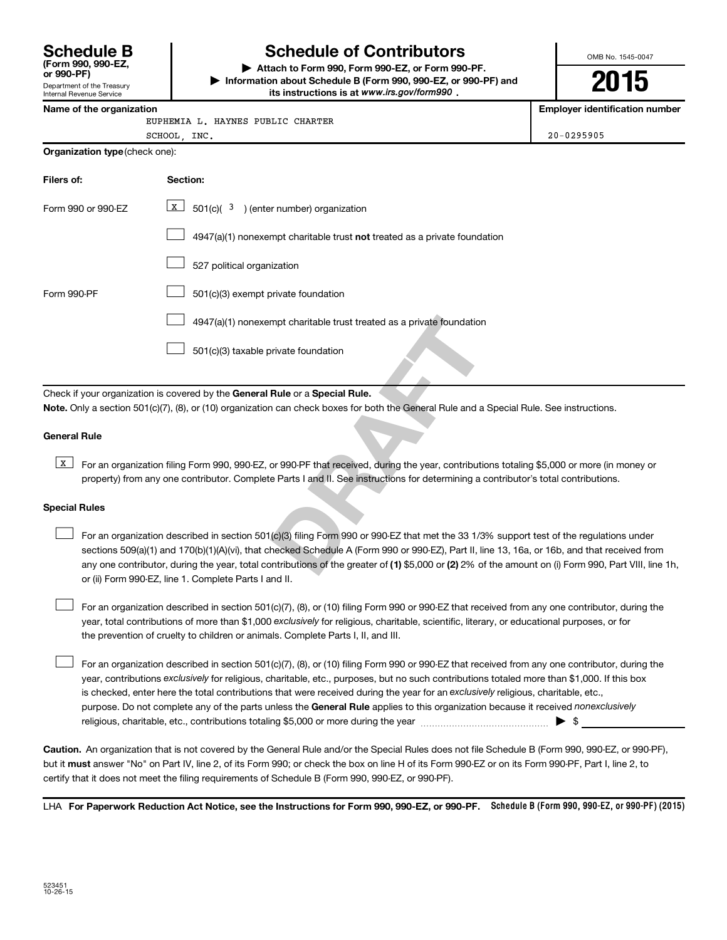**(Form 990, 990-EZ,**

#### Department of the Treasury Internal Revenue Service

# **Schedule B Schedule of Contributors**

**or 990-PF) | Attach to Form 990, Form 990-EZ, or Form 990-PF. | Information about Schedule B (Form 990, 990-EZ, or 990-PF) and** its instructions is at www.irs.gov/form990.

OMB No. 1545-0047

**2015**

**Name of the organization Employer identification number**

| EUPHEMIA L. HAYNES PUBLIC CHARTER |  |  |
|-----------------------------------|--|--|
|                                   |  |  |

|     |  | L. HAYNES PUBLIC CHARTER |                |
|-----|--|--------------------------|----------------|
| NC. |  |                          | $20 - 0295905$ |

| ---<br>. .<br>___ |  |
|-------------------|--|
|                   |  |

| Organization type (check one): |                                                                                                                                                                                                                                                                                                                                                                                                                |  |  |
|--------------------------------|----------------------------------------------------------------------------------------------------------------------------------------------------------------------------------------------------------------------------------------------------------------------------------------------------------------------------------------------------------------------------------------------------------------|--|--|
| Filers of:                     | Section:                                                                                                                                                                                                                                                                                                                                                                                                       |  |  |
| Form 990 or 990-EZ             | X<br>$501(c)(3)$ (enter number) organization                                                                                                                                                                                                                                                                                                                                                                   |  |  |
|                                | 4947(a)(1) nonexempt charitable trust not treated as a private foundation                                                                                                                                                                                                                                                                                                                                      |  |  |
|                                | 527 political organization                                                                                                                                                                                                                                                                                                                                                                                     |  |  |
| Form 990-PF                    | 501(c)(3) exempt private foundation                                                                                                                                                                                                                                                                                                                                                                            |  |  |
|                                | 4947(a)(1) nonexempt charitable trust treated as a private foundation                                                                                                                                                                                                                                                                                                                                          |  |  |
|                                | 501(c)(3) taxable private foundation                                                                                                                                                                                                                                                                                                                                                                           |  |  |
|                                | Check if your organization is covered by the General Rule or a Special Rule.                                                                                                                                                                                                                                                                                                                                   |  |  |
|                                | Note. Only a section 501(c)(7), (8), or (10) organization can check boxes for both the General Rule and a Special Rule. See instructions.                                                                                                                                                                                                                                                                      |  |  |
| <b>General Rule</b>            |                                                                                                                                                                                                                                                                                                                                                                                                                |  |  |
| x                              | For an organization filing Form 990, 990-EZ, or 990-PF that received, during the year, contributions totaling \$5,000 or more (in n<br>property) from any one contributor. Complete Parts I and II. See instructions for determining a contributor's total contributions.                                                                                                                                      |  |  |
| <b>Special Rules</b>           |                                                                                                                                                                                                                                                                                                                                                                                                                |  |  |
|                                | For an organization described in section 501(c)(3) filing Form 990 or 990-EZ that met the 33 1/3% support test of the regulation<br>sections 509(a)(1) and 170(b)(1)(A)(vi), that checked Schedule A (Form 990 or 990-EZ), Part II, line 13, 16a, or 16b, and that rece<br>any one contributor, during the year, total contributions of the greater of (1) \$5,000 or (2) 2% of the amount on (i) Form 990, Pa |  |  |

#### **General Rule**

**K** For an organization filing Form 990, 990-EZ, or 990-PF that received, during the year, contributions totaling \$5,000 or more (in money or property) from any one contributor. Complete Parts I and II. See instructions for determining a contributor's total contributions.

#### **Special Rules**

 $\Box$ 

any one contributor, during the year, total contributions of the greater of **(1)** \$5,000 or **(2)** 2% of the amount on (i) Form 990, Part VIII, line 1h, For an organization described in section 501(c)(3) filing Form 990 or 990-EZ that met the 33 1/3% support test of the regulations under sections 509(a)(1) and 170(b)(1)(A)(vi), that checked Schedule A (Form 990 or 990-EZ), Part II, line 13, 16a, or 16b, and that received from or (ii) Form 990-EZ, line 1. Complete Parts I and II.  $\Box$ 

year, total contributions of more than \$1,000 *exclusively* for religious, charitable, scientific, literary, or educational purposes, or for For an organization described in section 501(c)(7), (8), or (10) filing Form 990 or 990-EZ that received from any one contributor, during the the prevention of cruelty to children or animals. Complete Parts I, II, and III.  $\Box$ 

purpose. Do not complete any of the parts unless the General Rule applies to this organization because it received nonexclusively year, contributions exclusively for religious, charitable, etc., purposes, but no such contributions totaled more than \$1,000. If this box is checked, enter here the total contributions that were received during the year for an exclusively religious, charitable, etc., For an organization described in section 501(c)(7), (8), or (10) filing Form 990 or 990-EZ that received from any one contributor, during the religious, charitable, etc., contributions totaling \$5,000 or more during the year  $\ldots$  $\ldots$  $\ldots$  $\ldots$  $\ldots$  $\ldots$  $\ldots$ 

**Caution.** An organization that is not covered by the General Rule and/or the Special Rules does not file Schedule B (Form 990, 990-EZ, or 990-PF),  **must** but it answer "No" on Part IV, line 2, of its Form 990; or check the box on line H of its Form 990-EZ or on its Form 990-PF, Part I, line 2, to certify that it does not meet the filing requirements of Schedule B (Form 990, 990-EZ, or 990-PF).

LHA For Paperwork Reduction Act Notice, see the Instructions for Form 990, 990-EZ, or 990-PF. Schedule B (Form 990, 990-EZ, or 990-PF) (2015)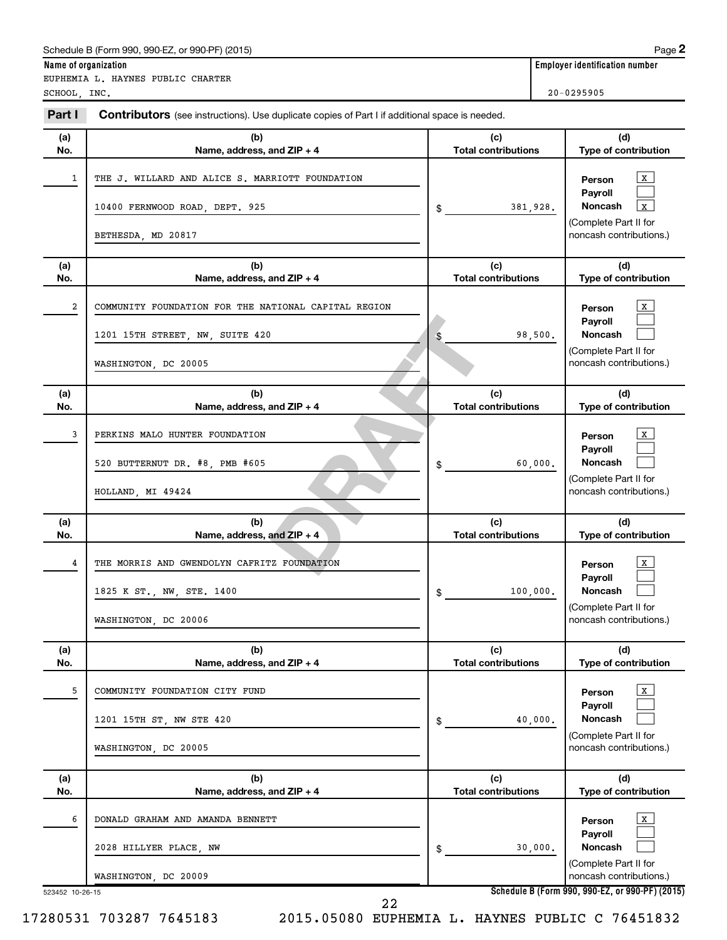EUPHEMIA L. HAYNES PUBLIC CHARTER SCHOOL, INC. 20-0295905

| Part I          | Contributors (see instructions). Use duplicate copies of Part I if additional space is needed.                  |                                   |                                                                                                                        |
|-----------------|-----------------------------------------------------------------------------------------------------------------|-----------------------------------|------------------------------------------------------------------------------------------------------------------------|
| (a)<br>No.      | (b)<br>Name, address, and ZIP + 4                                                                               | (c)<br><b>Total contributions</b> | (d)<br>Type of contribution                                                                                            |
| 1               | THE J. WILLARD AND ALICE S. MARRIOTT FOUNDATION<br>10400 FERNWOOD ROAD, DEPT. 925<br>BETHESDA, MD 20817         | 381,928.<br>\$                    | $\mathbf{x}$<br>Person<br>Payroll<br><b>Noncash</b><br>$\mathbf x$<br>(Complete Part II for<br>noncash contributions.) |
| (a)<br>No.      | (b)<br>Name, address, and ZIP + 4                                                                               | (c)<br><b>Total contributions</b> | (d)<br>Type of contribution                                                                                            |
| 2               | COMMUNITY FOUNDATION FOR THE NATIONAL CAPITAL REGION<br>1201 15TH STREET, NW, SUITE 420<br>WASHINGTON, DC 20005 | 98,500.<br>\$                     | x<br>Person<br>Payroll<br><b>Noncash</b><br>(Complete Part II for<br>noncash contributions.)                           |
| (a)<br>No.      | (b)<br>Name, address, and ZIP + 4                                                                               | (c)<br><b>Total contributions</b> | (d)<br>Type of contribution                                                                                            |
| 3               | PERKINS MALO HUNTER FOUNDATION<br>520 BUTTERNUT DR. #8, PMB #605<br>HOLLAND, MI 49424                           | 60,000.<br>\$                     | X<br>Person<br>Payroll<br><b>Noncash</b><br>(Complete Part II for<br>noncash contributions.)                           |
| (a)<br>No.      | (b)<br>Name, address, and ZIP + 4                                                                               | (c)<br><b>Total contributions</b> | (d)<br>Type of contribution                                                                                            |
| 4               | THE MORRIS AND GWENDOLYN CAFRITZ FOUNDATION<br>1825 K ST., NW, STE. 1400<br>WASHINGTON, DC 20006                | 100,000.<br>\$                    | x<br>Person<br>Payroll<br>Noncash<br>(Complete Part II for<br>noncash contributions.)                                  |
| (a)<br>No.      | (b)<br>Name, address, and ZIP + 4                                                                               | (c)<br><b>Total contributions</b> | (d)<br>Type of contribution                                                                                            |
| 5               | COMMUNITY FOUNDATION CITY FUND<br>1201 15TH ST, NW STE 420<br>WASHINGTON, DC 20005                              | 40,000.<br>\$                     | x<br>Person<br>Payroll<br>Noncash<br>(Complete Part II for<br>noncash contributions.)                                  |
| (a)<br>No.      | (b)<br>Name, address, and ZIP + 4                                                                               | (c)<br><b>Total contributions</b> | (d)<br>Type of contribution                                                                                            |
| 6               | DONALD GRAHAM AND AMANDA BENNETT<br>2028 HILLYER PLACE, NW<br>WASHINGTON, DC 20009                              | 30,000.<br>\$                     | x<br>Person<br>Payroll<br>Noncash<br>(Complete Part II for<br>noncash contributions.)                                  |
| 523452 10-26-15 |                                                                                                                 |                                   | Schedule B (Form 990, 990-EZ, or 990-PF) (2015)                                                                        |

17280531 703287 7645183 2015.05080 EUPHEMIA L. HAYNES PUBLIC C 76451832

22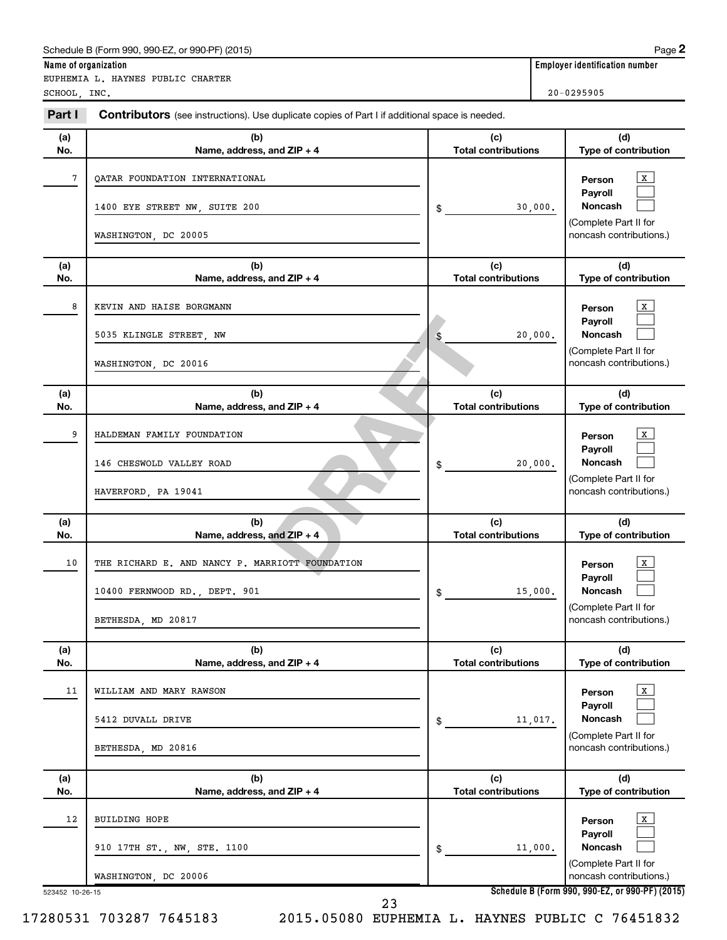EUPHEMIA L. HAYNES PUBLIC CHARTER SCHOOL, INC. 20-0295905

**Name of organization Employer identification number**

| Part I     | <b>Contributors</b> (see instructions). Use duplicate copies of Part I if additional space is needed.  |                                   |                                                                                                  |
|------------|--------------------------------------------------------------------------------------------------------|-----------------------------------|--------------------------------------------------------------------------------------------------|
| (a)<br>No. | (b)<br>Name, address, and ZIP + 4                                                                      | (c)<br><b>Total contributions</b> | (d)<br>Type of contribution                                                                      |
| 7          | QATAR FOUNDATION INTERNATIONAL<br>1400 EYE STREET NW, SUITE 200<br>WASHINGTON, DC 20005                | 30,000.<br>$\frac{1}{2}$          | x<br>Person<br>Payroll<br>Noncash<br>(Complete Part II for<br>noncash contributions.)            |
| (a)<br>No. | (b)<br>Name, address, and ZIP + 4                                                                      | (c)<br><b>Total contributions</b> | (d)<br>Type of contribution                                                                      |
| 8          | KEVIN AND HAISE BORGMANN<br>5035 KLINGLE STREET, NW<br>WASHINGTON, DC 20016                            | 20,000.<br>\$                     | x<br>Person<br>Payroll<br>Noncash<br>(Complete Part II for<br>noncash contributions.)            |
| (a)<br>No. | (b)<br>Name, address, and ZIP + 4                                                                      | (c)<br><b>Total contributions</b> | (d)<br>Type of contribution                                                                      |
| 9          | HALDEMAN FAMILY FOUNDATION<br>146 CHESWOLD VALLEY ROAD<br>HAVERFORD, PA 19041                          | 20,000.<br>$\frac{1}{2}$          | x<br>Person<br>Payroll<br>Noncash<br>(Complete Part II for<br>noncash contributions.)            |
| (a)<br>No. | (b)<br>Name, address, and ZIP + 4                                                                      | (c)<br><b>Total contributions</b> | (d)<br>Type of contribution                                                                      |
| 10         | THE RICHARD E. AND NANCY P. MARRIOTT FOUNDATION<br>10400 FERNWOOD RD., DEPT. 901<br>BETHESDA, MD 20817 | 15,000.<br>\$                     | x<br>Person<br>Payroll<br>Noncash<br>(Complete Part II for<br>noncash contributions.)            |
| (a)<br>No. | (b)<br>Name, address, and ZIP + 4                                                                      | (c)<br><b>Total contributions</b> | (d)<br>Type of contribution                                                                      |
| 11         | WILLIAM AND MARY RAWSON<br>5412 DUVALL DRIVE<br>BETHESDA, MD 20816                                     | 11,017.<br>$$^{\circ}$            | $\mathbf{x}$<br>Person<br>Payroll<br>Noncash<br>(Complete Part II for<br>noncash contributions.) |
| (a)<br>No. | (b)<br>Name, address, and ZIP + 4                                                                      | (c)<br><b>Total contributions</b> | (d)<br>Type of contribution                                                                      |
| 12         | <b>BUILDING HOPE</b><br>910 17TH ST., NW, STE. 1100<br>WASHINGTON, DC 20006                            | 11,000.<br>\$                     | $\mathbf{x}$<br>Person<br>Payroll<br>Noncash<br>(Complete Part II for<br>noncash contributions.) |
|            | 523452 10-26-15                                                                                        |                                   | Schedule B (Form 990, 990-EZ, or 990-PF) (2015)                                                  |

17280531 703287 7645183 2015.05080 EUPHEMIA L. HAYNES PUBLIC C 76451832

23

**Schedule B (Form 990, 990-EZ, or 990-PF) (2015)**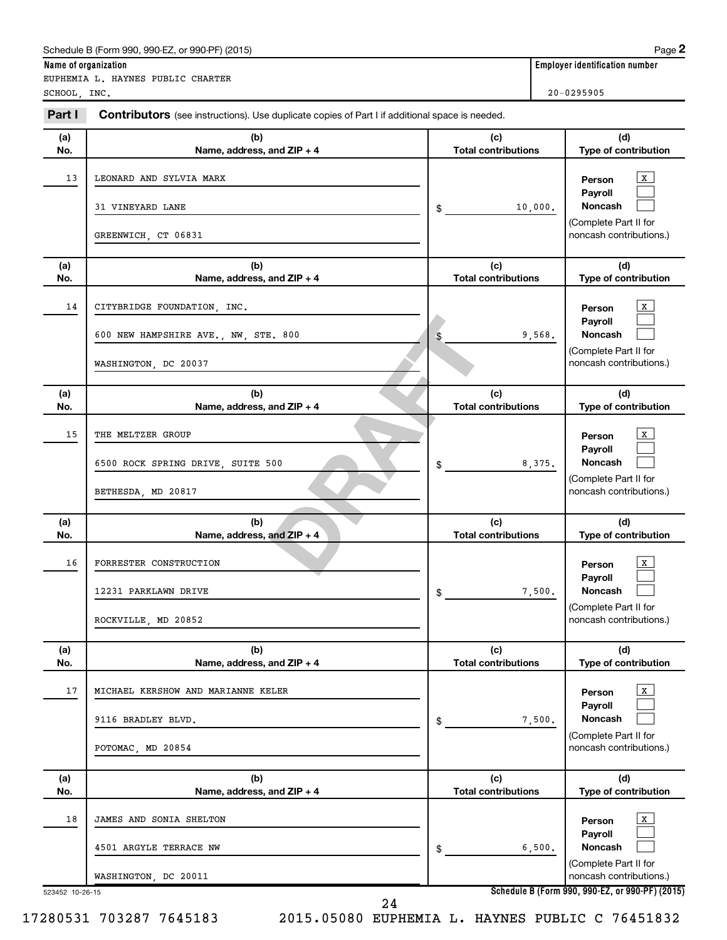EUPHEMIA L. HAYNES PUBLIC CHARTER

**Name of organization Employer identification number**

Pand ZIP + 4<br> **DRAFT**<br>
CONTINUE TOTAL CONTINUE<br>
CONTINUE S<br>
CONTINUE TOTAL CONTINUE **(a) No. (b) Name, address, and ZIP + 4 (c) Total contributions (d) Type of contribution Person Payroll Noncash (a) No. (b) Name, address, and ZIP + 4 (c) Total contributions (d) Type of contribution Person Payroll Noncash (a) No. (b) Name, address, and ZIP + 4 (c) Total contributions (d) Type of contribution Person Payroll Noncash (a) No. (b) Name, address, and ZIP + 4 (c) Total contributions (d) Type of contribution Person Payroll Noncash (a) No. (b) Name, address, and ZIP + 4 (c) Total contributions (d) Type of contribution Person Payroll Noncash (a) No. (b) Name, address, and ZIP + 4 (c) Total contributions (d) Type of contribution Person Payroll Noncash Part I** Contributors (see instructions). Use duplicate copies of Part I if additional space is needed. \$ (Complete Part II for noncash contributions.) \$ (Complete Part II for noncash contributions.) \$ (Complete Part II for noncash contributions.) \$ (Complete Part II for noncash contributions.) \$ (Complete Part II for noncash contributions.) \$ (Complete Part II for noncash contributions.)  $\mathbf{x}$  $\Box$  $\Box$  $\mathbf{X}$  $\Box$  $\Box$  $\mathbf{X}$  $\Box$  $\Box$  $\lfloor x \rfloor$  $\Box$  $\Box$  $\lfloor x \rfloor$  $\Box$  $\Box$  $\vert x \vert$  $\Box$  $\Box$  $SCHOOL$ , INC.  $20-0295905$ 13 | LEONARD AND SYLVIA MARX 31 VINEYARD LANE 10,000. GREENWICH, CT 06831 14 CITYBRIDGE FOUNDATION, INC. 600 NEW HAMPSHIRE AVE., NW, STE. 800 9,568. WASHINGTON, DC 20037 15 THE MELTZER GROUP 6500 ROCK SPRING DRIVE, SUITE 500 8,375. BETHESDA, MD 20817 16 | FORRESTER CONSTRUCTION 12231 PARKLAWN DRIVE 7.500. ROCKVILLE, MD 20852 17 | MICHAEL KERSHOW AND MARIANNE KELER 9116 BRADLEY BLVD.  $\begin{array}{ccc} 9 & 500. \end{array}$ POTOMAC, MD 20854 18 | JAMES AND SONIA SHELTON 4501 ARGYLE TERRACE NW  $\begin{array}{ccc} 4501 & 6,500. \end{array}$ WASHINGTON, DC 20011

523452 10-26-15

17280531 703287 7645183 2015.05080 EUPHEMIA L. HAYNES PUBLIC C 76451832

24

**Schedule B (Form 990, 990-EZ, or 990-PF) (2015)**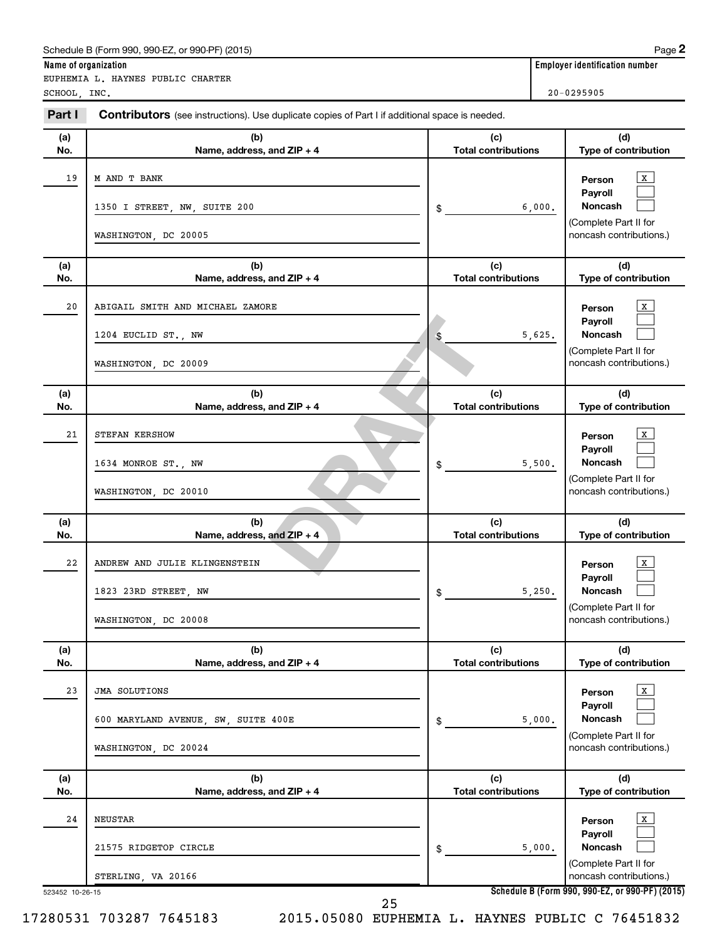EUPHEMIA L. HAYNES PUBLIC CHARTER

**Name of organization** 

| SCHOOL, INC. |                                                                                                            |                                                                                                                                                                                                                                                                                                                                                                                            | $20 - 0295905$                                                                                                          |
|--------------|------------------------------------------------------------------------------------------------------------|--------------------------------------------------------------------------------------------------------------------------------------------------------------------------------------------------------------------------------------------------------------------------------------------------------------------------------------------------------------------------------------------|-------------------------------------------------------------------------------------------------------------------------|
| Part I       | <b>Contributors</b> (see instructions). Use duplicate copies of Part I if additional space is needed.      |                                                                                                                                                                                                                                                                                                                                                                                            |                                                                                                                         |
| (a)<br>No.   | (b)<br>Name, address, and ZIP + 4                                                                          | (c)<br><b>Total contributions</b>                                                                                                                                                                                                                                                                                                                                                          | (d)<br>Type of contribution                                                                                             |
| 19           | M AND T BANK<br>1350 I STREET, NW, SUITE 200<br>WASHINGTON, DC 20005                                       | \$                                                                                                                                                                                                                                                                                                                                                                                         | x<br>Person<br>Payroll<br>Noncash<br>6,000.<br>(Complete Part II for<br>noncash contributions.)                         |
| (a)          | (b)                                                                                                        | (c)                                                                                                                                                                                                                                                                                                                                                                                        | (d)                                                                                                                     |
| No.          | Name, address, and ZIP + 4                                                                                 | <b>Total contributions</b>                                                                                                                                                                                                                                                                                                                                                                 | Type of contribution                                                                                                    |
| 20           | ABIGAIL SMITH AND MICHAEL ZAMORE<br>1204 EUCLID ST., NW<br>WASHINGTON, DC 20009                            | \$                                                                                                                                                                                                                                                                                                                                                                                         | х<br>Person<br>Payroll<br>Noncash<br>5,625.<br>(Complete Part II for<br>noncash contributions.)                         |
| (a)<br>No.   | (b)<br>Name, address, and ZIP + 4                                                                          | (c)<br><b>Total contributions</b>                                                                                                                                                                                                                                                                                                                                                          | (d)<br>Type of contribution                                                                                             |
| 21           | STEFAN KERSHOW<br>1634 MONROE ST., NW<br>WASHINGTON, DC 20010                                              | \$                                                                                                                                                                                                                                                                                                                                                                                         | x<br>Person<br>Payroll<br>Noncash<br>5,500.<br>(Complete Part II for<br>noncash contributions.)                         |
| (a)<br>No.   | (b)<br>Name, address, and ZIP + 4                                                                          | (c)<br><b>Total contributions</b>                                                                                                                                                                                                                                                                                                                                                          | (d)<br>Type of contribution                                                                                             |
| 22           | ANDREW AND JULIE KLINGENSTEIN<br>1823 23RD STREET, NW<br>WASHINGTON, DC 20008                              | \$                                                                                                                                                                                                                                                                                                                                                                                         | x<br>Person<br>Payroll<br>Noncash<br>5,250.<br>(Complete Part II for<br>noncash contributions.)                         |
| (a)          | (b)                                                                                                        | (c)                                                                                                                                                                                                                                                                                                                                                                                        | (d)                                                                                                                     |
| No.<br>23    | Name, address, and ZIP + 4<br>JMA SOLUTIONS<br>600 MARYLAND AVENUE, SW, SUITE 400E<br>WASHINGTON, DC 20024 | <b>Total contributions</b><br>\$                                                                                                                                                                                                                                                                                                                                                           | Type of contribution<br>x<br>Person<br>Payroll<br>Noncash<br>5,000.<br>(Complete Part II for<br>noncash contributions.) |
| (a)<br>No.   | (b)<br>Name, address, and $ZIP + 4$                                                                        | (c)<br><b>Total contributions</b>                                                                                                                                                                                                                                                                                                                                                          | (d)<br>Type of contribution                                                                                             |
| 24           | <b>NEUSTAR</b><br>21575 RIDGETOP CIRCLE<br>STERLING, VA 20166                                              | \$<br>$\overline{1}$ $\overline{1}$ $\overline{1}$ $\overline{1}$ $\overline{1}$ $\overline{1}$ $\overline{1}$ $\overline{1}$ $\overline{1}$ $\overline{1}$ $\overline{1}$ $\overline{1}$ $\overline{1}$ $\overline{1}$ $\overline{1}$ $\overline{1}$ $\overline{1}$ $\overline{1}$ $\overline{1}$ $\overline{1}$ $\overline{1}$ $\overline{1}$ $\overline{1}$ $\overline{1}$ $\overline{$ | x<br>Person<br>Payroll<br>Noncash<br>5,000.<br>(Complete Part II for<br>noncash contributions.)                         |

523452 10-26-15

17280531 703287 7645183 2015.05080 EUPHEMIA L. HAYNES PUBLIC C 76451832

25

**Schedule B (Form 990, 990-EZ, or 990-PF) (2015)**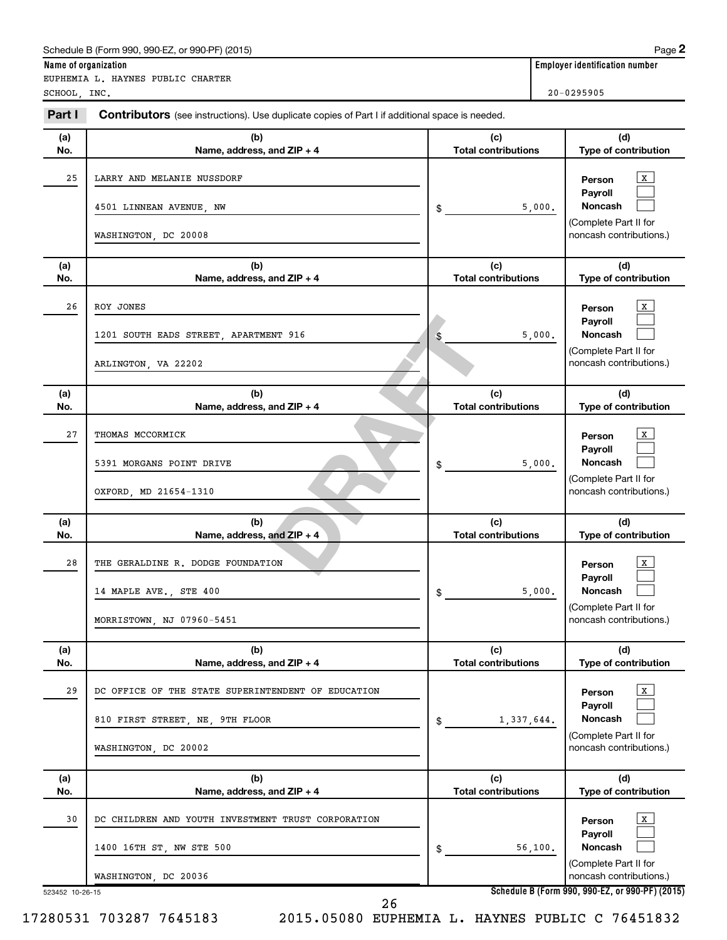EUPHEMIA L. HAYNES PUBLIC CHARTER

**Name of organization Employer identification number**

| SCHOOL, INC. |                                                                                                               |                                   | $20 - 0295905$                                                                                   |
|--------------|---------------------------------------------------------------------------------------------------------------|-----------------------------------|--------------------------------------------------------------------------------------------------|
| Part I       | <b>Contributors</b> (see instructions). Use duplicate copies of Part I if additional space is needed.         |                                   |                                                                                                  |
| (a)<br>No.   | (b)<br>Name, address, and ZIP + 4                                                                             | (c)<br><b>Total contributions</b> | (d)<br>Type of contribution                                                                      |
| 25           | LARRY AND MELANIE NUSSDORF<br>4501 LINNEAN AVENUE, NW<br>WASHINGTON, DC 20008                                 | 5,000.<br>\$                      | X<br>Person<br>Payroll<br>Noncash<br>(Complete Part II for<br>noncash contributions.)            |
| (a)<br>No.   | (b)<br>Name, address, and ZIP + 4                                                                             | (c)<br><b>Total contributions</b> | (d)<br>Type of contribution                                                                      |
| 26           | ROY JONES<br>1201 SOUTH EADS STREET, APARTMENT 916<br>ARLINGTON, VA 22202                                     | 5,000.<br>\$                      | x<br>Person<br>Payroll<br>Noncash<br>(Complete Part II for<br>noncash contributions.)            |
| (a)<br>No.   | (b)<br>Name, address, and ZIP + 4                                                                             | (c)<br><b>Total contributions</b> | (d)<br>Type of contribution                                                                      |
| 27           | THOMAS MCCORMICK<br>5391 MORGANS POINT DRIVE<br>OXFORD, MD 21654-1310                                         | 5,000.<br>\$                      | x<br>Person<br>Payroll<br><b>Noncash</b><br>(Complete Part II for<br>noncash contributions.)     |
| (a)<br>No.   | (b)<br>Name, address, and $ZIP + 4$                                                                           | (c)<br><b>Total contributions</b> | (d)<br>Type of contribution                                                                      |
| 28           | THE GERALDINE R. DODGE FOUNDATION<br>14 MAPLE AVE., STE 400<br>MORRISTOWN, NJ 07960-5451                      | 5,000.<br>\$                      | X<br>Person<br>Payroll<br><b>Noncash</b><br>(Complete Part II for<br>noncash contributions.)     |
| (a)<br>No.   | (b)<br>Name, address, and ZIP + 4                                                                             | (c)<br><b>Total contributions</b> | (d)<br>Type of contribution                                                                      |
| 29           | DC OFFICE OF THE STATE SUPERINTENDENT OF EDUCATION<br>810 FIRST STREET, NE, 9TH FLOOR<br>WASHINGTON, DC 20002 | 1,337,644.<br>\$                  | $\mathbf{X}$<br>Person<br>Payroll<br>Noncash<br>(Complete Part II for<br>noncash contributions.) |
| (a)<br>No.   | (b)<br>Name, address, and ZIP + 4                                                                             | (c)<br><b>Total contributions</b> | (d)<br>Type of contribution                                                                      |
| 30           | DC CHILDREN AND YOUTH INVESTMENT TRUST CORPORATION<br>1400 16TH ST, NW STE 500<br>WASHINGTON, DC 20036        | 56,100.<br>\$                     | X<br>Person<br>Payroll<br>Noncash<br>(Complete Part II for<br>noncash contributions.)            |

26

**Schedule B (Form 990, 990-EZ, or 990-PF) (2015)**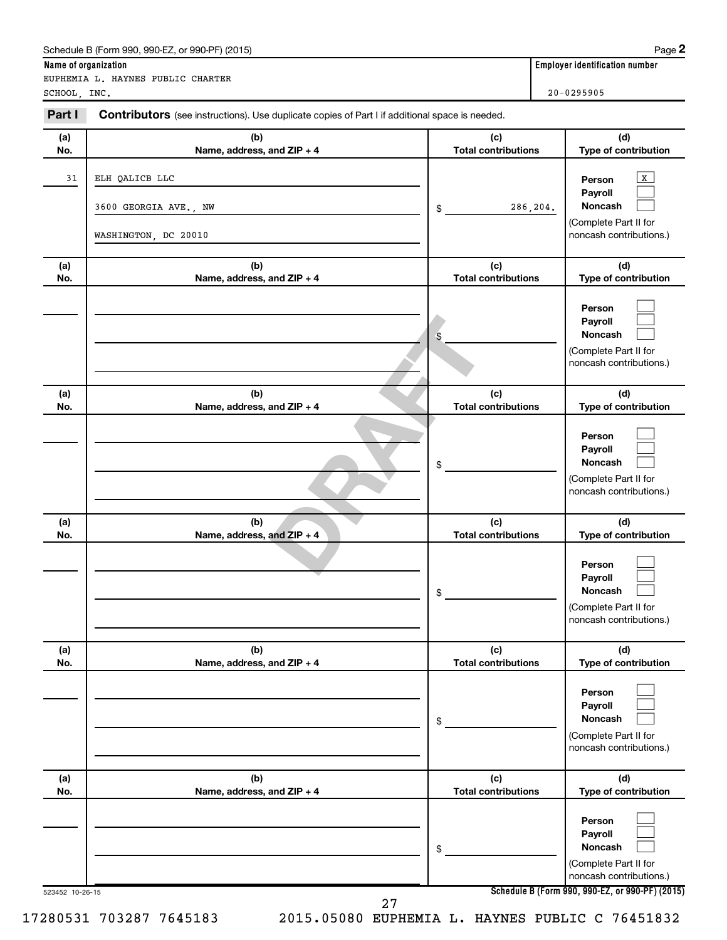| SCHOOL, INC. |                                                                                                       |                                   | $20 - 0295905$                                                                          |  |
|--------------|-------------------------------------------------------------------------------------------------------|-----------------------------------|-----------------------------------------------------------------------------------------|--|
| Part I       | <b>Contributors</b> (see instructions). Use duplicate copies of Part I if additional space is needed. |                                   |                                                                                         |  |
| (a)<br>No.   | (b)<br>Name, address, and ZIP + 4                                                                     | (c)<br><b>Total contributions</b> | (d)<br>Type of contribution                                                             |  |
| 31           | ELH QALICB LLC                                                                                        |                                   | X<br>Person<br>Payroll                                                                  |  |
|              | 3600 GEORGIA AVE., NW                                                                                 | \$                                | <b>Noncash</b><br>286,204.<br>(Complete Part II for                                     |  |
|              | WASHINGTON, DC 20010                                                                                  |                                   | noncash contributions.)                                                                 |  |
| (a)<br>No.   | (b)<br>Name, address, and ZIP + 4                                                                     | (c)<br><b>Total contributions</b> | (d)<br>Type of contribution                                                             |  |
|              |                                                                                                       | \$                                | Person<br>Payroll<br><b>Noncash</b><br>(Complete Part II for<br>noncash contributions.) |  |
| (a)<br>No.   | (b)<br>Name, address, and ZIP + 4                                                                     | (c)<br><b>Total contributions</b> | (d)<br>Type of contribution                                                             |  |
|              |                                                                                                       | \$                                | Person<br>Payroll<br><b>Noncash</b><br>(Complete Part II for<br>noncash contributions.) |  |
| (a)<br>No.   | (b)<br>Name, address, and ZIP + 4                                                                     | (c)<br><b>Total contributions</b> | (d)<br>Type of contribution                                                             |  |
|              |                                                                                                       | \$                                | Person<br>Payroll<br><b>Noncash</b><br>(Complete Part II for<br>noncash contributions.) |  |
| (a)<br>No.   | (b)<br>Name, address, and ZIP + 4                                                                     | (c)<br><b>Total contributions</b> | (d)<br>Type of contribution                                                             |  |
|              |                                                                                                       | \$                                | Person<br>Payroll<br>Noncash<br>(Complete Part II for<br>noncash contributions.)        |  |
| (a)<br>No.   | (b)<br>Name, address, and ZIP + 4                                                                     | (c)<br><b>Total contributions</b> | (d)<br>Type of contribution                                                             |  |
|              |                                                                                                       | \$                                | Person<br>Payroll<br>Noncash<br>(Complete Part II for<br>noncash contributions.)        |  |

 $\lambda$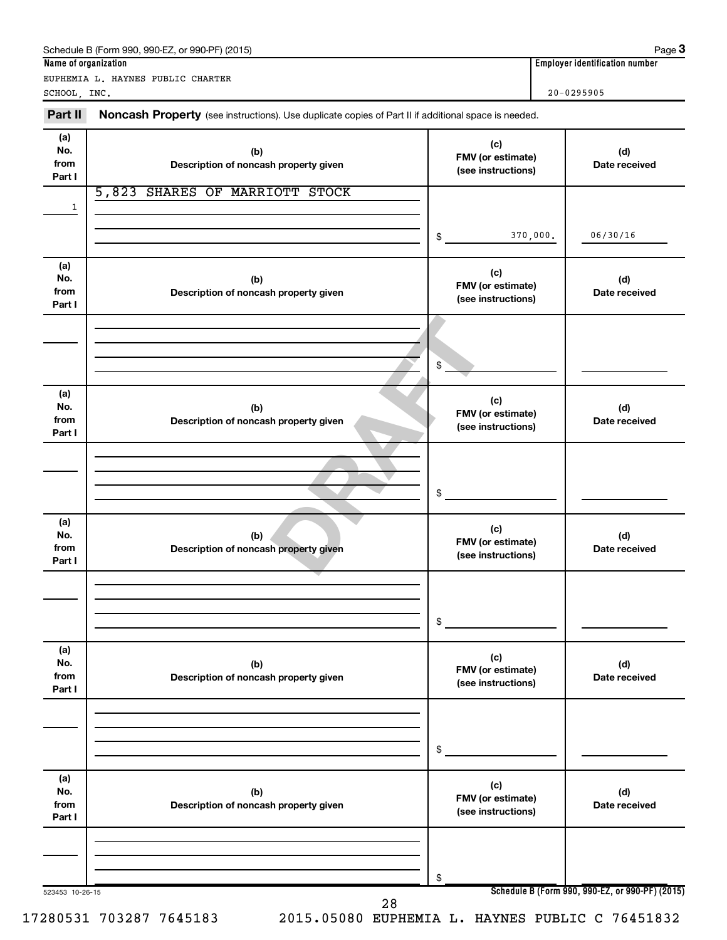#### FMV (or estima<br>
(c)<br>
h property given<br> **DRAFT**<br>
<br> **DRAFTLE CONSIDER SEARCH CONSIDER SEARCH CONSIDER SEARCH CONSIDER SEARCH CONSIDER SEARCH CONSIDER SEARCH CONSIDER SEARCH CONSIDER SEARCH CONSIDER SEARCH CONSIDER SEARCH CON** 523453 10-26-15 **Name of organization Employer identification number Schedule B (Form 990, 990-EZ, or 990-PF) (2015) (a) No. from Part I (c) FMV (or estimate) (see instructions) (b) Description of noncash property given (d) Date received (a) No. from Part I (c) FMV (or estimate) (see instructions) (b) Description of noncash property given (d) Date received (a) No. from Part I (c) FMV (or estimate) (see instructions) (b) Description of noncash property given (d) Date received (a) No. from Part I (c) FMV (or estimate) (see instructions) (b) Description of noncash property given (d) Date received (a) No. from Part I (c) FMV (or estimate) (see instructions) (b) Description of noncash property given (d) Date received (a) No. from Part I (c) FMV (or estimate) (see instructions) (b) Description of noncash property given (d) Date received** Schedule B (Form 990, 990-EZ, or 990-PF) (2015) Part II Noncash Property (see instructions). Use duplicate copies of Part II if additional space is needed. \$ \$ \$ \$ \$ \$ **3** EUPHEMIA L. HAYNES PUBLIC CHARTER SCHOOL, INC. 20-0295905 5,823 SHARES OF MARRIOTT STOCK 1 370,000. 06/30/16 28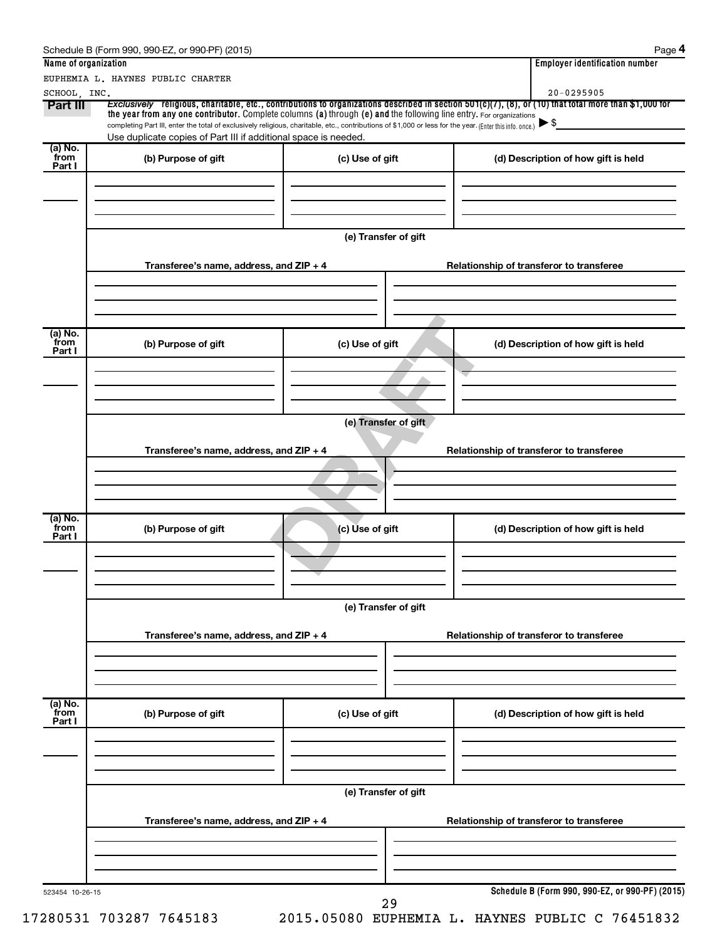|                           | EUPHEMIA L. HAYNES PUBLIC CHARTER                                                                                                                                                                                                                                                                                                                  |                      | 20-0295905                                                                                                                                                       |
|---------------------------|----------------------------------------------------------------------------------------------------------------------------------------------------------------------------------------------------------------------------------------------------------------------------------------------------------------------------------------------------|----------------------|------------------------------------------------------------------------------------------------------------------------------------------------------------------|
| SCHOOL, INC.<br>Part III  | the year from any one contributor. Complete columns (a) through (e) and the following line entry. For organizations<br>completing Part III, enter the total of exclusively religious, charitable, etc., contributions of \$1,000 or less for the year. (Enter this info. once.)<br>Use duplicate copies of Part III if additional space is needed. |                      | Exclusively religious, charitable, etc., contributions to organizations described in section $501(c)(7)$ , (8), or (10) that total more than \$1,000 for<br>▶ \$ |
| (a) No.<br>from<br>Part I | (b) Purpose of gift                                                                                                                                                                                                                                                                                                                                | (c) Use of gift      | (d) Description of how gift is held                                                                                                                              |
|                           |                                                                                                                                                                                                                                                                                                                                                    | (e) Transfer of gift |                                                                                                                                                                  |
|                           | Transferee's name, address, and ZIP + 4                                                                                                                                                                                                                                                                                                            |                      | Relationship of transferor to transferee                                                                                                                         |
| (a) No.<br>from<br>Part I | (b) Purpose of gift                                                                                                                                                                                                                                                                                                                                | (c) Use of gift      | (d) Description of how gift is held                                                                                                                              |
|                           |                                                                                                                                                                                                                                                                                                                                                    |                      |                                                                                                                                                                  |
|                           | Transferee's name, address, and ZIP + 4                                                                                                                                                                                                                                                                                                            | (e) Transfer of gift | Relationship of transferor to transferee                                                                                                                         |
| (a) No.<br>from<br>Part I | (b) Purpose of gift                                                                                                                                                                                                                                                                                                                                | (c) Use of gift      | (d) Description of how gift is held                                                                                                                              |
|                           |                                                                                                                                                                                                                                                                                                                                                    | (e) Transfer of gift |                                                                                                                                                                  |
|                           | Transferee's name, address, and ZIP + 4                                                                                                                                                                                                                                                                                                            |                      | Relationship of transferor to transferee                                                                                                                         |
| (a) No.<br>from<br>Part I | (b) Purpose of gift                                                                                                                                                                                                                                                                                                                                | (c) Use of gift      | (d) Description of how gift is held                                                                                                                              |
|                           |                                                                                                                                                                                                                                                                                                                                                    |                      |                                                                                                                                                                  |
|                           | Transferee's name, address, and ZIP + 4                                                                                                                                                                                                                                                                                                            | (e) Transfer of gift | Relationship of transferor to transferee                                                                                                                         |
|                           |                                                                                                                                                                                                                                                                                                                                                    |                      |                                                                                                                                                                  |
| 523454 10-26-15           |                                                                                                                                                                                                                                                                                                                                                    | 29                   | Schedule B (Form 990, 990-EZ, or 990-PF) (2015)                                                                                                                  |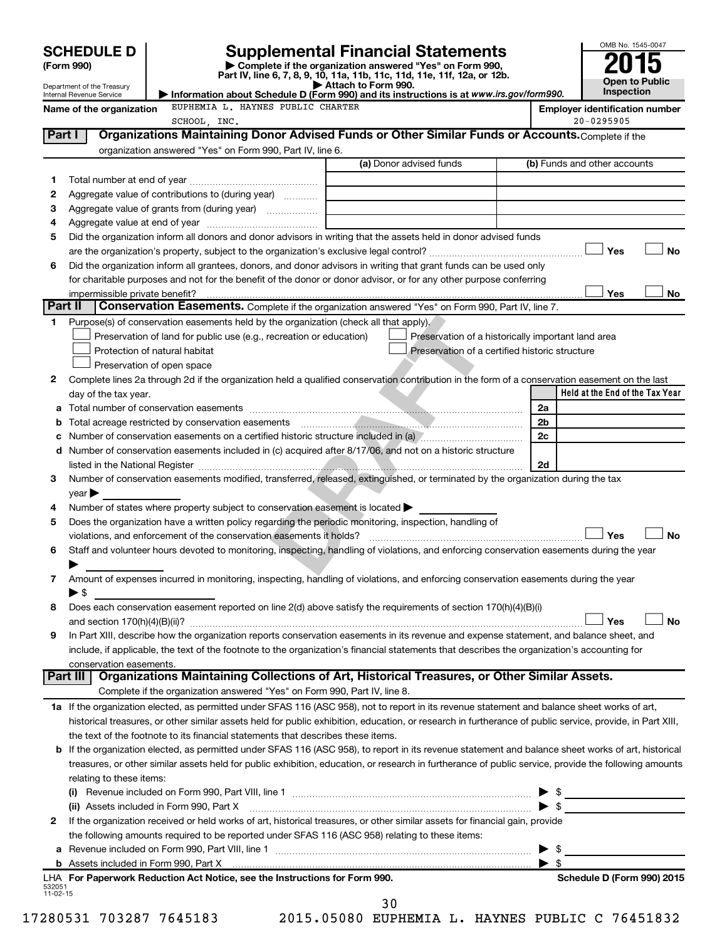**(Form 990) | Complete if the organization answered "Yes" on Form 990, Part IV, line 6, 7, 8, 9, 10, 11a, 11b, 11c, 11d, 11e, 11f, 12a, or 12b. SCHEDULE D Supplemental Financial Statements**<br> **Form 990 2015**<br> **Part IV** line 6.7.8.9.10, 11a, 11b, 11d, 11d, 11d, 11d, 11d, 12a, 0r, 12b



Department of the Treasury Internal Revenue Service

|                                   |  |  | Attach to Form 990.<br>Information about Schedule D (Form 990) and its instructions is at www.irs.gov/form990. |       |
|-----------------------------------|--|--|----------------------------------------------------------------------------------------------------------------|-------|
| EUPHEMIA L. HAYNES PUBLIC CHARTER |  |  |                                                                                                                | Emplo |

Name of the organization EUPHEMIA L. HAYNES PUBLIC CHARTER<br> **Name of the organization number**<br> **Employer identification number** 

|            | SCHOOL, INC.                                                                                                                                               |                                                | $20 - 0295905$                                     |
|------------|------------------------------------------------------------------------------------------------------------------------------------------------------------|------------------------------------------------|----------------------------------------------------|
| Part I     | Organizations Maintaining Donor Advised Funds or Other Similar Funds or Accounts. Complete if the                                                          |                                                |                                                    |
|            | organization answered "Yes" on Form 990, Part IV, line 6.                                                                                                  |                                                |                                                    |
|            |                                                                                                                                                            | (a) Donor advised funds                        | (b) Funds and other accounts                       |
| 1          |                                                                                                                                                            |                                                |                                                    |
| 2          | Aggregate value of contributions to (during year)                                                                                                          |                                                |                                                    |
| з          | Aggregate value of grants from (during year)                                                                                                               |                                                |                                                    |
|            |                                                                                                                                                            |                                                |                                                    |
| 4          |                                                                                                                                                            |                                                |                                                    |
| 5          | Did the organization inform all donors and donor advisors in writing that the assets held in donor advised funds                                           |                                                |                                                    |
|            |                                                                                                                                                            |                                                | Yes<br>No                                          |
| 6          | Did the organization inform all grantees, donors, and donor advisors in writing that grant funds can be used only                                          |                                                |                                                    |
|            | for charitable purposes and not for the benefit of the donor or donor advisor, or for any other purpose conferring                                         |                                                |                                                    |
|            |                                                                                                                                                            |                                                | Yes<br>No                                          |
| Part II    | <b>Conservation Easements.</b> Complete if the organization answered "Yes" on Form 990, Part IV, line 7.                                                   |                                                |                                                    |
| 1.         | Purpose(s) of conservation easements held by the organization (check all that apply).                                                                      |                                                |                                                    |
|            | Preservation of land for public use (e.g., recreation or education)                                                                                        |                                                | Preservation of a historically important land area |
|            | Protection of natural habitat                                                                                                                              | Preservation of a certified historic structure |                                                    |
|            | Preservation of open space                                                                                                                                 |                                                |                                                    |
| 2          | Complete lines 2a through 2d if the organization held a qualified conservation contribution in the form of a conservation easement on the last             |                                                |                                                    |
|            | day of the tax year.                                                                                                                                       |                                                | Held at the End of the Tax Year                    |
| а          |                                                                                                                                                            |                                                | 2a                                                 |
| b          |                                                                                                                                                            |                                                | 2b                                                 |
|            | Number of conservation easements on a certified historic structure included in (a) ///////////////////////////                                             |                                                | 2c                                                 |
| d          | Number of conservation easements included in (c) acquired after 8/17/06, and not on a historic structure                                                   |                                                |                                                    |
|            |                                                                                                                                                            |                                                | 2d                                                 |
| 3          | Number of conservation easements modified, transferred, released, extinguished, or terminated by the organization during the tax                           |                                                |                                                    |
|            |                                                                                                                                                            |                                                |                                                    |
|            | year                                                                                                                                                       |                                                |                                                    |
| 4          | Number of states where property subject to conservation easement is located >                                                                              |                                                |                                                    |
| 5          | Does the organization have a written policy regarding the periodic monitoring, inspection, handling of                                                     |                                                |                                                    |
|            | violations, and enforcement of the conservation easements it holds?                                                                                        |                                                | Yes<br><b>No</b>                                   |
| 6          | Staff and volunteer hours devoted to monitoring, inspecting, handling of violations, and enforcing conservation easements during the year                  |                                                |                                                    |
|            |                                                                                                                                                            |                                                |                                                    |
| 7          | Amount of expenses incurred in monitoring, inspecting, handling of violations, and enforcing conservation easements during the year                        |                                                |                                                    |
|            | $\blacktriangleright$ \$                                                                                                                                   |                                                |                                                    |
| 8          | Does each conservation easement reported on line 2(d) above satisfy the requirements of section 170(h)(4)(B)(i)                                            |                                                |                                                    |
|            |                                                                                                                                                            |                                                | No<br>Yes                                          |
| 9          | In Part XIII, describe how the organization reports conservation easements in its revenue and expense statement, and balance sheet, and                    |                                                |                                                    |
|            | include, if applicable, the text of the footnote to the organization's financial statements that describes the organization's accounting for               |                                                |                                                    |
|            | conservation easements.                                                                                                                                    |                                                |                                                    |
|            | Organizations Maintaining Collections of Art, Historical Treasures, or Other Similar Assets.<br>Part III                                                   |                                                |                                                    |
|            | Complete if the organization answered "Yes" on Form 990, Part IV, line 8.                                                                                  |                                                |                                                    |
|            | 1a If the organization elected, as permitted under SFAS 116 (ASC 958), not to report in its revenue statement and balance sheet works of art,              |                                                |                                                    |
|            | historical treasures, or other similar assets held for public exhibition, education, or research in furtherance of public service, provide, in Part XIII,  |                                                |                                                    |
|            | the text of the footnote to its financial statements that describes these items.                                                                           |                                                |                                                    |
|            | <b>b</b> If the organization elected, as permitted under SFAS 116 (ASC 958), to report in its revenue statement and balance sheet works of art, historical |                                                |                                                    |
|            | treasures, or other similar assets held for public exhibition, education, or research in furtherance of public service, provide the following amounts      |                                                |                                                    |
|            | relating to these items:                                                                                                                                   |                                                |                                                    |
|            |                                                                                                                                                            |                                                |                                                    |
|            |                                                                                                                                                            |                                                | $\frac{1}{2}$<br>$\blacktriangleright$ \$          |
|            | (ii) Assets included in Form 990, Part X                                                                                                                   |                                                |                                                    |
| 2          | If the organization received or held works of art, historical treasures, or other similar assets for financial gain, provide                               |                                                |                                                    |
|            | the following amounts required to be reported under SFAS 116 (ASC 958) relating to these items:                                                            |                                                |                                                    |
| а          |                                                                                                                                                            |                                                | -\$<br>▶                                           |
| b          |                                                                                                                                                            |                                                | $\blacktriangleright$ s                            |
| 532051     | LHA For Paperwork Reduction Act Notice, see the Instructions for Form 990.                                                                                 |                                                | Schedule D (Form 990) 2015                         |
| $11-02-15$ |                                                                                                                                                            | <b>3 U</b>                                     |                                                    |
|            |                                                                                                                                                            |                                                |                                                    |

30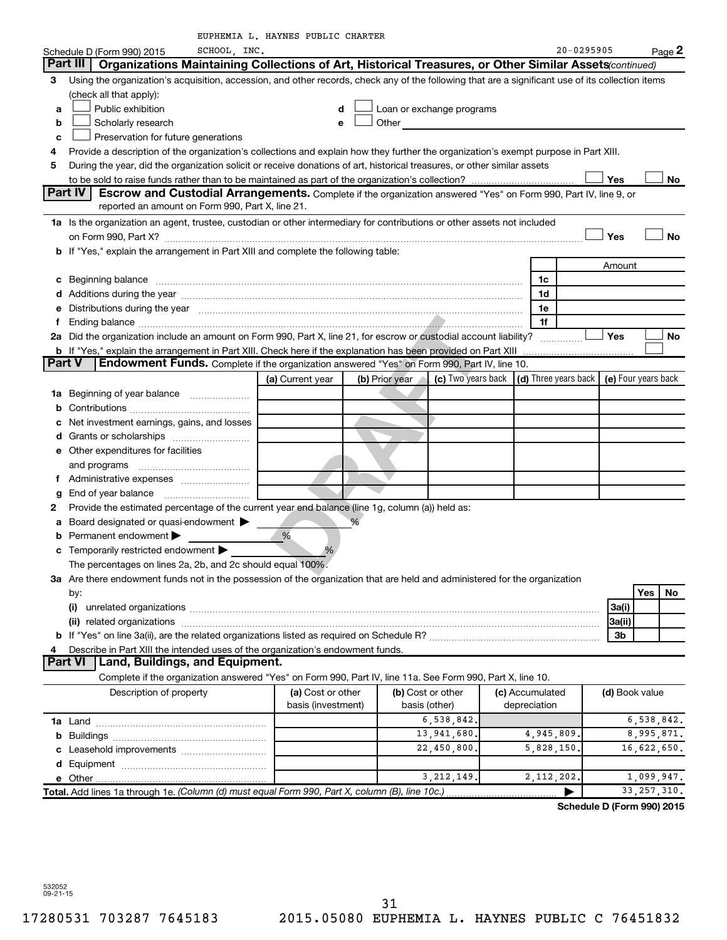| 20-0295905<br>SCHOOL, INC.<br>Page 2<br>Schedule D (Form 990) 2015<br>Organizations Maintaining Collections of Art, Historical Treasures, or Other Similar Assets(continued)<br>Part III  <br>Using the organization's acquisition, accession, and other records, check any of the following that are a significant use of its collection items<br>з<br>(check all that apply):<br>Public exhibition<br>Loan or exchange programs<br>d<br>а<br>Scholarly research<br>Other<br>b<br>e<br>Preservation for future generations<br>c<br>Provide a description of the organization's collections and explain how they further the organization's exempt purpose in Part XIII.<br>4<br>During the year, did the organization solicit or receive donations of art, historical treasures, or other similar assets<br>5<br>Yes<br>No<br>Part IV<br>Escrow and Custodial Arrangements. Complete if the organization answered "Yes" on Form 990, Part IV, line 9, or<br>reported an amount on Form 990, Part X, line 21.<br>1a Is the organization an agent, trustee, custodian or other intermediary for contributions or other assets not included<br><b>No</b><br>Yes<br>b If "Yes," explain the arrangement in Part XIII and complete the following table:<br>Amount<br>Beginning balance measurements and contain a series of the series of the series of the series of the series of the series of the series of the series of the series of the series of the series of the series of the series of<br>1c<br>с<br>1d<br>d<br>Distributions during the year manufactured and continuum and contact the state of the state of the state of the state of the state of the state of the state of the state of the state of the state of the state of the state<br>1e<br>е<br>1f<br>f.<br>2a Did the organization include an amount on Form 990, Part X, line 21, for escrow or custodial account liability?<br><b>Yes</b><br>No<br><b>b</b> If "Yes," explain the arrangement in Part XIII. Check here if the explanation has been provided on Part XIII<br>Part V<br><b>Endowment Funds.</b> Complete if the organization answered "Yes" on Form 990, Part IV, line 10.<br>(c) Two years back $\vert$ (d) Three years back $\vert$<br>(e) Four years back<br>(b) Prior year<br>(a) Current year<br>1a Beginning of year balance<br>b<br>Net investment earnings, gains, and losses<br>c<br>d<br><b>e</b> Other expenditures for facilities<br>and programs<br>t.<br>g<br>Provide the estimated percentage of the current year end balance (line 1g, column (a)) held as:<br>2<br>Board designated or quasi-endowment ><br>а<br>Permanent endowment<br>%<br>b<br>c Temporarily restricted endowment $\blacktriangleright$<br>The percentages on lines 2a, 2b, and 2c should equal 100%<br>3a Are there endowment funds not in the possession of the organization that are held and administered for the organization<br>Yes<br>No<br>by:<br>3a(i)<br>3a(ii)<br>3b<br>Describe in Part XIII the intended uses of the organization's endowment funds.<br>4<br>Land, Buildings, and Equipment.<br>Part VI<br>Complete if the organization answered "Yes" on Form 990, Part IV, line 11a. See Form 990, Part X, line 10.<br>(b) Cost or other<br>Description of property<br>(a) Cost or other<br>(c) Accumulated<br>(d) Book value<br>basis (investment)<br>depreciation<br>basis (other)<br>6,538,842.<br>6,538,842.<br>13,941,680.<br>8,995,871.<br>4,945,809<br>22,450,800.<br>16,622,650.<br>5,828,150<br>3, 212, 149.<br>2,112,202.<br>1,099,947.<br>Total. Add lines 1a through 1e. (Column (d) must equal Form 990, Part X, column (B), line 10c.)<br>33, 257, 310. |  | EUPHEMIA L. HAYNES PUBLIC CHARTER |  |  |  |  |  |
|----------------------------------------------------------------------------------------------------------------------------------------------------------------------------------------------------------------------------------------------------------------------------------------------------------------------------------------------------------------------------------------------------------------------------------------------------------------------------------------------------------------------------------------------------------------------------------------------------------------------------------------------------------------------------------------------------------------------------------------------------------------------------------------------------------------------------------------------------------------------------------------------------------------------------------------------------------------------------------------------------------------------------------------------------------------------------------------------------------------------------------------------------------------------------------------------------------------------------------------------------------------------------------------------------------------------------------------------------------------------------------------------------------------------------------------------------------------------------------------------------------------------------------------------------------------------------------------------------------------------------------------------------------------------------------------------------------------------------------------------------------------------------------------------------------------------------------------------------------------------------------------------------------------------------------------------------------------------------------------------------------------------------------------------------------------------------------------------------------------------------------------------------------------------------------------------------------------------------------------------------------------------------------------------------------------------------------------------------------------------------------------------------------------------------------------------------------------------------------------------------------------------------------------------------------------------------------------------------------------------------------------------------------------------------------------------------------------------------------------------------------------------------------------------------------------------------------------------------------------------------------------------------------------------------------------------------------------------------------------------------------------------------------------------------------------------------------------------------------------------------------------------------------------------------------------------------------------------------------------------------------------------------------------------------------------------------------------------------------------------------------------------------------------------------------------------------------------------------------------------------------------------------------------------------------------------------------------------------------------------------------------------------------------|--|-----------------------------------|--|--|--|--|--|
|                                                                                                                                                                                                                                                                                                                                                                                                                                                                                                                                                                                                                                                                                                                                                                                                                                                                                                                                                                                                                                                                                                                                                                                                                                                                                                                                                                                                                                                                                                                                                                                                                                                                                                                                                                                                                                                                                                                                                                                                                                                                                                                                                                                                                                                                                                                                                                                                                                                                                                                                                                                                                                                                                                                                                                                                                                                                                                                                                                                                                                                                                                                                                                                                                                                                                                                                                                                                                                                                                                                                                                                                                                                                |  |                                   |  |  |  |  |  |
|                                                                                                                                                                                                                                                                                                                                                                                                                                                                                                                                                                                                                                                                                                                                                                                                                                                                                                                                                                                                                                                                                                                                                                                                                                                                                                                                                                                                                                                                                                                                                                                                                                                                                                                                                                                                                                                                                                                                                                                                                                                                                                                                                                                                                                                                                                                                                                                                                                                                                                                                                                                                                                                                                                                                                                                                                                                                                                                                                                                                                                                                                                                                                                                                                                                                                                                                                                                                                                                                                                                                                                                                                                                                |  |                                   |  |  |  |  |  |
|                                                                                                                                                                                                                                                                                                                                                                                                                                                                                                                                                                                                                                                                                                                                                                                                                                                                                                                                                                                                                                                                                                                                                                                                                                                                                                                                                                                                                                                                                                                                                                                                                                                                                                                                                                                                                                                                                                                                                                                                                                                                                                                                                                                                                                                                                                                                                                                                                                                                                                                                                                                                                                                                                                                                                                                                                                                                                                                                                                                                                                                                                                                                                                                                                                                                                                                                                                                                                                                                                                                                                                                                                                                                |  |                                   |  |  |  |  |  |
|                                                                                                                                                                                                                                                                                                                                                                                                                                                                                                                                                                                                                                                                                                                                                                                                                                                                                                                                                                                                                                                                                                                                                                                                                                                                                                                                                                                                                                                                                                                                                                                                                                                                                                                                                                                                                                                                                                                                                                                                                                                                                                                                                                                                                                                                                                                                                                                                                                                                                                                                                                                                                                                                                                                                                                                                                                                                                                                                                                                                                                                                                                                                                                                                                                                                                                                                                                                                                                                                                                                                                                                                                                                                |  |                                   |  |  |  |  |  |
|                                                                                                                                                                                                                                                                                                                                                                                                                                                                                                                                                                                                                                                                                                                                                                                                                                                                                                                                                                                                                                                                                                                                                                                                                                                                                                                                                                                                                                                                                                                                                                                                                                                                                                                                                                                                                                                                                                                                                                                                                                                                                                                                                                                                                                                                                                                                                                                                                                                                                                                                                                                                                                                                                                                                                                                                                                                                                                                                                                                                                                                                                                                                                                                                                                                                                                                                                                                                                                                                                                                                                                                                                                                                |  |                                   |  |  |  |  |  |
|                                                                                                                                                                                                                                                                                                                                                                                                                                                                                                                                                                                                                                                                                                                                                                                                                                                                                                                                                                                                                                                                                                                                                                                                                                                                                                                                                                                                                                                                                                                                                                                                                                                                                                                                                                                                                                                                                                                                                                                                                                                                                                                                                                                                                                                                                                                                                                                                                                                                                                                                                                                                                                                                                                                                                                                                                                                                                                                                                                                                                                                                                                                                                                                                                                                                                                                                                                                                                                                                                                                                                                                                                                                                |  |                                   |  |  |  |  |  |
|                                                                                                                                                                                                                                                                                                                                                                                                                                                                                                                                                                                                                                                                                                                                                                                                                                                                                                                                                                                                                                                                                                                                                                                                                                                                                                                                                                                                                                                                                                                                                                                                                                                                                                                                                                                                                                                                                                                                                                                                                                                                                                                                                                                                                                                                                                                                                                                                                                                                                                                                                                                                                                                                                                                                                                                                                                                                                                                                                                                                                                                                                                                                                                                                                                                                                                                                                                                                                                                                                                                                                                                                                                                                |  |                                   |  |  |  |  |  |
|                                                                                                                                                                                                                                                                                                                                                                                                                                                                                                                                                                                                                                                                                                                                                                                                                                                                                                                                                                                                                                                                                                                                                                                                                                                                                                                                                                                                                                                                                                                                                                                                                                                                                                                                                                                                                                                                                                                                                                                                                                                                                                                                                                                                                                                                                                                                                                                                                                                                                                                                                                                                                                                                                                                                                                                                                                                                                                                                                                                                                                                                                                                                                                                                                                                                                                                                                                                                                                                                                                                                                                                                                                                                |  |                                   |  |  |  |  |  |
|                                                                                                                                                                                                                                                                                                                                                                                                                                                                                                                                                                                                                                                                                                                                                                                                                                                                                                                                                                                                                                                                                                                                                                                                                                                                                                                                                                                                                                                                                                                                                                                                                                                                                                                                                                                                                                                                                                                                                                                                                                                                                                                                                                                                                                                                                                                                                                                                                                                                                                                                                                                                                                                                                                                                                                                                                                                                                                                                                                                                                                                                                                                                                                                                                                                                                                                                                                                                                                                                                                                                                                                                                                                                |  |                                   |  |  |  |  |  |
|                                                                                                                                                                                                                                                                                                                                                                                                                                                                                                                                                                                                                                                                                                                                                                                                                                                                                                                                                                                                                                                                                                                                                                                                                                                                                                                                                                                                                                                                                                                                                                                                                                                                                                                                                                                                                                                                                                                                                                                                                                                                                                                                                                                                                                                                                                                                                                                                                                                                                                                                                                                                                                                                                                                                                                                                                                                                                                                                                                                                                                                                                                                                                                                                                                                                                                                                                                                                                                                                                                                                                                                                                                                                |  |                                   |  |  |  |  |  |
|                                                                                                                                                                                                                                                                                                                                                                                                                                                                                                                                                                                                                                                                                                                                                                                                                                                                                                                                                                                                                                                                                                                                                                                                                                                                                                                                                                                                                                                                                                                                                                                                                                                                                                                                                                                                                                                                                                                                                                                                                                                                                                                                                                                                                                                                                                                                                                                                                                                                                                                                                                                                                                                                                                                                                                                                                                                                                                                                                                                                                                                                                                                                                                                                                                                                                                                                                                                                                                                                                                                                                                                                                                                                |  |                                   |  |  |  |  |  |
|                                                                                                                                                                                                                                                                                                                                                                                                                                                                                                                                                                                                                                                                                                                                                                                                                                                                                                                                                                                                                                                                                                                                                                                                                                                                                                                                                                                                                                                                                                                                                                                                                                                                                                                                                                                                                                                                                                                                                                                                                                                                                                                                                                                                                                                                                                                                                                                                                                                                                                                                                                                                                                                                                                                                                                                                                                                                                                                                                                                                                                                                                                                                                                                                                                                                                                                                                                                                                                                                                                                                                                                                                                                                |  |                                   |  |  |  |  |  |
|                                                                                                                                                                                                                                                                                                                                                                                                                                                                                                                                                                                                                                                                                                                                                                                                                                                                                                                                                                                                                                                                                                                                                                                                                                                                                                                                                                                                                                                                                                                                                                                                                                                                                                                                                                                                                                                                                                                                                                                                                                                                                                                                                                                                                                                                                                                                                                                                                                                                                                                                                                                                                                                                                                                                                                                                                                                                                                                                                                                                                                                                                                                                                                                                                                                                                                                                                                                                                                                                                                                                                                                                                                                                |  |                                   |  |  |  |  |  |
|                                                                                                                                                                                                                                                                                                                                                                                                                                                                                                                                                                                                                                                                                                                                                                                                                                                                                                                                                                                                                                                                                                                                                                                                                                                                                                                                                                                                                                                                                                                                                                                                                                                                                                                                                                                                                                                                                                                                                                                                                                                                                                                                                                                                                                                                                                                                                                                                                                                                                                                                                                                                                                                                                                                                                                                                                                                                                                                                                                                                                                                                                                                                                                                                                                                                                                                                                                                                                                                                                                                                                                                                                                                                |  |                                   |  |  |  |  |  |
|                                                                                                                                                                                                                                                                                                                                                                                                                                                                                                                                                                                                                                                                                                                                                                                                                                                                                                                                                                                                                                                                                                                                                                                                                                                                                                                                                                                                                                                                                                                                                                                                                                                                                                                                                                                                                                                                                                                                                                                                                                                                                                                                                                                                                                                                                                                                                                                                                                                                                                                                                                                                                                                                                                                                                                                                                                                                                                                                                                                                                                                                                                                                                                                                                                                                                                                                                                                                                                                                                                                                                                                                                                                                |  |                                   |  |  |  |  |  |
|                                                                                                                                                                                                                                                                                                                                                                                                                                                                                                                                                                                                                                                                                                                                                                                                                                                                                                                                                                                                                                                                                                                                                                                                                                                                                                                                                                                                                                                                                                                                                                                                                                                                                                                                                                                                                                                                                                                                                                                                                                                                                                                                                                                                                                                                                                                                                                                                                                                                                                                                                                                                                                                                                                                                                                                                                                                                                                                                                                                                                                                                                                                                                                                                                                                                                                                                                                                                                                                                                                                                                                                                                                                                |  |                                   |  |  |  |  |  |
|                                                                                                                                                                                                                                                                                                                                                                                                                                                                                                                                                                                                                                                                                                                                                                                                                                                                                                                                                                                                                                                                                                                                                                                                                                                                                                                                                                                                                                                                                                                                                                                                                                                                                                                                                                                                                                                                                                                                                                                                                                                                                                                                                                                                                                                                                                                                                                                                                                                                                                                                                                                                                                                                                                                                                                                                                                                                                                                                                                                                                                                                                                                                                                                                                                                                                                                                                                                                                                                                                                                                                                                                                                                                |  |                                   |  |  |  |  |  |
|                                                                                                                                                                                                                                                                                                                                                                                                                                                                                                                                                                                                                                                                                                                                                                                                                                                                                                                                                                                                                                                                                                                                                                                                                                                                                                                                                                                                                                                                                                                                                                                                                                                                                                                                                                                                                                                                                                                                                                                                                                                                                                                                                                                                                                                                                                                                                                                                                                                                                                                                                                                                                                                                                                                                                                                                                                                                                                                                                                                                                                                                                                                                                                                                                                                                                                                                                                                                                                                                                                                                                                                                                                                                |  |                                   |  |  |  |  |  |
|                                                                                                                                                                                                                                                                                                                                                                                                                                                                                                                                                                                                                                                                                                                                                                                                                                                                                                                                                                                                                                                                                                                                                                                                                                                                                                                                                                                                                                                                                                                                                                                                                                                                                                                                                                                                                                                                                                                                                                                                                                                                                                                                                                                                                                                                                                                                                                                                                                                                                                                                                                                                                                                                                                                                                                                                                                                                                                                                                                                                                                                                                                                                                                                                                                                                                                                                                                                                                                                                                                                                                                                                                                                                |  |                                   |  |  |  |  |  |
|                                                                                                                                                                                                                                                                                                                                                                                                                                                                                                                                                                                                                                                                                                                                                                                                                                                                                                                                                                                                                                                                                                                                                                                                                                                                                                                                                                                                                                                                                                                                                                                                                                                                                                                                                                                                                                                                                                                                                                                                                                                                                                                                                                                                                                                                                                                                                                                                                                                                                                                                                                                                                                                                                                                                                                                                                                                                                                                                                                                                                                                                                                                                                                                                                                                                                                                                                                                                                                                                                                                                                                                                                                                                |  |                                   |  |  |  |  |  |
|                                                                                                                                                                                                                                                                                                                                                                                                                                                                                                                                                                                                                                                                                                                                                                                                                                                                                                                                                                                                                                                                                                                                                                                                                                                                                                                                                                                                                                                                                                                                                                                                                                                                                                                                                                                                                                                                                                                                                                                                                                                                                                                                                                                                                                                                                                                                                                                                                                                                                                                                                                                                                                                                                                                                                                                                                                                                                                                                                                                                                                                                                                                                                                                                                                                                                                                                                                                                                                                                                                                                                                                                                                                                |  |                                   |  |  |  |  |  |
|                                                                                                                                                                                                                                                                                                                                                                                                                                                                                                                                                                                                                                                                                                                                                                                                                                                                                                                                                                                                                                                                                                                                                                                                                                                                                                                                                                                                                                                                                                                                                                                                                                                                                                                                                                                                                                                                                                                                                                                                                                                                                                                                                                                                                                                                                                                                                                                                                                                                                                                                                                                                                                                                                                                                                                                                                                                                                                                                                                                                                                                                                                                                                                                                                                                                                                                                                                                                                                                                                                                                                                                                                                                                |  |                                   |  |  |  |  |  |
|                                                                                                                                                                                                                                                                                                                                                                                                                                                                                                                                                                                                                                                                                                                                                                                                                                                                                                                                                                                                                                                                                                                                                                                                                                                                                                                                                                                                                                                                                                                                                                                                                                                                                                                                                                                                                                                                                                                                                                                                                                                                                                                                                                                                                                                                                                                                                                                                                                                                                                                                                                                                                                                                                                                                                                                                                                                                                                                                                                                                                                                                                                                                                                                                                                                                                                                                                                                                                                                                                                                                                                                                                                                                |  |                                   |  |  |  |  |  |
|                                                                                                                                                                                                                                                                                                                                                                                                                                                                                                                                                                                                                                                                                                                                                                                                                                                                                                                                                                                                                                                                                                                                                                                                                                                                                                                                                                                                                                                                                                                                                                                                                                                                                                                                                                                                                                                                                                                                                                                                                                                                                                                                                                                                                                                                                                                                                                                                                                                                                                                                                                                                                                                                                                                                                                                                                                                                                                                                                                                                                                                                                                                                                                                                                                                                                                                                                                                                                                                                                                                                                                                                                                                                |  |                                   |  |  |  |  |  |
|                                                                                                                                                                                                                                                                                                                                                                                                                                                                                                                                                                                                                                                                                                                                                                                                                                                                                                                                                                                                                                                                                                                                                                                                                                                                                                                                                                                                                                                                                                                                                                                                                                                                                                                                                                                                                                                                                                                                                                                                                                                                                                                                                                                                                                                                                                                                                                                                                                                                                                                                                                                                                                                                                                                                                                                                                                                                                                                                                                                                                                                                                                                                                                                                                                                                                                                                                                                                                                                                                                                                                                                                                                                                |  |                                   |  |  |  |  |  |
|                                                                                                                                                                                                                                                                                                                                                                                                                                                                                                                                                                                                                                                                                                                                                                                                                                                                                                                                                                                                                                                                                                                                                                                                                                                                                                                                                                                                                                                                                                                                                                                                                                                                                                                                                                                                                                                                                                                                                                                                                                                                                                                                                                                                                                                                                                                                                                                                                                                                                                                                                                                                                                                                                                                                                                                                                                                                                                                                                                                                                                                                                                                                                                                                                                                                                                                                                                                                                                                                                                                                                                                                                                                                |  |                                   |  |  |  |  |  |
|                                                                                                                                                                                                                                                                                                                                                                                                                                                                                                                                                                                                                                                                                                                                                                                                                                                                                                                                                                                                                                                                                                                                                                                                                                                                                                                                                                                                                                                                                                                                                                                                                                                                                                                                                                                                                                                                                                                                                                                                                                                                                                                                                                                                                                                                                                                                                                                                                                                                                                                                                                                                                                                                                                                                                                                                                                                                                                                                                                                                                                                                                                                                                                                                                                                                                                                                                                                                                                                                                                                                                                                                                                                                |  |                                   |  |  |  |  |  |
|                                                                                                                                                                                                                                                                                                                                                                                                                                                                                                                                                                                                                                                                                                                                                                                                                                                                                                                                                                                                                                                                                                                                                                                                                                                                                                                                                                                                                                                                                                                                                                                                                                                                                                                                                                                                                                                                                                                                                                                                                                                                                                                                                                                                                                                                                                                                                                                                                                                                                                                                                                                                                                                                                                                                                                                                                                                                                                                                                                                                                                                                                                                                                                                                                                                                                                                                                                                                                                                                                                                                                                                                                                                                |  |                                   |  |  |  |  |  |
|                                                                                                                                                                                                                                                                                                                                                                                                                                                                                                                                                                                                                                                                                                                                                                                                                                                                                                                                                                                                                                                                                                                                                                                                                                                                                                                                                                                                                                                                                                                                                                                                                                                                                                                                                                                                                                                                                                                                                                                                                                                                                                                                                                                                                                                                                                                                                                                                                                                                                                                                                                                                                                                                                                                                                                                                                                                                                                                                                                                                                                                                                                                                                                                                                                                                                                                                                                                                                                                                                                                                                                                                                                                                |  |                                   |  |  |  |  |  |
|                                                                                                                                                                                                                                                                                                                                                                                                                                                                                                                                                                                                                                                                                                                                                                                                                                                                                                                                                                                                                                                                                                                                                                                                                                                                                                                                                                                                                                                                                                                                                                                                                                                                                                                                                                                                                                                                                                                                                                                                                                                                                                                                                                                                                                                                                                                                                                                                                                                                                                                                                                                                                                                                                                                                                                                                                                                                                                                                                                                                                                                                                                                                                                                                                                                                                                                                                                                                                                                                                                                                                                                                                                                                |  |                                   |  |  |  |  |  |
|                                                                                                                                                                                                                                                                                                                                                                                                                                                                                                                                                                                                                                                                                                                                                                                                                                                                                                                                                                                                                                                                                                                                                                                                                                                                                                                                                                                                                                                                                                                                                                                                                                                                                                                                                                                                                                                                                                                                                                                                                                                                                                                                                                                                                                                                                                                                                                                                                                                                                                                                                                                                                                                                                                                                                                                                                                                                                                                                                                                                                                                                                                                                                                                                                                                                                                                                                                                                                                                                                                                                                                                                                                                                |  |                                   |  |  |  |  |  |
|                                                                                                                                                                                                                                                                                                                                                                                                                                                                                                                                                                                                                                                                                                                                                                                                                                                                                                                                                                                                                                                                                                                                                                                                                                                                                                                                                                                                                                                                                                                                                                                                                                                                                                                                                                                                                                                                                                                                                                                                                                                                                                                                                                                                                                                                                                                                                                                                                                                                                                                                                                                                                                                                                                                                                                                                                                                                                                                                                                                                                                                                                                                                                                                                                                                                                                                                                                                                                                                                                                                                                                                                                                                                |  |                                   |  |  |  |  |  |
|                                                                                                                                                                                                                                                                                                                                                                                                                                                                                                                                                                                                                                                                                                                                                                                                                                                                                                                                                                                                                                                                                                                                                                                                                                                                                                                                                                                                                                                                                                                                                                                                                                                                                                                                                                                                                                                                                                                                                                                                                                                                                                                                                                                                                                                                                                                                                                                                                                                                                                                                                                                                                                                                                                                                                                                                                                                                                                                                                                                                                                                                                                                                                                                                                                                                                                                                                                                                                                                                                                                                                                                                                                                                |  |                                   |  |  |  |  |  |
|                                                                                                                                                                                                                                                                                                                                                                                                                                                                                                                                                                                                                                                                                                                                                                                                                                                                                                                                                                                                                                                                                                                                                                                                                                                                                                                                                                                                                                                                                                                                                                                                                                                                                                                                                                                                                                                                                                                                                                                                                                                                                                                                                                                                                                                                                                                                                                                                                                                                                                                                                                                                                                                                                                                                                                                                                                                                                                                                                                                                                                                                                                                                                                                                                                                                                                                                                                                                                                                                                                                                                                                                                                                                |  |                                   |  |  |  |  |  |
|                                                                                                                                                                                                                                                                                                                                                                                                                                                                                                                                                                                                                                                                                                                                                                                                                                                                                                                                                                                                                                                                                                                                                                                                                                                                                                                                                                                                                                                                                                                                                                                                                                                                                                                                                                                                                                                                                                                                                                                                                                                                                                                                                                                                                                                                                                                                                                                                                                                                                                                                                                                                                                                                                                                                                                                                                                                                                                                                                                                                                                                                                                                                                                                                                                                                                                                                                                                                                                                                                                                                                                                                                                                                |  |                                   |  |  |  |  |  |
|                                                                                                                                                                                                                                                                                                                                                                                                                                                                                                                                                                                                                                                                                                                                                                                                                                                                                                                                                                                                                                                                                                                                                                                                                                                                                                                                                                                                                                                                                                                                                                                                                                                                                                                                                                                                                                                                                                                                                                                                                                                                                                                                                                                                                                                                                                                                                                                                                                                                                                                                                                                                                                                                                                                                                                                                                                                                                                                                                                                                                                                                                                                                                                                                                                                                                                                                                                                                                                                                                                                                                                                                                                                                |  |                                   |  |  |  |  |  |
|                                                                                                                                                                                                                                                                                                                                                                                                                                                                                                                                                                                                                                                                                                                                                                                                                                                                                                                                                                                                                                                                                                                                                                                                                                                                                                                                                                                                                                                                                                                                                                                                                                                                                                                                                                                                                                                                                                                                                                                                                                                                                                                                                                                                                                                                                                                                                                                                                                                                                                                                                                                                                                                                                                                                                                                                                                                                                                                                                                                                                                                                                                                                                                                                                                                                                                                                                                                                                                                                                                                                                                                                                                                                |  |                                   |  |  |  |  |  |
|                                                                                                                                                                                                                                                                                                                                                                                                                                                                                                                                                                                                                                                                                                                                                                                                                                                                                                                                                                                                                                                                                                                                                                                                                                                                                                                                                                                                                                                                                                                                                                                                                                                                                                                                                                                                                                                                                                                                                                                                                                                                                                                                                                                                                                                                                                                                                                                                                                                                                                                                                                                                                                                                                                                                                                                                                                                                                                                                                                                                                                                                                                                                                                                                                                                                                                                                                                                                                                                                                                                                                                                                                                                                |  |                                   |  |  |  |  |  |
|                                                                                                                                                                                                                                                                                                                                                                                                                                                                                                                                                                                                                                                                                                                                                                                                                                                                                                                                                                                                                                                                                                                                                                                                                                                                                                                                                                                                                                                                                                                                                                                                                                                                                                                                                                                                                                                                                                                                                                                                                                                                                                                                                                                                                                                                                                                                                                                                                                                                                                                                                                                                                                                                                                                                                                                                                                                                                                                                                                                                                                                                                                                                                                                                                                                                                                                                                                                                                                                                                                                                                                                                                                                                |  |                                   |  |  |  |  |  |
|                                                                                                                                                                                                                                                                                                                                                                                                                                                                                                                                                                                                                                                                                                                                                                                                                                                                                                                                                                                                                                                                                                                                                                                                                                                                                                                                                                                                                                                                                                                                                                                                                                                                                                                                                                                                                                                                                                                                                                                                                                                                                                                                                                                                                                                                                                                                                                                                                                                                                                                                                                                                                                                                                                                                                                                                                                                                                                                                                                                                                                                                                                                                                                                                                                                                                                                                                                                                                                                                                                                                                                                                                                                                |  |                                   |  |  |  |  |  |
|                                                                                                                                                                                                                                                                                                                                                                                                                                                                                                                                                                                                                                                                                                                                                                                                                                                                                                                                                                                                                                                                                                                                                                                                                                                                                                                                                                                                                                                                                                                                                                                                                                                                                                                                                                                                                                                                                                                                                                                                                                                                                                                                                                                                                                                                                                                                                                                                                                                                                                                                                                                                                                                                                                                                                                                                                                                                                                                                                                                                                                                                                                                                                                                                                                                                                                                                                                                                                                                                                                                                                                                                                                                                |  |                                   |  |  |  |  |  |
|                                                                                                                                                                                                                                                                                                                                                                                                                                                                                                                                                                                                                                                                                                                                                                                                                                                                                                                                                                                                                                                                                                                                                                                                                                                                                                                                                                                                                                                                                                                                                                                                                                                                                                                                                                                                                                                                                                                                                                                                                                                                                                                                                                                                                                                                                                                                                                                                                                                                                                                                                                                                                                                                                                                                                                                                                                                                                                                                                                                                                                                                                                                                                                                                                                                                                                                                                                                                                                                                                                                                                                                                                                                                |  |                                   |  |  |  |  |  |
|                                                                                                                                                                                                                                                                                                                                                                                                                                                                                                                                                                                                                                                                                                                                                                                                                                                                                                                                                                                                                                                                                                                                                                                                                                                                                                                                                                                                                                                                                                                                                                                                                                                                                                                                                                                                                                                                                                                                                                                                                                                                                                                                                                                                                                                                                                                                                                                                                                                                                                                                                                                                                                                                                                                                                                                                                                                                                                                                                                                                                                                                                                                                                                                                                                                                                                                                                                                                                                                                                                                                                                                                                                                                |  |                                   |  |  |  |  |  |
|                                                                                                                                                                                                                                                                                                                                                                                                                                                                                                                                                                                                                                                                                                                                                                                                                                                                                                                                                                                                                                                                                                                                                                                                                                                                                                                                                                                                                                                                                                                                                                                                                                                                                                                                                                                                                                                                                                                                                                                                                                                                                                                                                                                                                                                                                                                                                                                                                                                                                                                                                                                                                                                                                                                                                                                                                                                                                                                                                                                                                                                                                                                                                                                                                                                                                                                                                                                                                                                                                                                                                                                                                                                                |  |                                   |  |  |  |  |  |
|                                                                                                                                                                                                                                                                                                                                                                                                                                                                                                                                                                                                                                                                                                                                                                                                                                                                                                                                                                                                                                                                                                                                                                                                                                                                                                                                                                                                                                                                                                                                                                                                                                                                                                                                                                                                                                                                                                                                                                                                                                                                                                                                                                                                                                                                                                                                                                                                                                                                                                                                                                                                                                                                                                                                                                                                                                                                                                                                                                                                                                                                                                                                                                                                                                                                                                                                                                                                                                                                                                                                                                                                                                                                |  |                                   |  |  |  |  |  |
|                                                                                                                                                                                                                                                                                                                                                                                                                                                                                                                                                                                                                                                                                                                                                                                                                                                                                                                                                                                                                                                                                                                                                                                                                                                                                                                                                                                                                                                                                                                                                                                                                                                                                                                                                                                                                                                                                                                                                                                                                                                                                                                                                                                                                                                                                                                                                                                                                                                                                                                                                                                                                                                                                                                                                                                                                                                                                                                                                                                                                                                                                                                                                                                                                                                                                                                                                                                                                                                                                                                                                                                                                                                                |  |                                   |  |  |  |  |  |
|                                                                                                                                                                                                                                                                                                                                                                                                                                                                                                                                                                                                                                                                                                                                                                                                                                                                                                                                                                                                                                                                                                                                                                                                                                                                                                                                                                                                                                                                                                                                                                                                                                                                                                                                                                                                                                                                                                                                                                                                                                                                                                                                                                                                                                                                                                                                                                                                                                                                                                                                                                                                                                                                                                                                                                                                                                                                                                                                                                                                                                                                                                                                                                                                                                                                                                                                                                                                                                                                                                                                                                                                                                                                |  |                                   |  |  |  |  |  |
|                                                                                                                                                                                                                                                                                                                                                                                                                                                                                                                                                                                                                                                                                                                                                                                                                                                                                                                                                                                                                                                                                                                                                                                                                                                                                                                                                                                                                                                                                                                                                                                                                                                                                                                                                                                                                                                                                                                                                                                                                                                                                                                                                                                                                                                                                                                                                                                                                                                                                                                                                                                                                                                                                                                                                                                                                                                                                                                                                                                                                                                                                                                                                                                                                                                                                                                                                                                                                                                                                                                                                                                                                                                                |  |                                   |  |  |  |  |  |
|                                                                                                                                                                                                                                                                                                                                                                                                                                                                                                                                                                                                                                                                                                                                                                                                                                                                                                                                                                                                                                                                                                                                                                                                                                                                                                                                                                                                                                                                                                                                                                                                                                                                                                                                                                                                                                                                                                                                                                                                                                                                                                                                                                                                                                                                                                                                                                                                                                                                                                                                                                                                                                                                                                                                                                                                                                                                                                                                                                                                                                                                                                                                                                                                                                                                                                                                                                                                                                                                                                                                                                                                                                                                |  |                                   |  |  |  |  |  |
|                                                                                                                                                                                                                                                                                                                                                                                                                                                                                                                                                                                                                                                                                                                                                                                                                                                                                                                                                                                                                                                                                                                                                                                                                                                                                                                                                                                                                                                                                                                                                                                                                                                                                                                                                                                                                                                                                                                                                                                                                                                                                                                                                                                                                                                                                                                                                                                                                                                                                                                                                                                                                                                                                                                                                                                                                                                                                                                                                                                                                                                                                                                                                                                                                                                                                                                                                                                                                                                                                                                                                                                                                                                                |  |                                   |  |  |  |  |  |
|                                                                                                                                                                                                                                                                                                                                                                                                                                                                                                                                                                                                                                                                                                                                                                                                                                                                                                                                                                                                                                                                                                                                                                                                                                                                                                                                                                                                                                                                                                                                                                                                                                                                                                                                                                                                                                                                                                                                                                                                                                                                                                                                                                                                                                                                                                                                                                                                                                                                                                                                                                                                                                                                                                                                                                                                                                                                                                                                                                                                                                                                                                                                                                                                                                                                                                                                                                                                                                                                                                                                                                                                                                                                |  |                                   |  |  |  |  |  |
|                                                                                                                                                                                                                                                                                                                                                                                                                                                                                                                                                                                                                                                                                                                                                                                                                                                                                                                                                                                                                                                                                                                                                                                                                                                                                                                                                                                                                                                                                                                                                                                                                                                                                                                                                                                                                                                                                                                                                                                                                                                                                                                                                                                                                                                                                                                                                                                                                                                                                                                                                                                                                                                                                                                                                                                                                                                                                                                                                                                                                                                                                                                                                                                                                                                                                                                                                                                                                                                                                                                                                                                                                                                                |  |                                   |  |  |  |  |  |
|                                                                                                                                                                                                                                                                                                                                                                                                                                                                                                                                                                                                                                                                                                                                                                                                                                                                                                                                                                                                                                                                                                                                                                                                                                                                                                                                                                                                                                                                                                                                                                                                                                                                                                                                                                                                                                                                                                                                                                                                                                                                                                                                                                                                                                                                                                                                                                                                                                                                                                                                                                                                                                                                                                                                                                                                                                                                                                                                                                                                                                                                                                                                                                                                                                                                                                                                                                                                                                                                                                                                                                                                                                                                |  |                                   |  |  |  |  |  |
|                                                                                                                                                                                                                                                                                                                                                                                                                                                                                                                                                                                                                                                                                                                                                                                                                                                                                                                                                                                                                                                                                                                                                                                                                                                                                                                                                                                                                                                                                                                                                                                                                                                                                                                                                                                                                                                                                                                                                                                                                                                                                                                                                                                                                                                                                                                                                                                                                                                                                                                                                                                                                                                                                                                                                                                                                                                                                                                                                                                                                                                                                                                                                                                                                                                                                                                                                                                                                                                                                                                                                                                                                                                                |  |                                   |  |  |  |  |  |
|                                                                                                                                                                                                                                                                                                                                                                                                                                                                                                                                                                                                                                                                                                                                                                                                                                                                                                                                                                                                                                                                                                                                                                                                                                                                                                                                                                                                                                                                                                                                                                                                                                                                                                                                                                                                                                                                                                                                                                                                                                                                                                                                                                                                                                                                                                                                                                                                                                                                                                                                                                                                                                                                                                                                                                                                                                                                                                                                                                                                                                                                                                                                                                                                                                                                                                                                                                                                                                                                                                                                                                                                                                                                |  |                                   |  |  |  |  |  |

**Schedule D (Form 990) 2015**

532052 09-21-15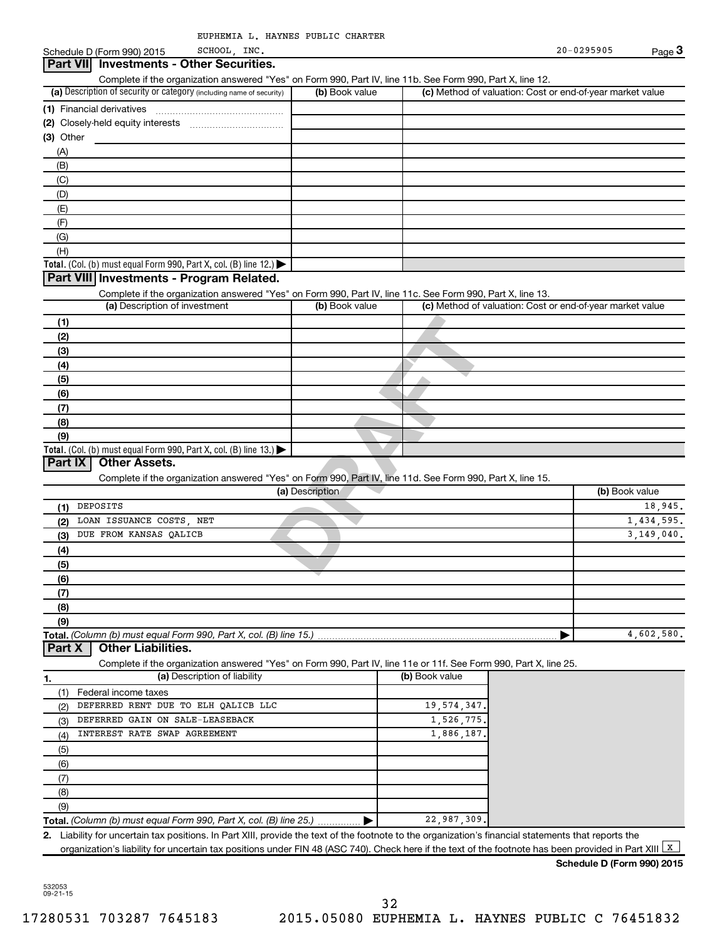| EUPHEMIA L. HAYNES PUBLIC CHARTER |  |  |
|-----------------------------------|--|--|
|                                   |  |  |

**Pres"** on Form 990, Part IV, line 11d. See Form 990, Part X, I (including name of security) **Total.** (Col. (b) must equal Form 990, Part X, col. (B) line 12.)  $\blacktriangleright$ **(a)** Description of security or category (including name of security) **(b)** Book value **(c) (1)** Financial derivatives **(2)** Closely-held equity interests **(3)** Other (a) Description of investment (b) Book value **(1) (2) (3) (4) (5)**  $Schedule D$  (Form 990) 2015  $SCHOOL$ , INC.  $20-0.295905$ Complete if the organization answered "Yes" on Form 990, Part IV, line 11b. See Form 990, Part X, line 12. Book value **Acal (c)** Method of valuation: Cost or end-of-year market value ~~~~~~~~~~~~~~~ ………………………………… (A) (B) (C) (D) (E) (F) (G) (H) Complete if the organization answered "Yes" on Form 990, Part IV, line 11c. See Form 990, Part X, line 13. (c) Method of valuation: Cost or end-of-year market value **3 Part VII Investments - Other Securities. Part VIII Investments - Program Related.** SCHOOL, INC.

**(a)** Description

Complete if the organization answered "Yes" on Form 990, Part IV, line 11d. See Form 990, Part X, line 15.

DEPOSITS 18,945. LOAN ISSUANCE COSTS, NET 1,434,595. DUE FROM KANSAS QALICB 3,149,040.

Complete if the organization answered "Yes" on Form 990, Part IV, line 11e or 11f. See Form 990, Part X, line 25.

 $\blacktriangleright$ Liability for uncertain tax positions. In Part XIII, provide the text of the footnote to the organization's financial statements that reports the

organization's liability for uncertain tax positions under FIN 48 (ASC 740). Check here if the text of the footnote has been provided in Part XIII  $\boxed{\mathrm{x}}$ 

22,987,309.

|

532053 09-21-15

**2.**

**(6) (7) (8) (9)**

**(1) (2) (3) (4) (5) (6) (7) (8) (9)**

(1) (2) (3) (4) (5) (6) (7) (8) (9)

**Schedule D (Form 990) 2015**

(b) Book value

4,602,580.

Federal income taxes

**Part X Other Liabilities.**

**Part IX Other Assets.**

**Total.** (Col. (b) must equal Form 990, Part X, col. (B) line  $13$ .)

**Total.**  *(Column (b) must equal Form 990, Part X, col. (B) line 15.)*

**Total.**  *(Column (b) must equal Form 990, Part X, col. (B) line 25.)*

**1. (a)** Description of liability **Constructed by Construction (b)** Book value

DEFERRED RENT DUE TO ELH QALICB LLC 19.574.347 DEFERRED GAIN ON SALE-LEASEBACK 1,526,775 INTEREST RATE SWAP AGREEMENT 1,886,187.

| UITTY OF CATEGOFY (including name of security) | (b) Book value | (c) Method of valuation: Cost or end-of-year market value |
|------------------------------------------------|----------------|-----------------------------------------------------------|
| /es                                            |                |                                                           |
| ty interests<br>                               |                |                                                           |
|                                                |                |                                                           |
|                                                |                |                                                           |
|                                                |                |                                                           |
|                                                |                |                                                           |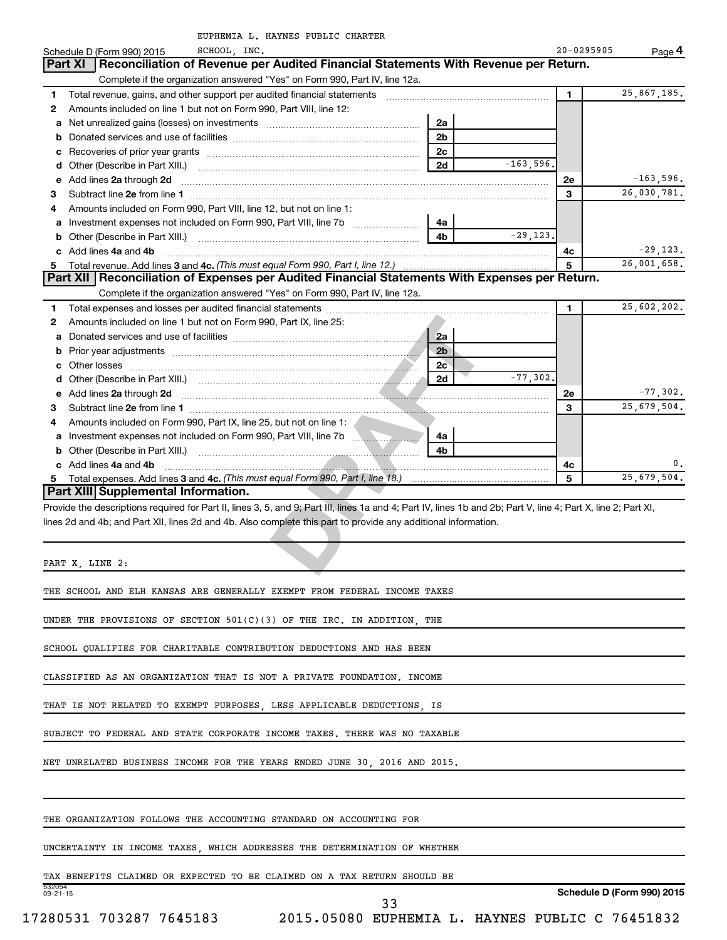|    | EUPHEMIA L. HAYNES PUBLIC CHARTER<br>SCHOOL, INC.                                                                                                              |              | $20 - 0295905$ |             |
|----|----------------------------------------------------------------------------------------------------------------------------------------------------------------|--------------|----------------|-------------|
|    | Schedule D (Form 990) 2015<br>Reconciliation of Revenue per Audited Financial Statements With Revenue per Return.<br>Part XI                                   |              |                | Page 4      |
|    | Complete if the organization answered "Yes" on Form 990, Part IV, line 12a.                                                                                    |              |                |             |
| 1  | Total revenue, gains, and other support per audited financial statements                                                                                       |              | $\blacksquare$ | 25,867,185. |
| 2  | Amounts included on line 1 but not on Form 990, Part VIII, line 12:                                                                                            |              |                |             |
| a  | 2a<br>Net unrealized gains (losses) on investments [11] matter contracts and the unrealized gains (losses) on investments                                      |              |                |             |
| b  | 2 <sub>b</sub>                                                                                                                                                 |              |                |             |
| с  | 2c                                                                                                                                                             |              |                |             |
| d  | 2d<br>Other (Describe in Part XIII.)                                                                                                                           | $-163,596$ . |                |             |
|    | e Add lines 2a through 2d                                                                                                                                      |              | <b>2e</b>      | $-163,596.$ |
| з  | Subtract line 2e from line 1                                                                                                                                   |              | 3              | 26,030,781. |
|    | Amounts included on Form 990, Part VIII, line 12, but not on line 1:                                                                                           |              |                |             |
| а  | Investment expenses not included on Form 990, Part VIII, line 7b<br>4a                                                                                         |              |                |             |
|    | 4 <sub>h</sub>                                                                                                                                                 | $-29, 123.$  |                |             |
|    | c Add lines 4a and 4b                                                                                                                                          |              | 4c             | $-29,123.$  |
| 5. |                                                                                                                                                                |              | 5              | 26,001,658. |
|    | Part XII Reconciliation of Expenses per Audited Financial Statements With Expenses per Return.                                                                 |              |                |             |
|    | Complete if the organization answered "Yes" on Form 990, Part IV, line 12a.                                                                                    |              |                |             |
| 1  |                                                                                                                                                                |              | 1              | 25,602,202. |
| 2  | Amounts included on line 1 but not on Form 990, Part IX, line 25:                                                                                              |              |                |             |
| a  | 2a                                                                                                                                                             |              |                |             |
| b  | 2 <sub>b</sub>                                                                                                                                                 |              |                |             |
| с  | 2c<br>Other losses                                                                                                                                             |              |                |             |
| d  | 2d                                                                                                                                                             | $-77,302,$   |                |             |
| е  | Add lines 2a through 2d <b>contained a contained a contained a contained a</b> contained a contact the contact of the                                          |              | <b>2e</b>      | $-77,302.$  |
| 3  | Subtract line 2e from line 1                                                                                                                                   |              | 3              | 25,679,504. |
| 4  | Amounts included on Form 990, Part IX, line 25, but not on line 1:                                                                                             |              |                |             |
| а  | 4a                                                                                                                                                             |              |                |             |
| b  | Other (Describe in Part XIII.)<br>4b                                                                                                                           |              |                |             |
|    | c Add lines 4a and 4b                                                                                                                                          |              | 4с             | 0.          |
| 5  |                                                                                                                                                                |              | 5              | 25,679,504. |
|    | Part XIII Supplemental Information.                                                                                                                            |              |                |             |
|    | Provide the descriptions required for Part II, lines 3, 5, and 9; Part III, lines 1a and 4; Part IV, lines 1b and 2b; Part V, line 4; Part X, line 2; Part XI, |              |                |             |
|    | lines 2d and 4b; and Part XII, lines 2d and 4b. Also complete this part to provide any additional information.                                                 |              |                |             |
|    | PART X, LINE 2:                                                                                                                                                |              |                |             |

THE SCHOOL AND ELH KANSAS ARE GENERALLY EXEMPT FROM FEDERAL INCOME TAXES

UNDER THE PROVISIONS OF SECTION 501(C)(3) OF THE IRC. IN ADDITION, THE

SCHOOL QUALIFIES FOR CHARITABLE CONTRIBUTION DEDUCTIONS AND HAS BEEN

CLASSIFIED AS AN ORGANIZATION THAT IS NOT A PRIVATE FOUNDATION. INCOME

THAT IS NOT RELATED TO EXEMPT PURPOSES, LESS APPLICABLE DEDUCTIONS, IS

SUBJECT TO FEDERAL AND STATE CORPORATE INCOME TAXES. THERE WAS NO TAXABLE

NET UNRELATED BUSINESS INCOME FOR THE YEARS ENDED JUNE 30, 2016 AND 2015.

THE ORGANIZATION FOLLOWS THE ACCOUNTING STANDARD ON ACCOUNTING FOR

UNCERTAINTY IN INCOME TAXES, WHICH ADDRESSES THE DETERMINATION OF WHETHER

TAX BENEFITS CLAIMED OR EXPECTED TO BE CLAIMED ON A TAX RETURN SHOULD BE

532054 09-21-15

**Schedule D (Form 990) 2015**

33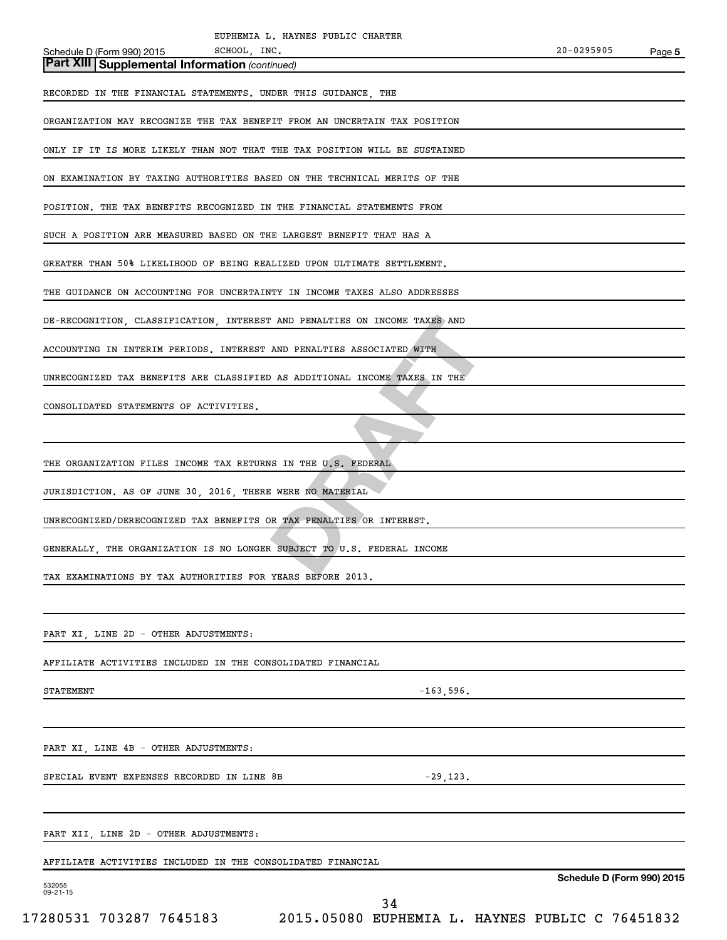| ON EXAMINATION BY TAXING AUTHORITIES BASED ON THE TECHNICAL MERITS OF THE  |
|----------------------------------------------------------------------------|
| POSITION. THE TAX BENEFITS RECOGNIZED IN THE FINANCIAL STATEMENTS FROM     |
| SUCH A POSITION ARE MEASURED BASED ON THE LARGEST BENEFIT THAT HAS A       |
| GREATER THAN 50% LIKELIHOOD OF BEING REALIZED UPON ULTIMATE SETTLEMENT.    |
| THE GUIDANCE ON ACCOUNTING FOR UNCERTAINTY IN INCOME TAXES ALSO ADDRESSES  |
| DE-RECOGNITION, CLASSIFICATION, INTEREST AND PENALTIES ON INCOME TAXES AND |
| ACCOUNTING IN INTERIM PERIODS. INTEREST AND PENALTIES ASSOCIATED WITH      |
| UNRECOGNIZED TAX BENEFITS ARE CLASSIFIED AS ADDITIONAL INCOME TAXES IN THE |
| CONSOLIDATED STATEMENTS OF ACTIVITIES.                                     |
|                                                                            |
| THE ORGANIZATION FILES INCOME TAX RETURNS IN THE U.S. FEDERAL              |
| JURISDICTION. AS OF JUNE 30, 2016, THERE WERE NO MATERIAL                  |
| UNRECOGNIZED/DERECOGNIZED TAX BENEFITS OR TAX PENALTIES OR INTEREST.       |
| GENERALLY, THE ORGANIZATION IS NO LONGER SUBJECT TO U.S. FEDERAL INCOME    |
| TAX EXAMINATIONS BY TAX AUTHORITIES FOR YEARS BEFORE 2013.                 |
|                                                                            |
| PART XI, LINE 2D - OTHER ADJUSTMENTS:                                      |
| AFFILIATE ACTIVITIES INCLUDED IN THE CONSOLIDATED FINANCIAL                |
| STATEMENT<br>$-163,596.$                                                   |
|                                                                            |
| PART XI, LINE 4B - OTHER ADJUSTMENTS:                                      |
| SPECIAL EVENT EXPENSES RECORDED IN LINE 8B<br>$-29,123.$                   |
|                                                                            |
| PART XII, LINE 2D - OTHER ADJUSTMENTS:                                     |
| AFFILIATE ACTIVITIES INCLUDED IN THE CONSOLIDATED FINANCIAL                |
| Schedule D (Form 990)<br>532055<br>$09 - 21 - 15$                          |
| 34                                                                         |

ORGANIZATION MAY RECOGNIZE THE TAX BENEFIT FROM AN UNCERTAIN TAX POSITION

ONLY IF IT IS MORE LIKELY THAN NOT THAT THE TAX POSITION WILL BE SUSTAINED

RECORDED IN THE FINANCIAL STATEMENTS. UNDER THIS GUIDANCE, THE

Schedule D (Form 990) 2015 SCHOOL, INC. 20-0295905 SCHOOL, INC.

*(continued)* **Part XIII Supplemental Information** 

**5**

**Schedule 2015**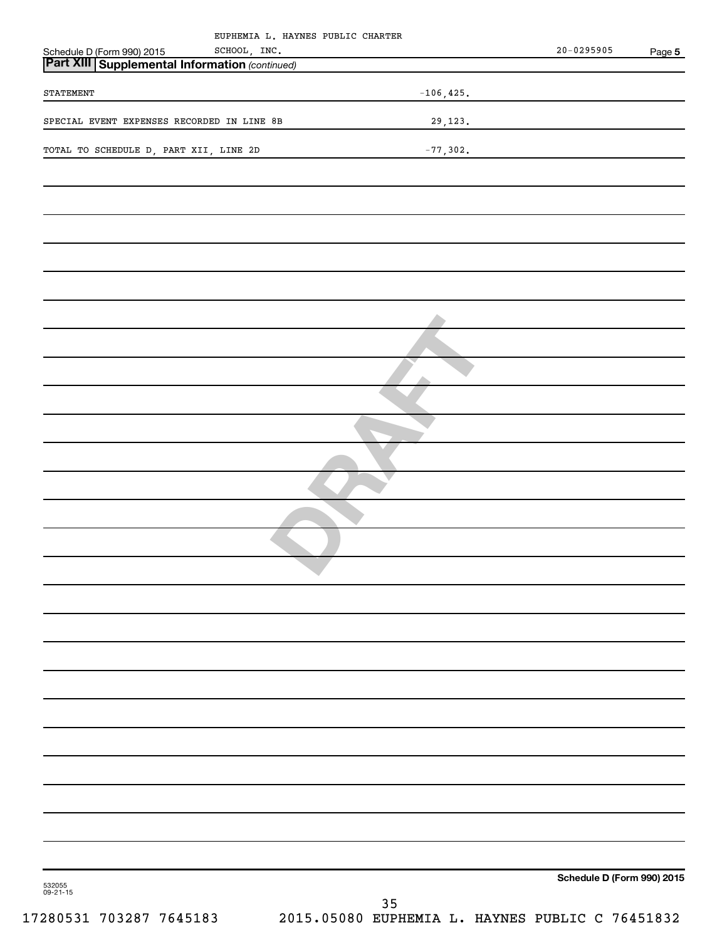| EUPHEMIA L. HAYNES PUBLIC CHARTER                                                         |              |                            |        |
|-------------------------------------------------------------------------------------------|--------------|----------------------------|--------|
| Schedule D (Form 990) 2015 SCHOOL, INC.<br>Part XIII Supplemental Information (continued) |              | $20 - 0295905$             | Page 5 |
|                                                                                           |              |                            |        |
| STATEMENT                                                                                 | $-106, 425.$ |                            |        |
| SPECIAL EVENT EXPENSES RECORDED IN LINE 8B                                                | 29,123.      |                            |        |
| TOTAL TO SCHEDULE D, PART XII, LINE 2D                                                    | $-77,302.$   |                            |        |
|                                                                                           |              |                            |        |
|                                                                                           |              |                            |        |
|                                                                                           |              |                            |        |
|                                                                                           |              |                            |        |
|                                                                                           |              |                            |        |
|                                                                                           |              |                            |        |
|                                                                                           |              |                            |        |
|                                                                                           |              |                            |        |
|                                                                                           |              |                            |        |
|                                                                                           |              |                            |        |
|                                                                                           |              |                            |        |
|                                                                                           |              |                            |        |
|                                                                                           |              |                            |        |
|                                                                                           |              |                            |        |
|                                                                                           |              |                            |        |
|                                                                                           |              |                            |        |
|                                                                                           |              |                            |        |
|                                                                                           |              |                            |        |
|                                                                                           |              |                            |        |
|                                                                                           |              |                            |        |
|                                                                                           |              |                            |        |
|                                                                                           |              |                            |        |
|                                                                                           |              |                            |        |
|                                                                                           |              |                            |        |
|                                                                                           |              |                            |        |
|                                                                                           |              |                            |        |
| 532055<br>09-21-15                                                                        |              | Schedule D (Form 990) 2015 |        |
|                                                                                           | 35           |                            |        |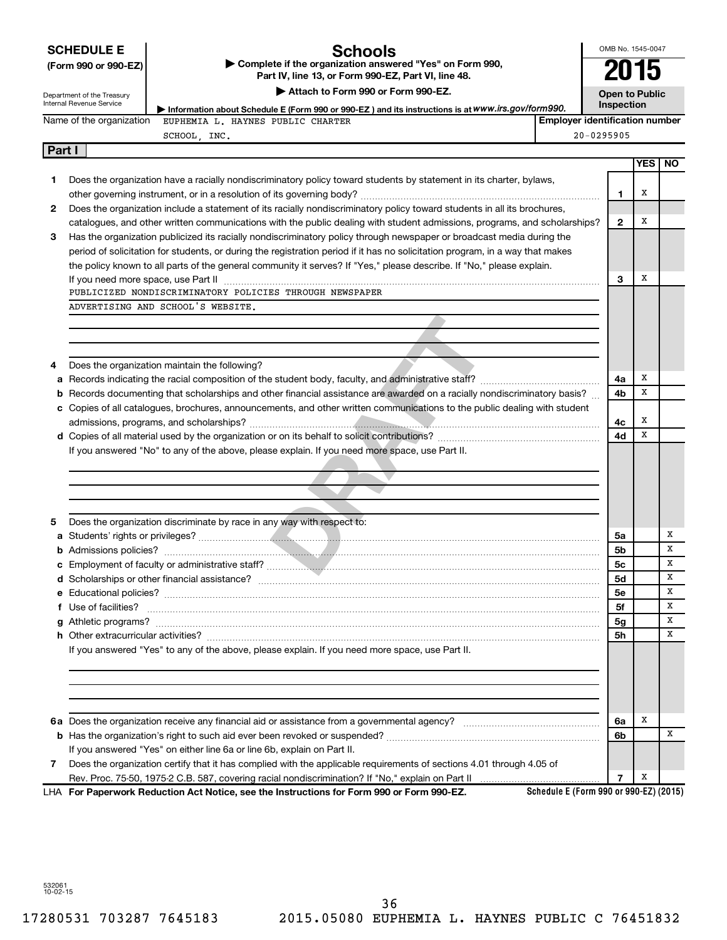|        | <b>SCHEDULE E</b>          | Schools                                                                                                                                                                                                                            |                                        | OMB No. 1545-0047     |            |           |
|--------|----------------------------|------------------------------------------------------------------------------------------------------------------------------------------------------------------------------------------------------------------------------------|----------------------------------------|-----------------------|------------|-----------|
|        | (Form 990 or 990-EZ)       | Complete if the organization answered "Yes" on Form 990,<br>Part IV, line 13, or Form 990-EZ, Part VI, line 48.                                                                                                                    |                                        |                       | U 15       |           |
|        | Department of the Treasury | Attach to Form 990 or Form 990-EZ.                                                                                                                                                                                                 |                                        | <b>Open to Public</b> |            |           |
|        | Internal Revenue Service   | Information about Schedule E (Form 990 or 990-EZ) and its instructions is at WWW.irs.gov/form990.                                                                                                                                  |                                        | Inspection            |            |           |
|        | Name of the organization   | EUPHEMIA L. HAYNES PUBLIC CHARTER                                                                                                                                                                                                  | <b>Employer identification number</b>  |                       |            |           |
|        |                            | SCHOOL, INC.                                                                                                                                                                                                                       |                                        | $20 - 0295905$        |            |           |
| Part I |                            |                                                                                                                                                                                                                                    |                                        |                       |            |           |
|        |                            |                                                                                                                                                                                                                                    |                                        |                       | <b>YES</b> | <b>NO</b> |
| 1      |                            | Does the organization have a racially nondiscriminatory policy toward students by statement in its charter, bylaws,                                                                                                                |                                        |                       |            |           |
|        |                            |                                                                                                                                                                                                                                    |                                        | $\mathbf 1$           | х          |           |
| 2      |                            | Does the organization include a statement of its racially nondiscriminatory policy toward students in all its brochures,                                                                                                           |                                        |                       |            |           |
|        |                            | catalogues, and other written communications with the public dealing with student admissions, programs, and scholarships?                                                                                                          |                                        | $\mathbf{2}$          | х          |           |
| З      |                            | Has the organization publicized its racially nondiscriminatory policy through newspaper or broadcast media during the                                                                                                              |                                        |                       |            |           |
|        |                            | period of solicitation for students, or during the registration period if it has no solicitation program, in a way that makes                                                                                                      |                                        |                       |            |           |
|        |                            | the policy known to all parts of the general community it serves? If "Yes," please describe. If "No," please explain.                                                                                                              |                                        |                       |            |           |
|        |                            | If you need more space, use Part II manufactured and continuum contracts and a space of the manufactured and t                                                                                                                     |                                        | з                     | х          |           |
|        |                            | PUBLICIZED NONDISCRIMINATORY POLICIES THROUGH NEWSPAPER                                                                                                                                                                            |                                        |                       |            |           |
|        |                            | ADVERTISING AND SCHOOL'S WEBSITE.                                                                                                                                                                                                  |                                        |                       |            |           |
|        |                            |                                                                                                                                                                                                                                    |                                        |                       |            |           |
|        |                            |                                                                                                                                                                                                                                    |                                        |                       |            |           |
|        |                            |                                                                                                                                                                                                                                    |                                        |                       |            |           |
| 4      |                            | Does the organization maintain the following?                                                                                                                                                                                      |                                        |                       | х          |           |
|        |                            |                                                                                                                                                                                                                                    |                                        | 4a                    | х          |           |
|        |                            | <b>b</b> Records documenting that scholarships and other financial assistance are awarded on a racially nondiscriminatory basis?                                                                                                   |                                        | 4b                    |            |           |
|        |                            | c Copies of all catalogues, brochures, announcements, and other written communications to the public dealing with student                                                                                                          |                                        |                       | х          |           |
|        |                            |                                                                                                                                                                                                                                    |                                        | 4c<br>4d              | х          |           |
|        |                            | If you answered "No" to any of the above, please explain. If you need more space, use Part II.                                                                                                                                     |                                        |                       |            |           |
|        |                            |                                                                                                                                                                                                                                    |                                        |                       |            |           |
|        |                            |                                                                                                                                                                                                                                    |                                        |                       |            |           |
|        |                            |                                                                                                                                                                                                                                    |                                        |                       |            |           |
|        |                            |                                                                                                                                                                                                                                    |                                        |                       |            |           |
| 5      |                            | Does the organization discriminate by race in any way with respect to:                                                                                                                                                             |                                        |                       |            |           |
|        |                            |                                                                                                                                                                                                                                    |                                        | 5a                    |            | х         |
|        |                            |                                                                                                                                                                                                                                    |                                        | 5b                    |            | X         |
|        |                            |                                                                                                                                                                                                                                    |                                        | 5c                    |            | X         |
|        |                            |                                                                                                                                                                                                                                    |                                        | 5d                    |            | x         |
|        |                            |                                                                                                                                                                                                                                    |                                        | <b>5e</b>             |            | х         |
|        |                            | f Use of facilities? <b>www.communities.</b> We can be a series of the contract of the contract of the contract of the contract of the contract of the contract of the contract of the contract of the contract of the contract of |                                        | 5f                    |            | х         |
|        |                            |                                                                                                                                                                                                                                    |                                        | 5g                    |            | х         |
|        |                            |                                                                                                                                                                                                                                    |                                        | 5h                    |            | х         |
|        |                            | If you answered "Yes" to any of the above, please explain. If you need more space, use Part II.                                                                                                                                    |                                        |                       |            |           |
|        |                            |                                                                                                                                                                                                                                    |                                        |                       |            |           |
|        |                            |                                                                                                                                                                                                                                    |                                        |                       |            |           |
|        |                            |                                                                                                                                                                                                                                    |                                        |                       |            |           |
|        |                            |                                                                                                                                                                                                                                    |                                        |                       |            |           |
|        |                            |                                                                                                                                                                                                                                    |                                        | 6a                    | х          |           |
|        |                            |                                                                                                                                                                                                                                    |                                        | 6b                    |            | х         |
|        |                            | If you answered "Yes" on either line 6a or line 6b, explain on Part II.                                                                                                                                                            |                                        |                       |            |           |
| 7      |                            | Does the organization certify that it has complied with the applicable requirements of sections 4.01 through 4.05 of                                                                                                               |                                        |                       |            |           |
|        |                            |                                                                                                                                                                                                                                    |                                        | $\overline{7}$        | Х          |           |
|        |                            | LHA For Paperwork Reduction Act Notice, see the Instructions for Form 990 or Form 990-EZ.                                                                                                                                          | Schedule E (Form 990 or 990-EZ) (2015) |                       |            |           |

532061 10-02-15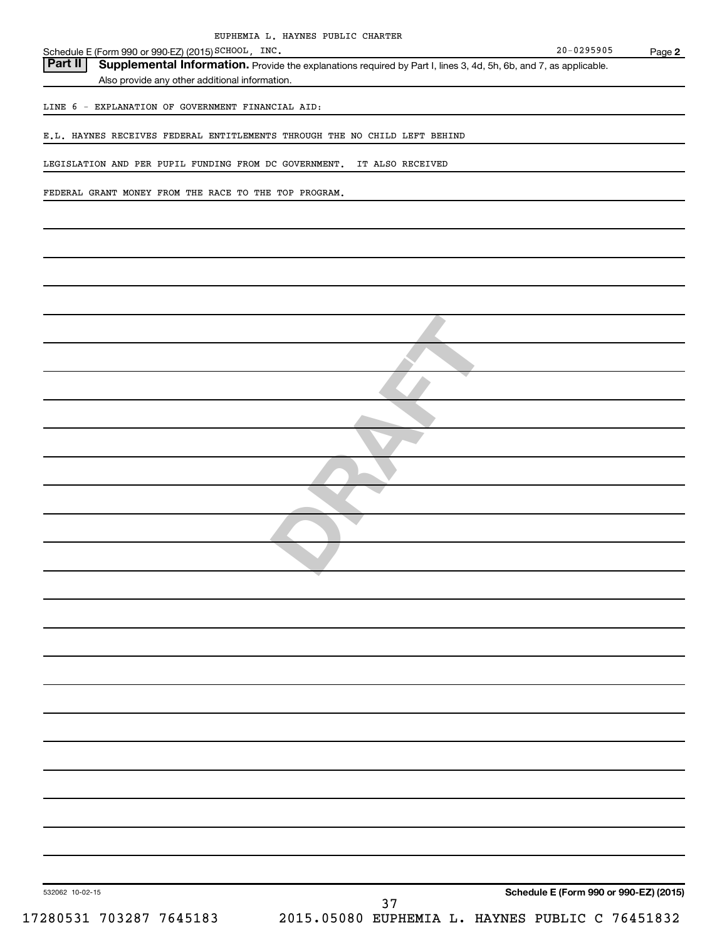| EUPHEMIA L. HAYNES PUBLIC CHARTER                                                                                            |                                        |        |
|------------------------------------------------------------------------------------------------------------------------------|----------------------------------------|--------|
| Schedule E (Form 990 or 990-EZ) (2015) SCHOOL, INC.                                                                          | $20 - 0295905$                         | Page 2 |
| Part II<br>Supplemental Information. Provide the explanations required by Part I, lines 3, 4d, 5h, 6b, and 7, as applicable. |                                        |        |
| Also provide any other additional information.                                                                               |                                        |        |
|                                                                                                                              |                                        |        |
| LINE 6 - EXPLANATION OF GOVERNMENT FINANCIAL AID:                                                                            |                                        |        |
|                                                                                                                              |                                        |        |
| E.L. HAYNES RECEIVES FEDERAL ENTITLEMENTS THROUGH THE NO CHILD LEFT BEHIND                                                   |                                        |        |
|                                                                                                                              |                                        |        |
| LEGISLATION AND PER PUPIL FUNDING FROM DC GOVERNMENT. IT ALSO RECEIVED                                                       |                                        |        |
|                                                                                                                              |                                        |        |
| FEDERAL GRANT MONEY FROM THE RACE TO THE TOP PROGRAM.                                                                        |                                        |        |
|                                                                                                                              |                                        |        |
|                                                                                                                              |                                        |        |
|                                                                                                                              |                                        |        |
|                                                                                                                              |                                        |        |
|                                                                                                                              |                                        |        |
|                                                                                                                              |                                        |        |
|                                                                                                                              |                                        |        |
|                                                                                                                              |                                        |        |
|                                                                                                                              |                                        |        |
|                                                                                                                              |                                        |        |
|                                                                                                                              |                                        |        |
|                                                                                                                              |                                        |        |
|                                                                                                                              |                                        |        |
|                                                                                                                              |                                        |        |
|                                                                                                                              |                                        |        |
|                                                                                                                              |                                        |        |
|                                                                                                                              |                                        |        |
|                                                                                                                              |                                        |        |
|                                                                                                                              |                                        |        |
|                                                                                                                              |                                        |        |
|                                                                                                                              |                                        |        |
|                                                                                                                              |                                        |        |
|                                                                                                                              |                                        |        |
|                                                                                                                              |                                        |        |
|                                                                                                                              |                                        |        |
|                                                                                                                              |                                        |        |
|                                                                                                                              |                                        |        |
|                                                                                                                              |                                        |        |
|                                                                                                                              |                                        |        |
|                                                                                                                              |                                        |        |
|                                                                                                                              |                                        |        |
|                                                                                                                              |                                        |        |
|                                                                                                                              |                                        |        |
|                                                                                                                              |                                        |        |
|                                                                                                                              |                                        |        |
|                                                                                                                              |                                        |        |
|                                                                                                                              |                                        |        |
|                                                                                                                              |                                        |        |
|                                                                                                                              |                                        |        |
|                                                                                                                              |                                        |        |
|                                                                                                                              |                                        |        |
|                                                                                                                              |                                        |        |
|                                                                                                                              |                                        |        |
|                                                                                                                              |                                        |        |
|                                                                                                                              |                                        |        |
|                                                                                                                              |                                        |        |
| 532062 10-02-15                                                                                                              | Schedule E (Form 990 or 990-EZ) (2015) |        |
| 37                                                                                                                           |                                        |        |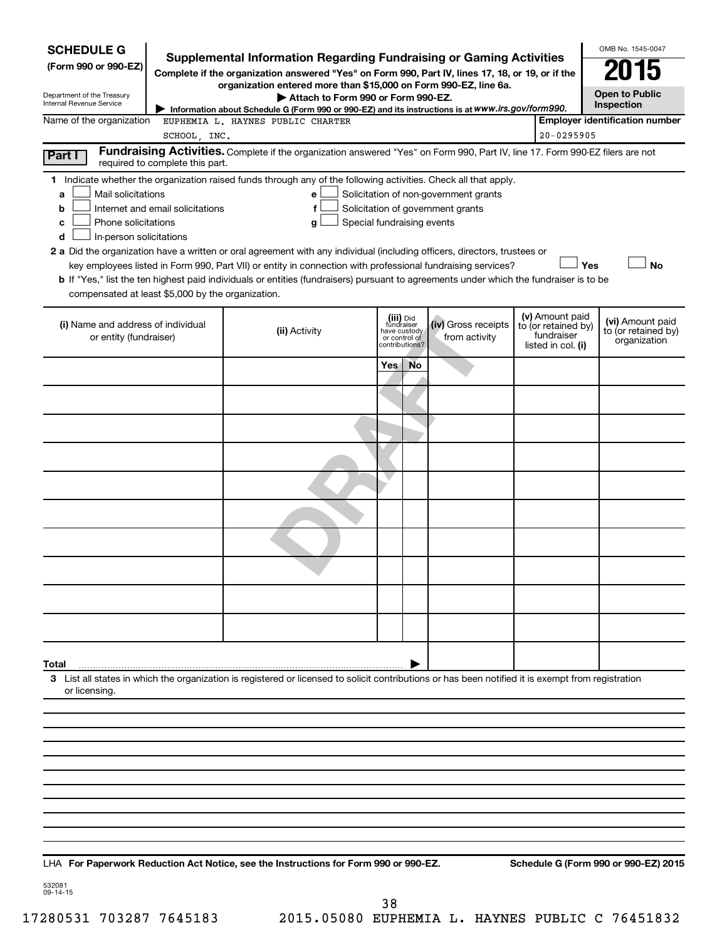| <b>SCHEDULE G</b>                                                                        |                                  |                                                                                                                                                                                                                                                                                                                                                                                           |                         |                                                 |                                                                            |                                                                            | OMB No. 1545-0047                                       |
|------------------------------------------------------------------------------------------|----------------------------------|-------------------------------------------------------------------------------------------------------------------------------------------------------------------------------------------------------------------------------------------------------------------------------------------------------------------------------------------------------------------------------------------|-------------------------|-------------------------------------------------|----------------------------------------------------------------------------|----------------------------------------------------------------------------|---------------------------------------------------------|
| (Form 990 or 990-EZ)                                                                     |                                  | <b>Supplemental Information Regarding Fundraising or Gaming Activities</b><br>Complete if the organization answered "Yes" on Form 990, Part IV, lines 17, 18, or 19, or if the                                                                                                                                                                                                            |                         |                                                 |                                                                            |                                                                            | 15                                                      |
| Department of the Treasury<br>Internal Revenue Service                                   |                                  | organization entered more than \$15,000 on Form 990-EZ, line 6a.<br>Attach to Form 990 or Form 990-EZ.                                                                                                                                                                                                                                                                                    |                         |                                                 |                                                                            |                                                                            | <b>Open to Public</b><br>Inspection                     |
| Name of the organization                                                                 |                                  | Information about Schedule G (Form 990 or 990-EZ) and its instructions is at WWW.irs.gov/form990.<br>EUPHEMIA L. HAYNES PUBLIC CHARTER                                                                                                                                                                                                                                                    |                         |                                                 |                                                                            |                                                                            | <b>Employer identification number</b>                   |
|                                                                                          | SCHOOL, INC.                     |                                                                                                                                                                                                                                                                                                                                                                                           |                         |                                                 |                                                                            | 20-0295905                                                                 |                                                         |
| Part I                                                                                   | required to complete this part.  | Fundraising Activities. Complete if the organization answered "Yes" on Form 990, Part IV, line 17. Form 990-EZ filers are not                                                                                                                                                                                                                                                             |                         |                                                 |                                                                            |                                                                            |                                                         |
| Mail solicitations<br>a<br>b<br>Phone solicitations<br>c<br>In-person solicitations<br>d | Internet and email solicitations | 1 Indicate whether the organization raised funds through any of the following activities. Check all that apply.<br>e<br>f<br>Special fundraising events<br>g                                                                                                                                                                                                                              |                         |                                                 | Solicitation of non-government grants<br>Solicitation of government grants |                                                                            |                                                         |
|                                                                                          |                                  | 2 a Did the organization have a written or oral agreement with any individual (including officers, directors, trustees or<br>key employees listed in Form 990, Part VII) or entity in connection with professional fundraising services?<br><b>b</b> If "Yes," list the ten highest paid individuals or entities (fundraisers) pursuant to agreements under which the fundraiser is to be |                         |                                                 |                                                                            |                                                                            | Yes<br><b>No</b>                                        |
| compensated at least \$5,000 by the organization.                                        |                                  |                                                                                                                                                                                                                                                                                                                                                                                           |                         |                                                 |                                                                            |                                                                            |                                                         |
| (i) Name and address of individual<br>or entity (fundraiser)                             |                                  | (ii) Activity                                                                                                                                                                                                                                                                                                                                                                             | (iii) Did<br>fundraiser | have custody<br>or control of<br>contributions? | (iv) Gross receipts<br>from activity                                       | (v) Amount paid<br>to (or retained by)<br>fundraiser<br>listed in col. (i) | (vi) Amount paid<br>to (or retained by)<br>organization |
|                                                                                          |                                  |                                                                                                                                                                                                                                                                                                                                                                                           | Yes                     | <b>No</b>                                       |                                                                            |                                                                            |                                                         |
|                                                                                          |                                  |                                                                                                                                                                                                                                                                                                                                                                                           |                         |                                                 |                                                                            |                                                                            |                                                         |
|                                                                                          |                                  |                                                                                                                                                                                                                                                                                                                                                                                           |                         |                                                 |                                                                            |                                                                            |                                                         |
|                                                                                          |                                  |                                                                                                                                                                                                                                                                                                                                                                                           |                         |                                                 |                                                                            |                                                                            |                                                         |
|                                                                                          |                                  |                                                                                                                                                                                                                                                                                                                                                                                           |                         |                                                 |                                                                            |                                                                            |                                                         |
|                                                                                          |                                  |                                                                                                                                                                                                                                                                                                                                                                                           |                         |                                                 |                                                                            |                                                                            |                                                         |
|                                                                                          |                                  |                                                                                                                                                                                                                                                                                                                                                                                           |                         |                                                 |                                                                            |                                                                            |                                                         |
|                                                                                          |                                  |                                                                                                                                                                                                                                                                                                                                                                                           |                         |                                                 |                                                                            |                                                                            |                                                         |
|                                                                                          |                                  |                                                                                                                                                                                                                                                                                                                                                                                           |                         |                                                 |                                                                            |                                                                            |                                                         |
|                                                                                          |                                  |                                                                                                                                                                                                                                                                                                                                                                                           |                         |                                                 |                                                                            |                                                                            |                                                         |
| Total                                                                                    |                                  |                                                                                                                                                                                                                                                                                                                                                                                           |                         |                                                 |                                                                            |                                                                            |                                                         |
| or licensing.                                                                            |                                  | 3 List all states in which the organization is registered or licensed to solicit contributions or has been notified it is exempt from registration                                                                                                                                                                                                                                        |                         |                                                 |                                                                            |                                                                            |                                                         |
|                                                                                          |                                  |                                                                                                                                                                                                                                                                                                                                                                                           |                         |                                                 |                                                                            |                                                                            |                                                         |
|                                                                                          |                                  |                                                                                                                                                                                                                                                                                                                                                                                           |                         |                                                 |                                                                            |                                                                            |                                                         |
|                                                                                          |                                  |                                                                                                                                                                                                                                                                                                                                                                                           |                         |                                                 |                                                                            |                                                                            |                                                         |
|                                                                                          |                                  |                                                                                                                                                                                                                                                                                                                                                                                           |                         |                                                 |                                                                            |                                                                            |                                                         |
|                                                                                          |                                  |                                                                                                                                                                                                                                                                                                                                                                                           |                         |                                                 |                                                                            |                                                                            |                                                         |
|                                                                                          |                                  |                                                                                                                                                                                                                                                                                                                                                                                           |                         |                                                 |                                                                            |                                                                            |                                                         |
|                                                                                          |                                  |                                                                                                                                                                                                                                                                                                                                                                                           |                         |                                                 |                                                                            |                                                                            |                                                         |
|                                                                                          |                                  |                                                                                                                                                                                                                                                                                                                                                                                           |                         |                                                 |                                                                            |                                                                            |                                                         |

**For Paperwork Reduction Act Notice, see the Instructions for Form 990 or 990-EZ. Schedule G (Form 990 or 990-EZ) 2015** LHA

532081 09-14-15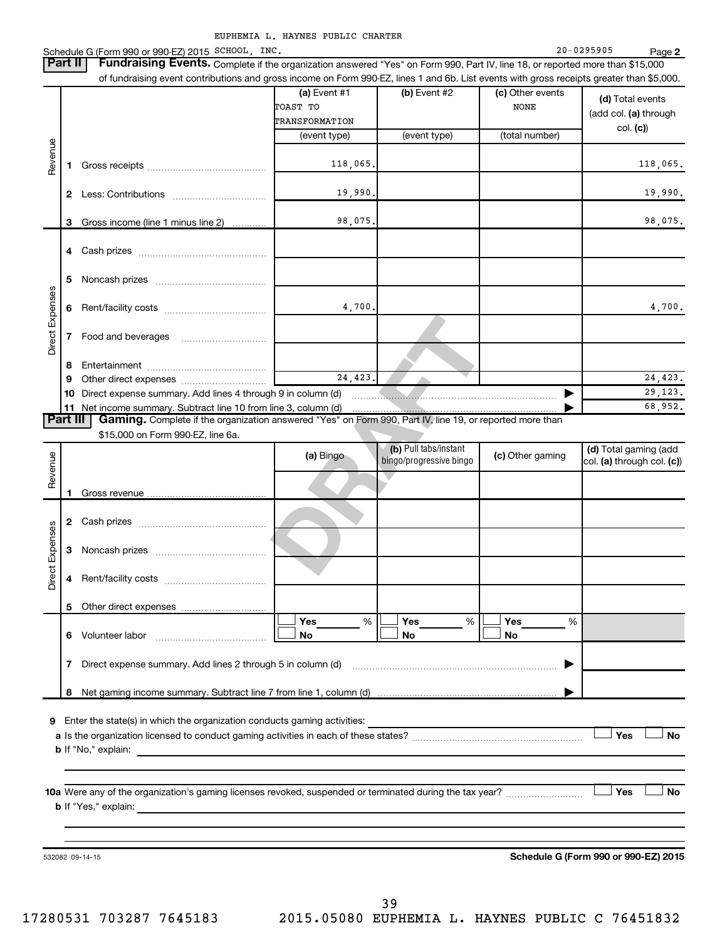Schedule G (Form 990 or 990-EZ) 2015 SCHOOL,INC. 20-0295905 Page Part II | Fundraising Events. Complete if the organization answered "Yes" on Form 990, Part IV, line 18, or reported more than \$15,000

SCHOOL, INC. 20-0295905

**2**

| 39             |
|----------------|
| 05080 EUPHEMIZ |

|                        |    | of fundraising event contributions and gross income on Form 990-EZ, lines 1 and 6b. List events with gross receipts greater than \$5,000.                                                                                                                                                                                                                                          |                |                                                  |   |                  |                                                     |
|------------------------|----|------------------------------------------------------------------------------------------------------------------------------------------------------------------------------------------------------------------------------------------------------------------------------------------------------------------------------------------------------------------------------------|----------------|--------------------------------------------------|---|------------------|-----------------------------------------------------|
|                        |    |                                                                                                                                                                                                                                                                                                                                                                                    | $(a)$ Event #1 | (b) Event #2                                     |   | (c) Other events | (d) Total events                                    |
|                        |    |                                                                                                                                                                                                                                                                                                                                                                                    | TOAST TO       |                                                  |   | <b>NONE</b>      | (add col. (a) through                               |
|                        |    |                                                                                                                                                                                                                                                                                                                                                                                    | TRANSFORMATION |                                                  |   |                  | col. (c)                                            |
|                        |    |                                                                                                                                                                                                                                                                                                                                                                                    | (event type)   | (event type)                                     |   | (total number)   |                                                     |
| Revenue                | 1. |                                                                                                                                                                                                                                                                                                                                                                                    | 118,065.       |                                                  |   |                  | 118,065.                                            |
|                        |    |                                                                                                                                                                                                                                                                                                                                                                                    | 19,990.        |                                                  |   |                  | 19,990.                                             |
|                        | 3  | Gross income (line 1 minus line 2)                                                                                                                                                                                                                                                                                                                                                 | 98,075.        |                                                  |   |                  | 98,075.                                             |
|                        |    |                                                                                                                                                                                                                                                                                                                                                                                    |                |                                                  |   |                  |                                                     |
|                        | 5  |                                                                                                                                                                                                                                                                                                                                                                                    |                |                                                  |   |                  |                                                     |
|                        | 6  |                                                                                                                                                                                                                                                                                                                                                                                    | 4,700.         |                                                  |   |                  | 4,700.                                              |
| Direct Expenses        | 7  |                                                                                                                                                                                                                                                                                                                                                                                    |                |                                                  |   |                  |                                                     |
|                        |    |                                                                                                                                                                                                                                                                                                                                                                                    |                |                                                  |   |                  |                                                     |
|                        | 8  |                                                                                                                                                                                                                                                                                                                                                                                    |                |                                                  |   |                  |                                                     |
|                        | 9  |                                                                                                                                                                                                                                                                                                                                                                                    | 24,423.        |                                                  |   |                  | 24,423.                                             |
|                        |    | 10 Direct expense summary. Add lines 4 through 9 in column (d)                                                                                                                                                                                                                                                                                                                     |                |                                                  |   |                  | 29, 123.                                            |
|                        |    | 11 Net income summary. Subtract line 10 from line 3, column (d)                                                                                                                                                                                                                                                                                                                    |                |                                                  |   |                  | 68,952.                                             |
|                        |    | Gaming. Complete if the organization answered "Yes" on Form 990, Part IV, line 19, or reported more than<br>Part III                                                                                                                                                                                                                                                               |                |                                                  |   |                  |                                                     |
|                        |    | \$15,000 on Form 990-EZ, line 6a.                                                                                                                                                                                                                                                                                                                                                  |                |                                                  |   |                  |                                                     |
| Revenue                |    |                                                                                                                                                                                                                                                                                                                                                                                    | (a) Bingo      | (b) Pull tabs/instant<br>bingo/progressive bingo |   | (c) Other gaming | (d) Total gaming (add<br>col. (a) through col. (c)) |
|                        | 1  |                                                                                                                                                                                                                                                                                                                                                                                    |                |                                                  |   |                  |                                                     |
|                        |    |                                                                                                                                                                                                                                                                                                                                                                                    |                |                                                  |   |                  |                                                     |
|                        | 3  |                                                                                                                                                                                                                                                                                                                                                                                    |                |                                                  |   |                  |                                                     |
| <b>Direct Expenses</b> | 4  |                                                                                                                                                                                                                                                                                                                                                                                    |                |                                                  |   |                  |                                                     |
|                        |    |                                                                                                                                                                                                                                                                                                                                                                                    |                |                                                  |   |                  |                                                     |
|                        |    |                                                                                                                                                                                                                                                                                                                                                                                    | Yes<br>%       | Yes                                              | % | Yes<br>%         |                                                     |
|                        |    | 6 Volunteer labor<br>$\mathcal{L} = \{1, 2, \ldots, 2, \ldots, 2, \ldots, 2, \ldots, 2, \ldots, 2, \ldots, 2, \ldots, 2, \ldots, 2, \ldots, 2, \ldots, 2, \ldots, 2, \ldots, 2, \ldots, 2, \ldots, 2, \ldots, 2, \ldots, 2, \ldots, 2, \ldots, 2, \ldots, 2, \ldots, 2, \ldots, 2, \ldots, 2, \ldots, 2, \ldots, 2, \ldots, 2, \ldots, 2, \ldots, 2, \ldots, 2, \ldots, 2, \ldots$ | No             | No                                               |   | No               |                                                     |
|                        |    | 7 Direct expense summary. Add lines 2 through 5 in column (d)                                                                                                                                                                                                                                                                                                                      |                |                                                  |   |                  |                                                     |
|                        |    |                                                                                                                                                                                                                                                                                                                                                                                    |                |                                                  |   |                  |                                                     |
|                        |    |                                                                                                                                                                                                                                                                                                                                                                                    |                |                                                  |   |                  |                                                     |
|                        |    |                                                                                                                                                                                                                                                                                                                                                                                    |                |                                                  |   |                  |                                                     |
| 9                      |    | Enter the state(s) in which the organization conducts gaming activities:                                                                                                                                                                                                                                                                                                           |                |                                                  |   |                  |                                                     |
|                        |    |                                                                                                                                                                                                                                                                                                                                                                                    |                |                                                  |   |                  | Yes<br>No                                           |
|                        |    | <b>b</b> If "No," explain:                                                                                                                                                                                                                                                                                                                                                         |                |                                                  |   |                  |                                                     |
|                        |    |                                                                                                                                                                                                                                                                                                                                                                                    |                |                                                  |   |                  |                                                     |
|                        |    |                                                                                                                                                                                                                                                                                                                                                                                    |                |                                                  |   |                  |                                                     |
|                        |    |                                                                                                                                                                                                                                                                                                                                                                                    |                |                                                  |   |                  | Yes<br>No                                           |
|                        |    |                                                                                                                                                                                                                                                                                                                                                                                    |                |                                                  |   |                  |                                                     |
|                        |    |                                                                                                                                                                                                                                                                                                                                                                                    |                |                                                  |   |                  |                                                     |
|                        |    | 532082 09-14-15                                                                                                                                                                                                                                                                                                                                                                    |                |                                                  |   |                  | Schedule G (Form 990 or 990-EZ) 2015                |
|                        |    |                                                                                                                                                                                                                                                                                                                                                                                    |                |                                                  |   |                  |                                                     |
|                        |    |                                                                                                                                                                                                                                                                                                                                                                                    |                |                                                  |   |                  |                                                     |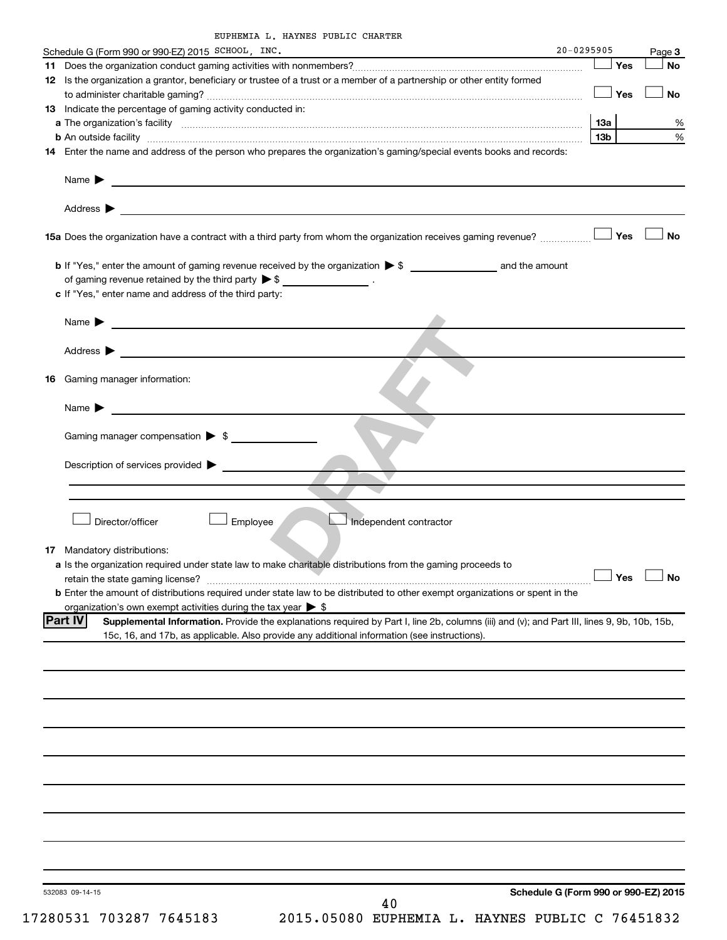|     | Schedule G (Form 990 or 990-EZ) 2015 SCHOOL, INC.                                                                                                             | 20-0295905 |     | Page 3    |
|-----|---------------------------------------------------------------------------------------------------------------------------------------------------------------|------------|-----|-----------|
| 11. |                                                                                                                                                               |            | Yes | <b>No</b> |
|     | 12 Is the organization a grantor, beneficiary or trustee of a trust or a member of a partnership or other entity formed                                       |            |     |           |
|     |                                                                                                                                                               |            | Yes | No        |
|     | 13 Indicate the percentage of gaming activity conducted in:                                                                                                   |            |     |           |
|     |                                                                                                                                                               |            | 13a | %         |
|     | <b>b</b> An outside facility <i>www.communicality www.communicality.communicality www.communicality www.communicality.communicality www.communicality.com</i> |            | 13b | %         |
|     | 14 Enter the name and address of the person who prepares the organization's gaming/special events books and records:                                          |            |     |           |
|     | Name $\sum_{n=1}^{\infty}$                                                                                                                                    |            |     |           |
|     | Address $\blacktriangleright$<br><u> 1989 - Johann Stein, marwolaethau a bhann an t-Amhainn an t-Amhainn an t-Amhainn an t-Amhainn an t-Amhainn an</u>        |            |     |           |
|     | 15a Does the organization have a contract with a third party from whom the organization receives gaming revenue?                                              |            | Yes | No        |
|     |                                                                                                                                                               |            |     |           |
|     | of gaming revenue retained by the third party $\triangleright$ \$ ___________________.                                                                        |            |     |           |
|     | c If "Yes," enter name and address of the third party:                                                                                                        |            |     |           |
|     |                                                                                                                                                               |            |     |           |
|     | Name $\blacktriangleright$ $\frac{1}{\sqrt{1-\frac{1}{2}}\left(1-\frac{1}{2}\right)}$                                                                         |            |     |           |
|     |                                                                                                                                                               |            |     |           |
|     | Address $\blacktriangleright$                                                                                                                                 |            |     |           |
|     |                                                                                                                                                               |            |     |           |
| 16  | Gaming manager information:                                                                                                                                   |            |     |           |
|     |                                                                                                                                                               |            |     |           |
|     | Name $\blacktriangleright$                                                                                                                                    |            |     |           |
|     |                                                                                                                                                               |            |     |           |
|     | Gaming manager compensation > \$                                                                                                                              |            |     |           |
|     |                                                                                                                                                               |            |     |           |
|     | Description of services provided >                                                                                                                            |            |     |           |
|     |                                                                                                                                                               |            |     |           |
|     |                                                                                                                                                               |            |     |           |
|     |                                                                                                                                                               |            |     |           |
|     |                                                                                                                                                               |            |     |           |
|     | Director/officer<br>Employee<br>Independent contractor                                                                                                        |            |     |           |
|     |                                                                                                                                                               |            |     |           |
|     | <b>17</b> Mandatory distributions:                                                                                                                            |            |     |           |
|     | a Is the organization required under state law to make charitable distributions from the gaming proceeds to                                                   |            |     |           |
|     | retain the state gaming license? $\Box$ No                                                                                                                    |            |     |           |
|     | <b>b</b> Enter the amount of distributions required under state law to be distributed to other exempt organizations or spent in the                           |            |     |           |
|     | organization's own exempt activities during the tax year $\triangleright$ \$                                                                                  |            |     |           |
|     | <b>Part IV</b><br>Supplemental Information. Provide the explanations required by Part I, line 2b, columns (iii) and (v); and Part III, lines 9, 9b, 10b, 15b, |            |     |           |
|     | 15c, 16, and 17b, as applicable. Also provide any additional information (see instructions).                                                                  |            |     |           |
|     |                                                                                                                                                               |            |     |           |
|     |                                                                                                                                                               |            |     |           |
|     |                                                                                                                                                               |            |     |           |
|     |                                                                                                                                                               |            |     |           |
|     |                                                                                                                                                               |            |     |           |
|     |                                                                                                                                                               |            |     |           |
|     |                                                                                                                                                               |            |     |           |
|     |                                                                                                                                                               |            |     |           |
|     |                                                                                                                                                               |            |     |           |
|     |                                                                                                                                                               |            |     |           |
|     |                                                                                                                                                               |            |     |           |
|     |                                                                                                                                                               |            |     |           |
|     |                                                                                                                                                               |            |     |           |
|     |                                                                                                                                                               |            |     |           |
|     |                                                                                                                                                               |            |     |           |
|     |                                                                                                                                                               |            |     |           |
|     |                                                                                                                                                               |            |     |           |
|     |                                                                                                                                                               |            |     |           |
|     | Schedule G (Form 990 or 990-EZ) 2015<br>532083 09-14-15<br>40                                                                                                 |            |     |           |
|     |                                                                                                                                                               |            |     |           |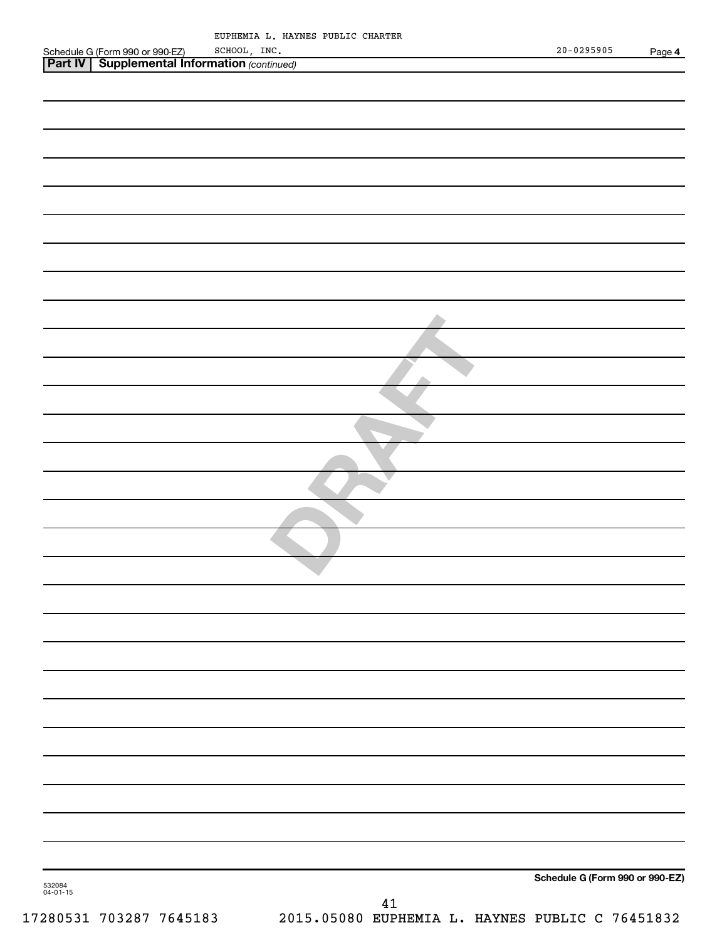|                                                                                                       | EUPHEMIA L. HAYNES PUBLIC CHARTER               |                                 |
|-------------------------------------------------------------------------------------------------------|-------------------------------------------------|---------------------------------|
| Schedule G (Form 990 or 990-EZ) SCHOOL, INC.<br><b>Part IV   Supplemental Information</b> (continued) |                                                 | $20 - 0295905$<br>Page 4        |
|                                                                                                       |                                                 |                                 |
|                                                                                                       |                                                 |                                 |
|                                                                                                       |                                                 |                                 |
|                                                                                                       |                                                 |                                 |
|                                                                                                       |                                                 |                                 |
|                                                                                                       |                                                 |                                 |
|                                                                                                       |                                                 |                                 |
|                                                                                                       |                                                 |                                 |
|                                                                                                       |                                                 |                                 |
|                                                                                                       |                                                 |                                 |
|                                                                                                       |                                                 |                                 |
|                                                                                                       |                                                 |                                 |
|                                                                                                       |                                                 |                                 |
|                                                                                                       |                                                 |                                 |
|                                                                                                       |                                                 |                                 |
|                                                                                                       |                                                 |                                 |
|                                                                                                       |                                                 |                                 |
|                                                                                                       |                                                 |                                 |
|                                                                                                       |                                                 |                                 |
|                                                                                                       |                                                 |                                 |
|                                                                                                       |                                                 |                                 |
|                                                                                                       |                                                 |                                 |
|                                                                                                       |                                                 |                                 |
|                                                                                                       |                                                 |                                 |
|                                                                                                       |                                                 |                                 |
|                                                                                                       |                                                 |                                 |
|                                                                                                       |                                                 |                                 |
|                                                                                                       |                                                 |                                 |
|                                                                                                       |                                                 |                                 |
|                                                                                                       |                                                 |                                 |
|                                                                                                       |                                                 |                                 |
|                                                                                                       |                                                 |                                 |
|                                                                                                       |                                                 |                                 |
|                                                                                                       |                                                 |                                 |
|                                                                                                       |                                                 |                                 |
|                                                                                                       |                                                 |                                 |
|                                                                                                       |                                                 |                                 |
|                                                                                                       |                                                 |                                 |
|                                                                                                       |                                                 |                                 |
|                                                                                                       |                                                 |                                 |
|                                                                                                       |                                                 |                                 |
|                                                                                                       |                                                 |                                 |
|                                                                                                       |                                                 |                                 |
|                                                                                                       |                                                 |                                 |
| 532084<br>04-01-15                                                                                    |                                                 | Schedule G (Form 990 or 990-EZ) |
|                                                                                                       | 41                                              |                                 |
| 17280531 703287 7645183                                                                               | 2015.05080 EUPHEMIA L. HAYNES PUBLIC C 76451832 |                                 |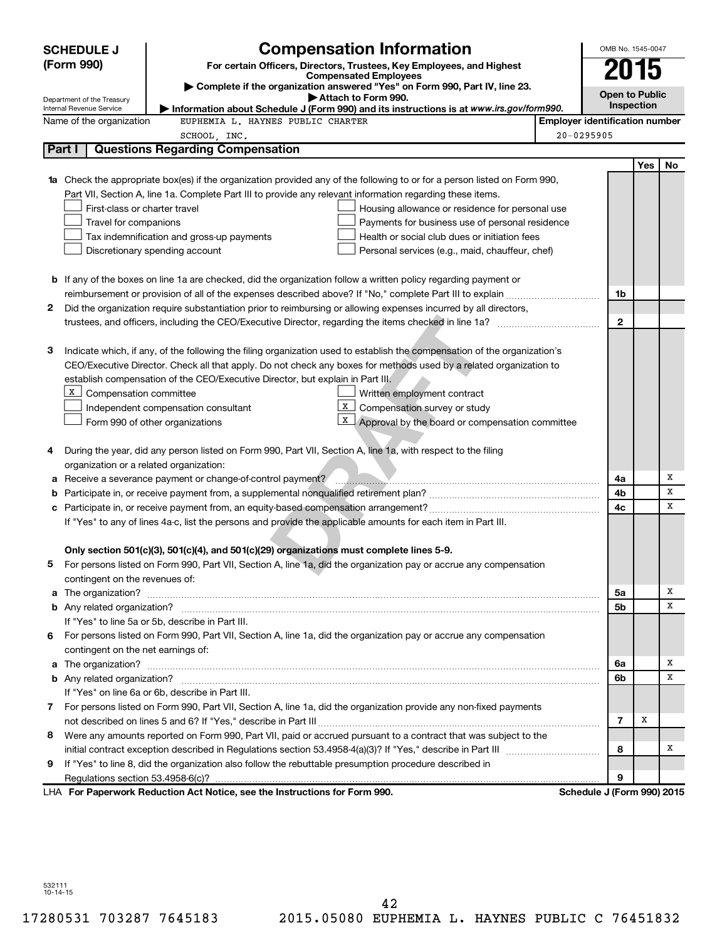|   | <b>SCHEDULE J</b>                                                                                                                          | <b>Compensation Information</b>                                                                                           |                                       | OMB No. 1545-0047 |     |    |  |  |
|---|--------------------------------------------------------------------------------------------------------------------------------------------|---------------------------------------------------------------------------------------------------------------------------|---------------------------------------|-------------------|-----|----|--|--|
|   | (Form 990)                                                                                                                                 | For certain Officers, Directors, Trustees, Key Employees, and Highest                                                     |                                       | 2015              |     |    |  |  |
|   |                                                                                                                                            | <b>Compensated Employees</b><br>Complete if the organization answered "Yes" on Form 990, Part IV, line 23.                |                                       |                   |     |    |  |  |
|   | Department of the Treasury                                                                                                                 |                                                                                                                           | <b>Open to Public</b><br>Inspection   |                   |     |    |  |  |
|   | Attach to Form 990.<br>Information about Schedule J (Form 990) and its instructions is at www.irs.gov/form990.<br>Internal Revenue Service |                                                                                                                           |                                       |                   |     |    |  |  |
|   | Name of the organization                                                                                                                   | EUPHEMIA L. HAYNES PUBLIC CHARTER                                                                                         | <b>Employer identification number</b> |                   |     |    |  |  |
|   |                                                                                                                                            | SCHOOL, INC.                                                                                                              | 20-0295905                            |                   |     |    |  |  |
|   | Part I                                                                                                                                     | <b>Questions Regarding Compensation</b>                                                                                   |                                       |                   |     |    |  |  |
|   |                                                                                                                                            |                                                                                                                           |                                       |                   | Yes | No |  |  |
|   |                                                                                                                                            | 1a Check the appropriate box(es) if the organization provided any of the following to or for a person listed on Form 990, |                                       |                   |     |    |  |  |
|   |                                                                                                                                            | Part VII, Section A, line 1a. Complete Part III to provide any relevant information regarding these items.                |                                       |                   |     |    |  |  |
|   | First-class or charter travel                                                                                                              | Housing allowance or residence for personal use                                                                           |                                       |                   |     |    |  |  |
|   | Travel for companions                                                                                                                      | Payments for business use of personal residence                                                                           |                                       |                   |     |    |  |  |
|   |                                                                                                                                            | Tax indemnification and gross-up payments<br>Health or social club dues or initiation fees                                |                                       |                   |     |    |  |  |
|   |                                                                                                                                            | Discretionary spending account<br>Personal services (e.g., maid, chauffeur, chef)                                         |                                       |                   |     |    |  |  |
|   |                                                                                                                                            |                                                                                                                           |                                       |                   |     |    |  |  |
|   |                                                                                                                                            | <b>b</b> If any of the boxes on line 1a are checked, did the organization follow a written policy regarding payment or    |                                       |                   |     |    |  |  |
|   |                                                                                                                                            | reimbursement or provision of all of the expenses described above? If "No," complete Part III to explain                  |                                       | 1b                |     |    |  |  |
| 2 |                                                                                                                                            | Did the organization require substantiation prior to reimbursing or allowing expenses incurred by all directors,          |                                       |                   |     |    |  |  |
|   |                                                                                                                                            |                                                                                                                           |                                       | $\mathbf{2}$      |     |    |  |  |
|   |                                                                                                                                            |                                                                                                                           |                                       |                   |     |    |  |  |
| 3 |                                                                                                                                            | Indicate which, if any, of the following the filing organization used to establish the compensation of the organization's |                                       |                   |     |    |  |  |
|   |                                                                                                                                            | CEO/Executive Director. Check all that apply. Do not check any boxes for methods used by a related organization to        |                                       |                   |     |    |  |  |
|   |                                                                                                                                            | establish compensation of the CEO/Executive Director, but explain in Part III.                                            |                                       |                   |     |    |  |  |
|   | X Compensation committee                                                                                                                   | Written employment contract<br>X<br>Compensation survey or study                                                          |                                       |                   |     |    |  |  |
|   |                                                                                                                                            | Independent compensation consultant<br>x                                                                                  |                                       |                   |     |    |  |  |
|   |                                                                                                                                            | Approval by the board or compensation committee<br>Form 990 of other organizations                                        |                                       |                   |     |    |  |  |
|   |                                                                                                                                            | During the year, did any person listed on Form 990, Part VII, Section A, line 1a, with respect to the filing              |                                       |                   |     |    |  |  |
| 4 | organization or a related organization:                                                                                                    |                                                                                                                           |                                       |                   |     |    |  |  |
|   |                                                                                                                                            |                                                                                                                           |                                       | 4a                |     | X  |  |  |
| b |                                                                                                                                            |                                                                                                                           |                                       | 4b                |     | X  |  |  |
| с |                                                                                                                                            |                                                                                                                           |                                       | 4c                |     | x  |  |  |
|   |                                                                                                                                            | If "Yes" to any of lines 4a-c, list the persons and provide the applicable amounts for each item in Part III.             |                                       |                   |     |    |  |  |
|   |                                                                                                                                            |                                                                                                                           |                                       |                   |     |    |  |  |
|   |                                                                                                                                            | Only section 501(c)(3), 501(c)(4), and 501(c)(29) organizations must complete lines 5-9.                                  |                                       |                   |     |    |  |  |
|   |                                                                                                                                            | For persons listed on Form 990, Part VII, Section A, line 1a, did the organization pay or accrue any compensation         |                                       |                   |     |    |  |  |
|   | contingent on the revenues of:                                                                                                             |                                                                                                                           |                                       |                   |     |    |  |  |
|   |                                                                                                                                            |                                                                                                                           |                                       | 5а                |     | х  |  |  |
|   |                                                                                                                                            |                                                                                                                           |                                       | 5b                |     | x  |  |  |
|   |                                                                                                                                            | If "Yes" to line 5a or 5b, describe in Part III.                                                                          |                                       |                   |     |    |  |  |
| 6 |                                                                                                                                            | For persons listed on Form 990, Part VII, Section A, line 1a, did the organization pay or accrue any compensation         |                                       |                   |     |    |  |  |
|   | contingent on the net earnings of:                                                                                                         |                                                                                                                           |                                       |                   |     |    |  |  |
|   |                                                                                                                                            |                                                                                                                           |                                       | 6a                |     | X  |  |  |
|   |                                                                                                                                            |                                                                                                                           |                                       | 6b                |     | x  |  |  |
|   |                                                                                                                                            | If "Yes" on line 6a or 6b, describe in Part III.                                                                          |                                       |                   |     |    |  |  |
|   |                                                                                                                                            | 7 For persons listed on Form 990, Part VII, Section A, line 1a, did the organization provide any non-fixed payments       |                                       |                   |     |    |  |  |
|   |                                                                                                                                            |                                                                                                                           |                                       | 7                 | х   |    |  |  |
| 8 |                                                                                                                                            | Were any amounts reported on Form 990, Part VII, paid or accrued pursuant to a contract that was subject to the           |                                       |                   |     |    |  |  |
|   |                                                                                                                                            |                                                                                                                           |                                       | 8                 |     | х  |  |  |
| 9 |                                                                                                                                            | If "Yes" to line 8, did the organization also follow the rebuttable presumption procedure described in                    |                                       |                   |     |    |  |  |
|   |                                                                                                                                            |                                                                                                                           |                                       | 9                 |     |    |  |  |
|   |                                                                                                                                            | LHA For Paperwork Reduction Act Notice, see the Instructions for Form 990.                                                | Schedule J (Form 990) 2015            |                   |     |    |  |  |

532111 10-14-15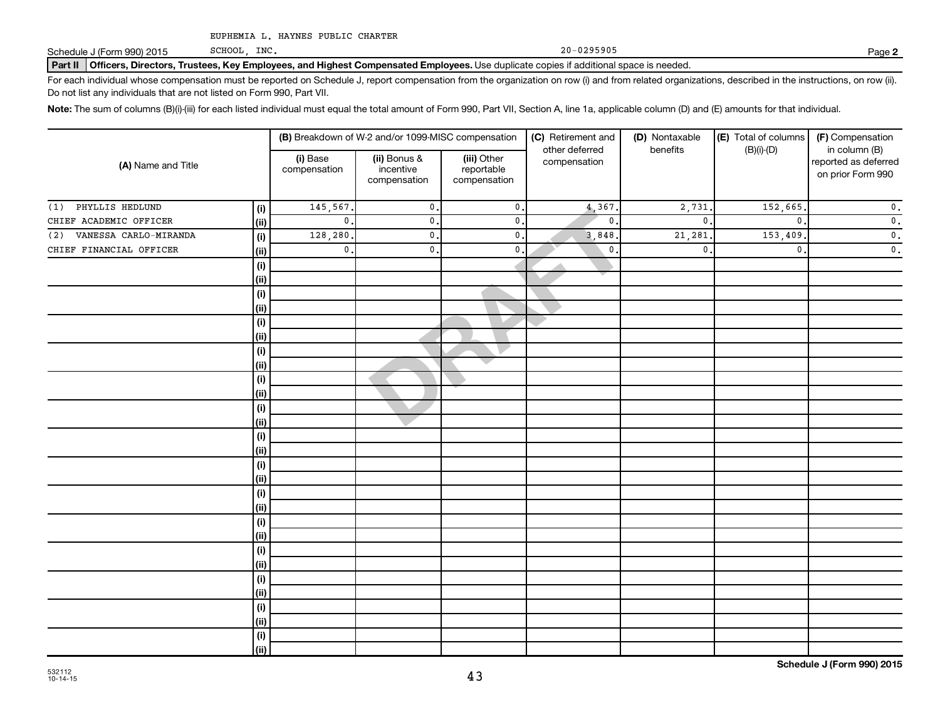SCHOOL, INC.

Schedule J (Form 990) 2015 SCHOOL, INC. The contract of the contract of the contract of the contract of the contract of the contract of the contract of the contract of the contract of the contract of the contract of the co

**2**

Part II | Officers, Directors, Trustees, Key Employees, and Highest Compensated Employees. Use duplicate copies if additional space is needed.

For each individual whose compensation must be reported on Schedule J, report compensation from the organization on row (i) and from related organizations, described in the instructions, on row (ii). Do not list any individuals that are not listed on Form 990, Part VII.

Note: The sum of columns (B)(i)-(iii) for each listed individual must equal the total amount of Form 990, Part VII, Section A, line 1a, applicable column (D) and (E) amounts for that individual.

| (A) Name and Title           |            |                          | (B) Breakdown of W-2 and/or 1099-MISC compensation |                                           | (C) Retirement and<br>other deferred | (D) Nontaxable<br>benefits | (E) Total of columns | (F) Compensation<br>in column (B)         |  |
|------------------------------|------------|--------------------------|----------------------------------------------------|-------------------------------------------|--------------------------------------|----------------------------|----------------------|-------------------------------------------|--|
|                              |            | (i) Base<br>compensation | (ii) Bonus &<br>incentive<br>compensation          | (iii) Other<br>reportable<br>compensation | compensation                         |                            | $(B)(i)-(D)$         | reported as deferred<br>on prior Form 990 |  |
| PHYLLIS HEDLUND<br>(1)       | (i)        | 145,567.                 | $\mathbf 0$                                        | $\mathfrak o$ .                           | 4,367.                               | 2,731                      | 152,665.             | $\overline{\mathbf{0}}$ .                 |  |
| CHIEF ACADEMIC OFFICER       | (ii)       | $\mathbf{0}$ .           | $\mathsf 0$                                        | $\mathfrak o$ .                           | $\mathbf{0}$                         | $\pmb{0}$                  | $\mathbf{0}$ .       | $\overline{\mathbf{0}}$ .                 |  |
| VANESSA CARLO-MIRANDA<br>(2) | (i)        | 128,280.                 | $\mathbf 0$                                        | $\mathfrak o$ .                           | 3,848                                | 21,281                     | 153,409              | $\overline{\mathbf{0}}$ .                 |  |
| CHIEF FINANCIAL OFFICER      | (ii)       | $\mathsf{0}$ .           | $\mathbf{0}$ .                                     | $\mathbf{0}$ .                            | $\mathbf 0$ .                        | $\mathbf{0}$               | $\mathbf{0}$ .       | $\overline{\mathbf{0}}$ .                 |  |
|                              | $(\sf{i})$ |                          |                                                    |                                           |                                      |                            |                      |                                           |  |
|                              | (ii)       |                          |                                                    |                                           |                                      |                            |                      |                                           |  |
|                              | $(\sf{i})$ |                          |                                                    |                                           |                                      |                            |                      |                                           |  |
|                              | (ii)       |                          |                                                    |                                           |                                      |                            |                      |                                           |  |
|                              | $(\sf{i})$ |                          |                                                    |                                           |                                      |                            |                      |                                           |  |
|                              | (ii)       |                          |                                                    |                                           |                                      |                            |                      |                                           |  |
|                              | $(\sf{i})$ |                          |                                                    |                                           |                                      |                            |                      |                                           |  |
|                              | (ii)       |                          |                                                    |                                           |                                      |                            |                      |                                           |  |
|                              | $(\sf{i})$ |                          |                                                    |                                           |                                      |                            |                      |                                           |  |
|                              | (i)        |                          |                                                    |                                           |                                      |                            |                      |                                           |  |
|                              | $(\sf{i})$ |                          |                                                    |                                           |                                      |                            |                      |                                           |  |
|                              | (ii)       |                          |                                                    |                                           |                                      |                            |                      |                                           |  |
|                              | $(\sf{i})$ |                          |                                                    |                                           |                                      |                            |                      |                                           |  |
|                              | (i)        |                          |                                                    |                                           |                                      |                            |                      |                                           |  |
|                              | $(\sf{i})$ |                          |                                                    |                                           |                                      |                            |                      |                                           |  |
|                              | (i)        |                          |                                                    |                                           |                                      |                            |                      |                                           |  |
|                              | $(\sf{i})$ |                          |                                                    |                                           |                                      |                            |                      |                                           |  |
|                              | (i)        |                          |                                                    |                                           |                                      |                            |                      |                                           |  |
|                              | $(\sf{i})$ |                          |                                                    |                                           |                                      |                            |                      |                                           |  |
|                              | (i)        |                          |                                                    |                                           |                                      |                            |                      |                                           |  |
|                              | $(\sf{i})$ |                          |                                                    |                                           |                                      |                            |                      |                                           |  |
|                              | (i)        |                          |                                                    |                                           |                                      |                            |                      |                                           |  |
|                              | $(\sf{i})$ |                          |                                                    |                                           |                                      |                            |                      |                                           |  |
|                              | (ii)       |                          |                                                    |                                           |                                      |                            |                      |                                           |  |
|                              | $(\sf{i})$ |                          |                                                    |                                           |                                      |                            |                      |                                           |  |
|                              | (ii)       |                          |                                                    |                                           |                                      |                            |                      |                                           |  |
|                              | $(\sf{i})$ |                          |                                                    |                                           |                                      |                            |                      |                                           |  |
|                              | (ii)       |                          |                                                    |                                           |                                      |                            |                      |                                           |  |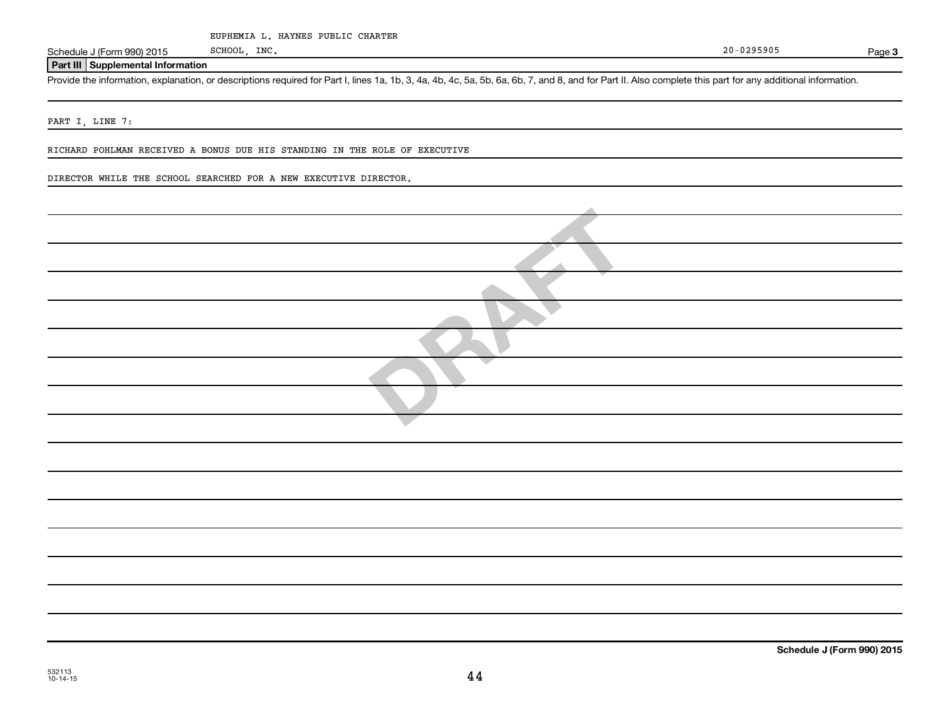Schedule J (Form 990) 2015 SCHOOL, INC. SCHOOL, INC.

**Part III Supplemental Information**

Provide the information, explanation, or descriptions required for Part I, lines 1a, 1b, 3, 4a, 4b, 4c, 5a, 5b, 6a, 6b, 7, and 8, and for Part II. Also complete this part for any additional information.

PART I, LINE 7:

RICHARD POHLMAN RECEIVED A BONUS DUE HIS STANDING IN THE ROLE OF EXECUTIVE

DIRECTOR WHILE THE SCHOOL SEARCHED FOR A NEW EXECUTIVE DIRECTOR.

Page 3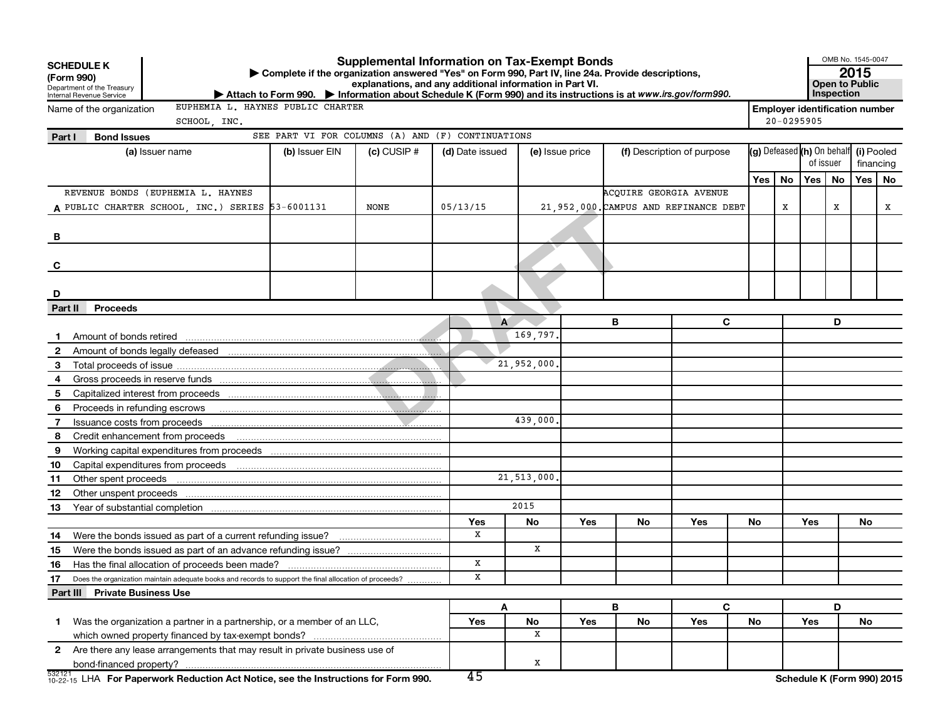|                | <b>Supplemental Information on Tax-Exempt Bonds</b><br><b>SCHEDULE K</b><br>Complete if the organization answered "Yes" on Form 990, Part IV, line 24a. Provide descriptions,<br>(Form 990)<br>explanations, and any additional information in Part VI.<br>Department of the Treasury<br>Internal Revenue Service<br>Attach to Form 990. Information about Schedule K (Form 990) and its instructions is at www.irs.gov/form990. |              |                                                   |               |                 |            |                 |                               |                                       |                                       | Inspection     | OMB No. 1545-0047<br>2015<br>Open to Public |    |                            |    |
|----------------|----------------------------------------------------------------------------------------------------------------------------------------------------------------------------------------------------------------------------------------------------------------------------------------------------------------------------------------------------------------------------------------------------------------------------------|--------------|---------------------------------------------------|---------------|-----------------|------------|-----------------|-------------------------------|---------------------------------------|---------------------------------------|----------------|---------------------------------------------|----|----------------------------|----|
|                | EUPHEMIA L. HAYNES PUBLIC CHARTER<br>Name of the organization                                                                                                                                                                                                                                                                                                                                                                    |              |                                                   |               |                 |            |                 |                               |                                       | <b>Employer identification number</b> |                |                                             |    |                            |    |
|                |                                                                                                                                                                                                                                                                                                                                                                                                                                  | SCHOOL, INC. | SEE PART VI FOR COLUMNS (A) AND (F) CONTINUATIONS |               |                 |            |                 |                               |                                       |                                       | $20 - 0295905$ |                                             |    |                            |    |
| Part I         | <b>Bond Issues</b>                                                                                                                                                                                                                                                                                                                                                                                                               |              |                                                   |               |                 |            |                 |                               |                                       |                                       |                |                                             |    |                            |    |
|                | (a) Issuer name                                                                                                                                                                                                                                                                                                                                                                                                                  |              | (b) Issuer EIN                                    | $(c)$ CUSIP # | (d) Date issued |            | (e) Issue price |                               | (f) Description of purpose            |                                       |                | (g) Defeased (h) On behalf<br>of issuer     |    | (i) Pooled<br>financing    |    |
|                |                                                                                                                                                                                                                                                                                                                                                                                                                                  |              |                                                   |               |                 |            |                 |                               |                                       | Yes                                   | No             | Yes                                         | No | Yes                        | No |
|                | REVENUE BONDS (EUPHEMIA L. HAYNES                                                                                                                                                                                                                                                                                                                                                                                                |              |                                                   |               |                 |            |                 | <b>ACOUIRE GEORGIA AVENUE</b> |                                       |                                       |                |                                             |    |                            |    |
|                | A PUBLIC CHARTER SCHOOL, INC.) SERIES 53-6001131                                                                                                                                                                                                                                                                                                                                                                                 |              |                                                   | NONE          | 05/13/15        |            |                 |                               | 21,952,000. CAMPUS AND REFINANCE DEBT |                                       | x              |                                             | X  |                            | x  |
|                |                                                                                                                                                                                                                                                                                                                                                                                                                                  |              |                                                   |               |                 |            |                 |                               |                                       |                                       |                |                                             |    |                            |    |
| в              |                                                                                                                                                                                                                                                                                                                                                                                                                                  |              |                                                   |               |                 |            |                 |                               |                                       |                                       |                |                                             |    |                            |    |
|                |                                                                                                                                                                                                                                                                                                                                                                                                                                  |              |                                                   |               |                 |            |                 |                               |                                       |                                       |                |                                             |    |                            |    |
| C              |                                                                                                                                                                                                                                                                                                                                                                                                                                  |              |                                                   |               |                 |            |                 |                               |                                       |                                       |                |                                             |    |                            |    |
|                |                                                                                                                                                                                                                                                                                                                                                                                                                                  |              |                                                   |               |                 |            |                 |                               |                                       |                                       |                |                                             |    |                            |    |
| D              |                                                                                                                                                                                                                                                                                                                                                                                                                                  |              |                                                   |               |                 |            |                 |                               |                                       |                                       |                |                                             |    |                            |    |
| Part II        | <b>Proceeds</b>                                                                                                                                                                                                                                                                                                                                                                                                                  |              |                                                   |               |                 |            |                 |                               |                                       |                                       |                |                                             |    |                            |    |
|                |                                                                                                                                                                                                                                                                                                                                                                                                                                  |              |                                                   |               |                 | A          |                 | В                             | C                                     |                                       |                |                                             | D  |                            |    |
|                |                                                                                                                                                                                                                                                                                                                                                                                                                                  |              |                                                   |               |                 | 169,797.   |                 |                               |                                       |                                       |                |                                             |    |                            |    |
| $\mathbf{2}$   |                                                                                                                                                                                                                                                                                                                                                                                                                                  |              |                                                   |               |                 |            |                 |                               |                                       |                                       |                |                                             |    |                            |    |
| 3              |                                                                                                                                                                                                                                                                                                                                                                                                                                  |              |                                                   |               |                 | 21,952,000 |                 |                               |                                       |                                       |                |                                             |    |                            |    |
| 4              |                                                                                                                                                                                                                                                                                                                                                                                                                                  |              |                                                   |               |                 |            |                 |                               |                                       |                                       |                |                                             |    |                            |    |
| 5              |                                                                                                                                                                                                                                                                                                                                                                                                                                  |              |                                                   |               |                 |            |                 |                               |                                       |                                       |                |                                             |    |                            |    |
| 6              | Proceeds in refunding escrows                                                                                                                                                                                                                                                                                                                                                                                                    |              |                                                   |               |                 |            |                 |                               |                                       |                                       |                |                                             |    |                            |    |
| $\overline{7}$ | Issuance costs from proceeds                                                                                                                                                                                                                                                                                                                                                                                                     |              |                                                   |               |                 | 439,000.   |                 |                               |                                       |                                       |                |                                             |    |                            |    |
| 8              | Credit enhancement from proceeds                                                                                                                                                                                                                                                                                                                                                                                                 |              |                                                   |               |                 |            |                 |                               |                                       |                                       |                |                                             |    |                            |    |
| 9              |                                                                                                                                                                                                                                                                                                                                                                                                                                  |              |                                                   |               |                 |            |                 |                               |                                       |                                       |                |                                             |    |                            |    |
| 10             |                                                                                                                                                                                                                                                                                                                                                                                                                                  |              |                                                   |               |                 |            |                 |                               |                                       |                                       |                |                                             |    |                            |    |
| 11             | Other spent proceeds                                                                                                                                                                                                                                                                                                                                                                                                             |              |                                                   |               |                 | 21,513,000 |                 |                               |                                       |                                       |                |                                             |    |                            |    |
| 12             |                                                                                                                                                                                                                                                                                                                                                                                                                                  |              |                                                   |               |                 |            |                 |                               |                                       |                                       |                |                                             |    |                            |    |
| 13             |                                                                                                                                                                                                                                                                                                                                                                                                                                  |              |                                                   |               |                 | 2015       |                 |                               |                                       |                                       |                |                                             |    |                            |    |
|                |                                                                                                                                                                                                                                                                                                                                                                                                                                  |              |                                                   |               | Yes             | No         | Yes             | No                            | Yes                                   | <b>No</b>                             |                | Yes                                         |    | <b>No</b>                  |    |
| 14             |                                                                                                                                                                                                                                                                                                                                                                                                                                  |              |                                                   |               | х               | x          |                 |                               |                                       |                                       |                |                                             |    |                            |    |
| 15             |                                                                                                                                                                                                                                                                                                                                                                                                                                  |              |                                                   |               | X               |            |                 |                               |                                       |                                       |                |                                             |    |                            |    |
| 16             |                                                                                                                                                                                                                                                                                                                                                                                                                                  |              |                                                   |               | х               |            |                 |                               |                                       |                                       |                |                                             |    |                            |    |
| 17             | Does the organization maintain adequate books and records to support the final allocation of proceeds?                                                                                                                                                                                                                                                                                                                           |              |                                                   |               |                 |            |                 |                               |                                       |                                       |                |                                             |    |                            |    |
|                | Part III Private Business Use                                                                                                                                                                                                                                                                                                                                                                                                    |              |                                                   |               |                 |            |                 | B                             | C                                     |                                       |                |                                             | D  |                            |    |
| 1.             | Was the organization a partner in a partnership, or a member of an LLC,                                                                                                                                                                                                                                                                                                                                                          |              |                                                   |               | Yes             | Α<br>No    | Yes             | No                            | Yes                                   | No                                    |                | Yes                                         |    | No                         |    |
|                |                                                                                                                                                                                                                                                                                                                                                                                                                                  |              |                                                   |               |                 | X          |                 |                               |                                       |                                       |                |                                             |    |                            |    |
| $\mathbf{2}$   | Are there any lease arrangements that may result in private business use of                                                                                                                                                                                                                                                                                                                                                      |              |                                                   |               |                 |            |                 |                               |                                       |                                       |                |                                             |    |                            |    |
|                |                                                                                                                                                                                                                                                                                                                                                                                                                                  |              |                                                   |               |                 | x          |                 |                               |                                       |                                       |                |                                             |    |                            |    |
|                | 532121 LHA For Paperwork Reduction Act Notice, see the Instructions for Form 990.                                                                                                                                                                                                                                                                                                                                                |              |                                                   |               | 45              |            |                 |                               |                                       |                                       |                |                                             |    | Schedule K (Form 990) 2015 |    |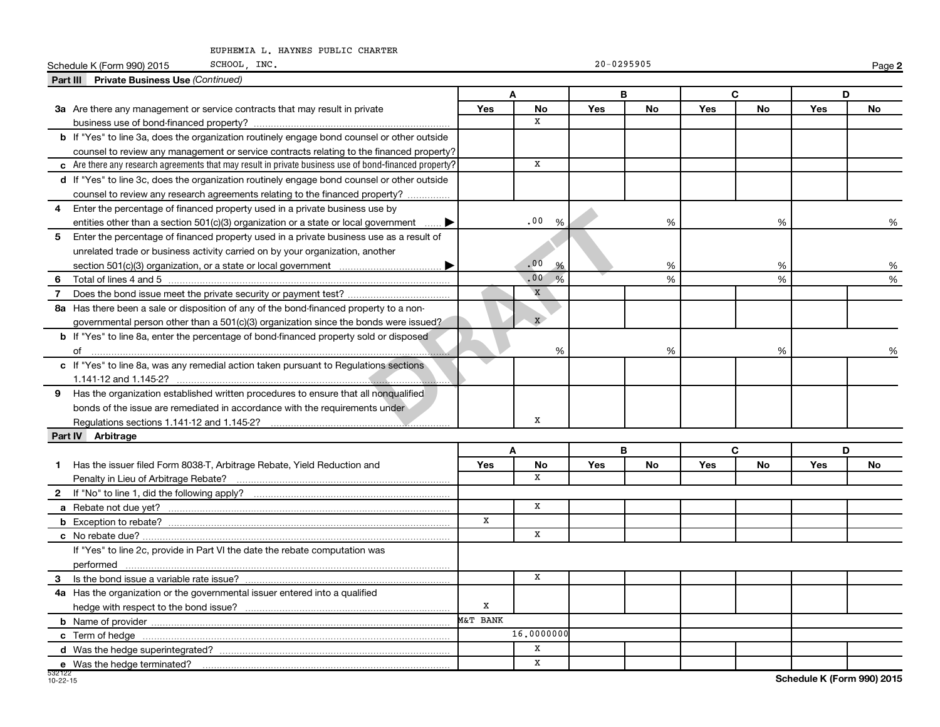|                | SCHOOL, INC.<br>Schedule K (Form 990) 2015                                                                      |             |                                   | $20 - 0295905$ |           |     |               |     | Page 2 |
|----------------|-----------------------------------------------------------------------------------------------------------------|-------------|-----------------------------------|----------------|-----------|-----|---------------|-----|--------|
|                | <b>Part III</b> Private Business Use (Continued)                                                                |             |                                   |                |           |     |               |     |        |
|                |                                                                                                                 |             | A                                 | B              |           |     | C             | D   |        |
|                | 3a Are there any management or service contracts that may result in private                                     | Yes         | No                                | <b>Yes</b>     | No        | Yes | No            | Yes | No     |
|                |                                                                                                                 |             | X                                 |                |           |     |               |     |        |
|                | b If "Yes" to line 3a, does the organization routinely engage bond counsel or other outside                     |             |                                   |                |           |     |               |     |        |
|                | counsel to review any management or service contracts relating to the financed property?                        |             |                                   |                |           |     |               |     |        |
|                | $\epsilon$ Are there any research agreements that may result in private business use of bond-financed property? |             | $\mathbf X$                       |                |           |     |               |     |        |
|                | d If "Yes" to line 3c, does the organization routinely engage bond counsel or other outside                     |             |                                   |                |           |     |               |     |        |
|                | counsel to review any research agreements relating to the financed property?                                    |             |                                   |                |           |     |               |     |        |
| 4              | Enter the percentage of financed property used in a private business use by                                     |             |                                   |                |           |     |               |     |        |
|                | entities other than a section $501(c)(3)$ organization or a state or local government                           |             | .00<br>%                          |                | %         |     | %             |     | %      |
| 5              | Enter the percentage of financed property used in a private business use as a result of                         |             |                                   |                |           |     |               |     |        |
|                | unrelated trade or business activity carried on by your organization, another                                   |             |                                   |                |           |     |               |     |        |
|                |                                                                                                                 |             | .00<br>%                          |                | %         |     | %             |     | %      |
| 6              |                                                                                                                 |             | .00 <sub>1</sub><br>$\frac{9}{6}$ |                | %         |     | $\frac{9}{6}$ |     | %      |
| $\overline{7}$ |                                                                                                                 |             | $\mathbf x$                       |                |           |     |               |     |        |
|                | 8a Has there been a sale or disposition of any of the bond-financed property to a non-                          |             |                                   |                |           |     |               |     |        |
|                | governmental person other than a $501(c)(3)$ organization since the bonds were issued?                          |             | $\mathbf{x}$                      |                |           |     |               |     |        |
|                | <b>b</b> If "Yes" to line 8a, enter the percentage of bond-financed property sold or disposed                   |             |                                   |                |           |     |               |     |        |
|                |                                                                                                                 |             | %                                 |                | %         |     | %             |     |        |
|                | c If "Yes" to line 8a, was any remedial action taken pursuant to Regulations sections                           |             |                                   |                |           |     |               |     |        |
|                |                                                                                                                 |             |                                   |                |           |     |               |     |        |
| 9              | Has the organization established written procedures to ensure that all nonqualified                             |             |                                   |                |           |     |               |     |        |
|                | bonds of the issue are remediated in accordance with the requirements under                                     |             |                                   |                |           |     |               |     |        |
|                | Regulations sections 1.141-12 and 1.145-2?                                                                      |             | x                                 |                |           |     |               |     |        |
|                | Part IV Arbitrage                                                                                               |             |                                   |                |           |     |               |     |        |
|                |                                                                                                                 |             | A                                 | B              |           |     | C             | D   |        |
| 1.             | Has the issuer filed Form 8038-T, Arbitrage Rebate, Yield Reduction and                                         | Yes         | <b>No</b>                         | <b>Yes</b>     | <b>No</b> | Yes | No            | Yes | No     |
|                |                                                                                                                 |             | x                                 |                |           |     |               |     |        |
|                |                                                                                                                 |             |                                   |                |           |     |               |     |        |
|                |                                                                                                                 |             | $\mathbf x$                       |                |           |     |               |     |        |
|                |                                                                                                                 | $\mathbf X$ |                                   |                |           |     |               |     |        |
|                |                                                                                                                 |             | X                                 |                |           |     |               |     |        |
|                | If "Yes" to line 2c, provide in Part VI the date the rebate computation was                                     |             |                                   |                |           |     |               |     |        |
|                |                                                                                                                 |             |                                   |                |           |     |               |     |        |
|                |                                                                                                                 |             | x                                 |                |           |     |               |     |        |
|                | 4a Has the organization or the governmental issuer entered into a qualified                                     |             |                                   |                |           |     |               |     |        |
|                |                                                                                                                 | X           |                                   |                |           |     |               |     |        |
|                |                                                                                                                 | M&T BANK    |                                   |                |           |     |               |     |        |
|                |                                                                                                                 |             | 16,0000000                        |                |           |     |               |     |        |
|                |                                                                                                                 |             | x                                 |                |           |     |               |     |        |
|                | e Was the hedge terminated?                                                                                     |             | $\mathbf X$                       |                |           |     |               |     |        |

**Schedule K (Form 990) 2015**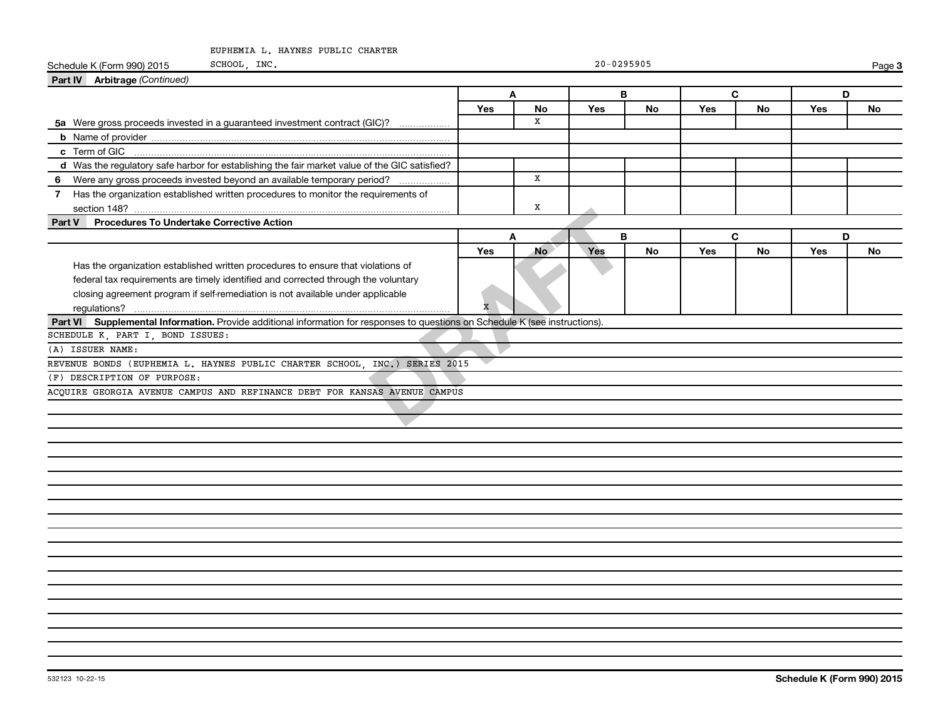| SCHOOL, INC.<br>Schedule K (Form 990) 2015                                                                                                                                                                                                                |                         |             | $20 - 0295905$ |           |     |    |     | Page 3    |
|-----------------------------------------------------------------------------------------------------------------------------------------------------------------------------------------------------------------------------------------------------------|-------------------------|-------------|----------------|-----------|-----|----|-----|-----------|
| Part IV Arbitrage (Continued)                                                                                                                                                                                                                             |                         |             |                |           |     |    |     |           |
|                                                                                                                                                                                                                                                           |                         | A           |                | B         |     | C  |     | D         |
|                                                                                                                                                                                                                                                           | Yes                     | No          | <b>Yes</b>     | <b>No</b> | Yes | No | Yes | No        |
| 5a Were gross proceeds invested in a guaranteed investment contract (GIC)?                                                                                                                                                                                |                         | $\mathbf x$ |                |           |     |    |     |           |
|                                                                                                                                                                                                                                                           |                         |             |                |           |     |    |     |           |
|                                                                                                                                                                                                                                                           |                         |             |                |           |     |    |     |           |
| d Was the regulatory safe harbor for establishing the fair market value of the GIC satisfied?                                                                                                                                                             |                         |             |                |           |     |    |     |           |
| Were any gross proceeds invested beyond an available temporary period?<br>6                                                                                                                                                                               |                         | X           |                |           |     |    |     |           |
| 7 Has the organization established written procedures to monitor the requirements of                                                                                                                                                                      |                         | x           |                |           |     |    |     |           |
| Part V Procedures To Undertake Corrective Action                                                                                                                                                                                                          |                         |             |                |           |     |    |     |           |
|                                                                                                                                                                                                                                                           |                         | A           |                | B         |     | C  |     | D         |
|                                                                                                                                                                                                                                                           | Yes                     | <b>No</b>   | Yes            | <b>No</b> | Yes | No | Yes | <b>No</b> |
| Has the organization established written procedures to ensure that violations of<br>federal tax requirements are timely identified and corrected through the voluntary<br>closing agreement program if self-remediation is not available under applicable | $\overline{\mathbf{x}}$ |             |                |           |     |    |     |           |
| Part VI Supplemental Information. Provide additional information for responses to questions on Schedule K (see instructions).                                                                                                                             |                         |             |                |           |     |    |     |           |
| SCHEDULE K, PART I, BOND ISSUES:                                                                                                                                                                                                                          |                         |             |                |           |     |    |     |           |
| (A) ISSUER NAME:                                                                                                                                                                                                                                          |                         |             |                |           |     |    |     |           |
| REVENUE BONDS (EUPHEMIA L. HAYNES PUBLIC CHARTER SCHOOL, INC.) SERIES 2015                                                                                                                                                                                |                         |             |                |           |     |    |     |           |
| (F) DESCRIPTION OF PURPOSE:                                                                                                                                                                                                                               |                         |             |                |           |     |    |     |           |
| ACQUIRE GEORGIA AVENUE CAMPUS AND REFINANCE DEBT FOR KANSAS AVENUE CAMPUS                                                                                                                                                                                 |                         |             |                |           |     |    |     |           |
|                                                                                                                                                                                                                                                           |                         |             |                |           |     |    |     |           |
|                                                                                                                                                                                                                                                           |                         |             |                |           |     |    |     |           |
|                                                                                                                                                                                                                                                           |                         |             |                |           |     |    |     |           |
|                                                                                                                                                                                                                                                           |                         |             |                |           |     |    |     |           |
|                                                                                                                                                                                                                                                           |                         |             |                |           |     |    |     |           |
|                                                                                                                                                                                                                                                           |                         |             |                |           |     |    |     |           |
|                                                                                                                                                                                                                                                           |                         |             |                |           |     |    |     |           |
|                                                                                                                                                                                                                                                           |                         |             |                |           |     |    |     |           |
|                                                                                                                                                                                                                                                           |                         |             |                |           |     |    |     |           |
|                                                                                                                                                                                                                                                           |                         |             |                |           |     |    |     |           |
|                                                                                                                                                                                                                                                           |                         |             |                |           |     |    |     |           |
|                                                                                                                                                                                                                                                           |                         |             |                |           |     |    |     |           |
|                                                                                                                                                                                                                                                           |                         |             |                |           |     |    |     |           |
|                                                                                                                                                                                                                                                           |                         |             |                |           |     |    |     |           |
|                                                                                                                                                                                                                                                           |                         |             |                |           |     |    |     |           |
|                                                                                                                                                                                                                                                           |                         |             |                |           |     |    |     |           |
|                                                                                                                                                                                                                                                           |                         |             |                |           |     |    |     |           |
|                                                                                                                                                                                                                                                           |                         |             |                |           |     |    |     |           |
|                                                                                                                                                                                                                                                           |                         |             |                |           |     |    |     |           |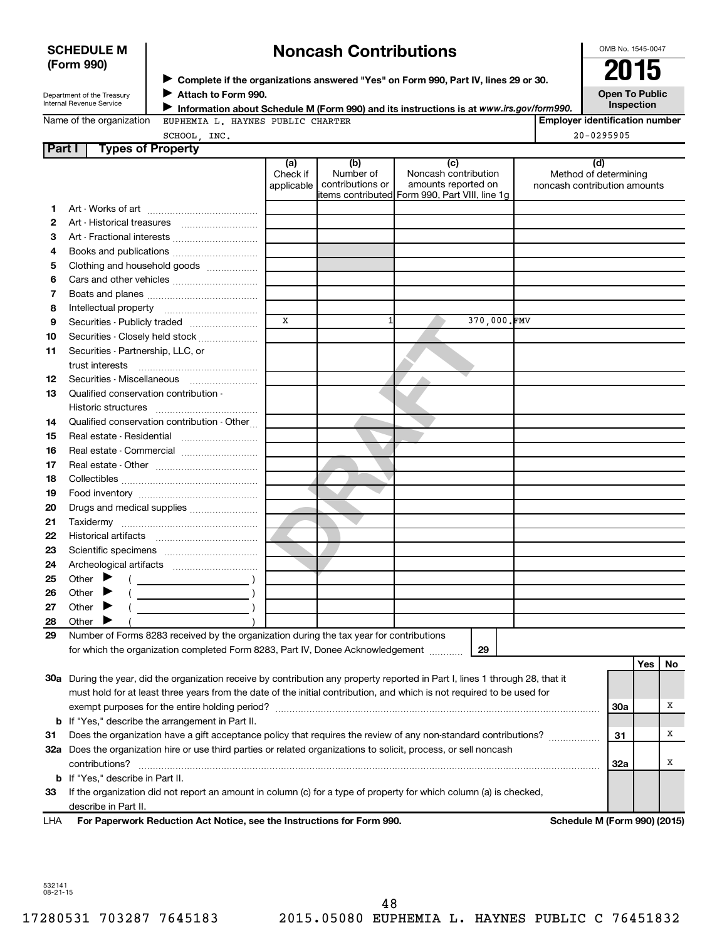### **SCHEDULE M (Form 990)**

# **Noncash Contributions**

OMB No. 1545-0047

| Department of the Treasury |
|----------------------------|
| Internal Revenue Service   |

◆ Complete if the organizations answered "Yes" on Form 990, Part IV, lines 29 or 30.<br>▶ Complete if the organizations answered "Yes" on Form 990, Part IV, lines 29 or 30. **Attach to Form 990.**  $\blacktriangleright$ 

**Open To Public Inspection**

|  | Name of the organization |  |
|--|--------------------------|--|
|  |                          |  |

**Information about Schedule M (Form 990) and its instructions is at www.irs.gov/form990.** CHARTER

|  | ION WEUPHEMIA L. HAYNES PUBLIC |  |  |  |
|--|--------------------------------|--|--|--|
|--|--------------------------------|--|--|--|

| <b>Employer identification number</b>     |  |
|-------------------------------------------|--|
| $\sim$ $\sim$ $\sim$ $\sim$ $\sim$ $\sim$ |  |

Method of determining noncash contribution amounts

| SCHOOL, INC.                                 |                               |                                        |                                                                                                | 20-0295905                                  |
|----------------------------------------------|-------------------------------|----------------------------------------|------------------------------------------------------------------------------------------------|---------------------------------------------|
| Part I<br><b>Types of Property</b>           |                               |                                        |                                                                                                |                                             |
|                                              | (a)<br>Check if<br>applicable | (b)<br>Number of<br>contributions or I | Noncash contribution<br>amounts reported on<br>litems contributed Form 990, Part VIII, line 1g | Method of determi<br>noncash contribution a |
| Art - Works of art                           |                               |                                        |                                                                                                |                                             |
| Art - Historical treasures<br>$\overline{2}$ |                               |                                        |                                                                                                |                                             |
| Art - Fractional interests<br>3              |                               |                                        |                                                                                                |                                             |
| Books and publications<br>4                  |                               |                                        |                                                                                                |                                             |
| Clothing and household goods<br>5            |                               |                                        |                                                                                                |                                             |

|                 | <u>10 and papiloanono </u>                                                                                                                         |              |             |  |
|-----------------|----------------------------------------------------------------------------------------------------------------------------------------------------|--------------|-------------|--|
| 5               | Clothing and household goods                                                                                                                       |              |             |  |
| 6               |                                                                                                                                                    |              |             |  |
| 7               |                                                                                                                                                    |              |             |  |
| 8               |                                                                                                                                                    |              |             |  |
| 9               | Securities - Publicly traded                                                                                                                       | $\mathbf{x}$ | 370,000.FMV |  |
| 10              | Securities - Closely held stock                                                                                                                    |              |             |  |
| 11              | Securities - Partnership, LLC, or                                                                                                                  |              |             |  |
|                 |                                                                                                                                                    |              |             |  |
| 12 <sup>2</sup> | Securities - Miscellaneous                                                                                                                         |              |             |  |
| 13              | Qualified conservation contribution -                                                                                                              |              |             |  |
|                 | Historic structures                                                                                                                                |              |             |  |
| 14              | Qualified conservation contribution - Other                                                                                                        |              |             |  |
| 15              | Real estate - Residential                                                                                                                          |              |             |  |
| 16              |                                                                                                                                                    |              |             |  |
| 17              |                                                                                                                                                    |              |             |  |
| 18              |                                                                                                                                                    |              |             |  |
| 19              |                                                                                                                                                    |              |             |  |
| 20              | Drugs and medical supplies                                                                                                                         |              |             |  |
| 21              |                                                                                                                                                    |              |             |  |
| 22              |                                                                                                                                                    |              |             |  |
| 23              |                                                                                                                                                    |              |             |  |
| 24              |                                                                                                                                                    |              |             |  |
| 25              |                                                                                                                                                    |              |             |  |
| 26              | Other $\blacktriangleright$<br><u> 1999 - John Harry Harry Harry Harry Harry Harry Harry Harry Harry Harry Harry Harry Harry Harry Harry Harry</u> |              |             |  |
| 27              | Other $\blacktriangleright$                                                                                                                        |              |             |  |
| 28              | Other                                                                                                                                              |              |             |  |
| 29              | Number of Forms 8283 received by the organization during the tax year for contributions                                                            |              |             |  |
|                 | for which the organization completed Form 8283, Part IV, Donee Acknowledgement                                                                     |              | 29          |  |

|     |                                                                                                                            |     | Yes | Νo |
|-----|----------------------------------------------------------------------------------------------------------------------------|-----|-----|----|
| 30a | During the year, did the organization receive by contribution any property reported in Part I, lines 1 through 28, that it |     |     |    |
|     | must hold for at least three years from the date of the initial contribution, and which is not required to be used for     |     |     |    |
|     | exempt purposes for the entire holding period?                                                                             | 30a |     |    |
|     | <b>b</b> If "Yes," describe the arrangement in Part II.                                                                    |     |     |    |
| 31  | Does the organization have a gift acceptance policy that requires the review of any non-standard contributions?            | -31 |     |    |
| 32a | Does the organization hire or use third parties or related organizations to solicit, process, or sell noncash              |     |     |    |
|     | contributions?                                                                                                             | 32a |     |    |
|     | <b>b</b> If "Yes," describe in Part II.                                                                                    |     |     |    |
| 33  | If the organization did not report an amount in column (c) for a type of property for which column (a) is checked,         |     |     |    |
|     | describe in Part II.                                                                                                       |     |     |    |

**For Paperwork Reduction Act Notice, see the Instructions for Form 990. Schedule M (Form 990) (2015)** LHA

532141 08-21-15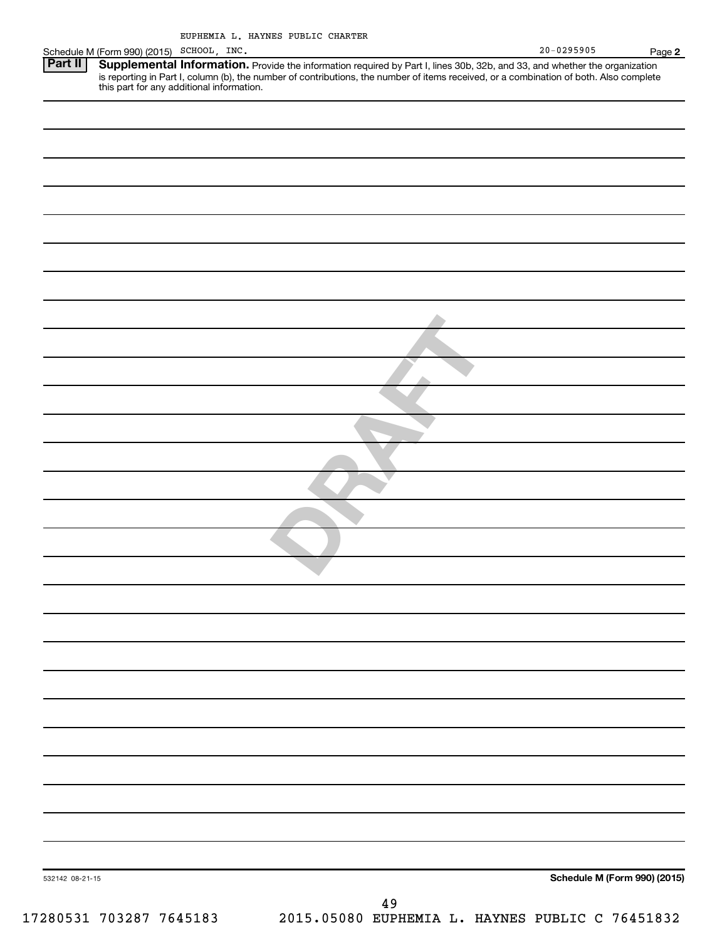|                                                                                       |                                                                                                                                                                                                                                                                                                                |  |  |                    |  | $20 - 0295905$ | Page 2                       |
|---------------------------------------------------------------------------------------|----------------------------------------------------------------------------------------------------------------------------------------------------------------------------------------------------------------------------------------------------------------------------------------------------------------|--|--|--------------------|--|----------------|------------------------------|
| Schedule M (Form 990) (2015) SCHOOL, INC.<br><b>Part II</b> Supplemental Information. | Supplemental Information. Provide the information required by Part I, lines 30b, 32b, and 33, and whether the organization<br>is reporting in Part I, column (b), the number of contributions, the number of items received, or a combination of both. Also complete this part for any additional information. |  |  |                    |  |                |                              |
|                                                                                       |                                                                                                                                                                                                                                                                                                                |  |  |                    |  |                |                              |
|                                                                                       |                                                                                                                                                                                                                                                                                                                |  |  |                    |  |                |                              |
|                                                                                       |                                                                                                                                                                                                                                                                                                                |  |  |                    |  |                |                              |
|                                                                                       |                                                                                                                                                                                                                                                                                                                |  |  |                    |  |                |                              |
|                                                                                       |                                                                                                                                                                                                                                                                                                                |  |  |                    |  |                |                              |
|                                                                                       |                                                                                                                                                                                                                                                                                                                |  |  |                    |  |                |                              |
|                                                                                       |                                                                                                                                                                                                                                                                                                                |  |  |                    |  |                |                              |
|                                                                                       |                                                                                                                                                                                                                                                                                                                |  |  |                    |  |                |                              |
|                                                                                       |                                                                                                                                                                                                                                                                                                                |  |  |                    |  |                |                              |
|                                                                                       |                                                                                                                                                                                                                                                                                                                |  |  |                    |  |                |                              |
|                                                                                       |                                                                                                                                                                                                                                                                                                                |  |  |                    |  |                |                              |
|                                                                                       |                                                                                                                                                                                                                                                                                                                |  |  |                    |  |                |                              |
|                                                                                       |                                                                                                                                                                                                                                                                                                                |  |  |                    |  |                |                              |
|                                                                                       |                                                                                                                                                                                                                                                                                                                |  |  |                    |  |                |                              |
|                                                                                       |                                                                                                                                                                                                                                                                                                                |  |  |                    |  |                |                              |
|                                                                                       |                                                                                                                                                                                                                                                                                                                |  |  |                    |  |                |                              |
|                                                                                       |                                                                                                                                                                                                                                                                                                                |  |  |                    |  |                |                              |
|                                                                                       |                                                                                                                                                                                                                                                                                                                |  |  |                    |  |                |                              |
|                                                                                       |                                                                                                                                                                                                                                                                                                                |  |  |                    |  |                |                              |
|                                                                                       |                                                                                                                                                                                                                                                                                                                |  |  |                    |  |                |                              |
|                                                                                       |                                                                                                                                                                                                                                                                                                                |  |  |                    |  |                |                              |
|                                                                                       |                                                                                                                                                                                                                                                                                                                |  |  |                    |  |                |                              |
|                                                                                       |                                                                                                                                                                                                                                                                                                                |  |  |                    |  |                |                              |
|                                                                                       |                                                                                                                                                                                                                                                                                                                |  |  |                    |  |                |                              |
|                                                                                       |                                                                                                                                                                                                                                                                                                                |  |  |                    |  |                |                              |
|                                                                                       |                                                                                                                                                                                                                                                                                                                |  |  |                    |  |                |                              |
|                                                                                       |                                                                                                                                                                                                                                                                                                                |  |  |                    |  |                |                              |
|                                                                                       |                                                                                                                                                                                                                                                                                                                |  |  |                    |  |                |                              |
| 532142 08-21-15                                                                       |                                                                                                                                                                                                                                                                                                                |  |  |                    |  |                | Schedule M (Form 990) (2015) |
|                                                                                       |                                                                                                                                                                                                                                                                                                                |  |  | $\Lambda$ $\Omega$ |  |                |                              |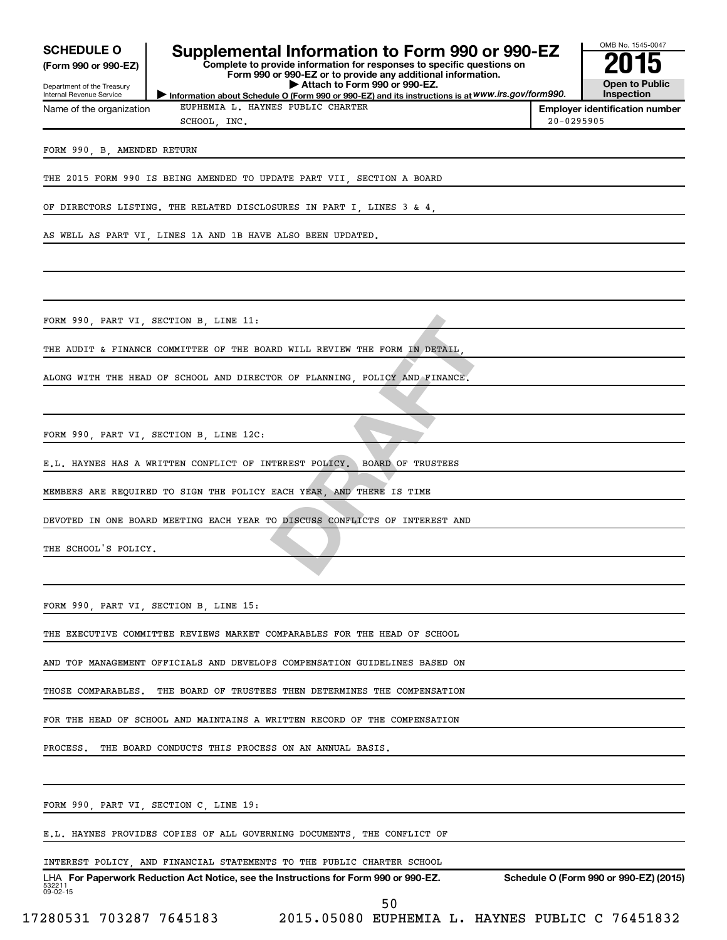| <b>SCHEDULE O</b><br>(Form 990 or 990-EZ)              | Supplemental Information to Form 990 or 990-EZ<br>Complete to provide information for responses to specific questions on<br>Form 990 or 990-EZ or to provide any additional information. |                | OMB No. 1545-0047                      |
|--------------------------------------------------------|------------------------------------------------------------------------------------------------------------------------------------------------------------------------------------------|----------------|----------------------------------------|
| Department of the Treasury<br>Internal Revenue Service | Attach to Form 990 or 990-EZ.<br>Information about Schedule O (Form 990 or 990-EZ) and its instructions is at WWW.irs.gov/form990.                                                       |                | <b>Open to Public</b><br>Inspection    |
| Name of the organization                               | EUPHEMIA L. HAYNES PUBLIC CHARTER                                                                                                                                                        |                | <b>Employer identification number</b>  |
|                                                        | SCHOOL, INC.                                                                                                                                                                             | $20 - 0295905$ |                                        |
| FORM 990, B, AMENDED RETURN                            |                                                                                                                                                                                          |                |                                        |
|                                                        | THE 2015 FORM 990 IS BEING AMENDED TO UPDATE PART VII, SECTION A BOARD                                                                                                                   |                |                                        |
|                                                        | OF DIRECTORS LISTING. THE RELATED DISCLOSURES IN PART I, LINES 3 & 4,                                                                                                                    |                |                                        |
|                                                        | AS WELL AS PART VI, LINES 1A AND 1B HAVE ALSO BEEN UPDATED.                                                                                                                              |                |                                        |
|                                                        |                                                                                                                                                                                          |                |                                        |
|                                                        | FORM 990, PART VI, SECTION B, LINE 11:                                                                                                                                                   |                |                                        |
|                                                        | THE AUDIT & FINANCE COMMITTEE OF THE BOARD WILL REVIEW THE FORM IN DETAIL,                                                                                                               |                |                                        |
|                                                        | ALONG WITH THE HEAD OF SCHOOL AND DIRECTOR OF PLANNING, POLICY AND FINANCE.                                                                                                              |                |                                        |
|                                                        |                                                                                                                                                                                          |                |                                        |
|                                                        | FORM 990, PART VI, SECTION B, LINE 12C:                                                                                                                                                  |                |                                        |
|                                                        | E.L. HAYNES HAS A WRITTEN CONFLICT OF INTEREST POLICY. BOARD OF TRUSTEES                                                                                                                 |                |                                        |
|                                                        | MEMBERS ARE REQUIRED TO SIGN THE POLICY EACH YEAR, AND THERE IS TIME                                                                                                                     |                |                                        |
|                                                        | DEVOTED IN ONE BOARD MEETING EACH YEAR TO DISCUSS CONFLICTS OF INTEREST AND                                                                                                              |                |                                        |
| THE SCHOOL'S POLICY.                                   |                                                                                                                                                                                          |                |                                        |
|                                                        |                                                                                                                                                                                          |                |                                        |
|                                                        | FORM 990, PART VI, SECTION B, LINE 15:                                                                                                                                                   |                |                                        |
|                                                        | THE EXECUTIVE COMMITTEE REVIEWS MARKET COMPARABLES FOR THE HEAD OF SCHOOL                                                                                                                |                |                                        |
|                                                        | AND TOP MANAGEMENT OFFICIALS AND DEVELOPS COMPENSATION GUIDELINES BASED ON                                                                                                               |                |                                        |
| THOSE COMPARABLES.                                     | THE BOARD OF TRUSTEES THEN DETERMINES THE COMPENSATION                                                                                                                                   |                |                                        |
|                                                        | FOR THE HEAD OF SCHOOL AND MAINTAINS A WRITTEN RECORD OF THE COMPENSATION                                                                                                                |                |                                        |
| PROCESS.                                               | THE BOARD CONDUCTS THIS PROCESS ON AN ANNUAL BASIS.                                                                                                                                      |                |                                        |
|                                                        |                                                                                                                                                                                          |                |                                        |
|                                                        | FORM 990, PART VI, SECTION C, LINE 19:                                                                                                                                                   |                |                                        |
|                                                        | E.L. HAYNES PROVIDES COPIES OF ALL GOVERNING DOCUMENTS, THE CONFLICT OF                                                                                                                  |                |                                        |
|                                                        | INTEREST POLICY, AND FINANCIAL STATEMENTS TO THE PUBLIC CHARTER SCHOOL                                                                                                                   |                |                                        |
| 532211<br>09-02-15                                     | LHA For Paperwork Reduction Act Notice, see the Instructions for Form 990 or 990-EZ.                                                                                                     |                | Schedule O (Form 990 or 990-EZ) (2015) |

50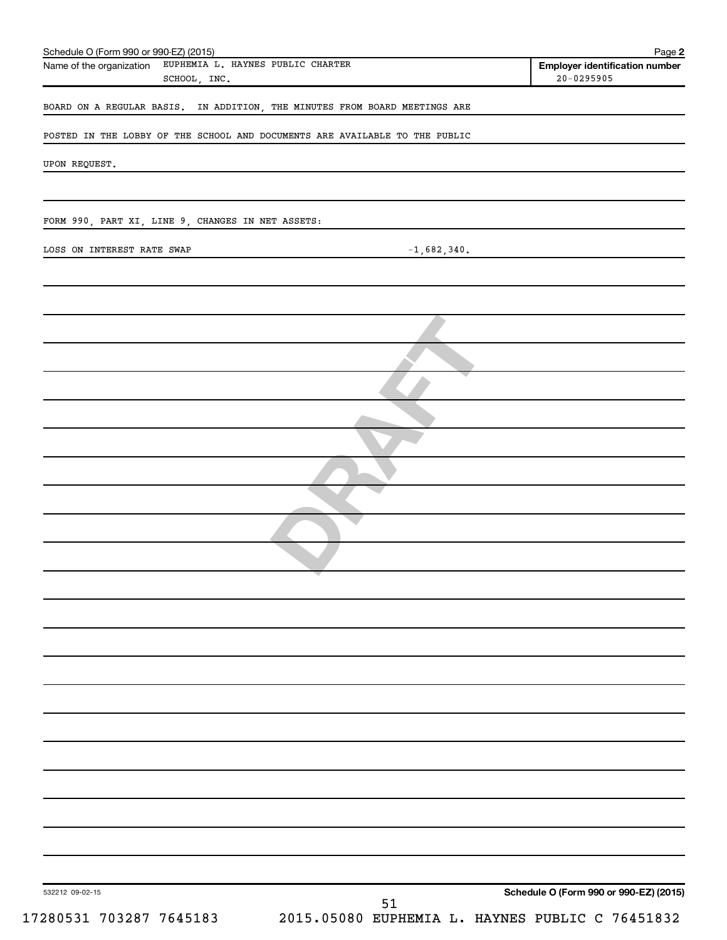| Schedule O (Form 990 or 990-EZ) (2015)<br>Name of the organization EUPHEMIA L. HAYNES PUBLIC CHARTER<br>SCHOOL, INC. | Page 2<br><b>Employer identification number</b><br>$20 - 0295905$ |
|----------------------------------------------------------------------------------------------------------------------|-------------------------------------------------------------------|
| BOARD ON A REGULAR BASIS. IN ADDITION, THE MINUTES FROM BOARD MEETINGS ARE                                           |                                                                   |
| POSTED IN THE LOBBY OF THE SCHOOL AND DOCUMENTS ARE AVAILABLE TO THE PUBLIC                                          |                                                                   |
|                                                                                                                      |                                                                   |
| UPON REQUEST.                                                                                                        |                                                                   |
|                                                                                                                      |                                                                   |
| FORM 990, PART XI, LINE 9, CHANGES IN NET ASSETS:                                                                    |                                                                   |
| LOSS ON INTEREST RATE SWAP<br>$-1,682,340.$                                                                          |                                                                   |
|                                                                                                                      |                                                                   |
|                                                                                                                      |                                                                   |
|                                                                                                                      |                                                                   |
|                                                                                                                      |                                                                   |
|                                                                                                                      |                                                                   |
|                                                                                                                      |                                                                   |
|                                                                                                                      |                                                                   |
|                                                                                                                      |                                                                   |
|                                                                                                                      |                                                                   |
|                                                                                                                      |                                                                   |
|                                                                                                                      |                                                                   |
|                                                                                                                      |                                                                   |
|                                                                                                                      |                                                                   |
|                                                                                                                      |                                                                   |
|                                                                                                                      |                                                                   |
|                                                                                                                      |                                                                   |
|                                                                                                                      |                                                                   |
|                                                                                                                      |                                                                   |
|                                                                                                                      |                                                                   |
|                                                                                                                      |                                                                   |
|                                                                                                                      |                                                                   |
| 532212 09-02-15                                                                                                      | Schedule O (Form 990 or 990-EZ) (2015)                            |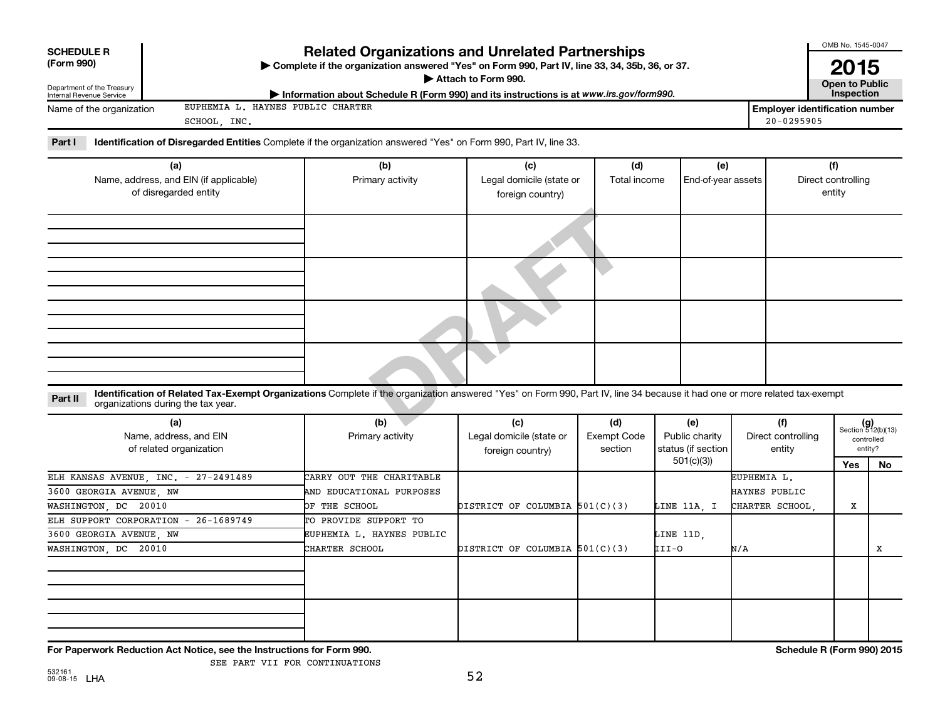| <b>SCHEDULE R</b>                                               |                                                                        |                                                                                                                                                                            |                                              |                    |                    |                 |                                                         | OMB No. 1545-0047                         |         |
|-----------------------------------------------------------------|------------------------------------------------------------------------|----------------------------------------------------------------------------------------------------------------------------------------------------------------------------|----------------------------------------------|--------------------|--------------------|-----------------|---------------------------------------------------------|-------------------------------------------|---------|
| (Form 990)                                                      |                                                                        | <b>Related Organizations and Unrelated Partnerships</b><br>> Complete if the organization answered "Yes" on Form 990, Part IV, line 33, 34, 35b, 36, or 37.                |                                              |                    |                    |                 |                                                         | 2015                                      |         |
| Department of the Treasury                                      |                                                                        |                                                                                                                                                                            | Attach to Form 990.                          |                    |                    |                 |                                                         | <b>Open to Public</b>                     |         |
| Internal Revenue Service                                        |                                                                        | Information about Schedule R (Form 990) and its instructions is at www.irs.gov/form990.                                                                                    |                                              |                    |                    |                 |                                                         | Inspection                                |         |
| Name of the organization                                        | EUPHEMIA L. HAYNES PUBLIC CHARTER<br>SCHOOL, INC.                      |                                                                                                                                                                            |                                              |                    |                    |                 | <b>Employer identification number</b><br>$20 - 0295905$ |                                           |         |
| Part I                                                          |                                                                        | Identification of Disregarded Entities Complete if the organization answered "Yes" on Form 990, Part IV, line 33.                                                          |                                              |                    |                    |                 |                                                         |                                           |         |
|                                                                 | (a)                                                                    | (b)                                                                                                                                                                        | (c)                                          | (d)                | (e)                |                 |                                                         | (f)                                       |         |
| Name, address, and EIN (if applicable)<br>of disregarded entity |                                                                        | Primary activity                                                                                                                                                           | Legal domicile (state or<br>foreign country) | Total income       | End-of-year assets |                 | Direct controlling<br>entity                            |                                           |         |
|                                                                 |                                                                        |                                                                                                                                                                            |                                              |                    |                    |                 |                                                         |                                           |         |
|                                                                 |                                                                        |                                                                                                                                                                            |                                              |                    |                    |                 |                                                         |                                           |         |
|                                                                 |                                                                        |                                                                                                                                                                            |                                              |                    |                    |                 |                                                         |                                           |         |
|                                                                 |                                                                        |                                                                                                                                                                            |                                              |                    |                    |                 |                                                         |                                           |         |
| Part II                                                         | organizations during the tax year.                                     | Identification of Related Tax-Exempt Organizations Complete if the organization answered "Yes" on Form 990, Part IV, line 34 because it had one or more related tax-exempt |                                              |                    |                    |                 |                                                         |                                           |         |
|                                                                 | (a)                                                                    | (b)                                                                                                                                                                        | (c)                                          | (d)                | (e)                |                 | (f)                                                     |                                           |         |
|                                                                 | Name, address, and EIN                                                 | Primary activity                                                                                                                                                           | Legal domicile (state or                     | <b>Exempt Code</b> | Public charity     |                 | Direct controlling                                      | $(g)$<br>Section 512(b)(13)<br>controlled |         |
|                                                                 | of related organization                                                |                                                                                                                                                                            | foreign country)                             | section            | status (if section |                 | entity                                                  |                                           | entity? |
|                                                                 |                                                                        |                                                                                                                                                                            |                                              |                    | 501(c)(3)          |                 |                                                         | Yes                                       | No      |
|                                                                 | ELH KANSAS AVENUE, INC. - 27-2491489                                   | CARRY OUT THE CHARITABLE                                                                                                                                                   |                                              |                    |                    | EUPHEMIA L.     |                                                         |                                           |         |
| 3600 GEORGIA AVENUE, NW                                         |                                                                        | AND EDUCATIONAL PURPOSES                                                                                                                                                   |                                              |                    |                    | HAYNES PUBLIC   |                                                         |                                           |         |
| WASHINGTON, DC 20010                                            |                                                                        | OF THE SCHOOL                                                                                                                                                              | DISTRICT OF COLUMBIA 501(C)(3)               |                    | LINE 11A. I        | CHARTER SCHOOL. |                                                         | X                                         |         |
|                                                                 | ELH SUPPORT CORPORATION - 26-1689749                                   | TO PROVIDE SUPPORT TO                                                                                                                                                      |                                              |                    |                    |                 |                                                         |                                           |         |
| 3600 GEORGIA AVENUE, NW                                         |                                                                        | EUPHEMIA L. HAYNES PUBLIC                                                                                                                                                  |                                              |                    | LINE 11D,          |                 |                                                         |                                           |         |
| WASHINGTON DC 20010                                             |                                                                        | CHARTER SCHOOL                                                                                                                                                             | DISTRICT OF COLUMBIA 501(C)(3)               |                    | III-O              | N/A             |                                                         |                                           | X       |
|                                                                 |                                                                        |                                                                                                                                                                            |                                              |                    |                    |                 |                                                         |                                           |         |
|                                                                 |                                                                        |                                                                                                                                                                            |                                              |                    |                    |                 |                                                         |                                           |         |
|                                                                 |                                                                        |                                                                                                                                                                            |                                              |                    |                    |                 |                                                         |                                           |         |
|                                                                 |                                                                        |                                                                                                                                                                            |                                              |                    |                    |                 |                                                         |                                           |         |
|                                                                 |                                                                        |                                                                                                                                                                            |                                              |                    |                    |                 |                                                         |                                           |         |
|                                                                 |                                                                        |                                                                                                                                                                            |                                              |                    |                    |                 |                                                         |                                           |         |
|                                                                 | For Paperwork Reduction Act Notice, see the Instructions for Form 990. |                                                                                                                                                                            |                                              |                    |                    |                 | Schedule R (Form 990) 2015                              |                                           |         |

SEE PART VII FOR CONTINUATIONS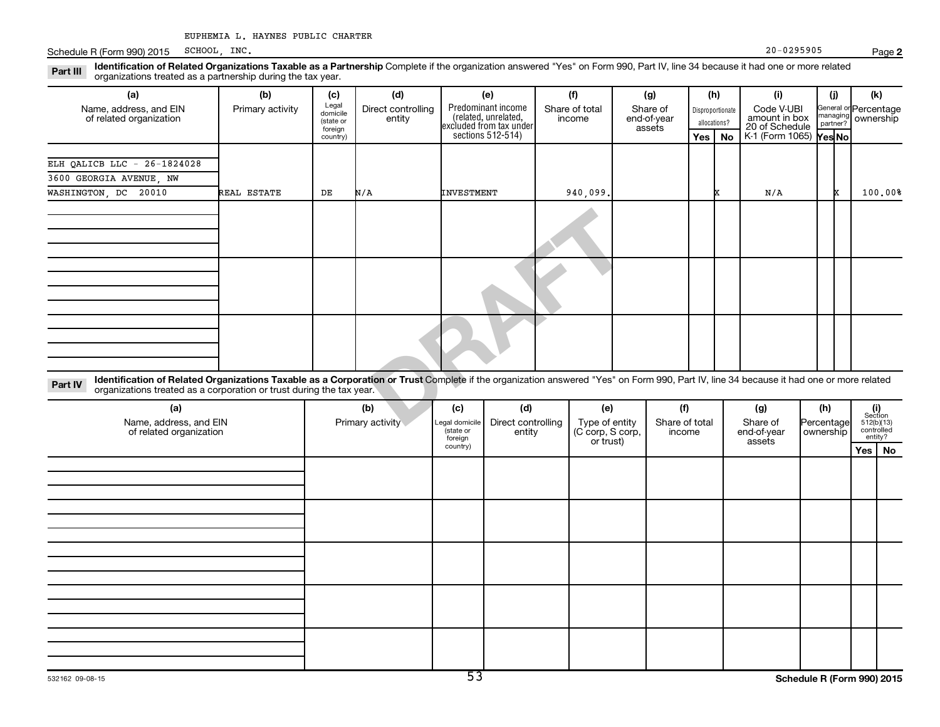Schedule R (Form 990) 2015 SCHOOL, INC. 20 - 0295905  $SCHOOL$ , INC.  $20-0295905$ 

Part III Identification of Related Organizations Taxable as a Partnership Complete if the organization answered "Yes" on Form 990, Part IV, line 34 because it had one or more related<br>Read to the organizations tracted as a organizations treated as a partnership during the tax year.

| (a)                                                                                                                                                                                                                                                                       | (b)              | (c)                                       | (d)                          |                                                                       | (e)                | (f)                      |                | (g)                               |                                  | (h)       | (i)                                           | (i)                  | (k)                                |
|---------------------------------------------------------------------------------------------------------------------------------------------------------------------------------------------------------------------------------------------------------------------------|------------------|-------------------------------------------|------------------------------|-----------------------------------------------------------------------|--------------------|--------------------------|----------------|-----------------------------------|----------------------------------|-----------|-----------------------------------------------|----------------------|------------------------------------|
| Name, address, and EIN<br>of related organization                                                                                                                                                                                                                         | Primary activity | Legal<br>domicile<br>(state or<br>foreign | Direct controlling<br>entity | Predominant income<br>(related, unrelated,<br>excluded from tax under | sections 512-514)  | Share of total<br>income |                | Share of<br>end-of-year<br>assets | Disproportionate<br>allocations? |           | Code V-UBI<br>amount in box<br>20 of Schedule | managing<br>partner? | General or Percentage<br>ownership |
|                                                                                                                                                                                                                                                                           |                  | country)                                  |                              |                                                                       |                    |                          |                |                                   | Yes I                            | <b>No</b> | K-1 (Form 1065) Yes No                        |                      |                                    |
| ELH OALICB LLC - 26-1824028                                                                                                                                                                                                                                               |                  |                                           |                              |                                                                       |                    |                          |                |                                   |                                  |           |                                               |                      |                                    |
| 3600 GEORGIA AVENUE, NW                                                                                                                                                                                                                                                   |                  |                                           |                              |                                                                       |                    |                          |                |                                   |                                  |           |                                               |                      |                                    |
| WASHINGTON, DC 20010                                                                                                                                                                                                                                                      | REAL ESTATE      | DE                                        | N/A                          | <b>INVESTMENT</b>                                                     |                    | 940,099                  |                |                                   |                                  |           | N/A                                           | x                    | 100.00%                            |
|                                                                                                                                                                                                                                                                           |                  |                                           |                              |                                                                       |                    |                          |                |                                   |                                  |           |                                               |                      |                                    |
|                                                                                                                                                                                                                                                                           |                  |                                           |                              |                                                                       |                    |                          |                |                                   |                                  |           |                                               |                      |                                    |
|                                                                                                                                                                                                                                                                           |                  |                                           |                              |                                                                       |                    |                          |                |                                   |                                  |           |                                               |                      |                                    |
|                                                                                                                                                                                                                                                                           |                  |                                           |                              |                                                                       |                    |                          |                |                                   |                                  |           |                                               |                      |                                    |
| Identification of Related Organizations Taxable as a Corporation or Trust Complete if the organization answered "Yes" on Form 990, Part IV, line 34 because it had one or more related<br>Part IV<br>organizations treated as a corporation or trust during the tax year. |                  |                                           |                              |                                                                       |                    |                          |                |                                   |                                  |           |                                               |                      |                                    |
| (a)                                                                                                                                                                                                                                                                       |                  |                                           | (b)                          | (c)                                                                   | (d)                |                          | (e)            | (f)                               |                                  |           | (g)                                           | (h)                  | (i)<br>Section                     |
| Name, address, and EIN                                                                                                                                                                                                                                                    |                  |                                           | Primary activity             | Legal domicile                                                        | Direct controlling |                          | Type of entity | Share of total                    |                                  |           | Share of                                      | Percentage           | 512(b)(13)                         |

| (a)<br>Name, address, and EIN<br>of related organization | (b)<br>Primary activity | (c)<br>Legal domicile<br>(state or<br>foreign | (d)<br>Direct controlling<br>entity | (e)<br>Type of entity<br>(C corp, S corp,<br>or trust) | (f)<br>Share of total<br>income | (g)<br>Share of<br>end-of-year<br>assets | (h)<br>Percentage<br>ownership | $\begin{array}{c} \textbf{(i)}\\ \text{Section}\\ 512 \text{(b)} \text{(13)}\\ \text{controlled} \\ \text{entity?} \end{array}$ |
|----------------------------------------------------------|-------------------------|-----------------------------------------------|-------------------------------------|--------------------------------------------------------|---------------------------------|------------------------------------------|--------------------------------|---------------------------------------------------------------------------------------------------------------------------------|
|                                                          |                         | country)                                      |                                     |                                                        |                                 |                                          |                                | Yes   No                                                                                                                        |
|                                                          |                         |                                               |                                     |                                                        |                                 |                                          |                                |                                                                                                                                 |
|                                                          |                         |                                               |                                     |                                                        |                                 |                                          |                                |                                                                                                                                 |
|                                                          |                         |                                               |                                     |                                                        |                                 |                                          |                                |                                                                                                                                 |
|                                                          |                         |                                               |                                     |                                                        |                                 |                                          |                                |                                                                                                                                 |
|                                                          |                         |                                               |                                     |                                                        |                                 |                                          |                                |                                                                                                                                 |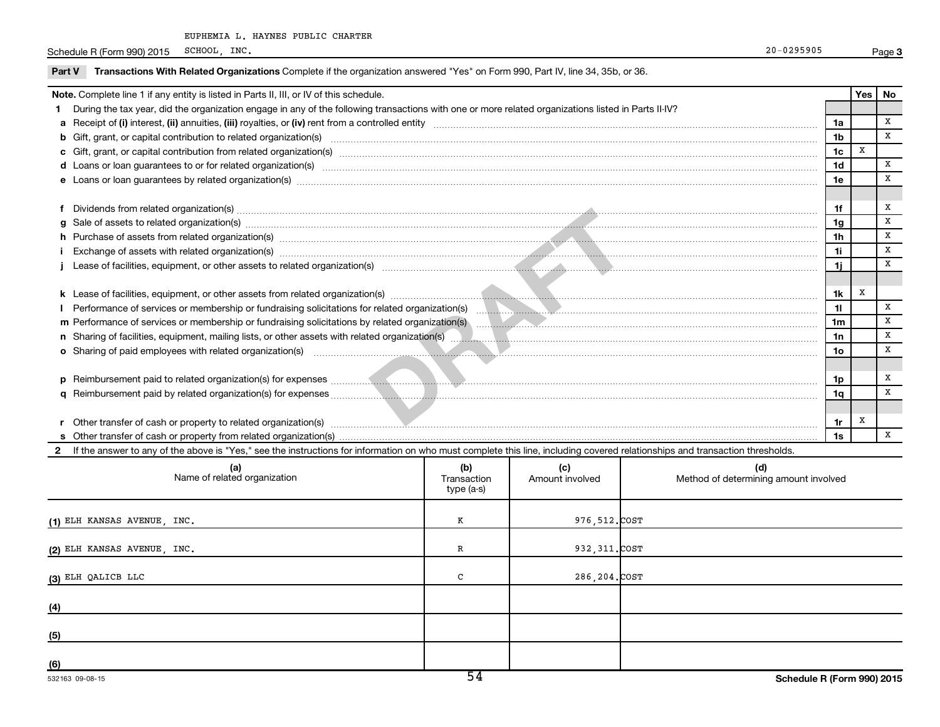Schedule R (Form 990) 2015 SCHOOL, INC. Page Page 20-0295905

|                                                                                                                                                                                                                                                                                                                                                                                                                                                                                    | Note. Complete line 1 if any entity is listed in Parts II, III, or IV of this schedule.                                                                                                                                        |     |                                      |                                          |  | Yes   No |              |
|------------------------------------------------------------------------------------------------------------------------------------------------------------------------------------------------------------------------------------------------------------------------------------------------------------------------------------------------------------------------------------------------------------------------------------------------------------------------------------|--------------------------------------------------------------------------------------------------------------------------------------------------------------------------------------------------------------------------------|-----|--------------------------------------|------------------------------------------|--|----------|--------------|
|                                                                                                                                                                                                                                                                                                                                                                                                                                                                                    | During the tax year, did the organization engage in any of the following transactions with one or more related organizations listed in Parts II-IV?                                                                            |     |                                      |                                          |  |          |              |
|                                                                                                                                                                                                                                                                                                                                                                                                                                                                                    |                                                                                                                                                                                                                                |     |                                      | 1a                                       |  |          | $\mathbf{x}$ |
|                                                                                                                                                                                                                                                                                                                                                                                                                                                                                    |                                                                                                                                                                                                                                |     |                                      | 1 <sub>b</sub>                           |  |          | $\mathbf{x}$ |
|                                                                                                                                                                                                                                                                                                                                                                                                                                                                                    |                                                                                                                                                                                                                                |     |                                      | 1 <sub>c</sub>                           |  | x        |              |
|                                                                                                                                                                                                                                                                                                                                                                                                                                                                                    | d Loans or loan guarantees to or for related organization(s) mature content to consume and content to consumer the content of the consumer content of the consumer content of the consumer content of the consumer content of  |     |                                      | 1 <sub>d</sub>                           |  |          | $\mathbf{x}$ |
|                                                                                                                                                                                                                                                                                                                                                                                                                                                                                    | e Loans or loan guarantees by related organization(s) material contents and content to content the content of the content of the content of the content of the content of the content of the content of the content of the con |     |                                      | 1e                                       |  |          | $\mathbf{x}$ |
|                                                                                                                                                                                                                                                                                                                                                                                                                                                                                    |                                                                                                                                                                                                                                |     |                                      |                                          |  |          |              |
|                                                                                                                                                                                                                                                                                                                                                                                                                                                                                    |                                                                                                                                                                                                                                |     |                                      | 1f                                       |  |          | x            |
| Dividends from related organization(s) machinesis and contract and contract and contract and contract and contract and contract and contract and contract and contract and contract and contract and contract and contract and<br>1 <sub>g</sub><br>g Sale of assets to related organization(s) machinesis and content to the content of the content of the content of the content of the content of the content of the content of the content of the content of the content of th |                                                                                                                                                                                                                                |     |                                      |                                          |  |          | $\mathbf x$  |
|                                                                                                                                                                                                                                                                                                                                                                                                                                                                                    |                                                                                                                                                                                                                                |     |                                      |                                          |  |          | x            |
|                                                                                                                                                                                                                                                                                                                                                                                                                                                                                    | Exchange of assets with related organization(s) www.assettion.com/www.assettion.com/www.assettion.com/www.assettion.com/www.assettion.com/www.assettion.com/www.assettion.com/www.assettion.com/www.assettion.com/www.assettio |     |                                      | 1i.                                      |  |          | x            |
|                                                                                                                                                                                                                                                                                                                                                                                                                                                                                    |                                                                                                                                                                                                                                |     |                                      | 1j                                       |  |          | $\mathbf{x}$ |
|                                                                                                                                                                                                                                                                                                                                                                                                                                                                                    |                                                                                                                                                                                                                                |     |                                      |                                          |  |          |              |
|                                                                                                                                                                                                                                                                                                                                                                                                                                                                                    |                                                                                                                                                                                                                                |     |                                      | 1k                                       |  | x        |              |
|                                                                                                                                                                                                                                                                                                                                                                                                                                                                                    | Performance of services or membership or fundraising solicitations for related organization(s) [10] performance of services or membership or fundraising solicitations for related organization(s) [10] performance content of |     |                                      | 11                                       |  |          | $\mathbf{x}$ |
|                                                                                                                                                                                                                                                                                                                                                                                                                                                                                    |                                                                                                                                                                                                                                |     |                                      | 1 <sub>m</sub>                           |  |          | x            |
|                                                                                                                                                                                                                                                                                                                                                                                                                                                                                    |                                                                                                                                                                                                                                |     |                                      | 1n                                       |  |          | x            |
|                                                                                                                                                                                                                                                                                                                                                                                                                                                                                    |                                                                                                                                                                                                                                |     |                                      | 10 <sub>o</sub>                          |  |          | $\mathbf{x}$ |
|                                                                                                                                                                                                                                                                                                                                                                                                                                                                                    | o Sharing of paid employees with related organization(s) manufactured and content to the state of paid employees with related organization(s) manufactured and content to the state of the state of the state of the state of  |     |                                      |                                          |  |          |              |
|                                                                                                                                                                                                                                                                                                                                                                                                                                                                                    |                                                                                                                                                                                                                                |     |                                      |                                          |  |          | x            |
|                                                                                                                                                                                                                                                                                                                                                                                                                                                                                    |                                                                                                                                                                                                                                |     |                                      | 1p                                       |  |          | $\mathbf{x}$ |
|                                                                                                                                                                                                                                                                                                                                                                                                                                                                                    |                                                                                                                                                                                                                                |     |                                      | 1q                                       |  |          |              |
|                                                                                                                                                                                                                                                                                                                                                                                                                                                                                    |                                                                                                                                                                                                                                |     |                                      |                                          |  |          |              |
|                                                                                                                                                                                                                                                                                                                                                                                                                                                                                    |                                                                                                                                                                                                                                |     |                                      | 1r                                       |  | x        | $\mathbf{x}$ |
|                                                                                                                                                                                                                                                                                                                                                                                                                                                                                    |                                                                                                                                                                                                                                |     |                                      | 1s                                       |  |          |              |
|                                                                                                                                                                                                                                                                                                                                                                                                                                                                                    | 2 If the answer to any of the above is "Yes," see the instructions for information on who must complete this line, including covered relationships and transaction thresholds.                                                 |     |                                      |                                          |  |          |              |
|                                                                                                                                                                                                                                                                                                                                                                                                                                                                                    | (a)<br>Name of related organization                                                                                                                                                                                            | (b) | (c)<br>Transaction   Amount involved | (d)<br>heylovgi tauome paigments hodtell |  |          |              |

| (a)<br>Name of related organization | (D)<br>Transaction<br>type (a-s) | (C)<br>Amount involved | (d)<br>Method of determining amount involved |
|-------------------------------------|----------------------------------|------------------------|----------------------------------------------|
| (1) ELH KANSAS AVENUE, INC.         | к                                | 976,512.COST           |                                              |
| (2) ELH KANSAS AVENUE, INC.         | R                                | 932, 311. COST         |                                              |
| (3) ELH QALICB LLC                  | C                                | 286,204.COST           |                                              |
| (4)                                 |                                  |                        |                                              |
| (5)                                 |                                  |                        |                                              |
| (6)                                 |                                  |                        |                                              |

**3**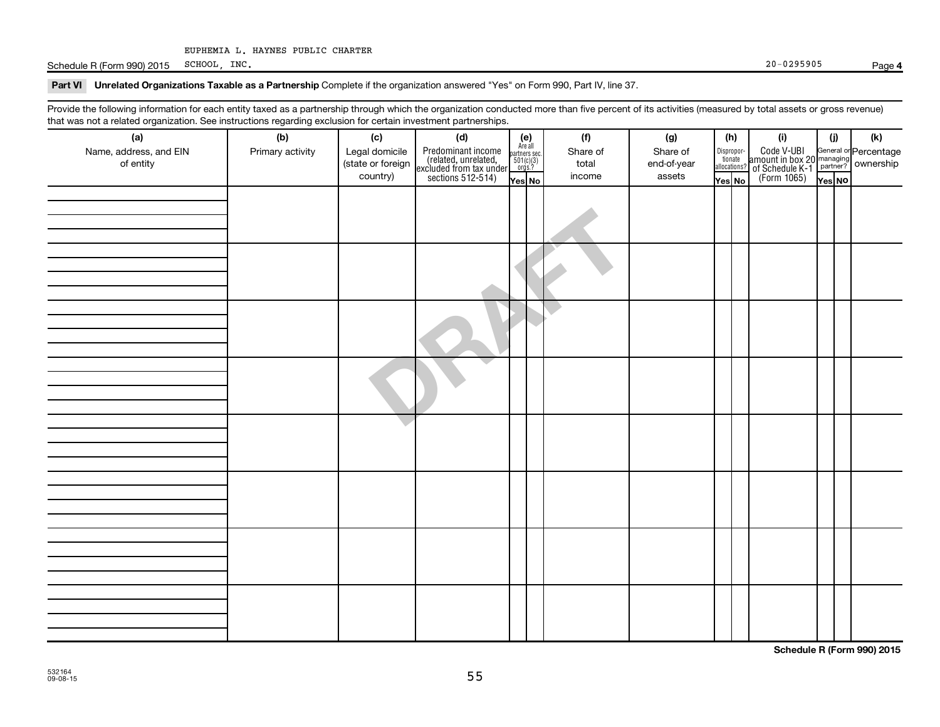Schedule R (Form 990) 2015 SCHOOL, INC. 20 - 0295905  $SCHOOL$ , INC.  $20-0295905$ 

**4**

Part VI Unrelated Organizations Taxable as a Partnership Complete if the organization answered "Yes" on Form 990, Part IV, line 37.

Provide the following information for each entity taxed as a partnership through which the organization conducted more than five percent of its activities (measured by total assets or gross revenue) that was not a related organization. See instructions regarding exclusion for certain investment partnerships.

| that was not a related erganization. Occ included to regarding exclusion for cortain investment partnerships.<br>(a) | (b)              |  |                                                                                                                                                                                                                                                                                                                                                                                                                                                            |  |  | (f)      | (g)         | (h)    |  | (i)                                                                                                                         | (j)    | (k) |
|----------------------------------------------------------------------------------------------------------------------|------------------|--|------------------------------------------------------------------------------------------------------------------------------------------------------------------------------------------------------------------------------------------------------------------------------------------------------------------------------------------------------------------------------------------------------------------------------------------------------------|--|--|----------|-------------|--------|--|-----------------------------------------------------------------------------------------------------------------------------|--------|-----|
| Name, address, and EIN                                                                                               | Primary activity |  |                                                                                                                                                                                                                                                                                                                                                                                                                                                            |  |  | Share of | Share of    |        |  | Disproport Code V-UBI<br>librarie amount in box 20 managing<br>allocations? of Schedule K-1<br>Yes No (Form 1065)<br>Yes No |        |     |
| of entity                                                                                                            |                  |  |                                                                                                                                                                                                                                                                                                                                                                                                                                                            |  |  | total    | end-of-year |        |  |                                                                                                                             |        |     |
|                                                                                                                      |                  |  |                                                                                                                                                                                                                                                                                                                                                                                                                                                            |  |  | income   | assets      | Yes No |  |                                                                                                                             | Yes No |     |
|                                                                                                                      |                  |  | $\begin{tabular}{ c c c } \hline \textbf{Legal} \textbf{domicile} & \textbf{(d)} & \begin{tabular}{ c c } \hline \textbf{(e)} & \textbf{(e)} & \textbf{(e)} \\ \hline (state or foreign) & (related, unrelated, patterns) & (e)} & (e)} \\ (related, unrelated, smallest, 5010, 0010 & (e)} & (e), & (e), & (e), \\ (e), (e), (e), (f), (f), (g), (g), (h), (h), (h), (i) & (i) \\ (e), (i) & (i) & (i) \\ (e), (i) & (i) & (i) \\ (i) & (i) & (i) \\ (i)$ |  |  |          |             |        |  |                                                                                                                             |        |     |
|                                                                                                                      |                  |  |                                                                                                                                                                                                                                                                                                                                                                                                                                                            |  |  |          |             |        |  |                                                                                                                             |        |     |
|                                                                                                                      |                  |  |                                                                                                                                                                                                                                                                                                                                                                                                                                                            |  |  |          |             |        |  |                                                                                                                             |        |     |
|                                                                                                                      |                  |  |                                                                                                                                                                                                                                                                                                                                                                                                                                                            |  |  |          |             |        |  |                                                                                                                             |        |     |
|                                                                                                                      |                  |  |                                                                                                                                                                                                                                                                                                                                                                                                                                                            |  |  |          |             |        |  |                                                                                                                             |        |     |
|                                                                                                                      |                  |  |                                                                                                                                                                                                                                                                                                                                                                                                                                                            |  |  |          |             |        |  |                                                                                                                             |        |     |
|                                                                                                                      |                  |  |                                                                                                                                                                                                                                                                                                                                                                                                                                                            |  |  |          |             |        |  |                                                                                                                             |        |     |
|                                                                                                                      |                  |  |                                                                                                                                                                                                                                                                                                                                                                                                                                                            |  |  |          |             |        |  |                                                                                                                             |        |     |
|                                                                                                                      |                  |  |                                                                                                                                                                                                                                                                                                                                                                                                                                                            |  |  |          |             |        |  |                                                                                                                             |        |     |
|                                                                                                                      |                  |  |                                                                                                                                                                                                                                                                                                                                                                                                                                                            |  |  |          |             |        |  |                                                                                                                             |        |     |
|                                                                                                                      |                  |  |                                                                                                                                                                                                                                                                                                                                                                                                                                                            |  |  |          |             |        |  |                                                                                                                             |        |     |
|                                                                                                                      |                  |  |                                                                                                                                                                                                                                                                                                                                                                                                                                                            |  |  |          |             |        |  |                                                                                                                             |        |     |
|                                                                                                                      |                  |  |                                                                                                                                                                                                                                                                                                                                                                                                                                                            |  |  |          |             |        |  |                                                                                                                             |        |     |
|                                                                                                                      |                  |  |                                                                                                                                                                                                                                                                                                                                                                                                                                                            |  |  |          |             |        |  |                                                                                                                             |        |     |
|                                                                                                                      |                  |  |                                                                                                                                                                                                                                                                                                                                                                                                                                                            |  |  |          |             |        |  |                                                                                                                             |        |     |
|                                                                                                                      |                  |  |                                                                                                                                                                                                                                                                                                                                                                                                                                                            |  |  |          |             |        |  |                                                                                                                             |        |     |
|                                                                                                                      |                  |  |                                                                                                                                                                                                                                                                                                                                                                                                                                                            |  |  |          |             |        |  |                                                                                                                             |        |     |
|                                                                                                                      |                  |  |                                                                                                                                                                                                                                                                                                                                                                                                                                                            |  |  |          |             |        |  |                                                                                                                             |        |     |
|                                                                                                                      |                  |  |                                                                                                                                                                                                                                                                                                                                                                                                                                                            |  |  |          |             |        |  |                                                                                                                             |        |     |
|                                                                                                                      |                  |  |                                                                                                                                                                                                                                                                                                                                                                                                                                                            |  |  |          |             |        |  |                                                                                                                             |        |     |
|                                                                                                                      |                  |  |                                                                                                                                                                                                                                                                                                                                                                                                                                                            |  |  |          |             |        |  |                                                                                                                             |        |     |
|                                                                                                                      |                  |  |                                                                                                                                                                                                                                                                                                                                                                                                                                                            |  |  |          |             |        |  |                                                                                                                             |        |     |
|                                                                                                                      |                  |  |                                                                                                                                                                                                                                                                                                                                                                                                                                                            |  |  |          |             |        |  |                                                                                                                             |        |     |
|                                                                                                                      |                  |  |                                                                                                                                                                                                                                                                                                                                                                                                                                                            |  |  |          |             |        |  |                                                                                                                             |        |     |
|                                                                                                                      |                  |  |                                                                                                                                                                                                                                                                                                                                                                                                                                                            |  |  |          |             |        |  |                                                                                                                             |        |     |
|                                                                                                                      |                  |  |                                                                                                                                                                                                                                                                                                                                                                                                                                                            |  |  |          |             |        |  |                                                                                                                             |        |     |
|                                                                                                                      |                  |  |                                                                                                                                                                                                                                                                                                                                                                                                                                                            |  |  |          |             |        |  |                                                                                                                             |        |     |
|                                                                                                                      |                  |  |                                                                                                                                                                                                                                                                                                                                                                                                                                                            |  |  |          |             |        |  |                                                                                                                             |        |     |
|                                                                                                                      |                  |  |                                                                                                                                                                                                                                                                                                                                                                                                                                                            |  |  |          |             |        |  |                                                                                                                             |        |     |
|                                                                                                                      |                  |  |                                                                                                                                                                                                                                                                                                                                                                                                                                                            |  |  |          |             |        |  |                                                                                                                             |        |     |
|                                                                                                                      |                  |  |                                                                                                                                                                                                                                                                                                                                                                                                                                                            |  |  |          |             |        |  |                                                                                                                             |        |     |
|                                                                                                                      |                  |  |                                                                                                                                                                                                                                                                                                                                                                                                                                                            |  |  |          |             |        |  |                                                                                                                             |        |     |

**Schedule R (Form 990) 2015**